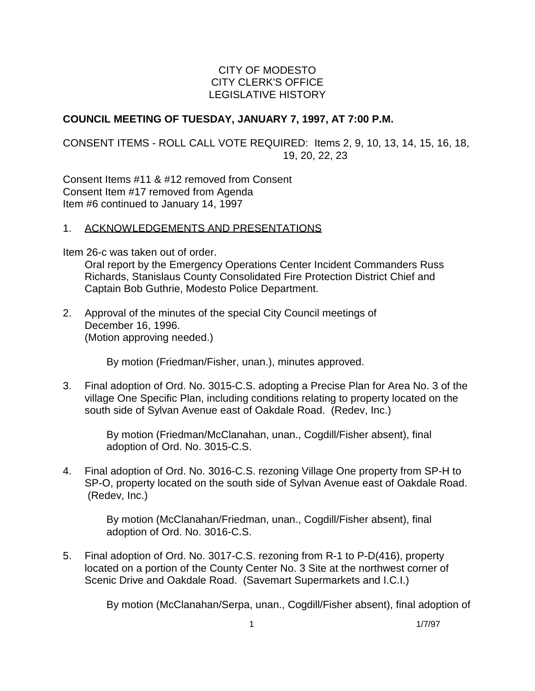### CITY OF MODESTO CITY CLERK'S OFFICE LEGISLATIVE HISTORY

### **COUNCIL MEETING OF TUESDAY, JANUARY 7, 1997, AT 7:00 P.M.**

CONSENT ITEMS - ROLL CALL VOTE REQUIRED: Items 2, 9, 10, 13, 14, 15, 16, 18, 19, 20, 22, 23

Consent Items #11 & #12 removed from Consent Consent Item #17 removed from Agenda Item #6 continued to January 14, 1997

### 1. ACKNOWLEDGEMENTS AND PRESENTATIONS

Item 26-c was taken out of order.

 Oral report by the Emergency Operations Center Incident Commanders Russ Richards, Stanislaus County Consolidated Fire Protection District Chief and Captain Bob Guthrie, Modesto Police Department.

2. Approval of the minutes of the special City Council meetings of December 16, 1996. (Motion approving needed.)

By motion (Friedman/Fisher, unan.), minutes approved.

3. Final adoption of Ord. No. 3015-C.S. adopting a Precise Plan for Area No. 3 of the village One Specific Plan, including conditions relating to property located on the south side of Sylvan Avenue east of Oakdale Road. (Redev, Inc.)

> By motion (Friedman/McClanahan, unan., Cogdill/Fisher absent), final adoption of Ord. No. 3015-C.S.

4. Final adoption of Ord. No. 3016-C.S. rezoning Village One property from SP-H to SP-O, property located on the south side of Sylvan Avenue east of Oakdale Road. (Redev, Inc.)

> By motion (McClanahan/Friedman, unan., Cogdill/Fisher absent), final adoption of Ord. No. 3016-C.S.

5. Final adoption of Ord. No. 3017-C.S. rezoning from R-1 to P-D(416), property located on a portion of the County Center No. 3 Site at the northwest corner of Scenic Drive and Oakdale Road. (Savemart Supermarkets and I.C.I.)

By motion (McClanahan/Serpa, unan., Cogdill/Fisher absent), final adoption of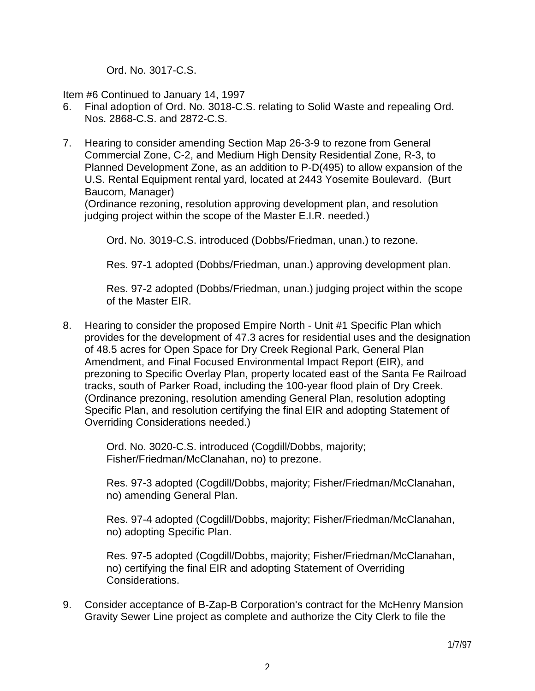Ord. No. 3017-C.S.

Item #6 Continued to January 14, 1997

- 6. Final adoption of Ord. No. 3018-C.S. relating to Solid Waste and repealing Ord. Nos. 2868-C.S. and 2872-C.S.
- 7. Hearing to consider amending Section Map 26-3-9 to rezone from General Commercial Zone, C-2, and Medium High Density Residential Zone, R-3, to Planned Development Zone, as an addition to P-D(495) to allow expansion of the U.S. Rental Equipment rental yard, located at 2443 Yosemite Boulevard. (Burt Baucom, Manager)

 (Ordinance rezoning, resolution approving development plan, and resolution judging project within the scope of the Master E.I.R. needed.)

Ord. No. 3019-C.S. introduced (Dobbs/Friedman, unan.) to rezone.

Res. 97-1 adopted (Dobbs/Friedman, unan.) approving development plan.

 Res. 97-2 adopted (Dobbs/Friedman, unan.) judging project within the scope of the Master EIR.

8. Hearing to consider the proposed Empire North - Unit #1 Specific Plan which provides for the development of 47.3 acres for residential uses and the designation of 48.5 acres for Open Space for Dry Creek Regional Park, General Plan Amendment, and Final Focused Environmental Impact Report (EIR), and prezoning to Specific Overlay Plan, property located east of the Santa Fe Railroad tracks, south of Parker Road, including the 100-year flood plain of Dry Creek. (Ordinance prezoning, resolution amending General Plan, resolution adopting Specific Plan, and resolution certifying the final EIR and adopting Statement of Overriding Considerations needed.)

> Ord. No. 3020-C.S. introduced (Cogdill/Dobbs, majority; Fisher/Friedman/McClanahan, no) to prezone.

 Res. 97-3 adopted (Cogdill/Dobbs, majority; Fisher/Friedman/McClanahan, no) amending General Plan.

 Res. 97-4 adopted (Cogdill/Dobbs, majority; Fisher/Friedman/McClanahan, no) adopting Specific Plan.

 Res. 97-5 adopted (Cogdill/Dobbs, majority; Fisher/Friedman/McClanahan, no) certifying the final EIR and adopting Statement of Overriding Considerations.

9. Consider acceptance of B-Zap-B Corporation's contract for the McHenry Mansion Gravity Sewer Line project as complete and authorize the City Clerk to file the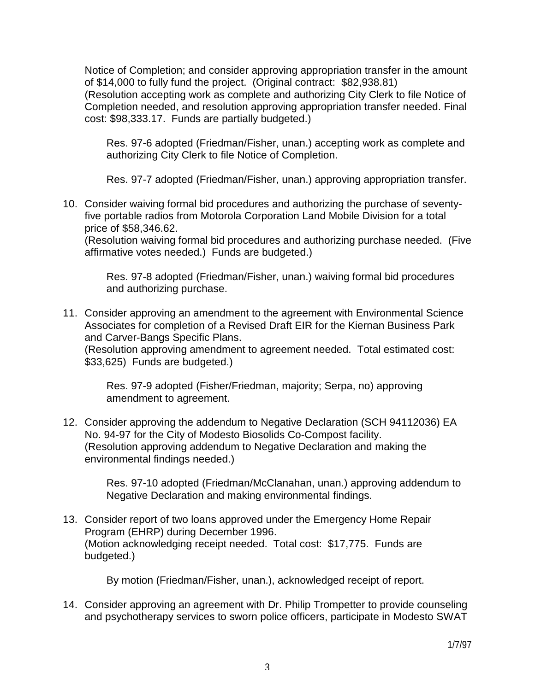Notice of Completion; and consider approving appropriation transfer in the amount of \$14,000 to fully fund the project. (Original contract: \$82,938.81) (Resolution accepting work as complete and authorizing City Clerk to file Notice of Completion needed, and resolution approving appropriation transfer needed. Final cost: \$98,333.17. Funds are partially budgeted.)

 Res. 97-6 adopted (Friedman/Fisher, unan.) accepting work as complete and authorizing City Clerk to file Notice of Completion.

Res. 97-7 adopted (Friedman/Fisher, unan.) approving appropriation transfer.

10. Consider waiving formal bid procedures and authorizing the purchase of seventyfive portable radios from Motorola Corporation Land Mobile Division for a total price of \$58,346.62.

 (Resolution waiving formal bid procedures and authorizing purchase needed. (Five affirmative votes needed.) Funds are budgeted.)

 Res. 97-8 adopted (Friedman/Fisher, unan.) waiving formal bid procedures and authorizing purchase.

11. Consider approving an amendment to the agreement with Environmental Science Associates for completion of a Revised Draft EIR for the Kiernan Business Park and Carver-Bangs Specific Plans.

 (Resolution approving amendment to agreement needed. Total estimated cost: \$33,625) Funds are budgeted.)

 Res. 97-9 adopted (Fisher/Friedman, majority; Serpa, no) approving amendment to agreement.

12. Consider approving the addendum to Negative Declaration (SCH 94112036) EA No. 94-97 for the City of Modesto Biosolids Co-Compost facility. (Resolution approving addendum to Negative Declaration and making the environmental findings needed.)

> Res. 97-10 adopted (Friedman/McClanahan, unan.) approving addendum to Negative Declaration and making environmental findings.

13. Consider report of two loans approved under the Emergency Home Repair Program (EHRP) during December 1996. (Motion acknowledging receipt needed. Total cost: \$17,775. Funds are budgeted.)

By motion (Friedman/Fisher, unan.), acknowledged receipt of report.

14. Consider approving an agreement with Dr. Philip Trompetter to provide counseling and psychotherapy services to sworn police officers, participate in Modesto SWAT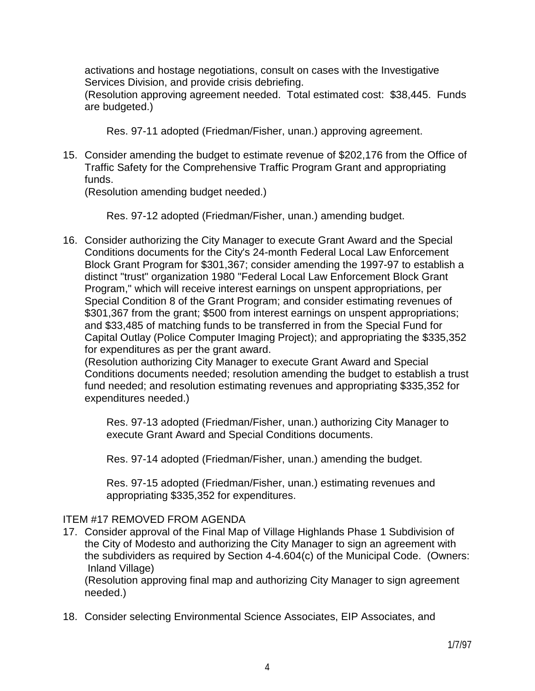activations and hostage negotiations, consult on cases with the Investigative Services Division, and provide crisis debriefing.

 (Resolution approving agreement needed. Total estimated cost: \$38,445. Funds are budgeted.)

Res. 97-11 adopted (Friedman/Fisher, unan.) approving agreement.

15. Consider amending the budget to estimate revenue of \$202,176 from the Office of Traffic Safety for the Comprehensive Traffic Program Grant and appropriating funds.

(Resolution amending budget needed.)

Res. 97-12 adopted (Friedman/Fisher, unan.) amending budget.

16. Consider authorizing the City Manager to execute Grant Award and the Special Conditions documents for the City's 24-month Federal Local Law Enforcement Block Grant Program for \$301,367; consider amending the 1997-97 to establish a distinct "trust" organization 1980 "Federal Local Law Enforcement Block Grant Program," which will receive interest earnings on unspent appropriations, per Special Condition 8 of the Grant Program; and consider estimating revenues of \$301,367 from the grant; \$500 from interest earnings on unspent appropriations; and \$33,485 of matching funds to be transferred in from the Special Fund for Capital Outlay (Police Computer Imaging Project); and appropriating the \$335,352 for expenditures as per the grant award.

 (Resolution authorizing City Manager to execute Grant Award and Special Conditions documents needed; resolution amending the budget to establish a trust fund needed; and resolution estimating revenues and appropriating \$335,352 for expenditures needed.)

 Res. 97-13 adopted (Friedman/Fisher, unan.) authorizing City Manager to execute Grant Award and Special Conditions documents.

Res. 97-14 adopted (Friedman/Fisher, unan.) amending the budget.

 Res. 97-15 adopted (Friedman/Fisher, unan.) estimating revenues and appropriating \$335,352 for expenditures.

## ITEM #17 REMOVED FROM AGENDA

17. Consider approval of the Final Map of Village Highlands Phase 1 Subdivision of the City of Modesto and authorizing the City Manager to sign an agreement with the subdividers as required by Section 4-4.604(c) of the Municipal Code. (Owners: Inland Village)

 (Resolution approving final map and authorizing City Manager to sign agreement needed.)

18. Consider selecting Environmental Science Associates, EIP Associates, and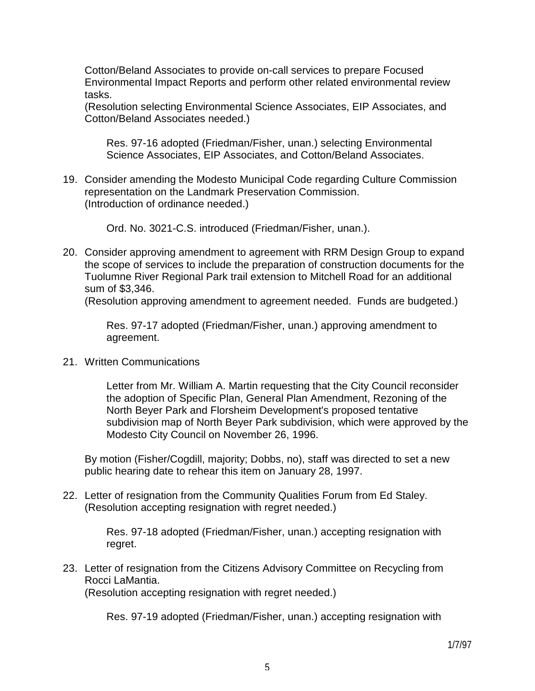Cotton/Beland Associates to provide on-call services to prepare Focused Environmental Impact Reports and perform other related environmental review tasks.

 (Resolution selecting Environmental Science Associates, EIP Associates, and Cotton/Beland Associates needed.)

 Res. 97-16 adopted (Friedman/Fisher, unan.) selecting Environmental Science Associates, EIP Associates, and Cotton/Beland Associates.

19. Consider amending the Modesto Municipal Code regarding Culture Commission representation on the Landmark Preservation Commission. (Introduction of ordinance needed.)

Ord. No. 3021-C.S. introduced (Friedman/Fisher, unan.).

20. Consider approving amendment to agreement with RRM Design Group to expand the scope of services to include the preparation of construction documents for the Tuolumne River Regional Park trail extension to Mitchell Road for an additional sum of \$3,346.

(Resolution approving amendment to agreement needed. Funds are budgeted.)

 Res. 97-17 adopted (Friedman/Fisher, unan.) approving amendment to agreement.

21. Written Communications

 Letter from Mr. William A. Martin requesting that the City Council reconsider the adoption of Specific Plan, General Plan Amendment, Rezoning of the North Beyer Park and Florsheim Development's proposed tentative subdivision map of North Beyer Park subdivision, which were approved by the Modesto City Council on November 26, 1996.

 By motion (Fisher/Cogdill, majority; Dobbs, no), staff was directed to set a new public hearing date to rehear this item on January 28, 1997.

22. Letter of resignation from the Community Qualities Forum from Ed Staley. (Resolution accepting resignation with regret needed.)

> Res. 97-18 adopted (Friedman/Fisher, unan.) accepting resignation with regret.

23. Letter of resignation from the Citizens Advisory Committee on Recycling from Rocci LaMantia.

(Resolution accepting resignation with regret needed.)

Res. 97-19 adopted (Friedman/Fisher, unan.) accepting resignation with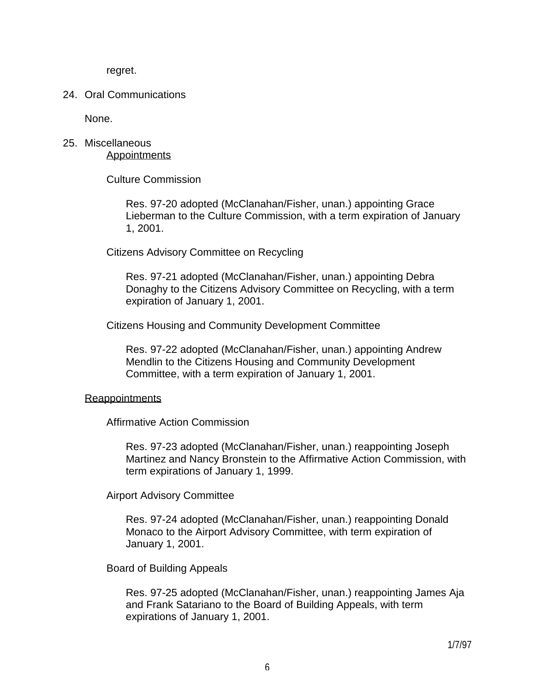regret.

### 24. Oral Communications

None.

# 25. Miscellaneous **Appointments**

Culture Commission

 Res. 97-20 adopted (McClanahan/Fisher, unan.) appointing Grace Lieberman to the Culture Commission, with a term expiration of January 1, 2001.

Citizens Advisory Committee on Recycling

 Res. 97-21 adopted (McClanahan/Fisher, unan.) appointing Debra Donaghy to the Citizens Advisory Committee on Recycling, with a term expiration of January 1, 2001.

Citizens Housing and Community Development Committee

 Res. 97-22 adopted (McClanahan/Fisher, unan.) appointing Andrew Mendlin to the Citizens Housing and Community Development Committee, with a term expiration of January 1, 2001.

### **Reappointments**

Affirmative Action Commission

 Res. 97-23 adopted (McClanahan/Fisher, unan.) reappointing Joseph Martinez and Nancy Bronstein to the Affirmative Action Commission, with term expirations of January 1, 1999.

Airport Advisory Committee

 Res. 97-24 adopted (McClanahan/Fisher, unan.) reappointing Donald Monaco to the Airport Advisory Committee, with term expiration of January 1, 2001.

Board of Building Appeals

 Res. 97-25 adopted (McClanahan/Fisher, unan.) reappointing James Aja and Frank Satariano to the Board of Building Appeals, with term expirations of January 1, 2001.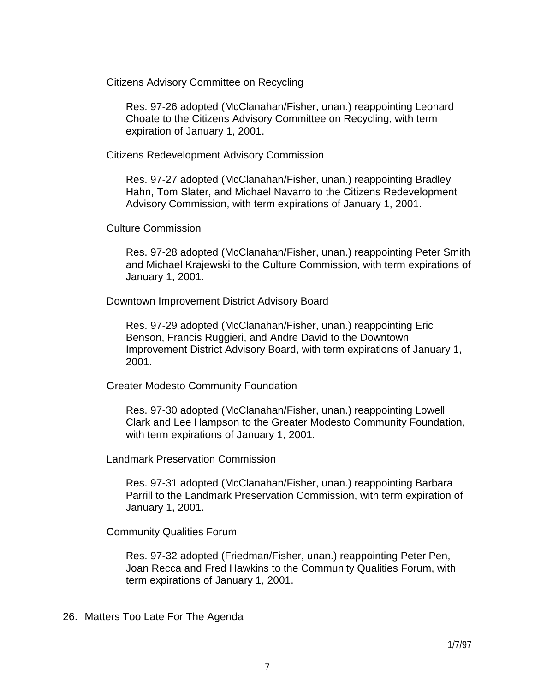Citizens Advisory Committee on Recycling

 Res. 97-26 adopted (McClanahan/Fisher, unan.) reappointing Leonard Choate to the Citizens Advisory Committee on Recycling, with term expiration of January 1, 2001.

Citizens Redevelopment Advisory Commission

 Res. 97-27 adopted (McClanahan/Fisher, unan.) reappointing Bradley Hahn, Tom Slater, and Michael Navarro to the Citizens Redevelopment Advisory Commission, with term expirations of January 1, 2001.

Culture Commission

 Res. 97-28 adopted (McClanahan/Fisher, unan.) reappointing Peter Smith and Michael Krajewski to the Culture Commission, with term expirations of January 1, 2001.

Downtown Improvement District Advisory Board

 Res. 97-29 adopted (McClanahan/Fisher, unan.) reappointing Eric Benson, Francis Ruggieri, and Andre David to the Downtown Improvement District Advisory Board, with term expirations of January 1, 2001.

Greater Modesto Community Foundation

 Res. 97-30 adopted (McClanahan/Fisher, unan.) reappointing Lowell Clark and Lee Hampson to the Greater Modesto Community Foundation, with term expirations of January 1, 2001.

Landmark Preservation Commission

 Res. 97-31 adopted (McClanahan/Fisher, unan.) reappointing Barbara Parrill to the Landmark Preservation Commission, with term expiration of January 1, 2001.

Community Qualities Forum

 Res. 97-32 adopted (Friedman/Fisher, unan.) reappointing Peter Pen, Joan Recca and Fred Hawkins to the Community Qualities Forum, with term expirations of January 1, 2001.

26. Matters Too Late For The Agenda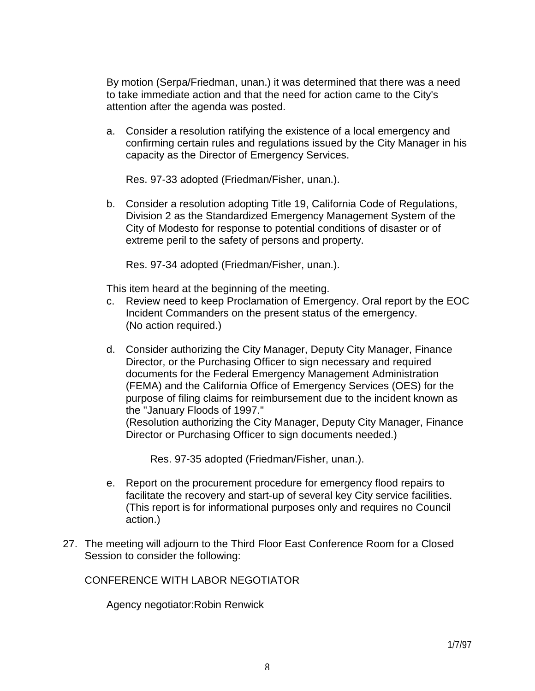By motion (Serpa/Friedman, unan.) it was determined that there was a need to take immediate action and that the need for action came to the City's attention after the agenda was posted.

 a. Consider a resolution ratifying the existence of a local emergency and confirming certain rules and regulations issued by the City Manager in his capacity as the Director of Emergency Services.

Res. 97-33 adopted (Friedman/Fisher, unan.).

 b. Consider a resolution adopting Title 19, California Code of Regulations, Division 2 as the Standardized Emergency Management System of the City of Modesto for response to potential conditions of disaster or of extreme peril to the safety of persons and property.

Res. 97-34 adopted (Friedman/Fisher, unan.).

This item heard at the beginning of the meeting.

- c. Review need to keep Proclamation of Emergency. Oral report by the EOC Incident Commanders on the present status of the emergency. (No action required.)
- d. Consider authorizing the City Manager, Deputy City Manager, Finance Director, or the Purchasing Officer to sign necessary and required documents for the Federal Emergency Management Administration (FEMA) and the California Office of Emergency Services (OES) for the purpose of filing claims for reimbursement due to the incident known as the "January Floods of 1997."

 (Resolution authorizing the City Manager, Deputy City Manager, Finance Director or Purchasing Officer to sign documents needed.)

Res. 97-35 adopted (Friedman/Fisher, unan.).

- e. Report on the procurement procedure for emergency flood repairs to facilitate the recovery and start-up of several key City service facilities. (This report is for informational purposes only and requires no Council action.)
- 27. The meeting will adjourn to the Third Floor East Conference Room for a Closed Session to consider the following:

CONFERENCE WITH LABOR NEGOTIATOR

Agency negotiator:Robin Renwick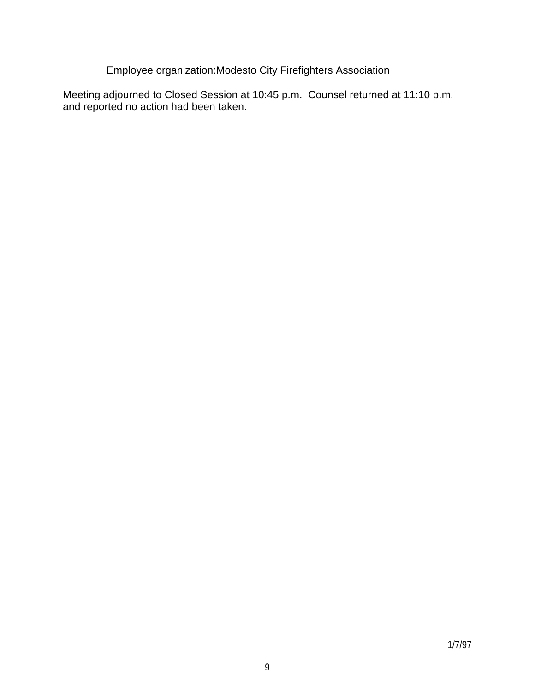Employee organization:Modesto City Firefighters Association

Meeting adjourned to Closed Session at 10:45 p.m. Counsel returned at 11:10 p.m. and reported no action had been taken.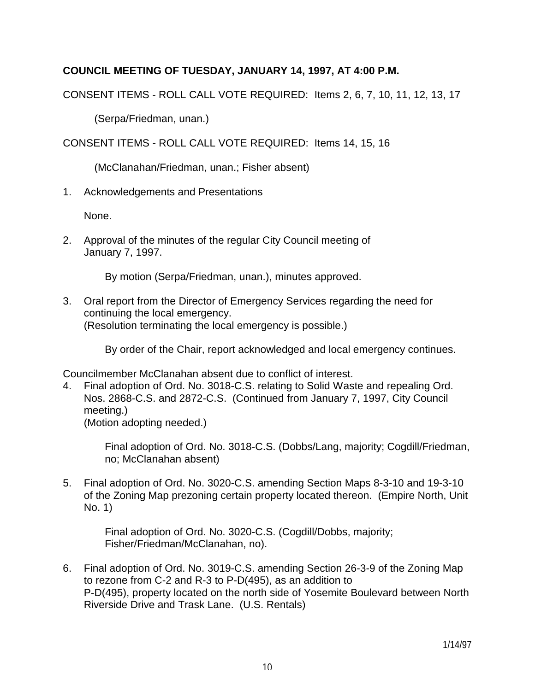## **COUNCIL MEETING OF TUESDAY, JANUARY 14, 1997, AT 4:00 P.M.**

CONSENT ITEMS - ROLL CALL VOTE REQUIRED: Items 2, 6, 7, 10, 11, 12, 13, 17

(Serpa/Friedman, unan.)

CONSENT ITEMS - ROLL CALL VOTE REQUIRED: Items 14, 15, 16

(McClanahan/Friedman, unan.; Fisher absent)

1. Acknowledgements and Presentations

None.

2. Approval of the minutes of the regular City Council meeting of January 7, 1997.

By motion (Serpa/Friedman, unan.), minutes approved.

3. Oral report from the Director of Emergency Services regarding the need for continuing the local emergency. (Resolution terminating the local emergency is possible.)

By order of the Chair, report acknowledged and local emergency continues.

Councilmember McClanahan absent due to conflict of interest.

4. Final adoption of Ord. No. 3018-C.S. relating to Solid Waste and repealing Ord. Nos. 2868-C.S. and 2872-C.S. (Continued from January 7, 1997, City Council meeting.) (Motion adopting needed.)

 Final adoption of Ord. No. 3018-C.S. (Dobbs/Lang, majority; Cogdill/Friedman, no; McClanahan absent)

5. Final adoption of Ord. No. 3020-C.S. amending Section Maps 8-3-10 and 19-3-10 of the Zoning Map prezoning certain property located thereon. (Empire North, Unit No. 1)

 Final adoption of Ord. No. 3020-C.S. (Cogdill/Dobbs, majority; Fisher/Friedman/McClanahan, no).

6. Final adoption of Ord. No. 3019-C.S. amending Section 26-3-9 of the Zoning Map to rezone from C-2 and R-3 to P-D(495), as an addition to P-D(495), property located on the north side of Yosemite Boulevard between North Riverside Drive and Trask Lane. (U.S. Rentals)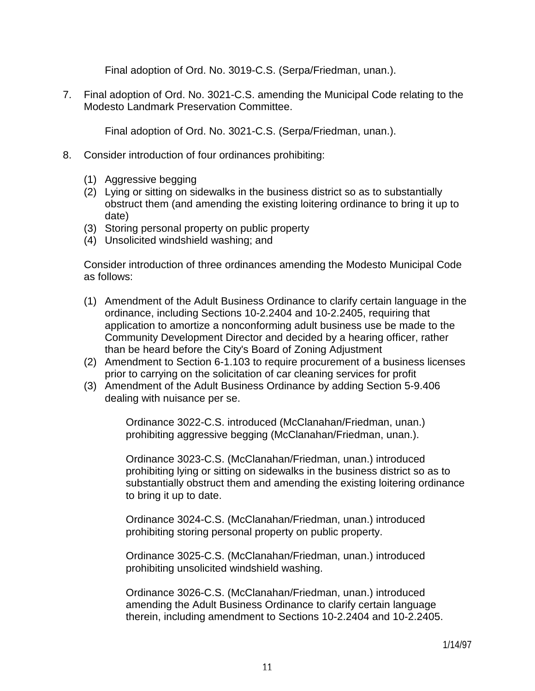Final adoption of Ord. No. 3019-C.S. (Serpa/Friedman, unan.).

7. Final adoption of Ord. No. 3021-C.S. amending the Municipal Code relating to the Modesto Landmark Preservation Committee.

Final adoption of Ord. No. 3021-C.S. (Serpa/Friedman, unan.).

- 8. Consider introduction of four ordinances prohibiting:
	- (1) Aggressive begging
	- (2) Lying or sitting on sidewalks in the business district so as to substantially obstruct them (and amending the existing loitering ordinance to bring it up to date)
	- (3) Storing personal property on public property
	- (4) Unsolicited windshield washing; and

 Consider introduction of three ordinances amending the Modesto Municipal Code as follows:

- (1) Amendment of the Adult Business Ordinance to clarify certain language in the ordinance, including Sections 10-2.2404 and 10-2.2405, requiring that application to amortize a nonconforming adult business use be made to the Community Development Director and decided by a hearing officer, rather than be heard before the City's Board of Zoning Adjustment
- (2) Amendment to Section 6-1.103 to require procurement of a business licenses prior to carrying on the solicitation of car cleaning services for profit
- (3) Amendment of the Adult Business Ordinance by adding Section 5-9.406 dealing with nuisance per se.

 Ordinance 3022-C.S. introduced (McClanahan/Friedman, unan.) prohibiting aggressive begging (McClanahan/Friedman, unan.).

 Ordinance 3023-C.S. (McClanahan/Friedman, unan.) introduced prohibiting lying or sitting on sidewalks in the business district so as to substantially obstruct them and amending the existing loitering ordinance to bring it up to date.

 Ordinance 3024-C.S. (McClanahan/Friedman, unan.) introduced prohibiting storing personal property on public property.

 Ordinance 3025-C.S. (McClanahan/Friedman, unan.) introduced prohibiting unsolicited windshield washing.

 Ordinance 3026-C.S. (McClanahan/Friedman, unan.) introduced amending the Adult Business Ordinance to clarify certain language therein, including amendment to Sections 10-2.2404 and 10-2.2405.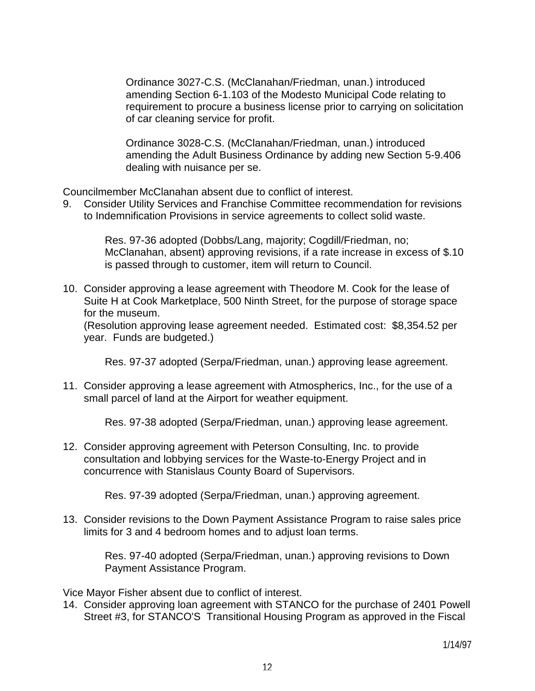Ordinance 3027-C.S. (McClanahan/Friedman, unan.) introduced amending Section 6-1.103 of the Modesto Municipal Code relating to requirement to procure a business license prior to carrying on solicitation of car cleaning service for profit.

 Ordinance 3028-C.S. (McClanahan/Friedman, unan.) introduced amending the Adult Business Ordinance by adding new Section 5-9.406 dealing with nuisance per se.

Councilmember McClanahan absent due to conflict of interest.

9. Consider Utility Services and Franchise Committee recommendation for revisions to Indemnification Provisions in service agreements to collect solid waste.

> Res. 97-36 adopted (Dobbs/Lang, majority; Cogdill/Friedman, no; McClanahan, absent) approving revisions, if a rate increase in excess of \$.10 is passed through to customer, item will return to Council.

10. Consider approving a lease agreement with Theodore M. Cook for the lease of Suite H at Cook Marketplace, 500 Ninth Street, for the purpose of storage space for the museum.

 (Resolution approving lease agreement needed. Estimated cost: \$8,354.52 per year. Funds are budgeted.)

Res. 97-37 adopted (Serpa/Friedman, unan.) approving lease agreement.

11. Consider approving a lease agreement with Atmospherics, Inc., for the use of a small parcel of land at the Airport for weather equipment.

Res. 97-38 adopted (Serpa/Friedman, unan.) approving lease agreement.

12. Consider approving agreement with Peterson Consulting, Inc. to provide consultation and lobbying services for the Waste-to-Energy Project and in concurrence with Stanislaus County Board of Supervisors.

Res. 97-39 adopted (Serpa/Friedman, unan.) approving agreement.

13. Consider revisions to the Down Payment Assistance Program to raise sales price limits for 3 and 4 bedroom homes and to adjust loan terms.

> Res. 97-40 adopted (Serpa/Friedman, unan.) approving revisions to Down Payment Assistance Program.

Vice Mayor Fisher absent due to conflict of interest.

14. Consider approving loan agreement with STANCO for the purchase of 2401 Powell Street #3, for STANCO'S Transitional Housing Program as approved in the Fiscal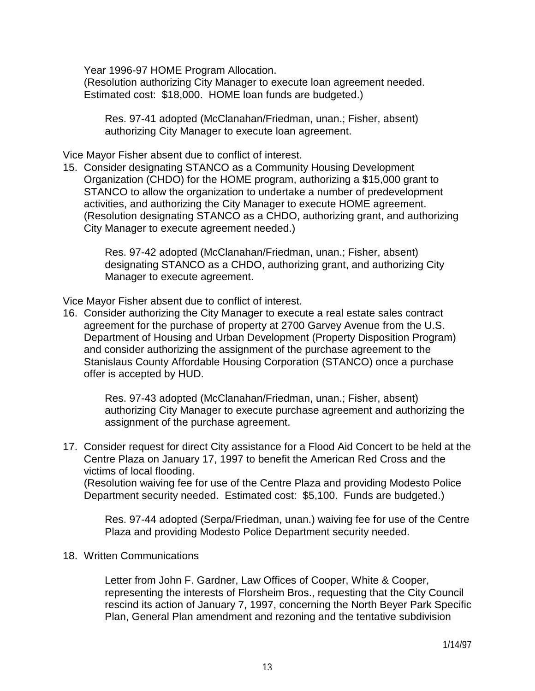Year 1996-97 HOME Program Allocation.

 (Resolution authorizing City Manager to execute loan agreement needed. Estimated cost: \$18,000. HOME loan funds are budgeted.)

 Res. 97-41 adopted (McClanahan/Friedman, unan.; Fisher, absent) authorizing City Manager to execute loan agreement.

Vice Mayor Fisher absent due to conflict of interest.

15. Consider designating STANCO as a Community Housing Development Organization (CHDO) for the HOME program, authorizing a \$15,000 grant to STANCO to allow the organization to undertake a number of predevelopment activities, and authorizing the City Manager to execute HOME agreement. (Resolution designating STANCO as a CHDO, authorizing grant, and authorizing City Manager to execute agreement needed.)

> Res. 97-42 adopted (McClanahan/Friedman, unan.; Fisher, absent) designating STANCO as a CHDO, authorizing grant, and authorizing City Manager to execute agreement.

Vice Mayor Fisher absent due to conflict of interest.

16. Consider authorizing the City Manager to execute a real estate sales contract agreement for the purchase of property at 2700 Garvey Avenue from the U.S. Department of Housing and Urban Development (Property Disposition Program) and consider authorizing the assignment of the purchase agreement to the Stanislaus County Affordable Housing Corporation (STANCO) once a purchase offer is accepted by HUD.

> Res. 97-43 adopted (McClanahan/Friedman, unan.; Fisher, absent) authorizing City Manager to execute purchase agreement and authorizing the assignment of the purchase agreement.

17. Consider request for direct City assistance for a Flood Aid Concert to be held at the Centre Plaza on January 17, 1997 to benefit the American Red Cross and the victims of local flooding.

 (Resolution waiving fee for use of the Centre Plaza and providing Modesto Police Department security needed. Estimated cost: \$5,100. Funds are budgeted.)

 Res. 97-44 adopted (Serpa/Friedman, unan.) waiving fee for use of the Centre Plaza and providing Modesto Police Department security needed.

### 18. Written Communications

 Letter from John F. Gardner, Law Offices of Cooper, White & Cooper, representing the interests of Florsheim Bros., requesting that the City Council rescind its action of January 7, 1997, concerning the North Beyer Park Specific Plan, General Plan amendment and rezoning and the tentative subdivision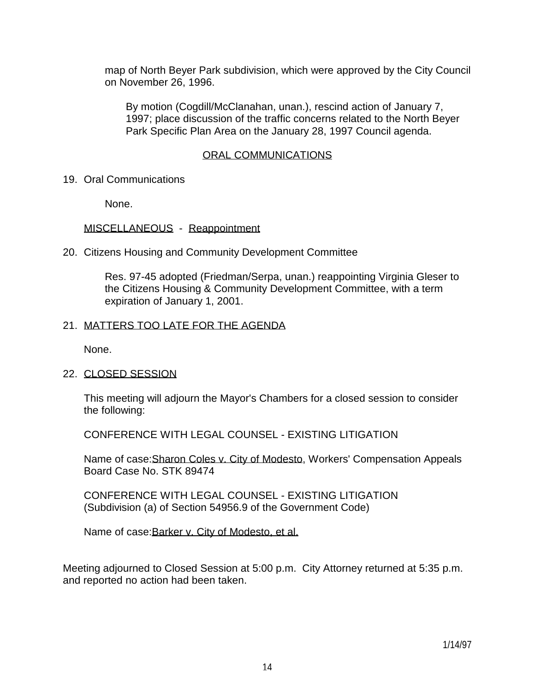map of North Beyer Park subdivision, which were approved by the City Council on November 26, 1996.

 By motion (Cogdill/McClanahan, unan.), rescind action of January 7, 1997; place discussion of the traffic concerns related to the North Beyer Park Specific Plan Area on the January 28, 1997 Council agenda.

#### ORAL COMMUNICATIONS

19. Oral Communications

None.

### MISCELLANEOUS - Reappointment

20. Citizens Housing and Community Development Committee

 Res. 97-45 adopted (Friedman/Serpa, unan.) reappointing Virginia Gleser to the Citizens Housing & Community Development Committee, with a term expiration of January 1, 2001.

#### 21. MATTERS TOO LATE FOR THE AGENDA

None.

### 22. CLOSED SESSION

 This meeting will adjourn the Mayor's Chambers for a closed session to consider the following:

CONFERENCE WITH LEGAL COUNSEL - EXISTING LITIGATION

Name of case: Sharon Coles v. City of Modesto, Workers' Compensation Appeals Board Case No. STK 89474

 CONFERENCE WITH LEGAL COUNSEL - EXISTING LITIGATION (Subdivision (a) of Section 54956.9 of the Government Code)

Name of case: Barker v. City of Modesto, et al.

Meeting adjourned to Closed Session at 5:00 p.m. City Attorney returned at 5:35 p.m. and reported no action had been taken.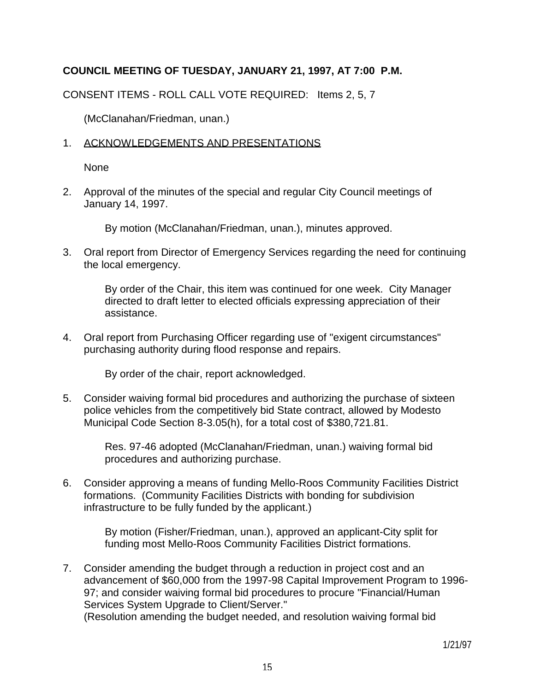# **COUNCIL MEETING OF TUESDAY, JANUARY 21, 1997, AT 7:00 P.M.**

CONSENT ITEMS - ROLL CALL VOTE REQUIRED: Items 2, 5, 7

(McClanahan/Friedman, unan.)

### 1. ACKNOWLEDGEMENTS AND PRESENTATIONS

None

2. Approval of the minutes of the special and regular City Council meetings of January 14, 1997.

By motion (McClanahan/Friedman, unan.), minutes approved.

3. Oral report from Director of Emergency Services regarding the need for continuing the local emergency.

> By order of the Chair, this item was continued for one week. City Manager directed to draft letter to elected officials expressing appreciation of their assistance.

4. Oral report from Purchasing Officer regarding use of "exigent circumstances" purchasing authority during flood response and repairs.

By order of the chair, report acknowledged.

5. Consider waiving formal bid procedures and authorizing the purchase of sixteen police vehicles from the competitively bid State contract, allowed by Modesto Municipal Code Section 8-3.05(h), for a total cost of \$380,721.81.

> Res. 97-46 adopted (McClanahan/Friedman, unan.) waiving formal bid procedures and authorizing purchase.

6. Consider approving a means of funding Mello-Roos Community Facilities District formations. (Community Facilities Districts with bonding for subdivision infrastructure to be fully funded by the applicant.)

> By motion (Fisher/Friedman, unan.), approved an applicant-City split for funding most Mello-Roos Community Facilities District formations.

7. Consider amending the budget through a reduction in project cost and an advancement of \$60,000 from the 1997-98 Capital Improvement Program to 1996- 97; and consider waiving formal bid procedures to procure "Financial/Human Services System Upgrade to Client/Server." (Resolution amending the budget needed, and resolution waiving formal bid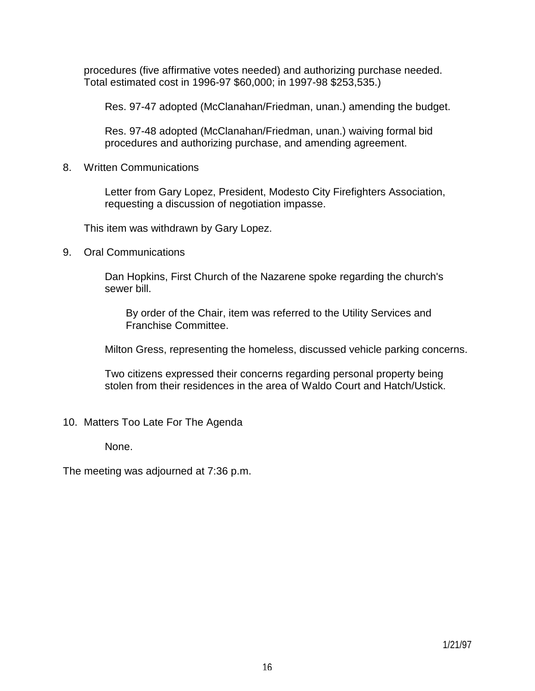procedures (five affirmative votes needed) and authorizing purchase needed. Total estimated cost in 1996-97 \$60,000; in 1997-98 \$253,535.)

Res. 97-47 adopted (McClanahan/Friedman, unan.) amending the budget.

 Res. 97-48 adopted (McClanahan/Friedman, unan.) waiving formal bid procedures and authorizing purchase, and amending agreement.

8. Written Communications

 Letter from Gary Lopez, President, Modesto City Firefighters Association, requesting a discussion of negotiation impasse.

This item was withdrawn by Gary Lopez.

9. Oral Communications

 Dan Hopkins, First Church of the Nazarene spoke regarding the church's sewer bill.

 By order of the Chair, item was referred to the Utility Services and Franchise Committee.

Milton Gress, representing the homeless, discussed vehicle parking concerns.

 Two citizens expressed their concerns regarding personal property being stolen from their residences in the area of Waldo Court and Hatch/Ustick.

10. Matters Too Late For The Agenda

None.

The meeting was adjourned at 7:36 p.m.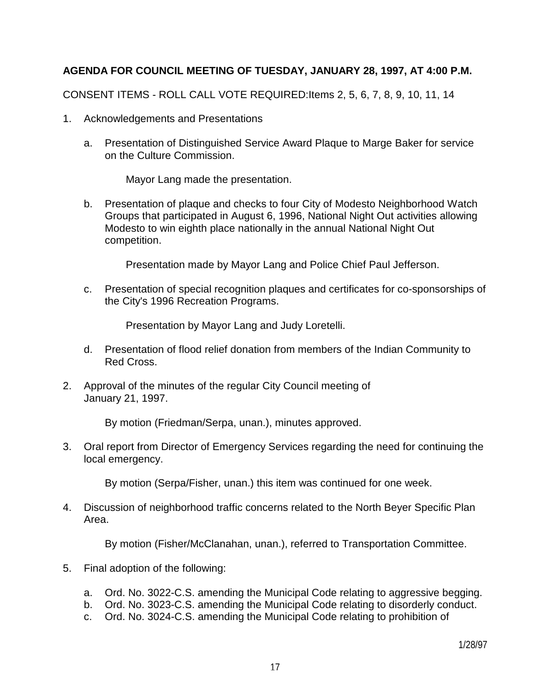# **AGENDA FOR COUNCIL MEETING OF TUESDAY, JANUARY 28, 1997, AT 4:00 P.M.**

CONSENT ITEMS - ROLL CALL VOTE REQUIRED:Items 2, 5, 6, 7, 8, 9, 10, 11, 14

- 1. Acknowledgements and Presentations
	- a. Presentation of Distinguished Service Award Plaque to Marge Baker for service on the Culture Commission.

Mayor Lang made the presentation.

 b. Presentation of plaque and checks to four City of Modesto Neighborhood Watch Groups that participated in August 6, 1996, National Night Out activities allowing Modesto to win eighth place nationally in the annual National Night Out competition.

Presentation made by Mayor Lang and Police Chief Paul Jefferson.

 c. Presentation of special recognition plaques and certificates for co-sponsorships of the City's 1996 Recreation Programs.

Presentation by Mayor Lang and Judy Loretelli.

- d. Presentation of flood relief donation from members of the Indian Community to Red Cross.
- 2. Approval of the minutes of the regular City Council meeting of January 21, 1997.

By motion (Friedman/Serpa, unan.), minutes approved.

3. Oral report from Director of Emergency Services regarding the need for continuing the local emergency.

By motion (Serpa/Fisher, unan.) this item was continued for one week.

4. Discussion of neighborhood traffic concerns related to the North Beyer Specific Plan Area.

By motion (Fisher/McClanahan, unan.), referred to Transportation Committee.

- 5. Final adoption of the following:
	- a. Ord. No. 3022-C.S. amending the Municipal Code relating to aggressive begging.
	- b. Ord. No. 3023-C.S. amending the Municipal Code relating to disorderly conduct.
	- c. Ord. No. 3024-C.S. amending the Municipal Code relating to prohibition of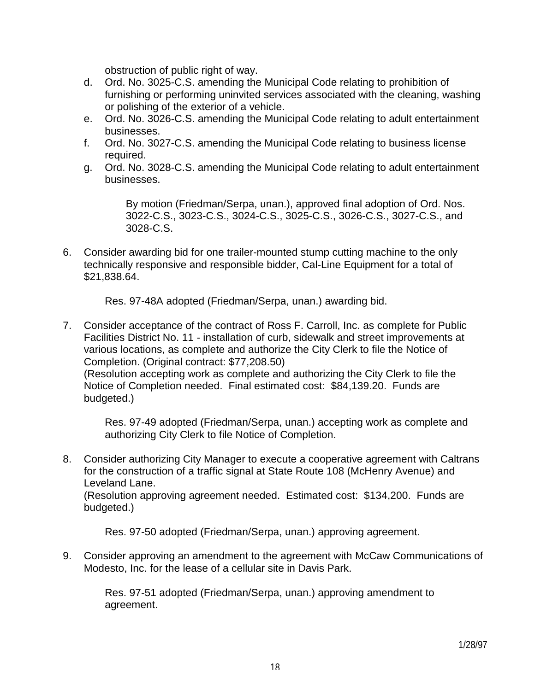obstruction of public right of way.

- d. Ord. No. 3025-C.S. amending the Municipal Code relating to prohibition of furnishing or performing uninvited services associated with the cleaning, washing or polishing of the exterior of a vehicle.
- e. Ord. No. 3026-C.S. amending the Municipal Code relating to adult entertainment businesses.
- f. Ord. No. 3027-C.S. amending the Municipal Code relating to business license required.
- g. Ord. No. 3028-C.S. amending the Municipal Code relating to adult entertainment businesses.

 By motion (Friedman/Serpa, unan.), approved final adoption of Ord. Nos. 3022-C.S., 3023-C.S., 3024-C.S., 3025-C.S., 3026-C.S., 3027-C.S., and 3028-C.S.

6. Consider awarding bid for one trailer-mounted stump cutting machine to the only technically responsive and responsible bidder, Cal-Line Equipment for a total of \$21,838.64.

Res. 97-48A adopted (Friedman/Serpa, unan.) awarding bid.

7. Consider acceptance of the contract of Ross F. Carroll, Inc. as complete for Public Facilities District No. 11 - installation of curb, sidewalk and street improvements at various locations, as complete and authorize the City Clerk to file the Notice of Completion. (Original contract: \$77,208.50)

 (Resolution accepting work as complete and authorizing the City Clerk to file the Notice of Completion needed. Final estimated cost: \$84,139.20. Funds are budgeted.)

 Res. 97-49 adopted (Friedman/Serpa, unan.) accepting work as complete and authorizing City Clerk to file Notice of Completion.

8. Consider authorizing City Manager to execute a cooperative agreement with Caltrans for the construction of a traffic signal at State Route 108 (McHenry Avenue) and Leveland Lane.

 (Resolution approving agreement needed. Estimated cost: \$134,200. Funds are budgeted.)

Res. 97-50 adopted (Friedman/Serpa, unan.) approving agreement.

9. Consider approving an amendment to the agreement with McCaw Communications of Modesto, Inc. for the lease of a cellular site in Davis Park.

 Res. 97-51 adopted (Friedman/Serpa, unan.) approving amendment to agreement.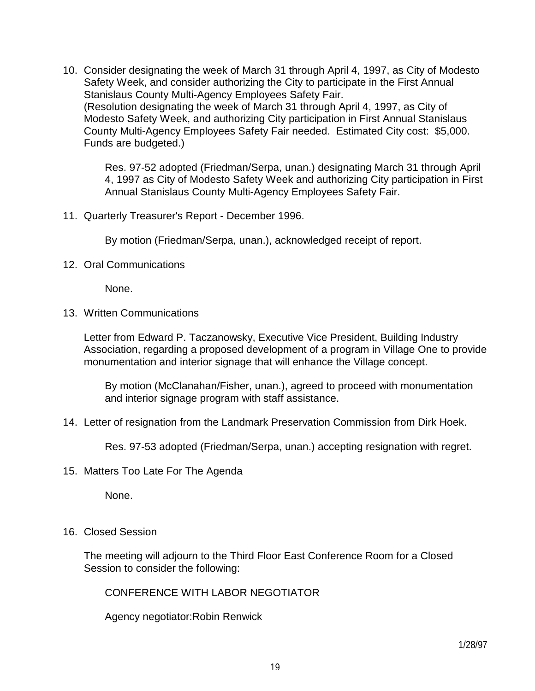10. Consider designating the week of March 31 through April 4, 1997, as City of Modesto Safety Week, and consider authorizing the City to participate in the First Annual Stanislaus County Multi-Agency Employees Safety Fair. (Resolution designating the week of March 31 through April 4, 1997, as City of Modesto Safety Week, and authorizing City participation in First Annual Stanislaus County Multi-Agency Employees Safety Fair needed. Estimated City cost: \$5,000. Funds are budgeted.)

 Res. 97-52 adopted (Friedman/Serpa, unan.) designating March 31 through April 4, 1997 as City of Modesto Safety Week and authorizing City participation in First Annual Stanislaus County Multi-Agency Employees Safety Fair.

11. Quarterly Treasurer's Report - December 1996.

By motion (Friedman/Serpa, unan.), acknowledged receipt of report.

12. Oral Communications

None.

13. Written Communications

 Letter from Edward P. Taczanowsky, Executive Vice President, Building Industry Association, regarding a proposed development of a program in Village One to provide monumentation and interior signage that will enhance the Village concept.

 By motion (McClanahan/Fisher, unan.), agreed to proceed with monumentation and interior signage program with staff assistance.

14. Letter of resignation from the Landmark Preservation Commission from Dirk Hoek.

Res. 97-53 adopted (Friedman/Serpa, unan.) accepting resignation with regret.

15. Matters Too Late For The Agenda

None.

16. Closed Session

 The meeting will adjourn to the Third Floor East Conference Room for a Closed Session to consider the following:

CONFERENCE WITH LABOR NEGOTIATOR

Agency negotiator:Robin Renwick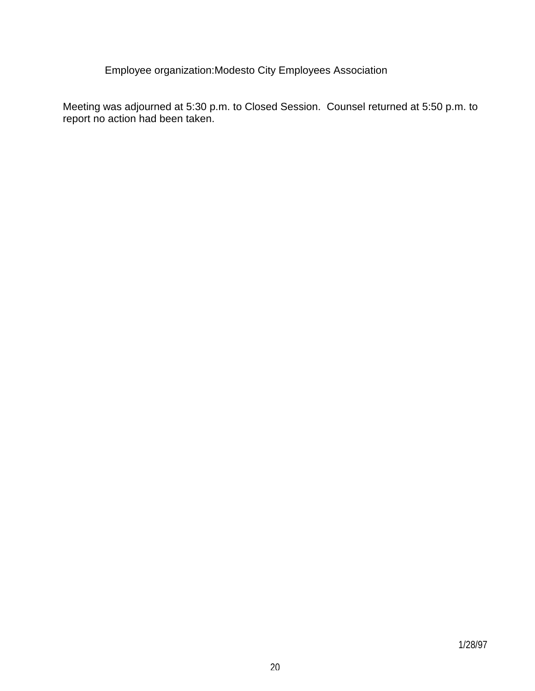Employee organization:Modesto City Employees Association

Meeting was adjourned at 5:30 p.m. to Closed Session. Counsel returned at 5:50 p.m. to report no action had been taken.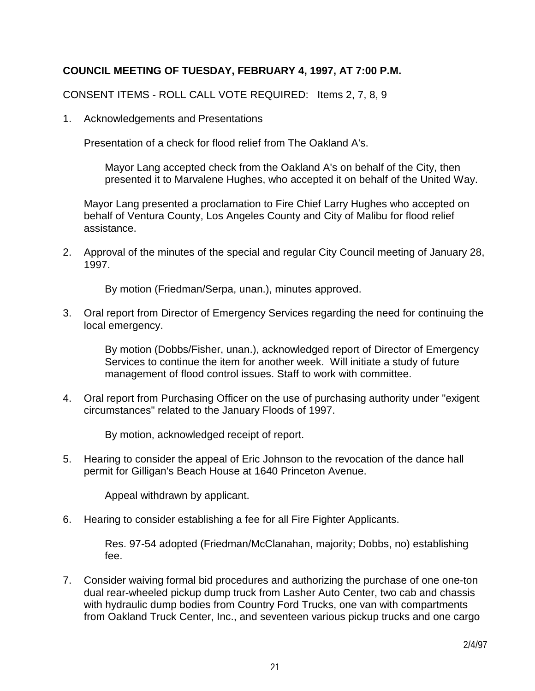## **COUNCIL MEETING OF TUESDAY, FEBRUARY 4, 1997, AT 7:00 P.M.**

CONSENT ITEMS - ROLL CALL VOTE REQUIRED: Items 2, 7, 8, 9

1. Acknowledgements and Presentations

Presentation of a check for flood relief from The Oakland A's.

 Mayor Lang accepted check from the Oakland A's on behalf of the City, then presented it to Marvalene Hughes, who accepted it on behalf of the United Way.

 Mayor Lang presented a proclamation to Fire Chief Larry Hughes who accepted on behalf of Ventura County, Los Angeles County and City of Malibu for flood relief assistance.

2. Approval of the minutes of the special and regular City Council meeting of January 28, 1997.

By motion (Friedman/Serpa, unan.), minutes approved.

3. Oral report from Director of Emergency Services regarding the need for continuing the local emergency.

 By motion (Dobbs/Fisher, unan.), acknowledged report of Director of Emergency Services to continue the item for another week. Will initiate a study of future management of flood control issues. Staff to work with committee.

4. Oral report from Purchasing Officer on the use of purchasing authority under "exigent circumstances" related to the January Floods of 1997.

By motion, acknowledged receipt of report.

5. Hearing to consider the appeal of Eric Johnson to the revocation of the dance hall permit for Gilligan's Beach House at 1640 Princeton Avenue.

Appeal withdrawn by applicant.

6. Hearing to consider establishing a fee for all Fire Fighter Applicants.

 Res. 97-54 adopted (Friedman/McClanahan, majority; Dobbs, no) establishing fee.

7. Consider waiving formal bid procedures and authorizing the purchase of one one-ton dual rear-wheeled pickup dump truck from Lasher Auto Center, two cab and chassis with hydraulic dump bodies from Country Ford Trucks, one van with compartments from Oakland Truck Center, Inc., and seventeen various pickup trucks and one cargo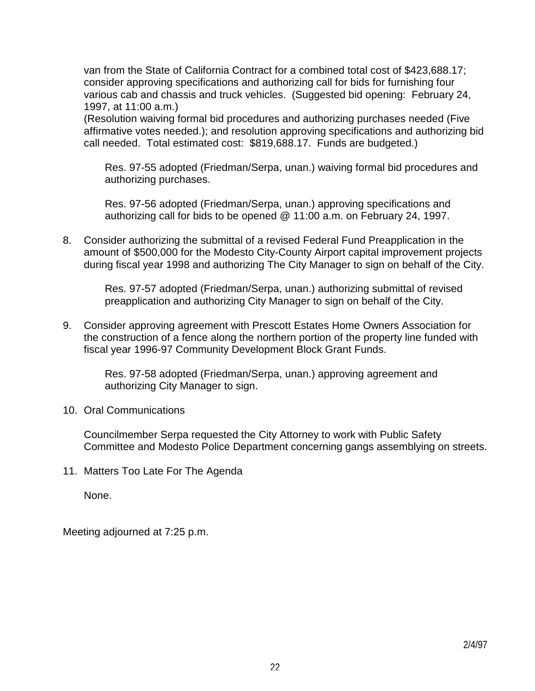van from the State of California Contract for a combined total cost of \$423,688.17; consider approving specifications and authorizing call for bids for furnishing four various cab and chassis and truck vehicles. (Suggested bid opening: February 24, 1997, at 11:00 a.m.)

 (Resolution waiving formal bid procedures and authorizing purchases needed (Five affirmative votes needed.); and resolution approving specifications and authorizing bid call needed. Total estimated cost: \$819,688.17. Funds are budgeted.)

 Res. 97-55 adopted (Friedman/Serpa, unan.) waiving formal bid procedures and authorizing purchases.

 Res. 97-56 adopted (Friedman/Serpa, unan.) approving specifications and authorizing call for bids to be opened @ 11:00 a.m. on February 24, 1997.

8. Consider authorizing the submittal of a revised Federal Fund Preapplication in the amount of \$500,000 for the Modesto City-County Airport capital improvement projects during fiscal year 1998 and authorizing The City Manager to sign on behalf of the City.

 Res. 97-57 adopted (Friedman/Serpa, unan.) authorizing submittal of revised preapplication and authorizing City Manager to sign on behalf of the City.

9. Consider approving agreement with Prescott Estates Home Owners Association for the construction of a fence along the northern portion of the property line funded with fiscal year 1996-97 Community Development Block Grant Funds.

 Res. 97-58 adopted (Friedman/Serpa, unan.) approving agreement and authorizing City Manager to sign.

### 10. Oral Communications

 Councilmember Serpa requested the City Attorney to work with Public Safety Committee and Modesto Police Department concerning gangs assemblying on streets.

11. Matters Too Late For The Agenda

None.

Meeting adjourned at 7:25 p.m.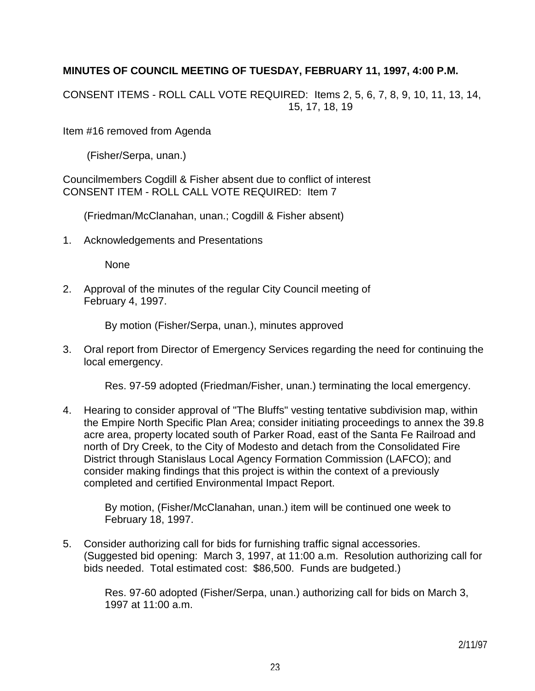# **MINUTES OF COUNCIL MEETING OF TUESDAY, FEBRUARY 11, 1997, 4:00 P.M.**

CONSENT ITEMS - ROLL CALL VOTE REQUIRED: Items 2, 5, 6, 7, 8, 9, 10, 11, 13, 14, 15, 17, 18, 19

Item #16 removed from Agenda

(Fisher/Serpa, unan.)

Councilmembers Cogdill & Fisher absent due to conflict of interest CONSENT ITEM - ROLL CALL VOTE REQUIRED: Item 7

(Friedman/McClanahan, unan.; Cogdill & Fisher absent)

1. Acknowledgements and Presentations

None

2. Approval of the minutes of the regular City Council meeting of February 4, 1997.

By motion (Fisher/Serpa, unan.), minutes approved

3. Oral report from Director of Emergency Services regarding the need for continuing the local emergency.

Res. 97-59 adopted (Friedman/Fisher, unan.) terminating the local emergency.

4. Hearing to consider approval of "The Bluffs" vesting tentative subdivision map, within the Empire North Specific Plan Area; consider initiating proceedings to annex the 39.8 acre area, property located south of Parker Road, east of the Santa Fe Railroad and north of Dry Creek, to the City of Modesto and detach from the Consolidated Fire District through Stanislaus Local Agency Formation Commission (LAFCO); and consider making findings that this project is within the context of a previously completed and certified Environmental Impact Report.

 By motion, (Fisher/McClanahan, unan.) item will be continued one week to February 18, 1997.

5. Consider authorizing call for bids for furnishing traffic signal accessories. (Suggested bid opening: March 3, 1997, at 11:00 a.m. Resolution authorizing call for bids needed. Total estimated cost: \$86,500. Funds are budgeted.)

 Res. 97-60 adopted (Fisher/Serpa, unan.) authorizing call for bids on March 3, 1997 at 11:00 a.m.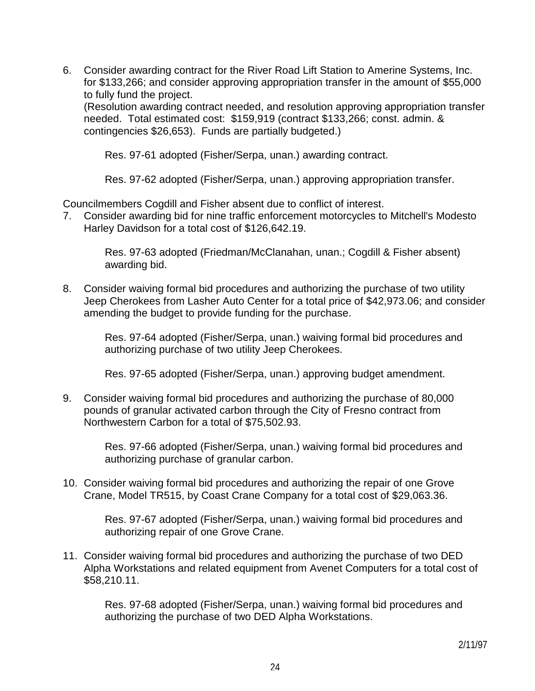6. Consider awarding contract for the River Road Lift Station to Amerine Systems, Inc. for \$133,266; and consider approving appropriation transfer in the amount of \$55,000 to fully fund the project.

 (Resolution awarding contract needed, and resolution approving appropriation transfer needed. Total estimated cost: \$159,919 (contract \$133,266; const. admin. & contingencies \$26,653). Funds are partially budgeted.)

Res. 97-61 adopted (Fisher/Serpa, unan.) awarding contract.

Res. 97-62 adopted (Fisher/Serpa, unan.) approving appropriation transfer.

Councilmembers Cogdill and Fisher absent due to conflict of interest.

7. Consider awarding bid for nine traffic enforcement motorcycles to Mitchell's Modesto Harley Davidson for a total cost of \$126,642.19.

 Res. 97-63 adopted (Friedman/McClanahan, unan.; Cogdill & Fisher absent) awarding bid.

8. Consider waiving formal bid procedures and authorizing the purchase of two utility Jeep Cherokees from Lasher Auto Center for a total price of \$42,973.06; and consider amending the budget to provide funding for the purchase.

 Res. 97-64 adopted (Fisher/Serpa, unan.) waiving formal bid procedures and authorizing purchase of two utility Jeep Cherokees.

Res. 97-65 adopted (Fisher/Serpa, unan.) approving budget amendment.

9. Consider waiving formal bid procedures and authorizing the purchase of 80,000 pounds of granular activated carbon through the City of Fresno contract from Northwestern Carbon for a total of \$75,502.93.

> Res. 97-66 adopted (Fisher/Serpa, unan.) waiving formal bid procedures and authorizing purchase of granular carbon.

10. Consider waiving formal bid procedures and authorizing the repair of one Grove Crane, Model TR515, by Coast Crane Company for a total cost of \$29,063.36.

> Res. 97-67 adopted (Fisher/Serpa, unan.) waiving formal bid procedures and authorizing repair of one Grove Crane.

11. Consider waiving formal bid procedures and authorizing the purchase of two DED Alpha Workstations and related equipment from Avenet Computers for a total cost of \$58,210.11.

 Res. 97-68 adopted (Fisher/Serpa, unan.) waiving formal bid procedures and authorizing the purchase of two DED Alpha Workstations.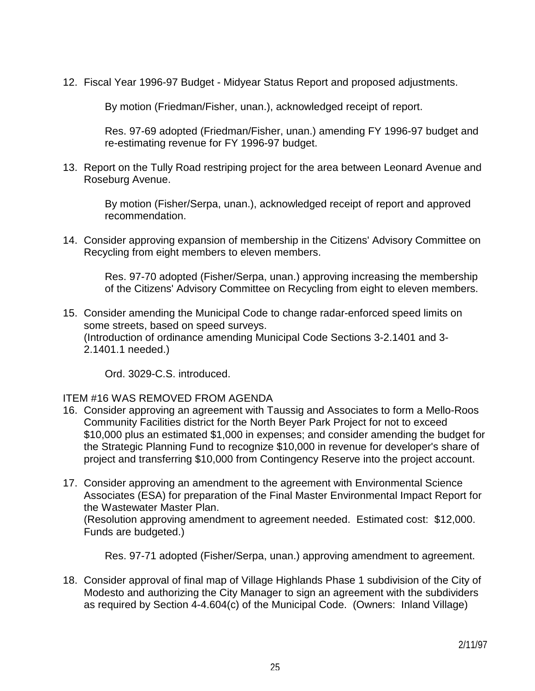12. Fiscal Year 1996-97 Budget - Midyear Status Report and proposed adjustments.

By motion (Friedman/Fisher, unan.), acknowledged receipt of report.

 Res. 97-69 adopted (Friedman/Fisher, unan.) amending FY 1996-97 budget and re-estimating revenue for FY 1996-97 budget.

13. Report on the Tully Road restriping project for the area between Leonard Avenue and Roseburg Avenue.

 By motion (Fisher/Serpa, unan.), acknowledged receipt of report and approved recommendation.

14. Consider approving expansion of membership in the Citizens' Advisory Committee on Recycling from eight members to eleven members.

 Res. 97-70 adopted (Fisher/Serpa, unan.) approving increasing the membership of the Citizens' Advisory Committee on Recycling from eight to eleven members.

15. Consider amending the Municipal Code to change radar-enforced speed limits on some streets, based on speed surveys. (Introduction of ordinance amending Municipal Code Sections 3-2.1401 and 3- 2.1401.1 needed.)

Ord. 3029-C.S. introduced.

### ITEM #16 WAS REMOVED FROM AGENDA

- 16. Consider approving an agreement with Taussig and Associates to form a Mello-Roos Community Facilities district for the North Beyer Park Project for not to exceed \$10,000 plus an estimated \$1,000 in expenses; and consider amending the budget for the Strategic Planning Fund to recognize \$10,000 in revenue for developer's share of project and transferring \$10,000 from Contingency Reserve into the project account.
- 17. Consider approving an amendment to the agreement with Environmental Science Associates (ESA) for preparation of the Final Master Environmental Impact Report for the Wastewater Master Plan.

 (Resolution approving amendment to agreement needed. Estimated cost: \$12,000. Funds are budgeted.)

Res. 97-71 adopted (Fisher/Serpa, unan.) approving amendment to agreement.

18. Consider approval of final map of Village Highlands Phase 1 subdivision of the City of Modesto and authorizing the City Manager to sign an agreement with the subdividers as required by Section 4-4.604(c) of the Municipal Code. (Owners: Inland Village)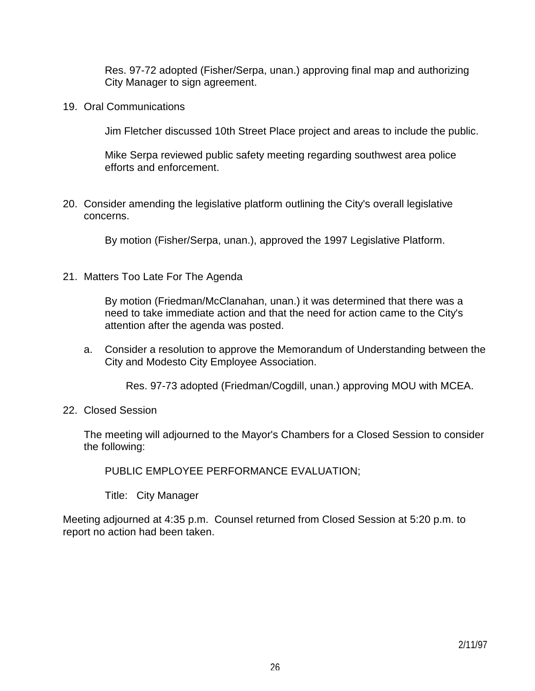Res. 97-72 adopted (Fisher/Serpa, unan.) approving final map and authorizing City Manager to sign agreement.

19. Oral Communications

Jim Fletcher discussed 10th Street Place project and areas to include the public.

 Mike Serpa reviewed public safety meeting regarding southwest area police efforts and enforcement.

20. Consider amending the legislative platform outlining the City's overall legislative concerns.

By motion (Fisher/Serpa, unan.), approved the 1997 Legislative Platform.

21. Matters Too Late For The Agenda

 By motion (Friedman/McClanahan, unan.) it was determined that there was a need to take immediate action and that the need for action came to the City's attention after the agenda was posted.

 a. Consider a resolution to approve the Memorandum of Understanding between the City and Modesto City Employee Association.

Res. 97-73 adopted (Friedman/Cogdill, unan.) approving MOU with MCEA.

22. Closed Session

 The meeting will adjourned to the Mayor's Chambers for a Closed Session to consider the following:

PUBLIC EMPLOYEE PERFORMANCE EVALUATION;

Title: City Manager

Meeting adjourned at 4:35 p.m. Counsel returned from Closed Session at 5:20 p.m. to report no action had been taken.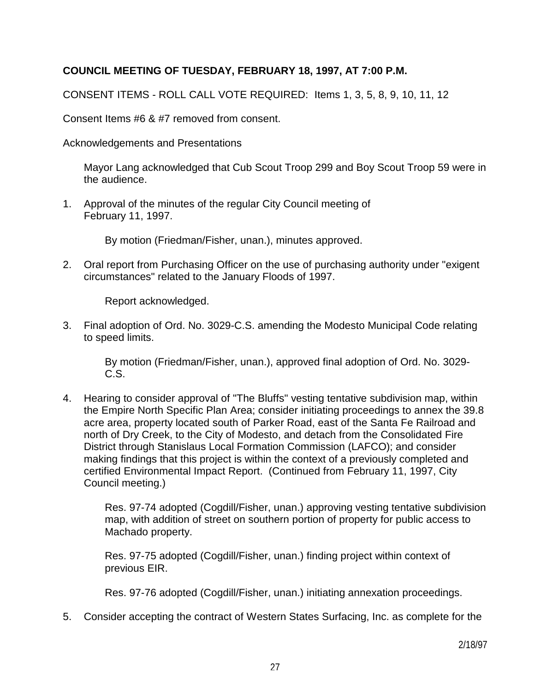## **COUNCIL MEETING OF TUESDAY, FEBRUARY 18, 1997, AT 7:00 P.M.**

CONSENT ITEMS - ROLL CALL VOTE REQUIRED: Items 1, 3, 5, 8, 9, 10, 11, 12

Consent Items #6 & #7 removed from consent.

Acknowledgements and Presentations

 Mayor Lang acknowledged that Cub Scout Troop 299 and Boy Scout Troop 59 were in the audience.

1. Approval of the minutes of the regular City Council meeting of February 11, 1997.

By motion (Friedman/Fisher, unan.), minutes approved.

2. Oral report from Purchasing Officer on the use of purchasing authority under "exigent circumstances" related to the January Floods of 1997.

Report acknowledged.

3. Final adoption of Ord. No. 3029-C.S. amending the Modesto Municipal Code relating to speed limits.

 By motion (Friedman/Fisher, unan.), approved final adoption of Ord. No. 3029- C.S.

4. Hearing to consider approval of "The Bluffs" vesting tentative subdivision map, within the Empire North Specific Plan Area; consider initiating proceedings to annex the 39.8 acre area, property located south of Parker Road, east of the Santa Fe Railroad and north of Dry Creek, to the City of Modesto, and detach from the Consolidated Fire District through Stanislaus Local Formation Commission (LAFCO); and consider making findings that this project is within the context of a previously completed and certified Environmental Impact Report. (Continued from February 11, 1997, City Council meeting.)

> Res. 97-74 adopted (Cogdill/Fisher, unan.) approving vesting tentative subdivision map, with addition of street on southern portion of property for public access to Machado property.

 Res. 97-75 adopted (Cogdill/Fisher, unan.) finding project within context of previous EIR.

Res. 97-76 adopted (Cogdill/Fisher, unan.) initiating annexation proceedings.

5. Consider accepting the contract of Western States Surfacing, Inc. as complete for the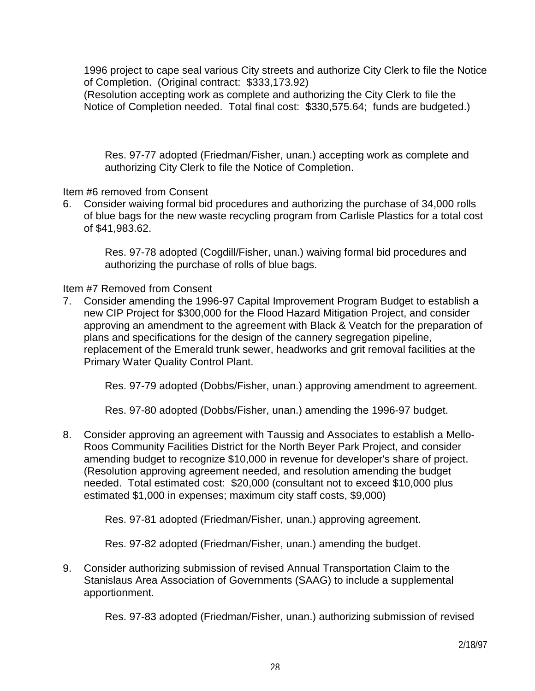1996 project to cape seal various City streets and authorize City Clerk to file the Notice of Completion. (Original contract: \$333,173.92)

 (Resolution accepting work as complete and authorizing the City Clerk to file the Notice of Completion needed. Total final cost: \$330,575.64; funds are budgeted.)

 Res. 97-77 adopted (Friedman/Fisher, unan.) accepting work as complete and authorizing City Clerk to file the Notice of Completion.

Item #6 removed from Consent

6. Consider waiving formal bid procedures and authorizing the purchase of 34,000 rolls of blue bags for the new waste recycling program from Carlisle Plastics for a total cost of \$41,983.62.

 Res. 97-78 adopted (Cogdill/Fisher, unan.) waiving formal bid procedures and authorizing the purchase of rolls of blue bags.

Item #7 Removed from Consent

7. Consider amending the 1996-97 Capital Improvement Program Budget to establish a new CIP Project for \$300,000 for the Flood Hazard Mitigation Project, and consider approving an amendment to the agreement with Black & Veatch for the preparation of plans and specifications for the design of the cannery segregation pipeline, replacement of the Emerald trunk sewer, headworks and grit removal facilities at the Primary Water Quality Control Plant.

Res. 97-79 adopted (Dobbs/Fisher, unan.) approving amendment to agreement.

Res. 97-80 adopted (Dobbs/Fisher, unan.) amending the 1996-97 budget.

8. Consider approving an agreement with Taussig and Associates to establish a Mello-Roos Community Facilities District for the North Beyer Park Project, and consider amending budget to recognize \$10,000 in revenue for developer's share of project. (Resolution approving agreement needed, and resolution amending the budget needed. Total estimated cost: \$20,000 (consultant not to exceed \$10,000 plus estimated \$1,000 in expenses; maximum city staff costs, \$9,000)

Res. 97-81 adopted (Friedman/Fisher, unan.) approving agreement.

Res. 97-82 adopted (Friedman/Fisher, unan.) amending the budget.

9. Consider authorizing submission of revised Annual Transportation Claim to the Stanislaus Area Association of Governments (SAAG) to include a supplemental apportionment.

Res. 97-83 adopted (Friedman/Fisher, unan.) authorizing submission of revised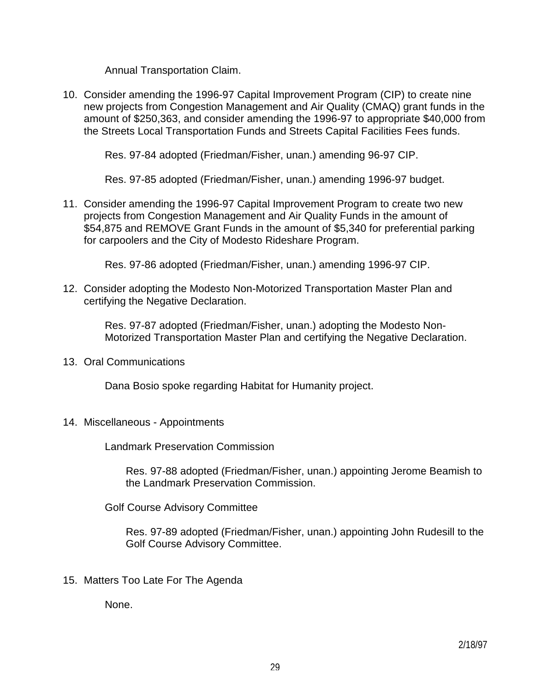Annual Transportation Claim.

10. Consider amending the 1996-97 Capital Improvement Program (CIP) to create nine new projects from Congestion Management and Air Quality (CMAQ) grant funds in the amount of \$250,363, and consider amending the 1996-97 to appropriate \$40,000 from the Streets Local Transportation Funds and Streets Capital Facilities Fees funds.

Res. 97-84 adopted (Friedman/Fisher, unan.) amending 96-97 CIP.

Res. 97-85 adopted (Friedman/Fisher, unan.) amending 1996-97 budget.

11. Consider amending the 1996-97 Capital Improvement Program to create two new projects from Congestion Management and Air Quality Funds in the amount of \$54,875 and REMOVE Grant Funds in the amount of \$5,340 for preferential parking for carpoolers and the City of Modesto Rideshare Program.

Res. 97-86 adopted (Friedman/Fisher, unan.) amending 1996-97 CIP.

12. Consider adopting the Modesto Non-Motorized Transportation Master Plan and certifying the Negative Declaration.

> Res. 97-87 adopted (Friedman/Fisher, unan.) adopting the Modesto Non-Motorized Transportation Master Plan and certifying the Negative Declaration.

13. Oral Communications

Dana Bosio spoke regarding Habitat for Humanity project.

14. Miscellaneous - Appointments

Landmark Preservation Commission

 Res. 97-88 adopted (Friedman/Fisher, unan.) appointing Jerome Beamish to the Landmark Preservation Commission.

Golf Course Advisory Committee

 Res. 97-89 adopted (Friedman/Fisher, unan.) appointing John Rudesill to the Golf Course Advisory Committee.

15. Matters Too Late For The Agenda

None.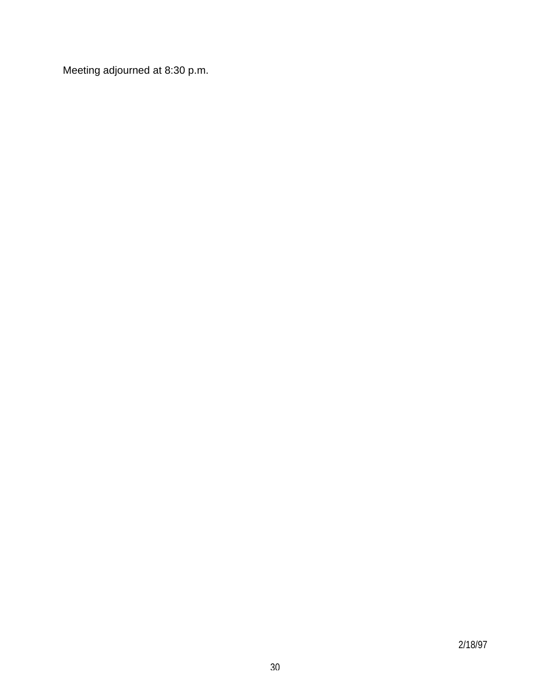Meeting adjourned at 8:30 p.m.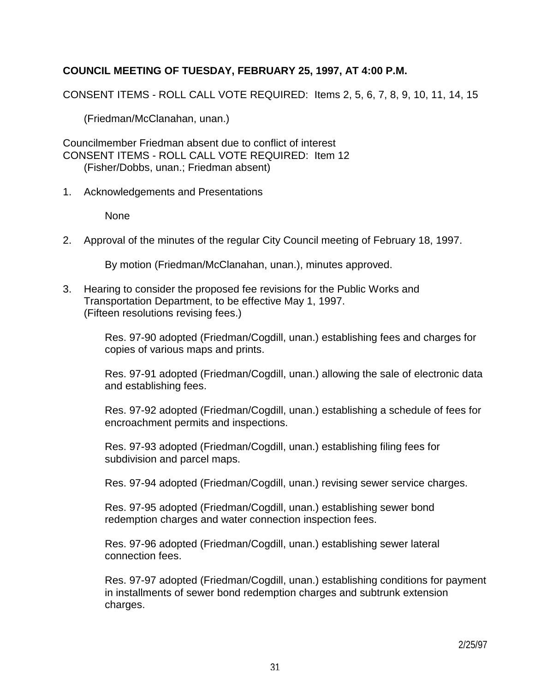## **COUNCIL MEETING OF TUESDAY, FEBRUARY 25, 1997, AT 4:00 P.M.**

CONSENT ITEMS - ROLL CALL VOTE REQUIRED: Items 2, 5, 6, 7, 8, 9, 10, 11, 14, 15

(Friedman/McClanahan, unan.)

Councilmember Friedman absent due to conflict of interest CONSENT ITEMS - ROLL CALL VOTE REQUIRED: Item 12 (Fisher/Dobbs, unan.; Friedman absent)

1. Acknowledgements and Presentations

None

2. Approval of the minutes of the regular City Council meeting of February 18, 1997.

By motion (Friedman/McClanahan, unan.), minutes approved.

3. Hearing to consider the proposed fee revisions for the Public Works and Transportation Department, to be effective May 1, 1997. (Fifteen resolutions revising fees.)

> Res. 97-90 adopted (Friedman/Cogdill, unan.) establishing fees and charges for copies of various maps and prints.

 Res. 97-91 adopted (Friedman/Cogdill, unan.) allowing the sale of electronic data and establishing fees.

 Res. 97-92 adopted (Friedman/Cogdill, unan.) establishing a schedule of fees for encroachment permits and inspections.

 Res. 97-93 adopted (Friedman/Cogdill, unan.) establishing filing fees for subdivision and parcel maps.

Res. 97-94 adopted (Friedman/Cogdill, unan.) revising sewer service charges.

 Res. 97-95 adopted (Friedman/Cogdill, unan.) establishing sewer bond redemption charges and water connection inspection fees.

 Res. 97-96 adopted (Friedman/Cogdill, unan.) establishing sewer lateral connection fees.

 Res. 97-97 adopted (Friedman/Cogdill, unan.) establishing conditions for payment in installments of sewer bond redemption charges and subtrunk extension charges.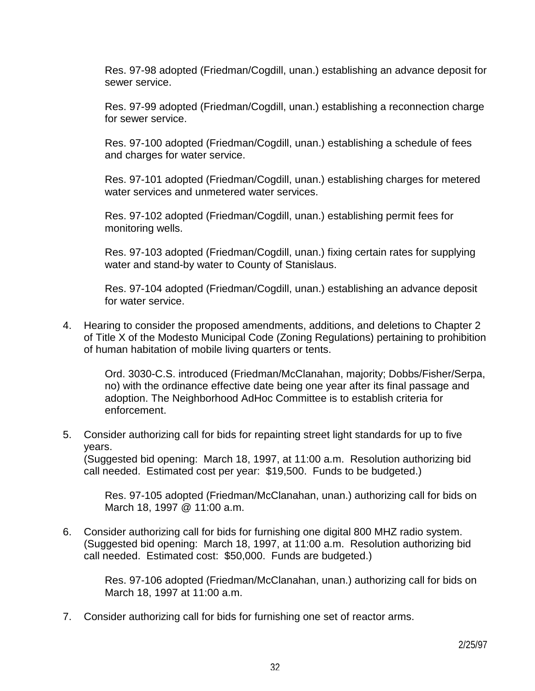Res. 97-98 adopted (Friedman/Cogdill, unan.) establishing an advance deposit for sewer service.

 Res. 97-99 adopted (Friedman/Cogdill, unan.) establishing a reconnection charge for sewer service.

 Res. 97-100 adopted (Friedman/Cogdill, unan.) establishing a schedule of fees and charges for water service.

 Res. 97-101 adopted (Friedman/Cogdill, unan.) establishing charges for metered water services and unmetered water services.

 Res. 97-102 adopted (Friedman/Cogdill, unan.) establishing permit fees for monitoring wells.

 Res. 97-103 adopted (Friedman/Cogdill, unan.) fixing certain rates for supplying water and stand-by water to County of Stanislaus.

 Res. 97-104 adopted (Friedman/Cogdill, unan.) establishing an advance deposit for water service.

4. Hearing to consider the proposed amendments, additions, and deletions to Chapter 2 of Title X of the Modesto Municipal Code (Zoning Regulations) pertaining to prohibition of human habitation of mobile living quarters or tents.

 Ord. 3030-C.S. introduced (Friedman/McClanahan, majority; Dobbs/Fisher/Serpa, no) with the ordinance effective date being one year after its final passage and adoption. The Neighborhood AdHoc Committee is to establish criteria for enforcement.

5. Consider authorizing call for bids for repainting street light standards for up to five years.

 (Suggested bid opening: March 18, 1997, at 11:00 a.m. Resolution authorizing bid call needed. Estimated cost per year: \$19,500. Funds to be budgeted.)

 Res. 97-105 adopted (Friedman/McClanahan, unan.) authorizing call for bids on March 18, 1997 @ 11:00 a.m.

6. Consider authorizing call for bids for furnishing one digital 800 MHZ radio system. (Suggested bid opening: March 18, 1997, at 11:00 a.m. Resolution authorizing bid call needed. Estimated cost: \$50,000. Funds are budgeted.)

> Res. 97-106 adopted (Friedman/McClanahan, unan.) authorizing call for bids on March 18, 1997 at 11:00 a.m.

7. Consider authorizing call for bids for furnishing one set of reactor arms.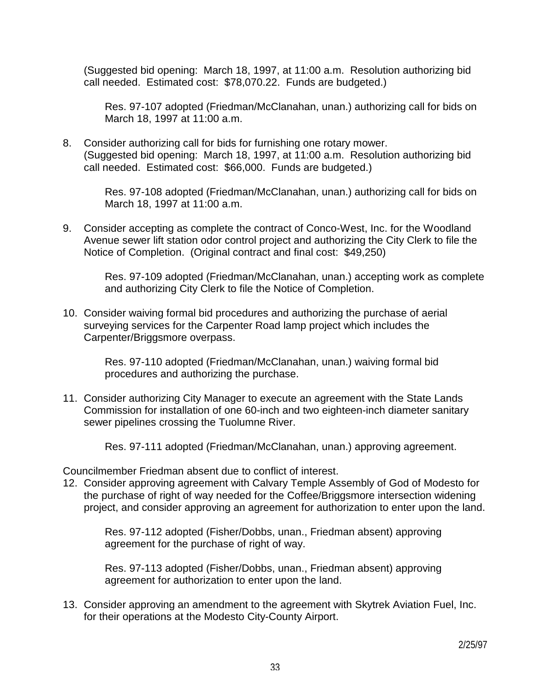(Suggested bid opening: March 18, 1997, at 11:00 a.m. Resolution authorizing bid call needed. Estimated cost: \$78,070.22. Funds are budgeted.)

 Res. 97-107 adopted (Friedman/McClanahan, unan.) authorizing call for bids on March 18, 1997 at 11:00 a.m.

8. Consider authorizing call for bids for furnishing one rotary mower. (Suggested bid opening: March 18, 1997, at 11:00 a.m. Resolution authorizing bid call needed. Estimated cost: \$66,000. Funds are budgeted.)

> Res. 97-108 adopted (Friedman/McClanahan, unan.) authorizing call for bids on March 18, 1997 at 11:00 a.m.

9. Consider accepting as complete the contract of Conco-West, Inc. for the Woodland Avenue sewer lift station odor control project and authorizing the City Clerk to file the Notice of Completion. (Original contract and final cost: \$49,250)

 Res. 97-109 adopted (Friedman/McClanahan, unan.) accepting work as complete and authorizing City Clerk to file the Notice of Completion.

10. Consider waiving formal bid procedures and authorizing the purchase of aerial surveying services for the Carpenter Road lamp project which includes the Carpenter/Briggsmore overpass.

> Res. 97-110 adopted (Friedman/McClanahan, unan.) waiving formal bid procedures and authorizing the purchase.

11. Consider authorizing City Manager to execute an agreement with the State Lands Commission for installation of one 60-inch and two eighteen-inch diameter sanitary sewer pipelines crossing the Tuolumne River.

Res. 97-111 adopted (Friedman/McClanahan, unan.) approving agreement.

Councilmember Friedman absent due to conflict of interest.

12. Consider approving agreement with Calvary Temple Assembly of God of Modesto for the purchase of right of way needed for the Coffee/Briggsmore intersection widening project, and consider approving an agreement for authorization to enter upon the land.

 Res. 97-112 adopted (Fisher/Dobbs, unan., Friedman absent) approving agreement for the purchase of right of way.

 Res. 97-113 adopted (Fisher/Dobbs, unan., Friedman absent) approving agreement for authorization to enter upon the land.

13. Consider approving an amendment to the agreement with Skytrek Aviation Fuel, Inc. for their operations at the Modesto City-County Airport.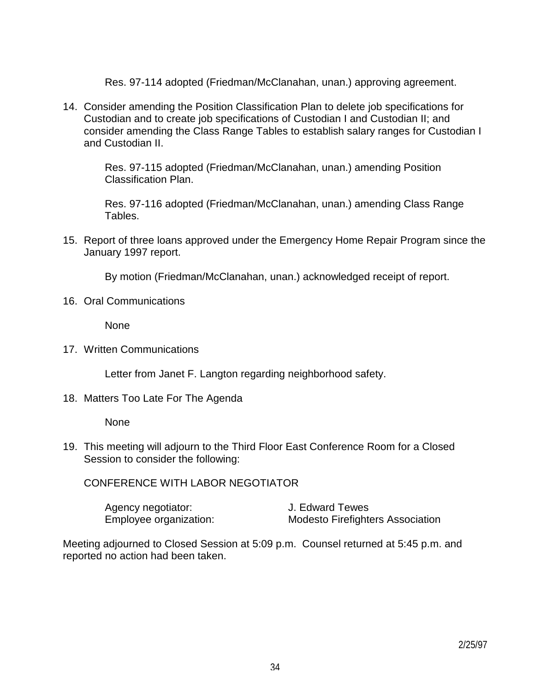Res. 97-114 adopted (Friedman/McClanahan, unan.) approving agreement.

14. Consider amending the Position Classification Plan to delete job specifications for Custodian and to create job specifications of Custodian I and Custodian II; and consider amending the Class Range Tables to establish salary ranges for Custodian I and Custodian II.

 Res. 97-115 adopted (Friedman/McClanahan, unan.) amending Position Classification Plan.

 Res. 97-116 adopted (Friedman/McClanahan, unan.) amending Class Range Tables.

15. Report of three loans approved under the Emergency Home Repair Program since the January 1997 report.

By motion (Friedman/McClanahan, unan.) acknowledged receipt of report.

16. Oral Communications

None

17. Written Communications

Letter from Janet F. Langton regarding neighborhood safety.

18. Matters Too Late For The Agenda

None

19. This meeting will adjourn to the Third Floor East Conference Room for a Closed Session to consider the following:

CONFERENCE WITH LABOR NEGOTIATOR

| Agency negotiator:     | J. Edward Tewes                         |
|------------------------|-----------------------------------------|
| Employee organization: | <b>Modesto Firefighters Association</b> |

Meeting adjourned to Closed Session at 5:09 p.m. Counsel returned at 5:45 p.m. and reported no action had been taken.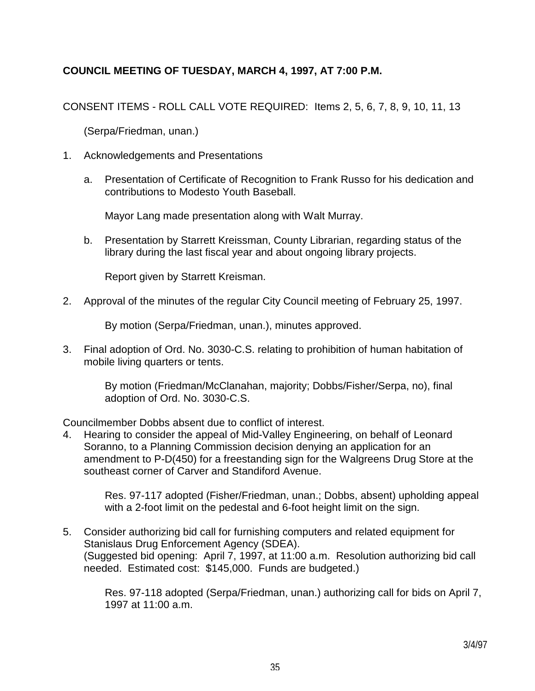# **COUNCIL MEETING OF TUESDAY, MARCH 4, 1997, AT 7:00 P.M.**

CONSENT ITEMS - ROLL CALL VOTE REQUIRED: Items 2, 5, 6, 7, 8, 9, 10, 11, 13

(Serpa/Friedman, unan.)

- 1. Acknowledgements and Presentations
	- a. Presentation of Certificate of Recognition to Frank Russo for his dedication and contributions to Modesto Youth Baseball.

Mayor Lang made presentation along with Walt Murray.

 b. Presentation by Starrett Kreissman, County Librarian, regarding status of the library during the last fiscal year and about ongoing library projects.

Report given by Starrett Kreisman.

2. Approval of the minutes of the regular City Council meeting of February 25, 1997.

By motion (Serpa/Friedman, unan.), minutes approved.

3. Final adoption of Ord. No. 3030-C.S. relating to prohibition of human habitation of mobile living quarters or tents.

> By motion (Friedman/McClanahan, majority; Dobbs/Fisher/Serpa, no), final adoption of Ord. No. 3030-C.S.

Councilmember Dobbs absent due to conflict of interest.

4. Hearing to consider the appeal of Mid-Valley Engineering, on behalf of Leonard Soranno, to a Planning Commission decision denying an application for an amendment to P-D(450) for a freestanding sign for the Walgreens Drug Store at the southeast corner of Carver and Standiford Avenue.

 Res. 97-117 adopted (Fisher/Friedman, unan.; Dobbs, absent) upholding appeal with a 2-foot limit on the pedestal and 6-foot height limit on the sign.

5. Consider authorizing bid call for furnishing computers and related equipment for Stanislaus Drug Enforcement Agency (SDEA). (Suggested bid opening: April 7, 1997, at 11:00 a.m. Resolution authorizing bid call needed. Estimated cost: \$145,000. Funds are budgeted.)

> Res. 97-118 adopted (Serpa/Friedman, unan.) authorizing call for bids on April 7, 1997 at 11:00 a.m.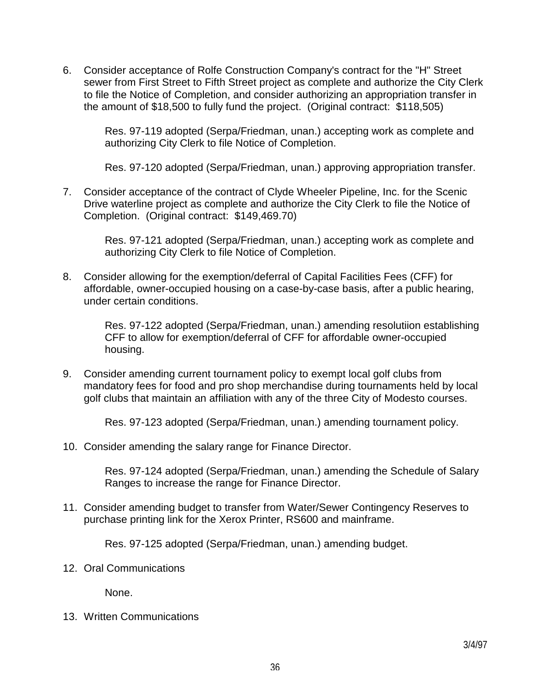6. Consider acceptance of Rolfe Construction Company's contract for the "H" Street sewer from First Street to Fifth Street project as complete and authorize the City Clerk to file the Notice of Completion, and consider authorizing an appropriation transfer in the amount of \$18,500 to fully fund the project. (Original contract: \$118,505)

> Res. 97-119 adopted (Serpa/Friedman, unan.) accepting work as complete and authorizing City Clerk to file Notice of Completion.

> Res. 97-120 adopted (Serpa/Friedman, unan.) approving appropriation transfer.

7. Consider acceptance of the contract of Clyde Wheeler Pipeline, Inc. for the Scenic Drive waterline project as complete and authorize the City Clerk to file the Notice of Completion. (Original contract: \$149,469.70)

> Res. 97-121 adopted (Serpa/Friedman, unan.) accepting work as complete and authorizing City Clerk to file Notice of Completion.

8. Consider allowing for the exemption/deferral of Capital Facilities Fees (CFF) for affordable, owner-occupied housing on a case-by-case basis, after a public hearing, under certain conditions.

> Res. 97-122 adopted (Serpa/Friedman, unan.) amending resolutiion establishing CFF to allow for exemption/deferral of CFF for affordable owner-occupied housing.

9. Consider amending current tournament policy to exempt local golf clubs from mandatory fees for food and pro shop merchandise during tournaments held by local golf clubs that maintain an affiliation with any of the three City of Modesto courses.

Res. 97-123 adopted (Serpa/Friedman, unan.) amending tournament policy.

10. Consider amending the salary range for Finance Director.

 Res. 97-124 adopted (Serpa/Friedman, unan.) amending the Schedule of Salary Ranges to increase the range for Finance Director.

11. Consider amending budget to transfer from Water/Sewer Contingency Reserves to purchase printing link for the Xerox Printer, RS600 and mainframe.

Res. 97-125 adopted (Serpa/Friedman, unan.) amending budget.

12. Oral Communications

None.

13. Written Communications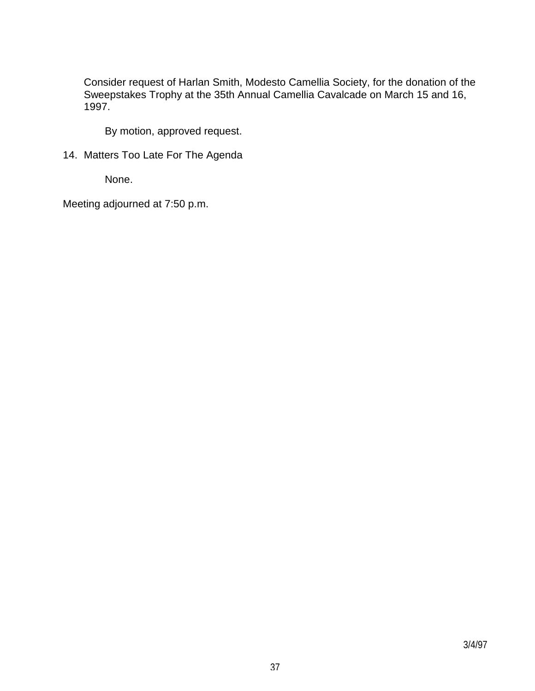Consider request of Harlan Smith, Modesto Camellia Society, for the donation of the Sweepstakes Trophy at the 35th Annual Camellia Cavalcade on March 15 and 16, 1997.

By motion, approved request.

14. Matters Too Late For The Agenda

None.

Meeting adjourned at 7:50 p.m.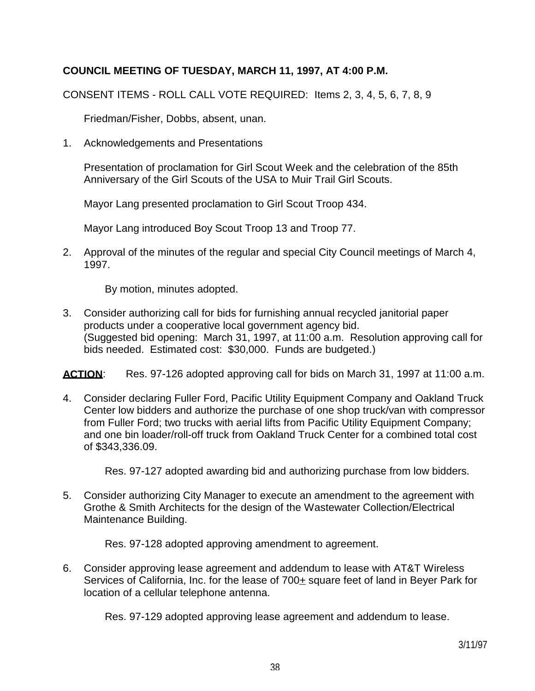# **COUNCIL MEETING OF TUESDAY, MARCH 11, 1997, AT 4:00 P.M.**

CONSENT ITEMS - ROLL CALL VOTE REQUIRED: Items 2, 3, 4, 5, 6, 7, 8, 9

Friedman/Fisher, Dobbs, absent, unan.

1. Acknowledgements and Presentations

 Presentation of proclamation for Girl Scout Week and the celebration of the 85th Anniversary of the Girl Scouts of the USA to Muir Trail Girl Scouts.

Mayor Lang presented proclamation to Girl Scout Troop 434.

Mayor Lang introduced Boy Scout Troop 13 and Troop 77.

2. Approval of the minutes of the regular and special City Council meetings of March 4, 1997.

By motion, minutes adopted.

3. Consider authorizing call for bids for furnishing annual recycled janitorial paper products under a cooperative local government agency bid. (Suggested bid opening: March 31, 1997, at 11:00 a.m. Resolution approving call for bids needed. Estimated cost: \$30,000. Funds are budgeted.)

ACTION: Res. 97-126 adopted approving call for bids on March 31, 1997 at 11:00 a.m.

4. Consider declaring Fuller Ford, Pacific Utility Equipment Company and Oakland Truck Center low bidders and authorize the purchase of one shop truck/van with compressor from Fuller Ford; two trucks with aerial lifts from Pacific Utility Equipment Company; and one bin loader/roll-off truck from Oakland Truck Center for a combined total cost of \$343,336.09.

Res. 97-127 adopted awarding bid and authorizing purchase from low bidders.

5. Consider authorizing City Manager to execute an amendment to the agreement with Grothe & Smith Architects for the design of the Wastewater Collection/Electrical Maintenance Building.

Res. 97-128 adopted approving amendment to agreement.

6. Consider approving lease agreement and addendum to lease with AT&T Wireless Services of California, Inc. for the lease of 700± square feet of land in Beyer Park for location of a cellular telephone antenna.

Res. 97-129 adopted approving lease agreement and addendum to lease.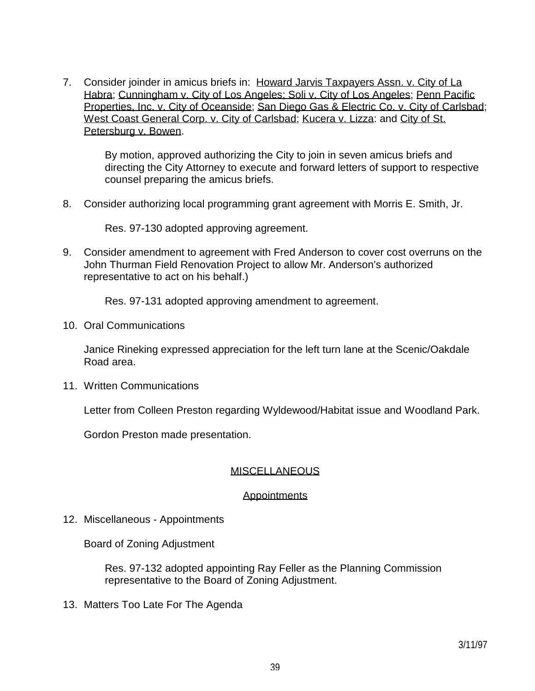7. Consider joinder in amicus briefs in: Howard Jarvis Taxpayers Assn. v. City of La Habra; Cunningham v. City of Los Angeles; Soli v. City of Los Angeles; Penn Pacific Properties, Inc. v. City of Oceanside; San Diego Gas & Electric Co. v. City of Carlsbad; West Coast General Corp. v. City of Carlsbad; Kucera v. Lizza: and City of St. Petersburg v. Bowen.

 By motion, approved authorizing the City to join in seven amicus briefs and directing the City Attorney to execute and forward letters of support to respective counsel preparing the amicus briefs.

8. Consider authorizing local programming grant agreement with Morris E. Smith, Jr.

Res. 97-130 adopted approving agreement.

9. Consider amendment to agreement with Fred Anderson to cover cost overruns on the John Thurman Field Renovation Project to allow Mr. Anderson's authorized representative to act on his behalf.)

Res. 97-131 adopted approving amendment to agreement.

10. Oral Communications

 Janice Rineking expressed appreciation for the left turn lane at the Scenic/Oakdale Road area.

11. Written Communications

Letter from Colleen Preston regarding Wyldewood/Habitat issue and Woodland Park.

Gordon Preston made presentation.

#### MISCELLANEOUS

#### **Appointments**

12. Miscellaneous - Appointments

Board of Zoning Adjustment

 Res. 97-132 adopted appointing Ray Feller as the Planning Commission representative to the Board of Zoning Adjustment.

13. Matters Too Late For The Agenda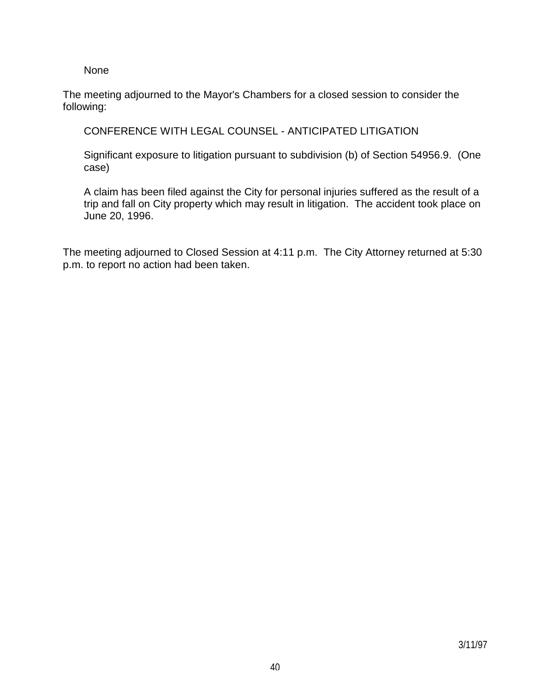None

The meeting adjourned to the Mayor's Chambers for a closed session to consider the following:

CONFERENCE WITH LEGAL COUNSEL - ANTICIPATED LITIGATION

 Significant exposure to litigation pursuant to subdivision (b) of Section 54956.9. (One case)

 A claim has been filed against the City for personal injuries suffered as the result of a trip and fall on City property which may result in litigation. The accident took place on June 20, 1996.

The meeting adjourned to Closed Session at 4:11 p.m. The City Attorney returned at 5:30 p.m. to report no action had been taken.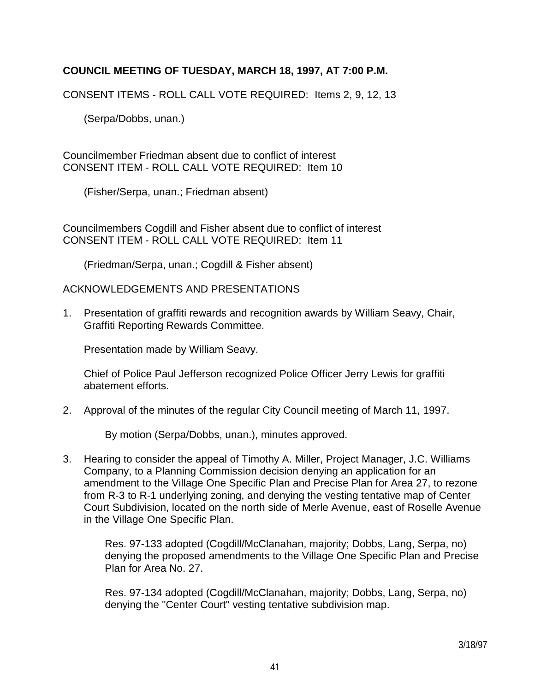## **COUNCIL MEETING OF TUESDAY, MARCH 18, 1997, AT 7:00 P.M.**

CONSENT ITEMS - ROLL CALL VOTE REQUIRED: Items 2, 9, 12, 13

(Serpa/Dobbs, unan.)

Councilmember Friedman absent due to conflict of interest CONSENT ITEM - ROLL CALL VOTE REQUIRED: Item 10

(Fisher/Serpa, unan.; Friedman absent)

Councilmembers Cogdill and Fisher absent due to conflict of interest CONSENT ITEM - ROLL CALL VOTE REQUIRED: Item 11

(Friedman/Serpa, unan.; Cogdill & Fisher absent)

#### ACKNOWLEDGEMENTS AND PRESENTATIONS

1. Presentation of graffiti rewards and recognition awards by William Seavy, Chair, Graffiti Reporting Rewards Committee.

Presentation made by William Seavy.

 Chief of Police Paul Jefferson recognized Police Officer Jerry Lewis for graffiti abatement efforts.

2. Approval of the minutes of the regular City Council meeting of March 11, 1997.

By motion (Serpa/Dobbs, unan.), minutes approved.

3. Hearing to consider the appeal of Timothy A. Miller, Project Manager, J.C. Williams Company, to a Planning Commission decision denying an application for an amendment to the Village One Specific Plan and Precise Plan for Area 27, to rezone from R-3 to R-1 underlying zoning, and denying the vesting tentative map of Center Court Subdivision, located on the north side of Merle Avenue, east of Roselle Avenue in the Village One Specific Plan.

 Res. 97-133 adopted (Cogdill/McClanahan, majority; Dobbs, Lang, Serpa, no) denying the proposed amendments to the Village One Specific Plan and Precise Plan for Area No. 27.

 Res. 97-134 adopted (Cogdill/McClanahan, majority; Dobbs, Lang, Serpa, no) denying the "Center Court" vesting tentative subdivision map.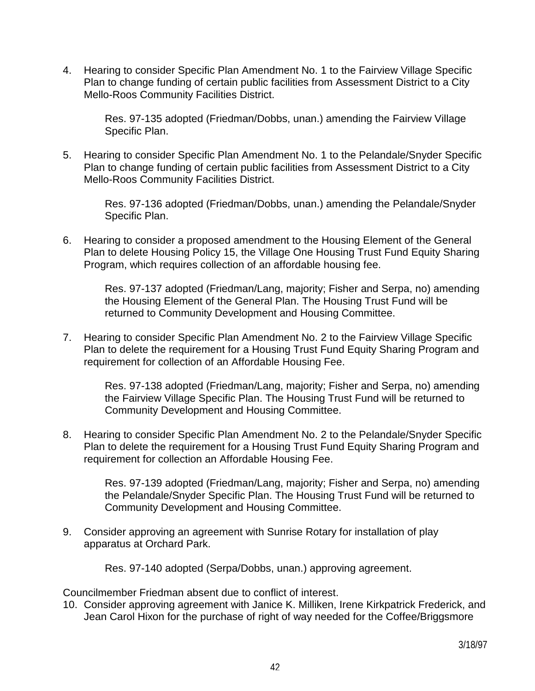4. Hearing to consider Specific Plan Amendment No. 1 to the Fairview Village Specific Plan to change funding of certain public facilities from Assessment District to a City Mello-Roos Community Facilities District.

 Res. 97-135 adopted (Friedman/Dobbs, unan.) amending the Fairview Village Specific Plan.

5. Hearing to consider Specific Plan Amendment No. 1 to the Pelandale/Snyder Specific Plan to change funding of certain public facilities from Assessment District to a City Mello-Roos Community Facilities District.

 Res. 97-136 adopted (Friedman/Dobbs, unan.) amending the Pelandale/Snyder Specific Plan.

6. Hearing to consider a proposed amendment to the Housing Element of the General Plan to delete Housing Policy 15, the Village One Housing Trust Fund Equity Sharing Program, which requires collection of an affordable housing fee.

> Res. 97-137 adopted (Friedman/Lang, majority; Fisher and Serpa, no) amending the Housing Element of the General Plan. The Housing Trust Fund will be returned to Community Development and Housing Committee.

7. Hearing to consider Specific Plan Amendment No. 2 to the Fairview Village Specific Plan to delete the requirement for a Housing Trust Fund Equity Sharing Program and requirement for collection of an Affordable Housing Fee.

 Res. 97-138 adopted (Friedman/Lang, majority; Fisher and Serpa, no) amending the Fairview Village Specific Plan. The Housing Trust Fund will be returned to Community Development and Housing Committee.

8. Hearing to consider Specific Plan Amendment No. 2 to the Pelandale/Snyder Specific Plan to delete the requirement for a Housing Trust Fund Equity Sharing Program and requirement for collection an Affordable Housing Fee.

 Res. 97-139 adopted (Friedman/Lang, majority; Fisher and Serpa, no) amending the Pelandale/Snyder Specific Plan. The Housing Trust Fund will be returned to Community Development and Housing Committee.

9. Consider approving an agreement with Sunrise Rotary for installation of play apparatus at Orchard Park.

Res. 97-140 adopted (Serpa/Dobbs, unan.) approving agreement.

Councilmember Friedman absent due to conflict of interest.

10. Consider approving agreement with Janice K. Milliken, Irene Kirkpatrick Frederick, and Jean Carol Hixon for the purchase of right of way needed for the Coffee/Briggsmore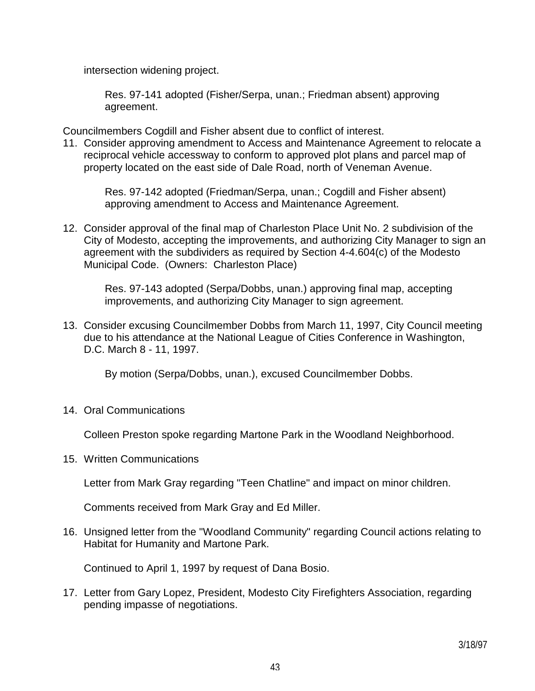intersection widening project.

 Res. 97-141 adopted (Fisher/Serpa, unan.; Friedman absent) approving agreement.

Councilmembers Cogdill and Fisher absent due to conflict of interest.

11. Consider approving amendment to Access and Maintenance Agreement to relocate a reciprocal vehicle accessway to conform to approved plot plans and parcel map of property located on the east side of Dale Road, north of Veneman Avenue.

 Res. 97-142 adopted (Friedman/Serpa, unan.; Cogdill and Fisher absent) approving amendment to Access and Maintenance Agreement.

12. Consider approval of the final map of Charleston Place Unit No. 2 subdivision of the City of Modesto, accepting the improvements, and authorizing City Manager to sign an agreement with the subdividers as required by Section 4-4.604(c) of the Modesto Municipal Code. (Owners: Charleston Place)

 Res. 97-143 adopted (Serpa/Dobbs, unan.) approving final map, accepting improvements, and authorizing City Manager to sign agreement.

13. Consider excusing Councilmember Dobbs from March 11, 1997, City Council meeting due to his attendance at the National League of Cities Conference in Washington, D.C. March 8 - 11, 1997.

By motion (Serpa/Dobbs, unan.), excused Councilmember Dobbs.

14. Oral Communications

Colleen Preston spoke regarding Martone Park in the Woodland Neighborhood.

15. Written Communications

Letter from Mark Gray regarding "Teen Chatline" and impact on minor children.

Comments received from Mark Gray and Ed Miller.

16. Unsigned letter from the "Woodland Community" regarding Council actions relating to Habitat for Humanity and Martone Park.

Continued to April 1, 1997 by request of Dana Bosio.

17. Letter from Gary Lopez, President, Modesto City Firefighters Association, regarding pending impasse of negotiations.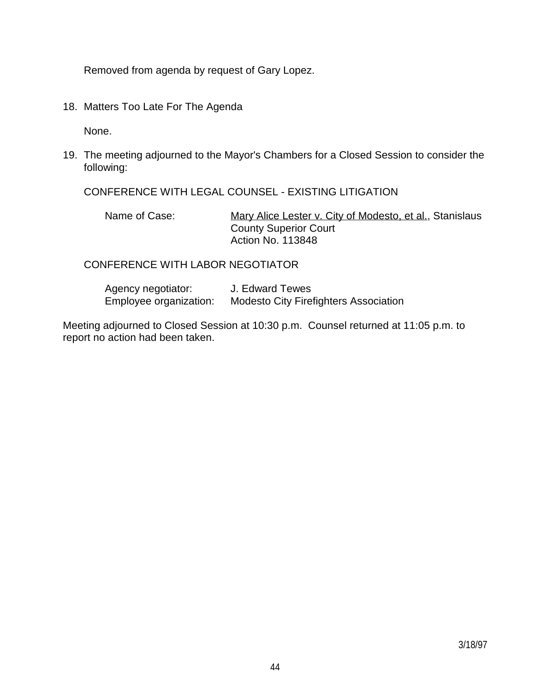Removed from agenda by request of Gary Lopez.

18. Matters Too Late For The Agenda

None.

19. The meeting adjourned to the Mayor's Chambers for a Closed Session to consider the following:

CONFERENCE WITH LEGAL COUNSEL - EXISTING LITIGATION

Name of Case: Mary Alice Lester v. City of Modesto, et al., Stanislaus County Superior Court Action No. 113848

#### CONFERENCE WITH LABOR NEGOTIATOR

| Agency negotiator:     | J. Edward Tewes                              |
|------------------------|----------------------------------------------|
| Employee organization: | <b>Modesto City Firefighters Association</b> |

Meeting adjourned to Closed Session at 10:30 p.m. Counsel returned at 11:05 p.m. to report no action had been taken.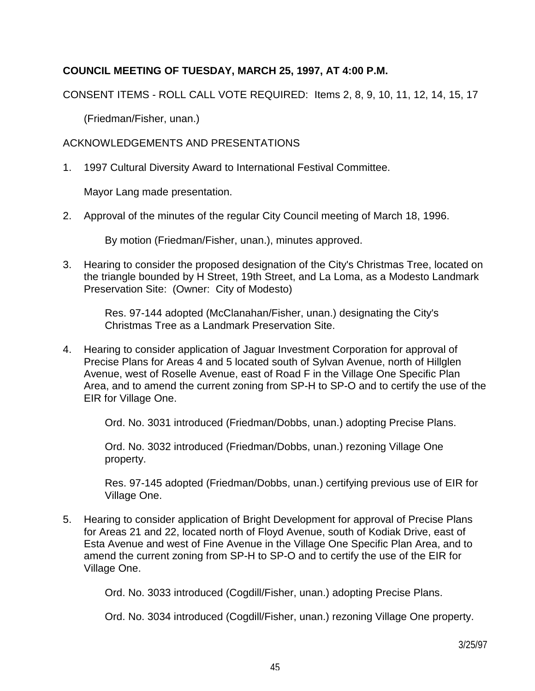# **COUNCIL MEETING OF TUESDAY, MARCH 25, 1997, AT 4:00 P.M.**

CONSENT ITEMS - ROLL CALL VOTE REQUIRED: Items 2, 8, 9, 10, 11, 12, 14, 15, 17

(Friedman/Fisher, unan.)

### ACKNOWLEDGEMENTS AND PRESENTATIONS

1. 1997 Cultural Diversity Award to International Festival Committee.

Mayor Lang made presentation.

2. Approval of the minutes of the regular City Council meeting of March 18, 1996.

By motion (Friedman/Fisher, unan.), minutes approved.

3. Hearing to consider the proposed designation of the City's Christmas Tree, located on the triangle bounded by H Street, 19th Street, and La Loma, as a Modesto Landmark Preservation Site: (Owner: City of Modesto)

> Res. 97-144 adopted (McClanahan/Fisher, unan.) designating the City's Christmas Tree as a Landmark Preservation Site.

4. Hearing to consider application of Jaguar Investment Corporation for approval of Precise Plans for Areas 4 and 5 located south of Sylvan Avenue, north of Hillglen Avenue, west of Roselle Avenue, east of Road F in the Village One Specific Plan Area, and to amend the current zoning from SP-H to SP-O and to certify the use of the EIR for Village One.

Ord. No. 3031 introduced (Friedman/Dobbs, unan.) adopting Precise Plans.

 Ord. No. 3032 introduced (Friedman/Dobbs, unan.) rezoning Village One property.

 Res. 97-145 adopted (Friedman/Dobbs, unan.) certifying previous use of EIR for Village One.

5. Hearing to consider application of Bright Development for approval of Precise Plans for Areas 21 and 22, located north of Floyd Avenue, south of Kodiak Drive, east of Esta Avenue and west of Fine Avenue in the Village One Specific Plan Area, and to amend the current zoning from SP-H to SP-O and to certify the use of the EIR for Village One.

Ord. No. 3033 introduced (Cogdill/Fisher, unan.) adopting Precise Plans.

Ord. No. 3034 introduced (Cogdill/Fisher, unan.) rezoning Village One property.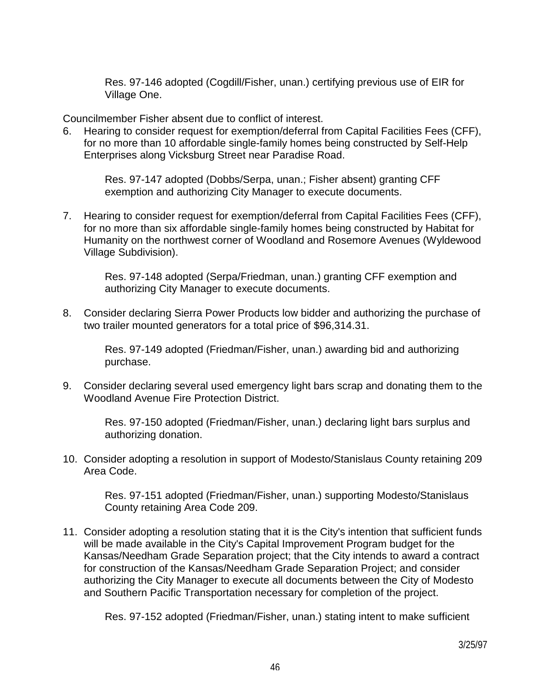Res. 97-146 adopted (Cogdill/Fisher, unan.) certifying previous use of EIR for Village One.

Councilmember Fisher absent due to conflict of interest.

6. Hearing to consider request for exemption/deferral from Capital Facilities Fees (CFF), for no more than 10 affordable single-family homes being constructed by Self-Help Enterprises along Vicksburg Street near Paradise Road.

 Res. 97-147 adopted (Dobbs/Serpa, unan.; Fisher absent) granting CFF exemption and authorizing City Manager to execute documents.

7. Hearing to consider request for exemption/deferral from Capital Facilities Fees (CFF), for no more than six affordable single-family homes being constructed by Habitat for Humanity on the northwest corner of Woodland and Rosemore Avenues (Wyldewood Village Subdivision).

 Res. 97-148 adopted (Serpa/Friedman, unan.) granting CFF exemption and authorizing City Manager to execute documents.

8. Consider declaring Sierra Power Products low bidder and authorizing the purchase of two trailer mounted generators for a total price of \$96,314.31.

 Res. 97-149 adopted (Friedman/Fisher, unan.) awarding bid and authorizing purchase.

9. Consider declaring several used emergency light bars scrap and donating them to the Woodland Avenue Fire Protection District.

 Res. 97-150 adopted (Friedman/Fisher, unan.) declaring light bars surplus and authorizing donation.

10. Consider adopting a resolution in support of Modesto/Stanislaus County retaining 209 Area Code.

 Res. 97-151 adopted (Friedman/Fisher, unan.) supporting Modesto/Stanislaus County retaining Area Code 209.

11. Consider adopting a resolution stating that it is the City's intention that sufficient funds will be made available in the City's Capital Improvement Program budget for the Kansas/Needham Grade Separation project; that the City intends to award a contract for construction of the Kansas/Needham Grade Separation Project; and consider authorizing the City Manager to execute all documents between the City of Modesto and Southern Pacific Transportation necessary for completion of the project.

Res. 97-152 adopted (Friedman/Fisher, unan.) stating intent to make sufficient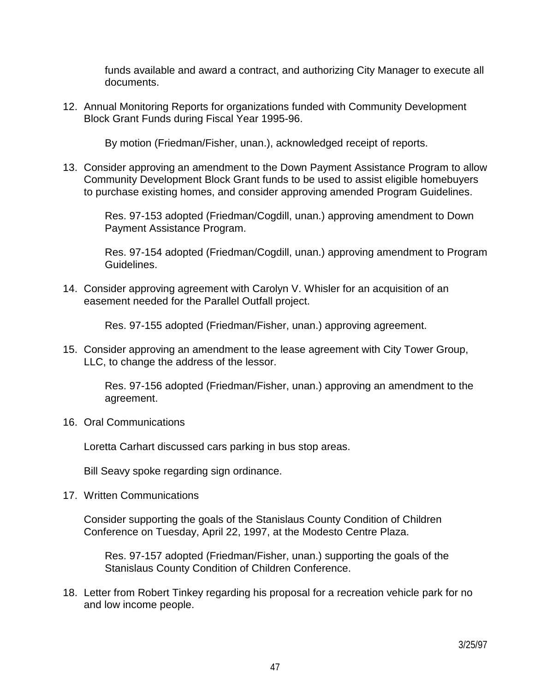funds available and award a contract, and authorizing City Manager to execute all documents.

12. Annual Monitoring Reports for organizations funded with Community Development Block Grant Funds during Fiscal Year 1995-96.

By motion (Friedman/Fisher, unan.), acknowledged receipt of reports.

13. Consider approving an amendment to the Down Payment Assistance Program to allow Community Development Block Grant funds to be used to assist eligible homebuyers to purchase existing homes, and consider approving amended Program Guidelines.

 Res. 97-153 adopted (Friedman/Cogdill, unan.) approving amendment to Down Payment Assistance Program.

 Res. 97-154 adopted (Friedman/Cogdill, unan.) approving amendment to Program Guidelines.

14. Consider approving agreement with Carolyn V. Whisler for an acquisition of an easement needed for the Parallel Outfall project.

Res. 97-155 adopted (Friedman/Fisher, unan.) approving agreement.

15. Consider approving an amendment to the lease agreement with City Tower Group, LLC, to change the address of the lessor.

 Res. 97-156 adopted (Friedman/Fisher, unan.) approving an amendment to the agreement.

16. Oral Communications

Loretta Carhart discussed cars parking in bus stop areas.

Bill Seavy spoke regarding sign ordinance.

17. Written Communications

 Consider supporting the goals of the Stanislaus County Condition of Children Conference on Tuesday, April 22, 1997, at the Modesto Centre Plaza.

 Res. 97-157 adopted (Friedman/Fisher, unan.) supporting the goals of the Stanislaus County Condition of Children Conference.

18. Letter from Robert Tinkey regarding his proposal for a recreation vehicle park for no and low income people.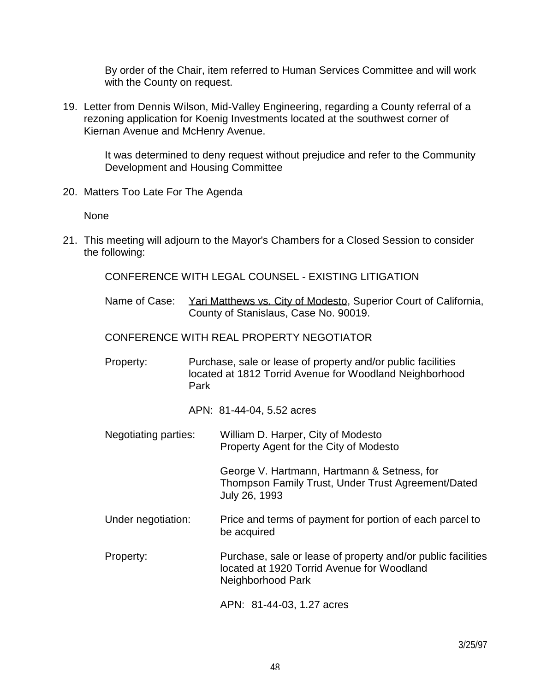By order of the Chair, item referred to Human Services Committee and will work with the County on request.

19. Letter from Dennis Wilson, Mid-Valley Engineering, regarding a County referral of a rezoning application for Koenig Investments located at the southwest corner of Kiernan Avenue and McHenry Avenue.

 It was determined to deny request without prejudice and refer to the Community Development and Housing Committee

20. Matters Too Late For The Agenda

None

21. This meeting will adjourn to the Mayor's Chambers for a Closed Session to consider the following:

CONFERENCE WITH LEGAL COUNSEL - EXISTING LITIGATION

Name of Case: Yari Matthews vs. City of Modesto, Superior Court of California, County of Stanislaus, Case No. 90019.

CONFERENCE WITH REAL PROPERTY NEGOTIATOR

 Property: Purchase, sale or lease of property and/or public facilities located at 1812 Torrid Avenue for Woodland Neighborhood Park

APN: 81-44-04, 5.52 acres

 Negotiating parties: William D. Harper, City of Modesto Property Agent for the City of Modesto

> George V. Hartmann, Hartmann & Setness, for Thompson Family Trust, Under Trust Agreement/Dated July 26, 1993

- Under negotiation: Price and terms of payment for portion of each parcel to be acquired
- Property: Purchase, sale or lease of property and/or public facilities located at 1920 Torrid Avenue for Woodland Neighborhood Park

APN: 81-44-03, 1.27 acres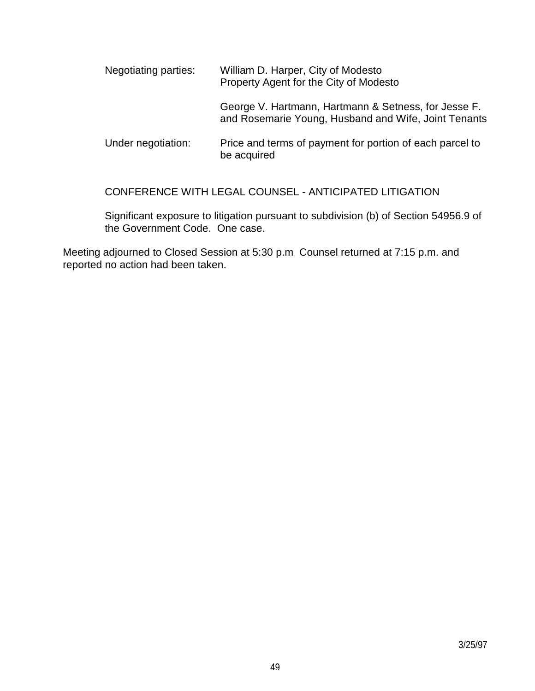| Negotiating parties: | William D. Harper, City of Modesto<br>Property Agent for the City of Modesto                                 |
|----------------------|--------------------------------------------------------------------------------------------------------------|
|                      | George V. Hartmann, Hartmann & Setness, for Jesse F.<br>and Rosemarie Young, Husband and Wife, Joint Tenants |
| Under negotiation:   | Price and terms of payment for portion of each parcel to<br>be acquired                                      |

CONFERENCE WITH LEGAL COUNSEL - ANTICIPATED LITIGATION

 Significant exposure to litigation pursuant to subdivision (b) of Section 54956.9 of the Government Code. One case.

Meeting adjourned to Closed Session at 5:30 p.m Counsel returned at 7:15 p.m. and reported no action had been taken.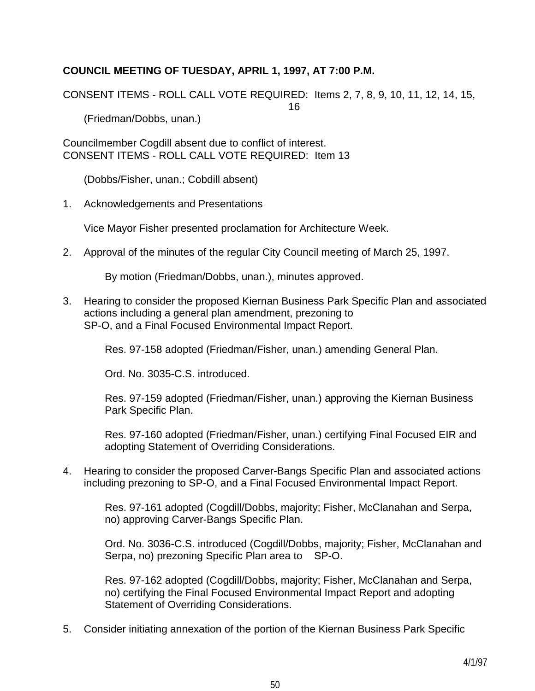# **COUNCIL MEETING OF TUESDAY, APRIL 1, 1997, AT 7:00 P.M.**

CONSENT ITEMS - ROLL CALL VOTE REQUIRED: Items 2, 7, 8, 9, 10, 11, 12, 14, 15,

16

(Friedman/Dobbs, unan.)

Councilmember Cogdill absent due to conflict of interest. CONSENT ITEMS - ROLL CALL VOTE REQUIRED: Item 13

(Dobbs/Fisher, unan.; Cobdill absent)

1. Acknowledgements and Presentations

Vice Mayor Fisher presented proclamation for Architecture Week.

2. Approval of the minutes of the regular City Council meeting of March 25, 1997.

By motion (Friedman/Dobbs, unan.), minutes approved.

3. Hearing to consider the proposed Kiernan Business Park Specific Plan and associated actions including a general plan amendment, prezoning to SP-O, and a Final Focused Environmental Impact Report.

Res. 97-158 adopted (Friedman/Fisher, unan.) amending General Plan.

Ord. No. 3035-C.S. introduced.

 Res. 97-159 adopted (Friedman/Fisher, unan.) approving the Kiernan Business Park Specific Plan.

 Res. 97-160 adopted (Friedman/Fisher, unan.) certifying Final Focused EIR and adopting Statement of Overriding Considerations.

4. Hearing to consider the proposed Carver-Bangs Specific Plan and associated actions including prezoning to SP-O, and a Final Focused Environmental Impact Report.

 Res. 97-161 adopted (Cogdill/Dobbs, majority; Fisher, McClanahan and Serpa, no) approving Carver-Bangs Specific Plan.

 Ord. No. 3036-C.S. introduced (Cogdill/Dobbs, majority; Fisher, McClanahan and Serpa, no) prezoning Specific Plan area to SP-O.

 Res. 97-162 adopted (Cogdill/Dobbs, majority; Fisher, McClanahan and Serpa, no) certifying the Final Focused Environmental Impact Report and adopting Statement of Overriding Considerations.

5. Consider initiating annexation of the portion of the Kiernan Business Park Specific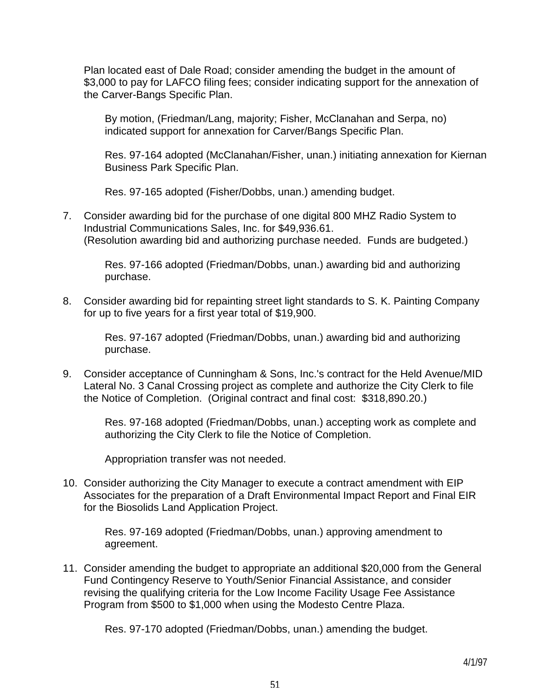Plan located east of Dale Road; consider amending the budget in the amount of \$3,000 to pay for LAFCO filing fees; consider indicating support for the annexation of the Carver-Bangs Specific Plan.

 By motion, (Friedman/Lang, majority; Fisher, McClanahan and Serpa, no) indicated support for annexation for Carver/Bangs Specific Plan.

 Res. 97-164 adopted (McClanahan/Fisher, unan.) initiating annexation for Kiernan Business Park Specific Plan.

Res. 97-165 adopted (Fisher/Dobbs, unan.) amending budget.

7. Consider awarding bid for the purchase of one digital 800 MHZ Radio System to Industrial Communications Sales, Inc. for \$49,936.61. (Resolution awarding bid and authorizing purchase needed. Funds are budgeted.)

> Res. 97-166 adopted (Friedman/Dobbs, unan.) awarding bid and authorizing purchase.

8. Consider awarding bid for repainting street light standards to S. K. Painting Company for up to five years for a first year total of \$19,900.

> Res. 97-167 adopted (Friedman/Dobbs, unan.) awarding bid and authorizing purchase.

9. Consider acceptance of Cunningham & Sons, Inc.'s contract for the Held Avenue/MID Lateral No. 3 Canal Crossing project as complete and authorize the City Clerk to file the Notice of Completion. (Original contract and final cost: \$318,890.20.)

 Res. 97-168 adopted (Friedman/Dobbs, unan.) accepting work as complete and authorizing the City Clerk to file the Notice of Completion.

Appropriation transfer was not needed.

10. Consider authorizing the City Manager to execute a contract amendment with EIP Associates for the preparation of a Draft Environmental Impact Report and Final EIR for the Biosolids Land Application Project.

 Res. 97-169 adopted (Friedman/Dobbs, unan.) approving amendment to agreement.

11. Consider amending the budget to appropriate an additional \$20,000 from the General Fund Contingency Reserve to Youth/Senior Financial Assistance, and consider revising the qualifying criteria for the Low Income Facility Usage Fee Assistance Program from \$500 to \$1,000 when using the Modesto Centre Plaza.

Res. 97-170 adopted (Friedman/Dobbs, unan.) amending the budget.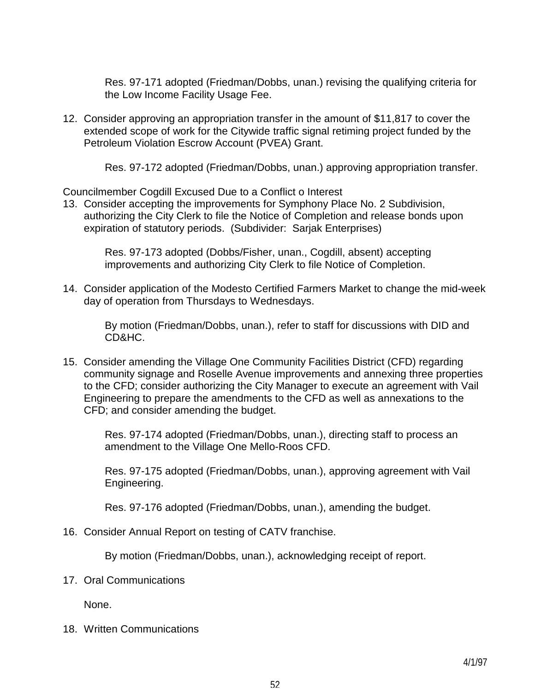Res. 97-171 adopted (Friedman/Dobbs, unan.) revising the qualifying criteria for the Low Income Facility Usage Fee.

12. Consider approving an appropriation transfer in the amount of \$11,817 to cover the extended scope of work for the Citywide traffic signal retiming project funded by the Petroleum Violation Escrow Account (PVEA) Grant.

Res. 97-172 adopted (Friedman/Dobbs, unan.) approving appropriation transfer.

Councilmember Cogdill Excused Due to a Conflict o Interest

13. Consider accepting the improvements for Symphony Place No. 2 Subdivision, authorizing the City Clerk to file the Notice of Completion and release bonds upon expiration of statutory periods. (Subdivider: Sarjak Enterprises)

> Res. 97-173 adopted (Dobbs/Fisher, unan., Cogdill, absent) accepting improvements and authorizing City Clerk to file Notice of Completion.

14. Consider application of the Modesto Certified Farmers Market to change the mid-week day of operation from Thursdays to Wednesdays.

 By motion (Friedman/Dobbs, unan.), refer to staff for discussions with DID and CD&HC.

15. Consider amending the Village One Community Facilities District (CFD) regarding community signage and Roselle Avenue improvements and annexing three properties to the CFD; consider authorizing the City Manager to execute an agreement with Vail Engineering to prepare the amendments to the CFD as well as annexations to the CFD; and consider amending the budget.

 Res. 97-174 adopted (Friedman/Dobbs, unan.), directing staff to process an amendment to the Village One Mello-Roos CFD.

 Res. 97-175 adopted (Friedman/Dobbs, unan.), approving agreement with Vail Engineering.

Res. 97-176 adopted (Friedman/Dobbs, unan.), amending the budget.

16. Consider Annual Report on testing of CATV franchise.

By motion (Friedman/Dobbs, unan.), acknowledging receipt of report.

17. Oral Communications

None.

18. Written Communications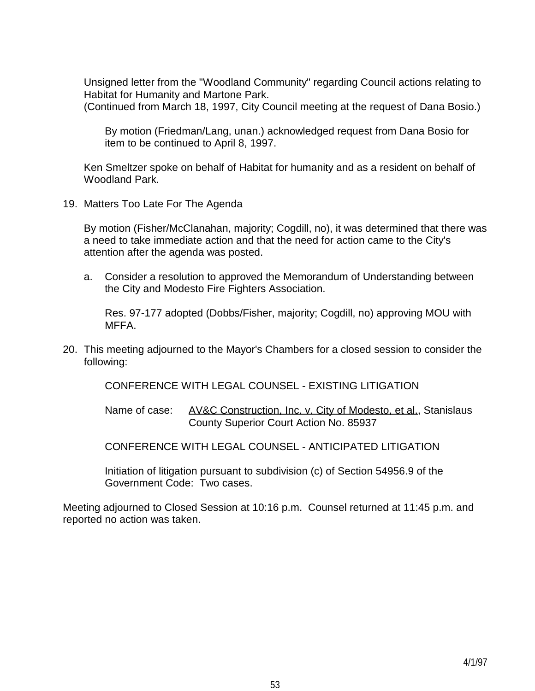Unsigned letter from the "Woodland Community" regarding Council actions relating to Habitat for Humanity and Martone Park.

(Continued from March 18, 1997, City Council meeting at the request of Dana Bosio.)

 By motion (Friedman/Lang, unan.) acknowledged request from Dana Bosio for item to be continued to April 8, 1997.

 Ken Smeltzer spoke on behalf of Habitat for humanity and as a resident on behalf of Woodland Park.

19. Matters Too Late For The Agenda

 By motion (Fisher/McClanahan, majority; Cogdill, no), it was determined that there was a need to take immediate action and that the need for action came to the City's attention after the agenda was posted.

 a. Consider a resolution to approved the Memorandum of Understanding between the City and Modesto Fire Fighters Association.

 Res. 97-177 adopted (Dobbs/Fisher, majority; Cogdill, no) approving MOU with MFFA.

20. This meeting adjourned to the Mayor's Chambers for a closed session to consider the following:

CONFERENCE WITH LEGAL COUNSEL - EXISTING LITIGATION

Name of case: AV&C Construction, Inc. v. City of Modesto, et al., Stanislaus County Superior Court Action No. 85937

CONFERENCE WITH LEGAL COUNSEL - ANTICIPATED LITIGATION

 Initiation of litigation pursuant to subdivision (c) of Section 54956.9 of the Government Code: Two cases.

Meeting adjourned to Closed Session at 10:16 p.m. Counsel returned at 11:45 p.m. and reported no action was taken.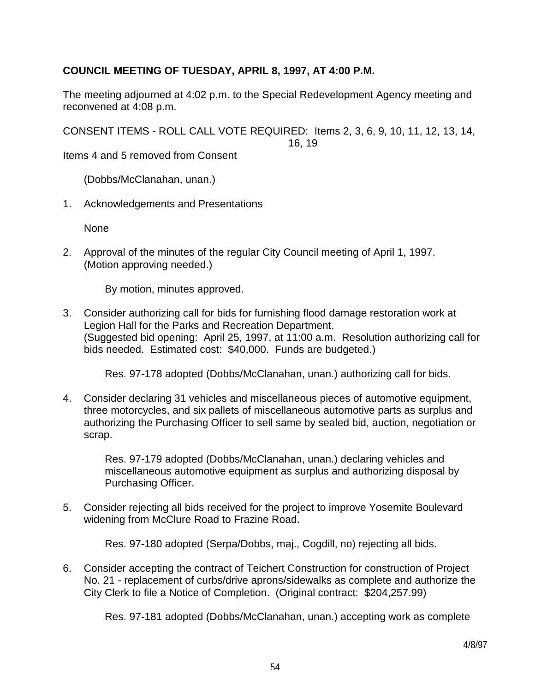## **COUNCIL MEETING OF TUESDAY, APRIL 8, 1997, AT 4:00 P.M.**

The meeting adjourned at 4:02 p.m. to the Special Redevelopment Agency meeting and reconvened at 4:08 p.m.

CONSENT ITEMS - ROLL CALL VOTE REQUIRED: Items 2, 3, 6, 9, 10, 11, 12, 13, 14,

16, 19

Items 4 and 5 removed from Consent

(Dobbs/McClanahan, unan.)

1. Acknowledgements and Presentations

None

2. Approval of the minutes of the regular City Council meeting of April 1, 1997. (Motion approving needed.)

By motion, minutes approved.

3. Consider authorizing call for bids for furnishing flood damage restoration work at Legion Hall for the Parks and Recreation Department. (Suggested bid opening: April 25, 1997, at 11:00 a.m. Resolution authorizing call for bids needed. Estimated cost: \$40,000. Funds are budgeted.)

Res. 97-178 adopted (Dobbs/McClanahan, unan.) authorizing call for bids.

4. Consider declaring 31 vehicles and miscellaneous pieces of automotive equipment, three motorcycles, and six pallets of miscellaneous automotive parts as surplus and authorizing the Purchasing Officer to sell same by sealed bid, auction, negotiation or scrap.

> Res. 97-179 adopted (Dobbs/McClanahan, unan.) declaring vehicles and miscellaneous automotive equipment as surplus and authorizing disposal by Purchasing Officer.

5. Consider rejecting all bids received for the project to improve Yosemite Boulevard widening from McClure Road to Frazine Road.

Res. 97-180 adopted (Serpa/Dobbs, maj., Cogdill, no) rejecting all bids.

6. Consider accepting the contract of Teichert Construction for construction of Project No. 21 - replacement of curbs/drive aprons/sidewalks as complete and authorize the City Clerk to file a Notice of Completion. (Original contract: \$204,257.99)

Res. 97-181 adopted (Dobbs/McClanahan, unan.) accepting work as complete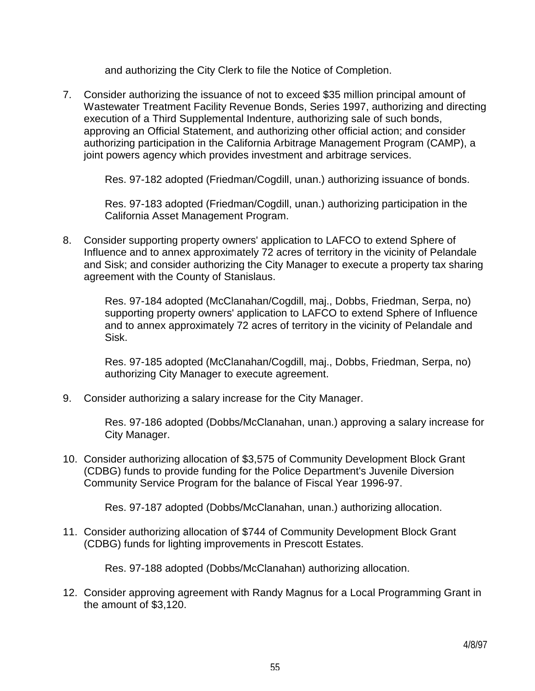and authorizing the City Clerk to file the Notice of Completion.

7. Consider authorizing the issuance of not to exceed \$35 million principal amount of Wastewater Treatment Facility Revenue Bonds, Series 1997, authorizing and directing execution of a Third Supplemental Indenture, authorizing sale of such bonds, approving an Official Statement, and authorizing other official action; and consider authorizing participation in the California Arbitrage Management Program (CAMP), a joint powers agency which provides investment and arbitrage services.

Res. 97-182 adopted (Friedman/Cogdill, unan.) authorizing issuance of bonds.

 Res. 97-183 adopted (Friedman/Cogdill, unan.) authorizing participation in the California Asset Management Program.

8. Consider supporting property owners' application to LAFCO to extend Sphere of Influence and to annex approximately 72 acres of territory in the vicinity of Pelandale and Sisk; and consider authorizing the City Manager to execute a property tax sharing agreement with the County of Stanislaus.

 Res. 97-184 adopted (McClanahan/Cogdill, maj., Dobbs, Friedman, Serpa, no) supporting property owners' application to LAFCO to extend Sphere of Influence and to annex approximately 72 acres of territory in the vicinity of Pelandale and Sisk.

 Res. 97-185 adopted (McClanahan/Cogdill, maj., Dobbs, Friedman, Serpa, no) authorizing City Manager to execute agreement.

9. Consider authorizing a salary increase for the City Manager.

 Res. 97-186 adopted (Dobbs/McClanahan, unan.) approving a salary increase for City Manager.

10. Consider authorizing allocation of \$3,575 of Community Development Block Grant (CDBG) funds to provide funding for the Police Department's Juvenile Diversion Community Service Program for the balance of Fiscal Year 1996-97.

Res. 97-187 adopted (Dobbs/McClanahan, unan.) authorizing allocation.

11. Consider authorizing allocation of \$744 of Community Development Block Grant (CDBG) funds for lighting improvements in Prescott Estates.

Res. 97-188 adopted (Dobbs/McClanahan) authorizing allocation.

12. Consider approving agreement with Randy Magnus for a Local Programming Grant in the amount of \$3,120.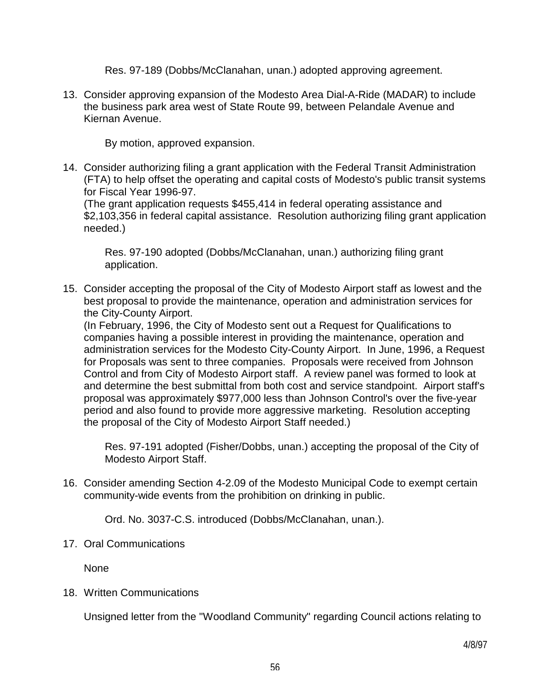Res. 97-189 (Dobbs/McClanahan, unan.) adopted approving agreement.

13. Consider approving expansion of the Modesto Area Dial-A-Ride (MADAR) to include the business park area west of State Route 99, between Pelandale Avenue and Kiernan Avenue.

By motion, approved expansion.

14. Consider authorizing filing a grant application with the Federal Transit Administration (FTA) to help offset the operating and capital costs of Modesto's public transit systems for Fiscal Year 1996-97.

 (The grant application requests \$455,414 in federal operating assistance and \$2,103,356 in federal capital assistance. Resolution authorizing filing grant application needed.)

 Res. 97-190 adopted (Dobbs/McClanahan, unan.) authorizing filing grant application.

15. Consider accepting the proposal of the City of Modesto Airport staff as lowest and the best proposal to provide the maintenance, operation and administration services for the City-County Airport.

 (In February, 1996, the City of Modesto sent out a Request for Qualifications to companies having a possible interest in providing the maintenance, operation and administration services for the Modesto City-County Airport. In June, 1996, a Request for Proposals was sent to three companies. Proposals were received from Johnson Control and from City of Modesto Airport staff. A review panel was formed to look at and determine the best submittal from both cost and service standpoint. Airport staff's proposal was approximately \$977,000 less than Johnson Control's over the five-year period and also found to provide more aggressive marketing. Resolution accepting the proposal of the City of Modesto Airport Staff needed.)

 Res. 97-191 adopted (Fisher/Dobbs, unan.) accepting the proposal of the City of Modesto Airport Staff.

16. Consider amending Section 4-2.09 of the Modesto Municipal Code to exempt certain community-wide events from the prohibition on drinking in public.

Ord. No. 3037-C.S. introduced (Dobbs/McClanahan, unan.).

# 17. Oral Communications

None

18. Written Communications

Unsigned letter from the "Woodland Community" regarding Council actions relating to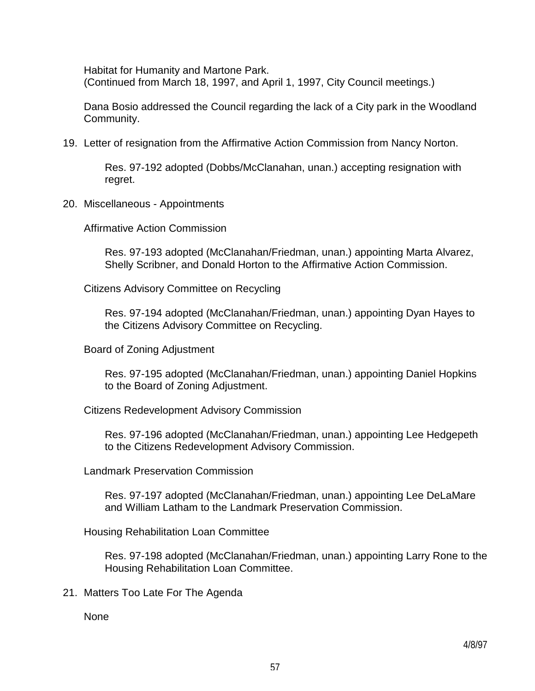Habitat for Humanity and Martone Park. (Continued from March 18, 1997, and April 1, 1997, City Council meetings.)

 Dana Bosio addressed the Council regarding the lack of a City park in the Woodland Community.

19. Letter of resignation from the Affirmative Action Commission from Nancy Norton.

 Res. 97-192 adopted (Dobbs/McClanahan, unan.) accepting resignation with regret.

20. Miscellaneous - Appointments

Affirmative Action Commission

 Res. 97-193 adopted (McClanahan/Friedman, unan.) appointing Marta Alvarez, Shelly Scribner, and Donald Horton to the Affirmative Action Commission.

Citizens Advisory Committee on Recycling

 Res. 97-194 adopted (McClanahan/Friedman, unan.) appointing Dyan Hayes to the Citizens Advisory Committee on Recycling.

Board of Zoning Adjustment

 Res. 97-195 adopted (McClanahan/Friedman, unan.) appointing Daniel Hopkins to the Board of Zoning Adjustment.

Citizens Redevelopment Advisory Commission

 Res. 97-196 adopted (McClanahan/Friedman, unan.) appointing Lee Hedgepeth to the Citizens Redevelopment Advisory Commission.

Landmark Preservation Commission

 Res. 97-197 adopted (McClanahan/Friedman, unan.) appointing Lee DeLaMare and William Latham to the Landmark Preservation Commission.

Housing Rehabilitation Loan Committee

 Res. 97-198 adopted (McClanahan/Friedman, unan.) appointing Larry Rone to the Housing Rehabilitation Loan Committee.

21. Matters Too Late For The Agenda

None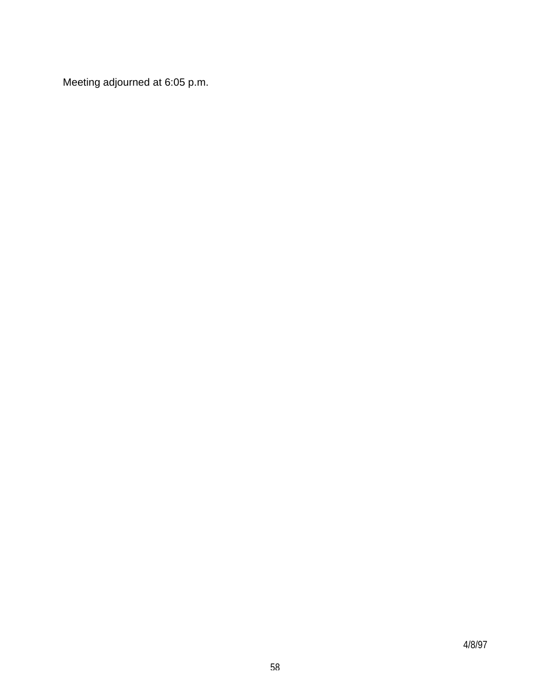Meeting adjourned at 6:05 p.m.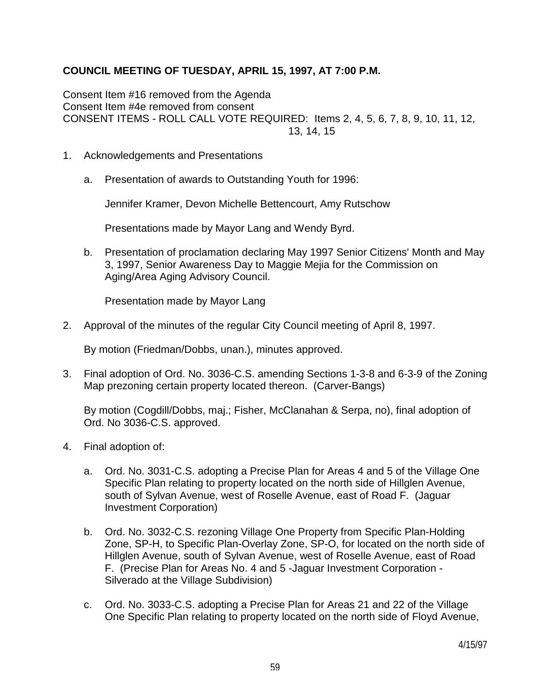# **COUNCIL MEETING OF TUESDAY, APRIL 15, 1997, AT 7:00 P.M.**

Consent Item #16 removed from the Agenda Consent Item #4e removed from consent CONSENT ITEMS - ROLL CALL VOTE REQUIRED: Items 2, 4, 5, 6, 7, 8, 9, 10, 11, 12, 13, 14, 15

- 1. Acknowledgements and Presentations
	- a. Presentation of awards to Outstanding Youth for 1996:

Jennifer Kramer, Devon Michelle Bettencourt, Amy Rutschow

Presentations made by Mayor Lang and Wendy Byrd.

 b. Presentation of proclamation declaring May 1997 Senior Citizens' Month and May 3, 1997, Senior Awareness Day to Maggie Mejia for the Commission on Aging/Area Aging Advisory Council.

Presentation made by Mayor Lang

2. Approval of the minutes of the regular City Council meeting of April 8, 1997.

By motion (Friedman/Dobbs, unan.), minutes approved.

3. Final adoption of Ord. No. 3036-C.S. amending Sections 1-3-8 and 6-3-9 of the Zoning Map prezoning certain property located thereon. (Carver-Bangs)

 By motion (Cogdill/Dobbs, maj.; Fisher, McClanahan & Serpa, no), final adoption of Ord. No 3036-C.S. approved.

- 4. Final adoption of:
	- a. Ord. No. 3031-C.S. adopting a Precise Plan for Areas 4 and 5 of the Village One Specific Plan relating to property located on the north side of Hillglen Avenue, south of Sylvan Avenue, west of Roselle Avenue, east of Road F. (Jaguar Investment Corporation)
	- b. Ord. No. 3032-C.S. rezoning Village One Property from Specific Plan-Holding Zone, SP-H, to Specific Plan-Overlay Zone, SP-O, for located on the north side of Hillglen Avenue, south of Sylvan Avenue, west of Roselle Avenue, east of Road F. (Precise Plan for Areas No. 4 and 5 -Jaguar Investment Corporation - Silverado at the Village Subdivision)
	- c. Ord. No. 3033-C.S. adopting a Precise Plan for Areas 21 and 22 of the Village One Specific Plan relating to property located on the north side of Floyd Avenue,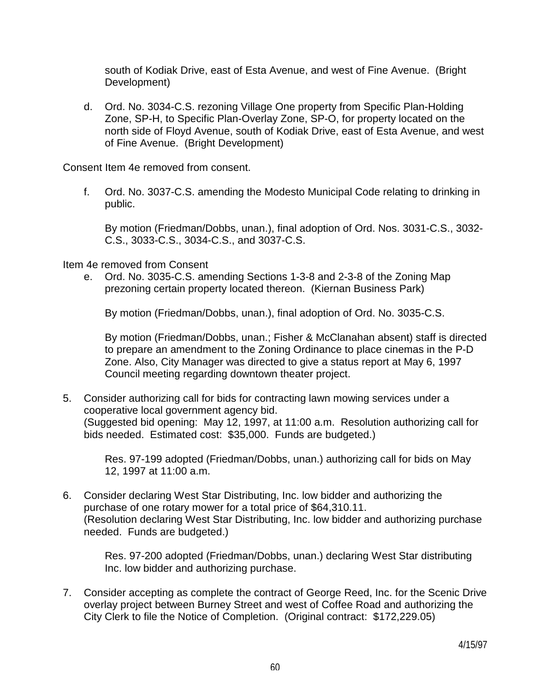south of Kodiak Drive, east of Esta Avenue, and west of Fine Avenue. (Bright Development)

 d. Ord. No. 3034-C.S. rezoning Village One property from Specific Plan-Holding Zone, SP-H, to Specific Plan-Overlay Zone, SP-O, for property located on the north side of Floyd Avenue, south of Kodiak Drive, east of Esta Avenue, and west of Fine Avenue. (Bright Development)

Consent Item 4e removed from consent.

 f. Ord. No. 3037-C.S. amending the Modesto Municipal Code relating to drinking in public.

 By motion (Friedman/Dobbs, unan.), final adoption of Ord. Nos. 3031-C.S., 3032- C.S., 3033-C.S., 3034-C.S., and 3037-C.S.

Item 4e removed from Consent

 e. Ord. No. 3035-C.S. amending Sections 1-3-8 and 2-3-8 of the Zoning Map prezoning certain property located thereon. (Kiernan Business Park)

By motion (Friedman/Dobbs, unan.), final adoption of Ord. No. 3035-C.S.

 By motion (Friedman/Dobbs, unan.; Fisher & McClanahan absent) staff is directed to prepare an amendment to the Zoning Ordinance to place cinemas in the P-D Zone. Also, City Manager was directed to give a status report at May 6, 1997 Council meeting regarding downtown theater project.

5. Consider authorizing call for bids for contracting lawn mowing services under a cooperative local government agency bid. (Suggested bid opening: May 12, 1997, at 11:00 a.m. Resolution authorizing call for bids needed. Estimated cost: \$35,000. Funds are budgeted.)

 Res. 97-199 adopted (Friedman/Dobbs, unan.) authorizing call for bids on May 12, 1997 at 11:00 a.m.

6. Consider declaring West Star Distributing, Inc. low bidder and authorizing the purchase of one rotary mower for a total price of \$64,310.11. (Resolution declaring West Star Distributing, Inc. low bidder and authorizing purchase needed. Funds are budgeted.)

 Res. 97-200 adopted (Friedman/Dobbs, unan.) declaring West Star distributing Inc. low bidder and authorizing purchase.

7. Consider accepting as complete the contract of George Reed, Inc. for the Scenic Drive overlay project between Burney Street and west of Coffee Road and authorizing the City Clerk to file the Notice of Completion. (Original contract: \$172,229.05)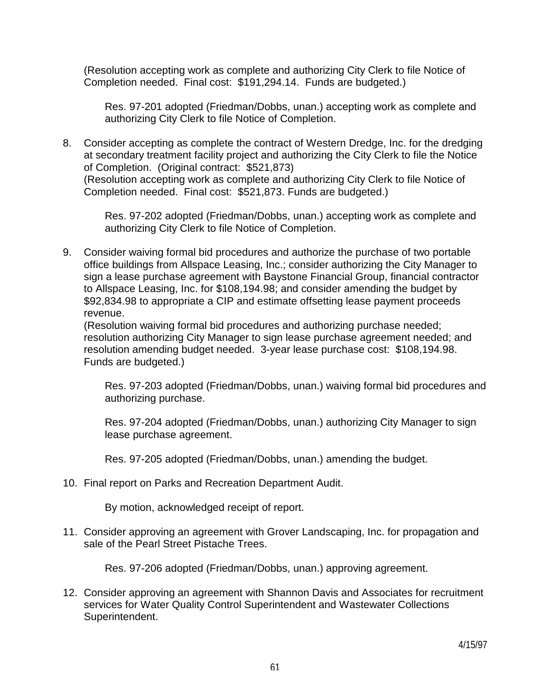(Resolution accepting work as complete and authorizing City Clerk to file Notice of Completion needed. Final cost: \$191,294.14. Funds are budgeted.)

 Res. 97-201 adopted (Friedman/Dobbs, unan.) accepting work as complete and authorizing City Clerk to file Notice of Completion.

8. Consider accepting as complete the contract of Western Dredge, Inc. for the dredging at secondary treatment facility project and authorizing the City Clerk to file the Notice of Completion. (Original contract: \$521,873) (Resolution accepting work as complete and authorizing City Clerk to file Notice of Completion needed. Final cost: \$521,873. Funds are budgeted.)

> Res. 97-202 adopted (Friedman/Dobbs, unan.) accepting work as complete and authorizing City Clerk to file Notice of Completion.

9. Consider waiving formal bid procedures and authorize the purchase of two portable office buildings from Allspace Leasing, Inc.; consider authorizing the City Manager to sign a lease purchase agreement with Baystone Financial Group, financial contractor to Allspace Leasing, Inc. for \$108,194.98; and consider amending the budget by \$92,834.98 to appropriate a CIP and estimate offsetting lease payment proceeds revenue.

 (Resolution waiving formal bid procedures and authorizing purchase needed; resolution authorizing City Manager to sign lease purchase agreement needed; and resolution amending budget needed. 3-year lease purchase cost: \$108,194.98. Funds are budgeted.)

 Res. 97-203 adopted (Friedman/Dobbs, unan.) waiving formal bid procedures and authorizing purchase.

 Res. 97-204 adopted (Friedman/Dobbs, unan.) authorizing City Manager to sign lease purchase agreement.

Res. 97-205 adopted (Friedman/Dobbs, unan.) amending the budget.

10. Final report on Parks and Recreation Department Audit.

By motion, acknowledged receipt of report.

11. Consider approving an agreement with Grover Landscaping, Inc. for propagation and sale of the Pearl Street Pistache Trees.

Res. 97-206 adopted (Friedman/Dobbs, unan.) approving agreement.

12. Consider approving an agreement with Shannon Davis and Associates for recruitment services for Water Quality Control Superintendent and Wastewater Collections Superintendent.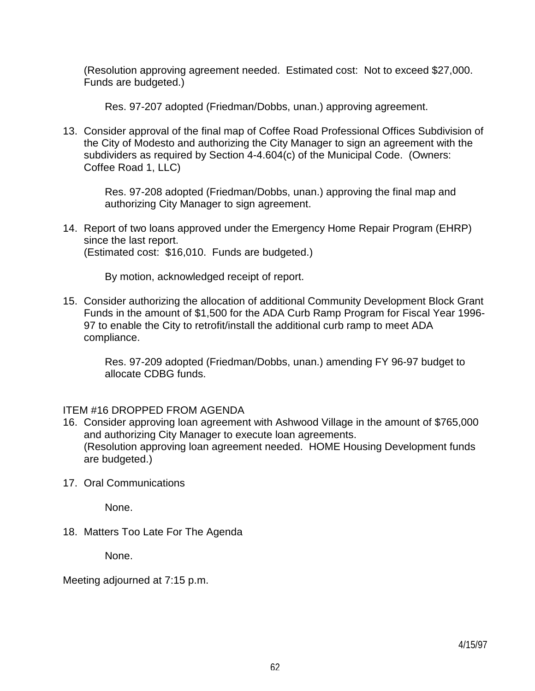(Resolution approving agreement needed. Estimated cost: Not to exceed \$27,000. Funds are budgeted.)

Res. 97-207 adopted (Friedman/Dobbs, unan.) approving agreement.

13. Consider approval of the final map of Coffee Road Professional Offices Subdivision of the City of Modesto and authorizing the City Manager to sign an agreement with the subdividers as required by Section 4-4.604(c) of the Municipal Code. (Owners: Coffee Road 1, LLC)

 Res. 97-208 adopted (Friedman/Dobbs, unan.) approving the final map and authorizing City Manager to sign agreement.

14. Report of two loans approved under the Emergency Home Repair Program (EHRP) since the last report. (Estimated cost: \$16,010. Funds are budgeted.)

By motion, acknowledged receipt of report.

15. Consider authorizing the allocation of additional Community Development Block Grant Funds in the amount of \$1,500 for the ADA Curb Ramp Program for Fiscal Year 1996- 97 to enable the City to retrofit/install the additional curb ramp to meet ADA compliance.

 Res. 97-209 adopted (Friedman/Dobbs, unan.) amending FY 96-97 budget to allocate CDBG funds.

#### ITEM #16 DROPPED FROM AGENDA

- 16. Consider approving loan agreement with Ashwood Village in the amount of \$765,000 and authorizing City Manager to execute loan agreements. (Resolution approving loan agreement needed. HOME Housing Development funds are budgeted.)
- 17. Oral Communications

None.

18. Matters Too Late For The Agenda

None.

Meeting adjourned at 7:15 p.m.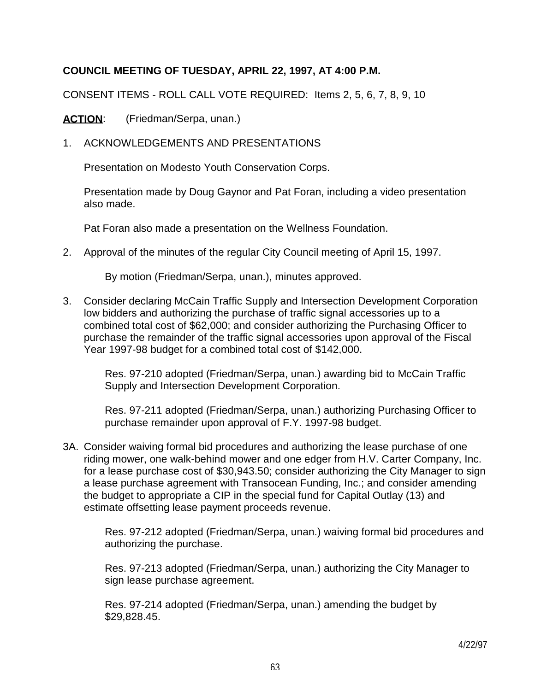## **COUNCIL MEETING OF TUESDAY, APRIL 22, 1997, AT 4:00 P.M.**

CONSENT ITEMS - ROLL CALL VOTE REQUIRED: Items 2, 5, 6, 7, 8, 9, 10

ACTION: (Friedman/Serpa, unan.)

1. ACKNOWLEDGEMENTS AND PRESENTATIONS

Presentation on Modesto Youth Conservation Corps.

 Presentation made by Doug Gaynor and Pat Foran, including a video presentation also made.

Pat Foran also made a presentation on the Wellness Foundation.

2. Approval of the minutes of the regular City Council meeting of April 15, 1997.

By motion (Friedman/Serpa, unan.), minutes approved.

3. Consider declaring McCain Traffic Supply and Intersection Development Corporation low bidders and authorizing the purchase of traffic signal accessories up to a combined total cost of \$62,000; and consider authorizing the Purchasing Officer to purchase the remainder of the traffic signal accessories upon approval of the Fiscal Year 1997-98 budget for a combined total cost of \$142,000.

 Res. 97-210 adopted (Friedman/Serpa, unan.) awarding bid to McCain Traffic Supply and Intersection Development Corporation.

 Res. 97-211 adopted (Friedman/Serpa, unan.) authorizing Purchasing Officer to purchase remainder upon approval of F.Y. 1997-98 budget.

3A. Consider waiving formal bid procedures and authorizing the lease purchase of one riding mower, one walk-behind mower and one edger from H.V. Carter Company, Inc. for a lease purchase cost of \$30,943.50; consider authorizing the City Manager to sign a lease purchase agreement with Transocean Funding, Inc.; and consider amending the budget to appropriate a CIP in the special fund for Capital Outlay (13) and estimate offsetting lease payment proceeds revenue.

 Res. 97-212 adopted (Friedman/Serpa, unan.) waiving formal bid procedures and authorizing the purchase.

 Res. 97-213 adopted (Friedman/Serpa, unan.) authorizing the City Manager to sign lease purchase agreement.

 Res. 97-214 adopted (Friedman/Serpa, unan.) amending the budget by \$29,828.45.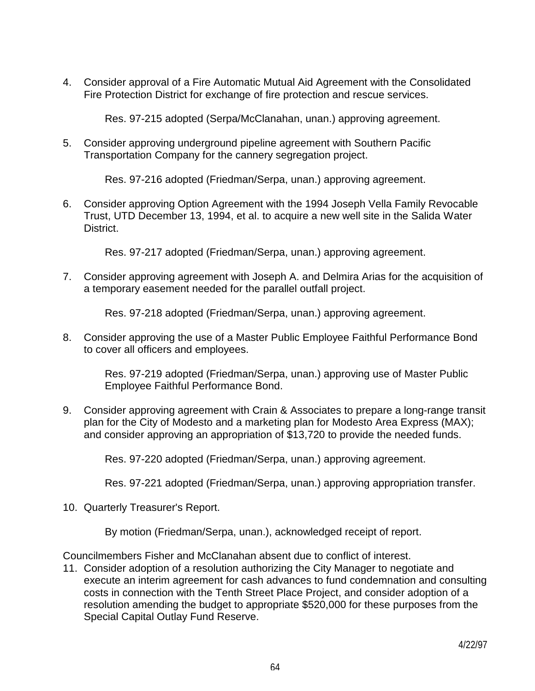4. Consider approval of a Fire Automatic Mutual Aid Agreement with the Consolidated Fire Protection District for exchange of fire protection and rescue services.

Res. 97-215 adopted (Serpa/McClanahan, unan.) approving agreement.

5. Consider approving underground pipeline agreement with Southern Pacific Transportation Company for the cannery segregation project.

Res. 97-216 adopted (Friedman/Serpa, unan.) approving agreement.

6. Consider approving Option Agreement with the 1994 Joseph Vella Family Revocable Trust, UTD December 13, 1994, et al. to acquire a new well site in the Salida Water District.

Res. 97-217 adopted (Friedman/Serpa, unan.) approving agreement.

7. Consider approving agreement with Joseph A. and Delmira Arias for the acquisition of a temporary easement needed for the parallel outfall project.

Res. 97-218 adopted (Friedman/Serpa, unan.) approving agreement.

8. Consider approving the use of a Master Public Employee Faithful Performance Bond to cover all officers and employees.

 Res. 97-219 adopted (Friedman/Serpa, unan.) approving use of Master Public Employee Faithful Performance Bond.

9. Consider approving agreement with Crain & Associates to prepare a long-range transit plan for the City of Modesto and a marketing plan for Modesto Area Express (MAX); and consider approving an appropriation of \$13,720 to provide the needed funds.

Res. 97-220 adopted (Friedman/Serpa, unan.) approving agreement.

Res. 97-221 adopted (Friedman/Serpa, unan.) approving appropriation transfer.

10. Quarterly Treasurer's Report.

By motion (Friedman/Serpa, unan.), acknowledged receipt of report.

Councilmembers Fisher and McClanahan absent due to conflict of interest.

11. Consider adoption of a resolution authorizing the City Manager to negotiate and execute an interim agreement for cash advances to fund condemnation and consulting costs in connection with the Tenth Street Place Project, and consider adoption of a resolution amending the budget to appropriate \$520,000 for these purposes from the Special Capital Outlay Fund Reserve.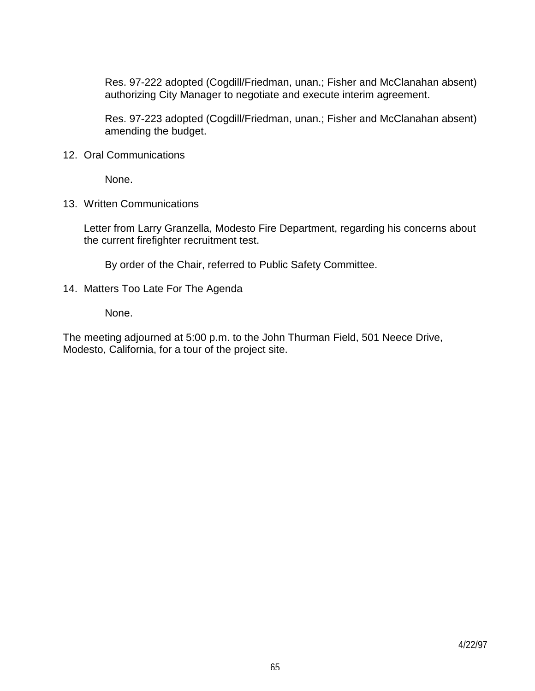Res. 97-222 adopted (Cogdill/Friedman, unan.; Fisher and McClanahan absent) authorizing City Manager to negotiate and execute interim agreement.

 Res. 97-223 adopted (Cogdill/Friedman, unan.; Fisher and McClanahan absent) amending the budget.

12. Oral Communications

None.

13. Written Communications

 Letter from Larry Granzella, Modesto Fire Department, regarding his concerns about the current firefighter recruitment test.

By order of the Chair, referred to Public Safety Committee.

14. Matters Too Late For The Agenda

None.

The meeting adjourned at 5:00 p.m. to the John Thurman Field, 501 Neece Drive, Modesto, California, for a tour of the project site.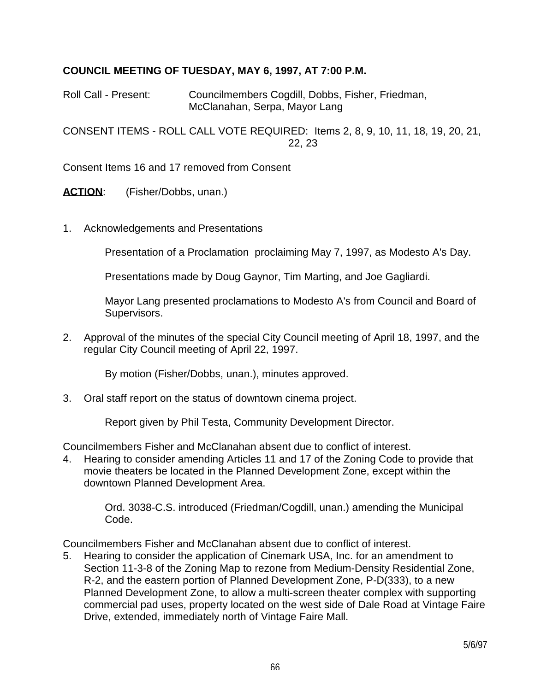#### **COUNCIL MEETING OF TUESDAY, MAY 6, 1997, AT 7:00 P.M.**

Roll Call - Present: Councilmembers Cogdill, Dobbs, Fisher, Friedman, McClanahan, Serpa, Mayor Lang

CONSENT ITEMS - ROLL CALL VOTE REQUIRED: Items 2, 8, 9, 10, 11, 18, 19, 20, 21, 22, 23

Consent Items 16 and 17 removed from Consent

ACTION: (Fisher/Dobbs, unan.)

1. Acknowledgements and Presentations

Presentation of a Proclamation proclaiming May 7, 1997, as Modesto A's Day.

Presentations made by Doug Gaynor, Tim Marting, and Joe Gagliardi.

 Mayor Lang presented proclamations to Modesto A's from Council and Board of Supervisors.

2. Approval of the minutes of the special City Council meeting of April 18, 1997, and the regular City Council meeting of April 22, 1997.

By motion (Fisher/Dobbs, unan.), minutes approved.

3. Oral staff report on the status of downtown cinema project.

Report given by Phil Testa, Community Development Director.

Councilmembers Fisher and McClanahan absent due to conflict of interest.

4. Hearing to consider amending Articles 11 and 17 of the Zoning Code to provide that movie theaters be located in the Planned Development Zone, except within the downtown Planned Development Area.

 Ord. 3038-C.S. introduced (Friedman/Cogdill, unan.) amending the Municipal Code.

Councilmembers Fisher and McClanahan absent due to conflict of interest.

5. Hearing to consider the application of Cinemark USA, Inc. for an amendment to Section 11-3-8 of the Zoning Map to rezone from Medium-Density Residential Zone, R-2, and the eastern portion of Planned Development Zone, P-D(333), to a new Planned Development Zone, to allow a multi-screen theater complex with supporting commercial pad uses, property located on the west side of Dale Road at Vintage Faire Drive, extended, immediately north of Vintage Faire Mall.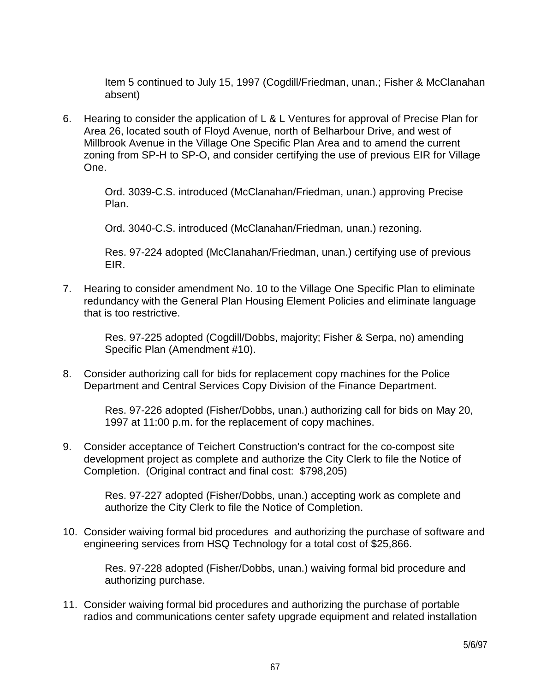Item 5 continued to July 15, 1997 (Cogdill/Friedman, unan.; Fisher & McClanahan absent)

6. Hearing to consider the application of L & L Ventures for approval of Precise Plan for Area 26, located south of Floyd Avenue, north of Belharbour Drive, and west of Millbrook Avenue in the Village One Specific Plan Area and to amend the current zoning from SP-H to SP-O, and consider certifying the use of previous EIR for Village One.

> Ord. 3039-C.S. introduced (McClanahan/Friedman, unan.) approving Precise Plan.

Ord. 3040-C.S. introduced (McClanahan/Friedman, unan.) rezoning.

 Res. 97-224 adopted (McClanahan/Friedman, unan.) certifying use of previous EIR.

7. Hearing to consider amendment No. 10 to the Village One Specific Plan to eliminate redundancy with the General Plan Housing Element Policies and eliminate language that is too restrictive.

> Res. 97-225 adopted (Cogdill/Dobbs, majority; Fisher & Serpa, no) amending Specific Plan (Amendment #10).

8. Consider authorizing call for bids for replacement copy machines for the Police Department and Central Services Copy Division of the Finance Department.

> Res. 97-226 adopted (Fisher/Dobbs, unan.) authorizing call for bids on May 20, 1997 at 11:00 p.m. for the replacement of copy machines.

9. Consider acceptance of Teichert Construction's contract for the co-compost site development project as complete and authorize the City Clerk to file the Notice of Completion. (Original contract and final cost: \$798,205)

> Res. 97-227 adopted (Fisher/Dobbs, unan.) accepting work as complete and authorize the City Clerk to file the Notice of Completion.

10. Consider waiving formal bid procedures and authorizing the purchase of software and engineering services from HSQ Technology for a total cost of \$25,866.

 Res. 97-228 adopted (Fisher/Dobbs, unan.) waiving formal bid procedure and authorizing purchase.

11. Consider waiving formal bid procedures and authorizing the purchase of portable radios and communications center safety upgrade equipment and related installation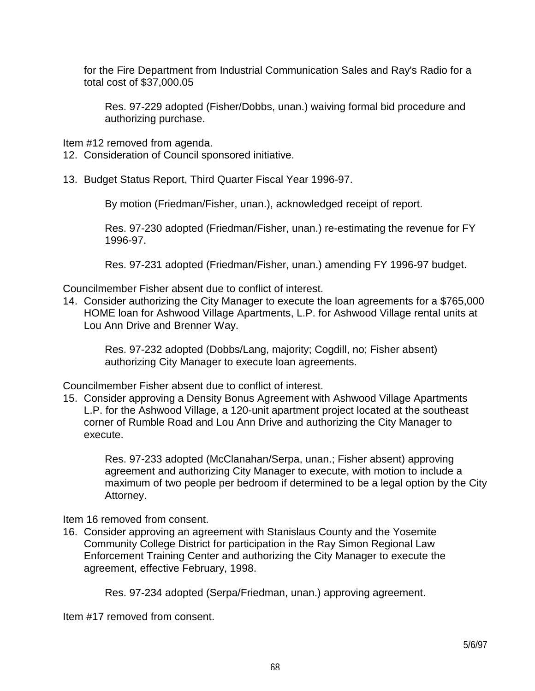for the Fire Department from Industrial Communication Sales and Ray's Radio for a total cost of \$37,000.05

 Res. 97-229 adopted (Fisher/Dobbs, unan.) waiving formal bid procedure and authorizing purchase.

Item #12 removed from agenda.

12. Consideration of Council sponsored initiative.

13. Budget Status Report, Third Quarter Fiscal Year 1996-97.

By motion (Friedman/Fisher, unan.), acknowledged receipt of report.

 Res. 97-230 adopted (Friedman/Fisher, unan.) re-estimating the revenue for FY 1996-97.

Res. 97-231 adopted (Friedman/Fisher, unan.) amending FY 1996-97 budget.

Councilmember Fisher absent due to conflict of interest.

14. Consider authorizing the City Manager to execute the loan agreements for a \$765,000 HOME loan for Ashwood Village Apartments, L.P. for Ashwood Village rental units at Lou Ann Drive and Brenner Way.

 Res. 97-232 adopted (Dobbs/Lang, majority; Cogdill, no; Fisher absent) authorizing City Manager to execute loan agreements.

Councilmember Fisher absent due to conflict of interest.

15. Consider approving a Density Bonus Agreement with Ashwood Village Apartments L.P. for the Ashwood Village, a 120-unit apartment project located at the southeast corner of Rumble Road and Lou Ann Drive and authorizing the City Manager to execute.

> Res. 97-233 adopted (McClanahan/Serpa, unan.; Fisher absent) approving agreement and authorizing City Manager to execute, with motion to include a maximum of two people per bedroom if determined to be a legal option by the City Attorney.

Item 16 removed from consent.

16. Consider approving an agreement with Stanislaus County and the Yosemite Community College District for participation in the Ray Simon Regional Law Enforcement Training Center and authorizing the City Manager to execute the agreement, effective February, 1998.

Res. 97-234 adopted (Serpa/Friedman, unan.) approving agreement.

Item #17 removed from consent.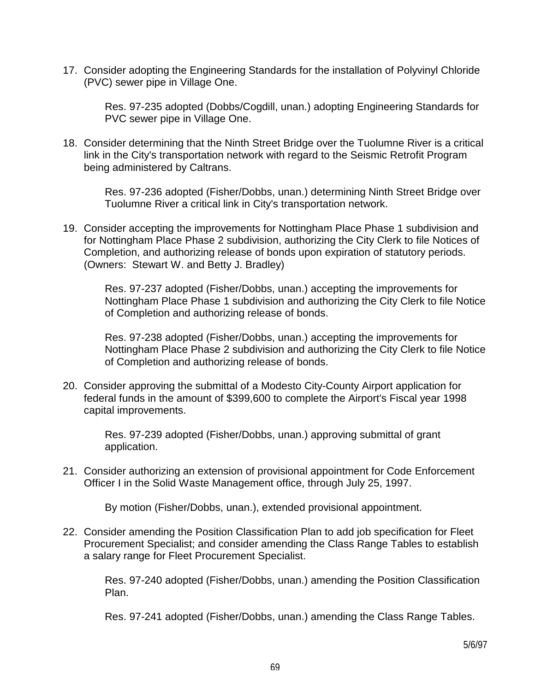17. Consider adopting the Engineering Standards for the installation of Polyvinyl Chloride (PVC) sewer pipe in Village One.

 Res. 97-235 adopted (Dobbs/Cogdill, unan.) adopting Engineering Standards for PVC sewer pipe in Village One.

18. Consider determining that the Ninth Street Bridge over the Tuolumne River is a critical link in the City's transportation network with regard to the Seismic Retrofit Program being administered by Caltrans.

 Res. 97-236 adopted (Fisher/Dobbs, unan.) determining Ninth Street Bridge over Tuolumne River a critical link in City's transportation network.

19. Consider accepting the improvements for Nottingham Place Phase 1 subdivision and for Nottingham Place Phase 2 subdivision, authorizing the City Clerk to file Notices of Completion, and authorizing release of bonds upon expiration of statutory periods. (Owners: Stewart W. and Betty J. Bradley)

 Res. 97-237 adopted (Fisher/Dobbs, unan.) accepting the improvements for Nottingham Place Phase 1 subdivision and authorizing the City Clerk to file Notice of Completion and authorizing release of bonds.

 Res. 97-238 adopted (Fisher/Dobbs, unan.) accepting the improvements for Nottingham Place Phase 2 subdivision and authorizing the City Clerk to file Notice of Completion and authorizing release of bonds.

20. Consider approving the submittal of a Modesto City-County Airport application for federal funds in the amount of \$399,600 to complete the Airport's Fiscal year 1998 capital improvements.

> Res. 97-239 adopted (Fisher/Dobbs, unan.) approving submittal of grant application.

21. Consider authorizing an extension of provisional appointment for Code Enforcement Officer I in the Solid Waste Management office, through July 25, 1997.

By motion (Fisher/Dobbs, unan.), extended provisional appointment.

22. Consider amending the Position Classification Plan to add job specification for Fleet Procurement Specialist; and consider amending the Class Range Tables to establish a salary range for Fleet Procurement Specialist.

> Res. 97-240 adopted (Fisher/Dobbs, unan.) amending the Position Classification Plan.

Res. 97-241 adopted (Fisher/Dobbs, unan.) amending the Class Range Tables.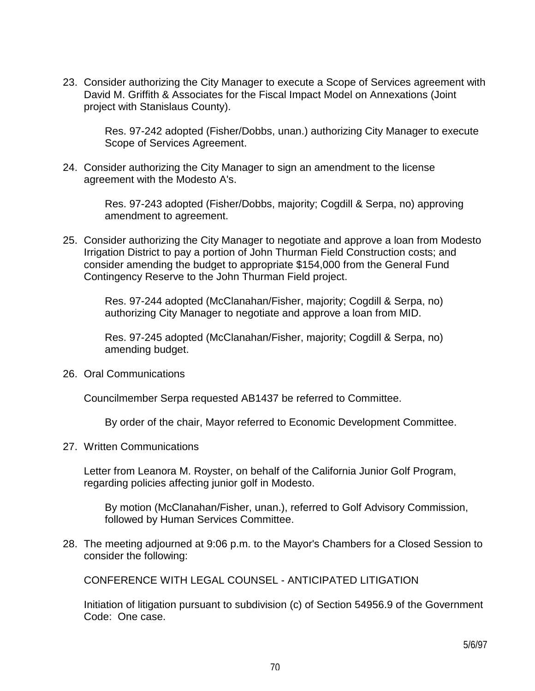23. Consider authorizing the City Manager to execute a Scope of Services agreement with David M. Griffith & Associates for the Fiscal Impact Model on Annexations (Joint project with Stanislaus County).

 Res. 97-242 adopted (Fisher/Dobbs, unan.) authorizing City Manager to execute Scope of Services Agreement.

24. Consider authorizing the City Manager to sign an amendment to the license agreement with the Modesto A's.

> Res. 97-243 adopted (Fisher/Dobbs, majority; Cogdill & Serpa, no) approving amendment to agreement.

25. Consider authorizing the City Manager to negotiate and approve a loan from Modesto Irrigation District to pay a portion of John Thurman Field Construction costs; and consider amending the budget to appropriate \$154,000 from the General Fund Contingency Reserve to the John Thurman Field project.

> Res. 97-244 adopted (McClanahan/Fisher, majority; Cogdill & Serpa, no) authorizing City Manager to negotiate and approve a loan from MID.

> Res. 97-245 adopted (McClanahan/Fisher, majority; Cogdill & Serpa, no) amending budget.

26. Oral Communications

Councilmember Serpa requested AB1437 be referred to Committee.

By order of the chair, Mayor referred to Economic Development Committee.

27. Written Communications

 Letter from Leanora M. Royster, on behalf of the California Junior Golf Program, regarding policies affecting junior golf in Modesto.

 By motion (McClanahan/Fisher, unan.), referred to Golf Advisory Commission, followed by Human Services Committee.

28. The meeting adjourned at 9:06 p.m. to the Mayor's Chambers for a Closed Session to consider the following:

CONFERENCE WITH LEGAL COUNSEL - ANTICIPATED LITIGATION

 Initiation of litigation pursuant to subdivision (c) of Section 54956.9 of the Government Code: One case.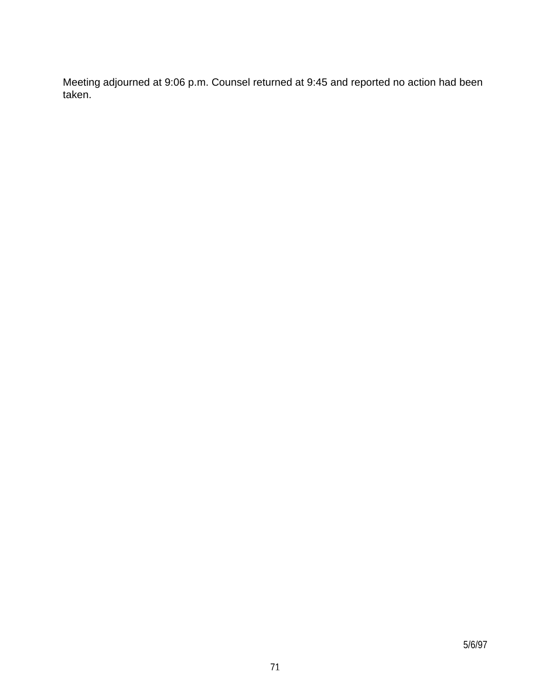Meeting adjourned at 9:06 p.m. Counsel returned at 9:45 and reported no action had been taken.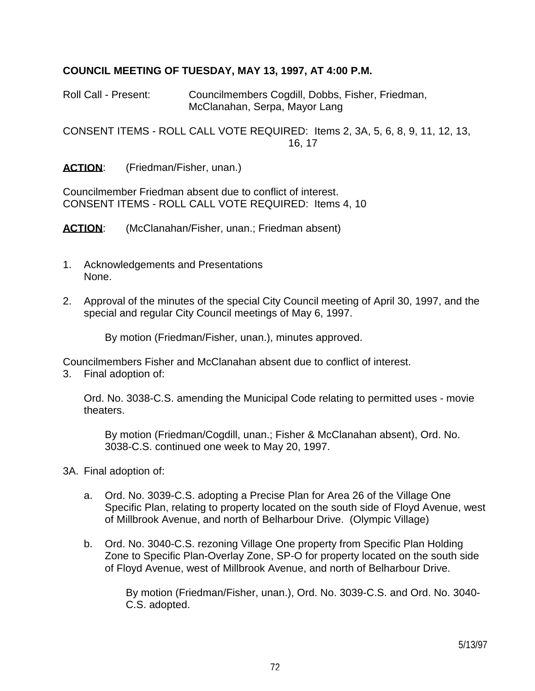#### **COUNCIL MEETING OF TUESDAY, MAY 13, 1997, AT 4:00 P.M.**

Roll Call - Present: Councilmembers Cogdill, Dobbs, Fisher, Friedman, McClanahan, Serpa, Mayor Lang

CONSENT ITEMS - ROLL CALL VOTE REQUIRED: Items 2, 3A, 5, 6, 8, 9, 11, 12, 13, 16, 17

**ACTION**: (Friedman/Fisher, unan.)

Councilmember Friedman absent due to conflict of interest. CONSENT ITEMS - ROLL CALL VOTE REQUIRED: Items 4, 10

**ACTION:** (McClanahan/Fisher, unan.; Friedman absent)

- 1. Acknowledgements and Presentations None.
- 2. Approval of the minutes of the special City Council meeting of April 30, 1997, and the special and regular City Council meetings of May 6, 1997.

By motion (Friedman/Fisher, unan.), minutes approved.

Councilmembers Fisher and McClanahan absent due to conflict of interest.

3. Final adoption of:

 Ord. No. 3038-C.S. amending the Municipal Code relating to permitted uses - movie theaters.

 By motion (Friedman/Cogdill, unan.; Fisher & McClanahan absent), Ord. No. 3038-C.S. continued one week to May 20, 1997.

- 3A. Final adoption of:
	- a. Ord. No. 3039-C.S. adopting a Precise Plan for Area 26 of the Village One Specific Plan, relating to property located on the south side of Floyd Avenue, west of Millbrook Avenue, and north of Belharbour Drive. (Olympic Village)
	- b. Ord. No. 3040-C.S. rezoning Village One property from Specific Plan Holding Zone to Specific Plan-Overlay Zone, SP-O for property located on the south side of Floyd Avenue, west of Millbrook Avenue, and north of Belharbour Drive.

 By motion (Friedman/Fisher, unan.), Ord. No. 3039-C.S. and Ord. No. 3040- C.S. adopted.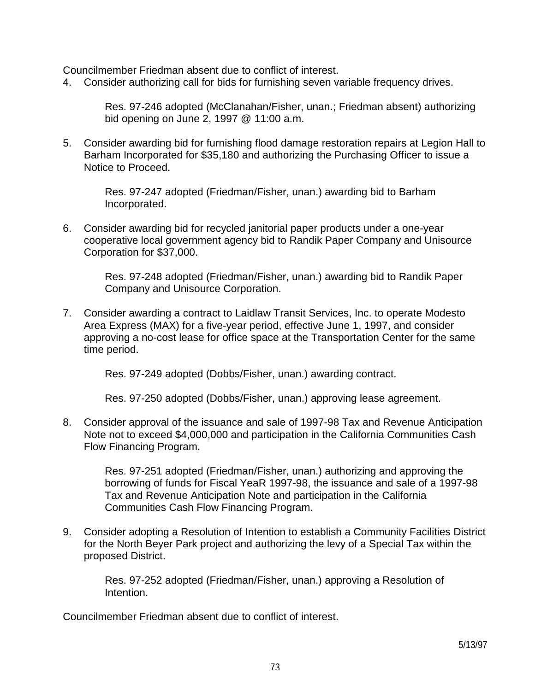Councilmember Friedman absent due to conflict of interest.

4. Consider authorizing call for bids for furnishing seven variable frequency drives.

 Res. 97-246 adopted (McClanahan/Fisher, unan.; Friedman absent) authorizing bid opening on June 2, 1997 @ 11:00 a.m.

5. Consider awarding bid for furnishing flood damage restoration repairs at Legion Hall to Barham Incorporated for \$35,180 and authorizing the Purchasing Officer to issue a Notice to Proceed.

 Res. 97-247 adopted (Friedman/Fisher, unan.) awarding bid to Barham Incorporated.

6. Consider awarding bid for recycled janitorial paper products under a one-year cooperative local government agency bid to Randik Paper Company and Unisource Corporation for \$37,000.

> Res. 97-248 adopted (Friedman/Fisher, unan.) awarding bid to Randik Paper Company and Unisource Corporation.

7. Consider awarding a contract to Laidlaw Transit Services, Inc. to operate Modesto Area Express (MAX) for a five-year period, effective June 1, 1997, and consider approving a no-cost lease for office space at the Transportation Center for the same time period.

Res. 97-249 adopted (Dobbs/Fisher, unan.) awarding contract.

Res. 97-250 adopted (Dobbs/Fisher, unan.) approving lease agreement.

8. Consider approval of the issuance and sale of 1997-98 Tax and Revenue Anticipation Note not to exceed \$4,000,000 and participation in the California Communities Cash Flow Financing Program.

 Res. 97-251 adopted (Friedman/Fisher, unan.) authorizing and approving the borrowing of funds for Fiscal YeaR 1997-98, the issuance and sale of a 1997-98 Tax and Revenue Anticipation Note and participation in the California Communities Cash Flow Financing Program.

9. Consider adopting a Resolution of Intention to establish a Community Facilities District for the North Beyer Park project and authorizing the levy of a Special Tax within the proposed District.

 Res. 97-252 adopted (Friedman/Fisher, unan.) approving a Resolution of **Intention** 

Councilmember Friedman absent due to conflict of interest.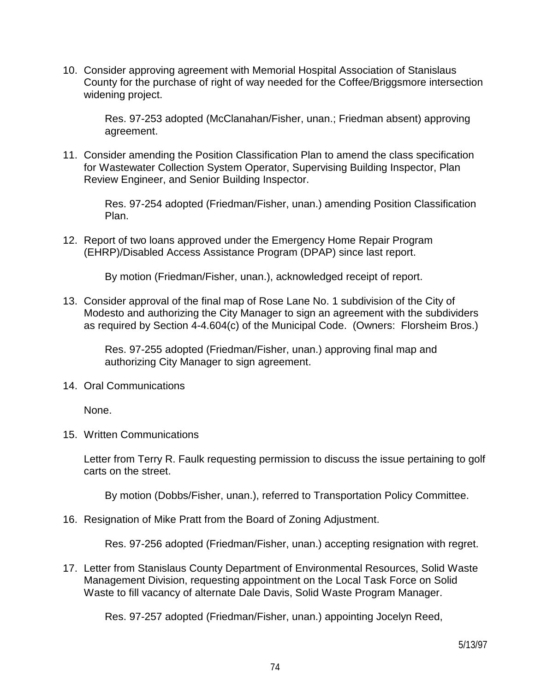10. Consider approving agreement with Memorial Hospital Association of Stanislaus County for the purchase of right of way needed for the Coffee/Briggsmore intersection widening project.

 Res. 97-253 adopted (McClanahan/Fisher, unan.; Friedman absent) approving agreement.

11. Consider amending the Position Classification Plan to amend the class specification for Wastewater Collection System Operator, Supervising Building Inspector, Plan Review Engineer, and Senior Building Inspector.

 Res. 97-254 adopted (Friedman/Fisher, unan.) amending Position Classification Plan.

12. Report of two loans approved under the Emergency Home Repair Program (EHRP)/Disabled Access Assistance Program (DPAP) since last report.

By motion (Friedman/Fisher, unan.), acknowledged receipt of report.

13. Consider approval of the final map of Rose Lane No. 1 subdivision of the City of Modesto and authorizing the City Manager to sign an agreement with the subdividers as required by Section 4-4.604(c) of the Municipal Code. (Owners: Florsheim Bros.)

 Res. 97-255 adopted (Friedman/Fisher, unan.) approving final map and authorizing City Manager to sign agreement.

14. Oral Communications

None.

15. Written Communications

 Letter from Terry R. Faulk requesting permission to discuss the issue pertaining to golf carts on the street.

By motion (Dobbs/Fisher, unan.), referred to Transportation Policy Committee.

16. Resignation of Mike Pratt from the Board of Zoning Adjustment.

Res. 97-256 adopted (Friedman/Fisher, unan.) accepting resignation with regret.

17. Letter from Stanislaus County Department of Environmental Resources, Solid Waste Management Division, requesting appointment on the Local Task Force on Solid Waste to fill vacancy of alternate Dale Davis, Solid Waste Program Manager.

Res. 97-257 adopted (Friedman/Fisher, unan.) appointing Jocelyn Reed,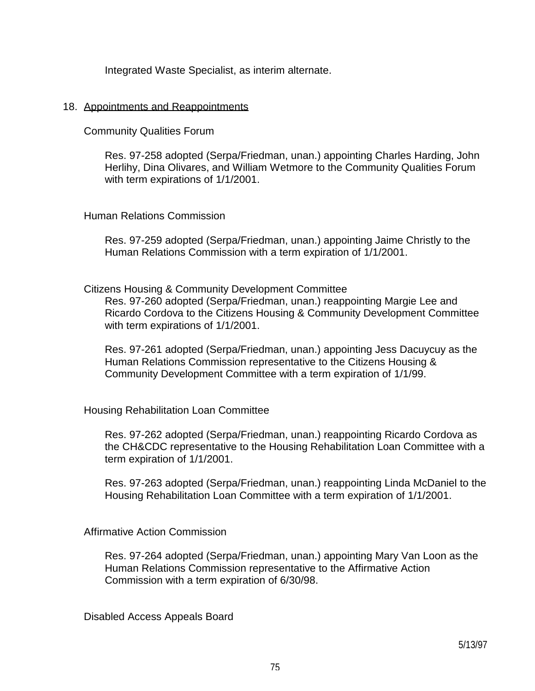Integrated Waste Specialist, as interim alternate.

#### 18. Appointments and Reappointments

Community Qualities Forum

 Res. 97-258 adopted (Serpa/Friedman, unan.) appointing Charles Harding, John Herlihy, Dina Olivares, and William Wetmore to the Community Qualities Forum with term expirations of 1/1/2001.

### Human Relations Commission

 Res. 97-259 adopted (Serpa/Friedman, unan.) appointing Jaime Christly to the Human Relations Commission with a term expiration of 1/1/2001.

Citizens Housing & Community Development Committee

 Res. 97-260 adopted (Serpa/Friedman, unan.) reappointing Margie Lee and Ricardo Cordova to the Citizens Housing & Community Development Committee with term expirations of 1/1/2001.

 Res. 97-261 adopted (Serpa/Friedman, unan.) appointing Jess Dacuycuy as the Human Relations Commission representative to the Citizens Housing & Community Development Committee with a term expiration of 1/1/99.

Housing Rehabilitation Loan Committee

 Res. 97-262 adopted (Serpa/Friedman, unan.) reappointing Ricardo Cordova as the CH&CDC representative to the Housing Rehabilitation Loan Committee with a term expiration of 1/1/2001.

 Res. 97-263 adopted (Serpa/Friedman, unan.) reappointing Linda McDaniel to the Housing Rehabilitation Loan Committee with a term expiration of 1/1/2001.

Affirmative Action Commission

 Res. 97-264 adopted (Serpa/Friedman, unan.) appointing Mary Van Loon as the Human Relations Commission representative to the Affirmative Action Commission with a term expiration of 6/30/98.

Disabled Access Appeals Board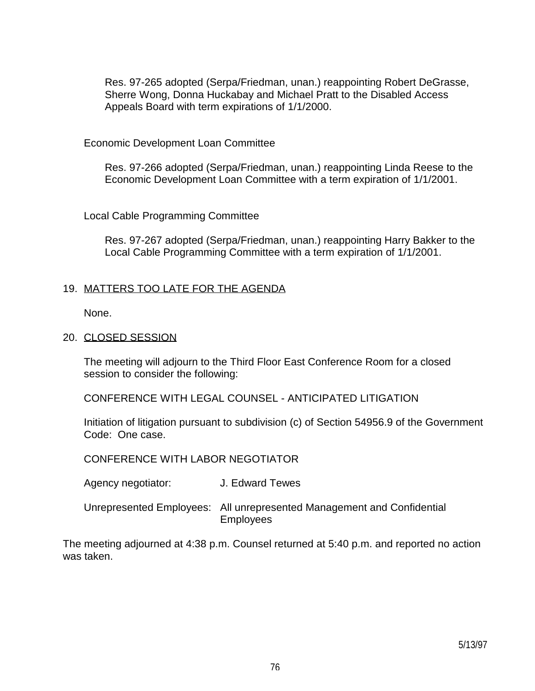Res. 97-265 adopted (Serpa/Friedman, unan.) reappointing Robert DeGrasse, Sherre Wong, Donna Huckabay and Michael Pratt to the Disabled Access Appeals Board with term expirations of 1/1/2000.

Economic Development Loan Committee

 Res. 97-266 adopted (Serpa/Friedman, unan.) reappointing Linda Reese to the Economic Development Loan Committee with a term expiration of 1/1/2001.

Local Cable Programming Committee

 Res. 97-267 adopted (Serpa/Friedman, unan.) reappointing Harry Bakker to the Local Cable Programming Committee with a term expiration of 1/1/2001.

## 19. MATTERS TOO LATE FOR THE AGENDA

None.

## 20. CLOSED SESSION

 The meeting will adjourn to the Third Floor East Conference Room for a closed session to consider the following:

CONFERENCE WITH LEGAL COUNSEL - ANTICIPATED LITIGATION

 Initiation of litigation pursuant to subdivision (c) of Section 54956.9 of the Government Code: One case.

CONFERENCE WITH LABOR NEGOTIATOR

Agency negotiator: J. Edward Tewes

 Unrepresented Employees: All unrepresented Management and Confidential Employees

The meeting adjourned at 4:38 p.m. Counsel returned at 5:40 p.m. and reported no action was taken.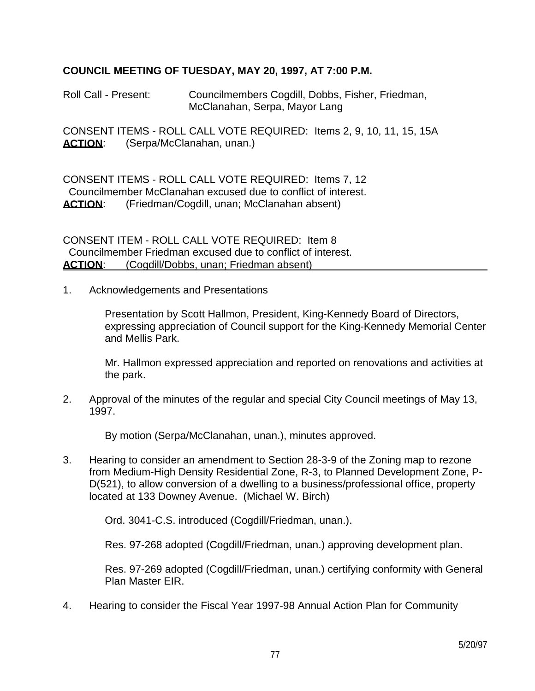## **COUNCIL MEETING OF TUESDAY, MAY 20, 1997, AT 7:00 P.M.**

Roll Call - Present: Councilmembers Cogdill, Dobbs, Fisher, Friedman, McClanahan, Serpa, Mayor Lang

CONSENT ITEMS - ROLL CALL VOTE REQUIRED: Items 2, 9, 10, 11, 15, 15A ACTION: (Serpa/McClanahan, unan.)

CONSENT ITEMS - ROLL CALL VOTE REQUIRED: Items 7, 12 Councilmember McClanahan excused due to conflict of interest. ACTION: (Friedman/Cogdill, unan; McClanahan absent)

CONSENT ITEM - ROLL CALL VOTE REQUIRED: Item 8 Councilmember Friedman excused due to conflict of interest. **ACTION:** (Cogdill/Dobbs, unan: Friedman absent)

1. Acknowledgements and Presentations

 Presentation by Scott Hallmon, President, King-Kennedy Board of Directors, expressing appreciation of Council support for the King-Kennedy Memorial Center and Mellis Park.

 Mr. Hallmon expressed appreciation and reported on renovations and activities at the park.

2. Approval of the minutes of the regular and special City Council meetings of May 13, 1997.

By motion (Serpa/McClanahan, unan.), minutes approved.

3. Hearing to consider an amendment to Section 28-3-9 of the Zoning map to rezone from Medium-High Density Residential Zone, R-3, to Planned Development Zone, P-D(521), to allow conversion of a dwelling to a business/professional office, property located at 133 Downey Avenue. (Michael W. Birch)

Ord. 3041-C.S. introduced (Cogdill/Friedman, unan.).

Res. 97-268 adopted (Cogdill/Friedman, unan.) approving development plan.

 Res. 97-269 adopted (Cogdill/Friedman, unan.) certifying conformity with General Plan Master EIR.

4. Hearing to consider the Fiscal Year 1997-98 Annual Action Plan for Community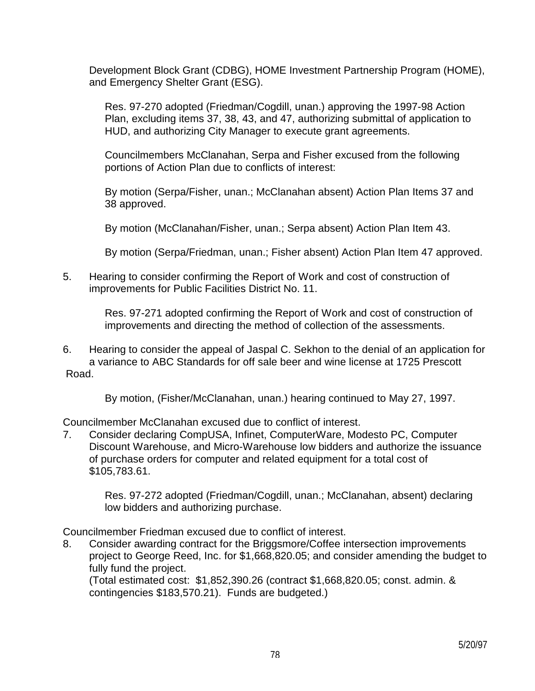Development Block Grant (CDBG), HOME Investment Partnership Program (HOME), and Emergency Shelter Grant (ESG).

 Res. 97-270 adopted (Friedman/Cogdill, unan.) approving the 1997-98 Action Plan, excluding items 37, 38, 43, and 47, authorizing submittal of application to HUD, and authorizing City Manager to execute grant agreements.

 Councilmembers McClanahan, Serpa and Fisher excused from the following portions of Action Plan due to conflicts of interest:

 By motion (Serpa/Fisher, unan.; McClanahan absent) Action Plan Items 37 and 38 approved.

By motion (McClanahan/Fisher, unan.; Serpa absent) Action Plan Item 43.

By motion (Serpa/Friedman, unan.; Fisher absent) Action Plan Item 47 approved.

5. Hearing to consider confirming the Report of Work and cost of construction of improvements for Public Facilities District No. 11.

> Res. 97-271 adopted confirming the Report of Work and cost of construction of improvements and directing the method of collection of the assessments.

6. Hearing to consider the appeal of Jaspal C. Sekhon to the denial of an application for a variance to ABC Standards for off sale beer and wine license at 1725 Prescott Road.

By motion, (Fisher/McClanahan, unan.) hearing continued to May 27, 1997.

Councilmember McClanahan excused due to conflict of interest.

7. Consider declaring CompUSA, Infinet, ComputerWare, Modesto PC, Computer Discount Warehouse, and Micro-Warehouse low bidders and authorize the issuance of purchase orders for computer and related equipment for a total cost of \$105,783.61.

 Res. 97-272 adopted (Friedman/Cogdill, unan.; McClanahan, absent) declaring low bidders and authorizing purchase.

Councilmember Friedman excused due to conflict of interest.

8. Consider awarding contract for the Briggsmore/Coffee intersection improvements project to George Reed, Inc. for \$1,668,820.05; and consider amending the budget to fully fund the project.

 (Total estimated cost: \$1,852,390.26 (contract \$1,668,820.05; const. admin. & contingencies \$183,570.21). Funds are budgeted.)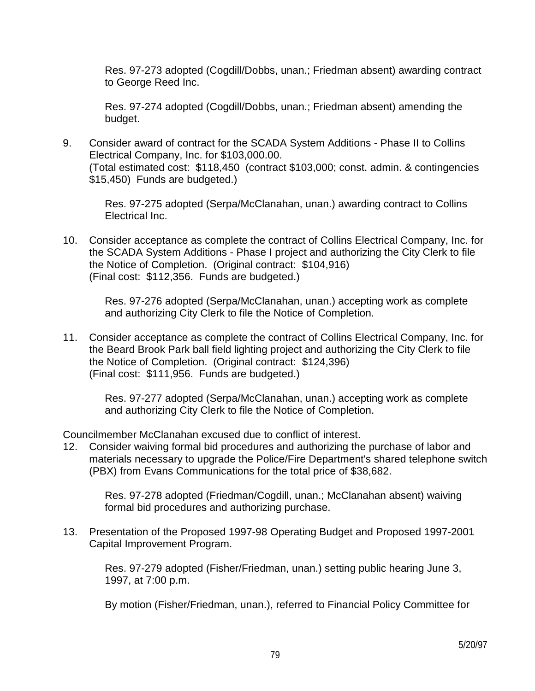Res. 97-273 adopted (Cogdill/Dobbs, unan.; Friedman absent) awarding contract to George Reed Inc.

 Res. 97-274 adopted (Cogdill/Dobbs, unan.; Friedman absent) amending the budget.

9. Consider award of contract for the SCADA System Additions - Phase II to Collins Electrical Company, Inc. for \$103,000.00. (Total estimated cost: \$118,450 (contract \$103,000; const. admin. & contingencies \$15,450) Funds are budgeted.)

 Res. 97-275 adopted (Serpa/McClanahan, unan.) awarding contract to Collins Electrical Inc.

10. Consider acceptance as complete the contract of Collins Electrical Company, Inc. for the SCADA System Additions - Phase I project and authorizing the City Clerk to file the Notice of Completion. (Original contract: \$104,916) (Final cost: \$112,356. Funds are budgeted.)

 Res. 97-276 adopted (Serpa/McClanahan, unan.) accepting work as complete and authorizing City Clerk to file the Notice of Completion.

11. Consider acceptance as complete the contract of Collins Electrical Company, Inc. for the Beard Brook Park ball field lighting project and authorizing the City Clerk to file the Notice of Completion. (Original contract: \$124,396) (Final cost: \$111,956. Funds are budgeted.)

 Res. 97-277 adopted (Serpa/McClanahan, unan.) accepting work as complete and authorizing City Clerk to file the Notice of Completion.

Councilmember McClanahan excused due to conflict of interest.

12. Consider waiving formal bid procedures and authorizing the purchase of labor and materials necessary to upgrade the Police/Fire Department's shared telephone switch (PBX) from Evans Communications for the total price of \$38,682.

 Res. 97-278 adopted (Friedman/Cogdill, unan.; McClanahan absent) waiving formal bid procedures and authorizing purchase.

13. Presentation of the Proposed 1997-98 Operating Budget and Proposed 1997-2001 Capital Improvement Program.

 Res. 97-279 adopted (Fisher/Friedman, unan.) setting public hearing June 3, 1997, at 7:00 p.m.

By motion (Fisher/Friedman, unan.), referred to Financial Policy Committee for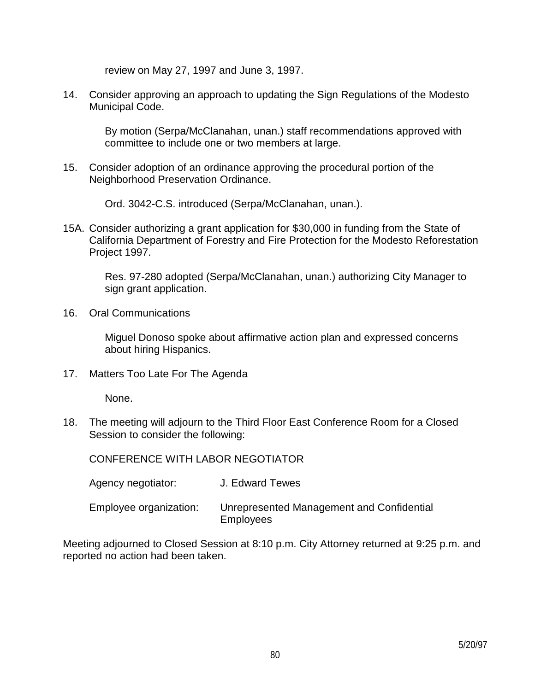review on May 27, 1997 and June 3, 1997.

14. Consider approving an approach to updating the Sign Regulations of the Modesto Municipal Code.

 By motion (Serpa/McClanahan, unan.) staff recommendations approved with committee to include one or two members at large.

15. Consider adoption of an ordinance approving the procedural portion of the Neighborhood Preservation Ordinance.

Ord. 3042-C.S. introduced (Serpa/McClanahan, unan.).

15A. Consider authorizing a grant application for \$30,000 in funding from the State of California Department of Forestry and Fire Protection for the Modesto Reforestation Project 1997.

 Res. 97-280 adopted (Serpa/McClanahan, unan.) authorizing City Manager to sign grant application.

16. Oral Communications

 Miguel Donoso spoke about affirmative action plan and expressed concerns about hiring Hispanics.

17. Matters Too Late For The Agenda

None.

18. The meeting will adjourn to the Third Floor East Conference Room for a Closed Session to consider the following:

CONFERENCE WITH LABOR NEGOTIATOR

- Agency negotiator: J. Edward Tewes
- Employee organization: Unrepresented Management and Confidential **Employees**

Meeting adjourned to Closed Session at 8:10 p.m. City Attorney returned at 9:25 p.m. and reported no action had been taken.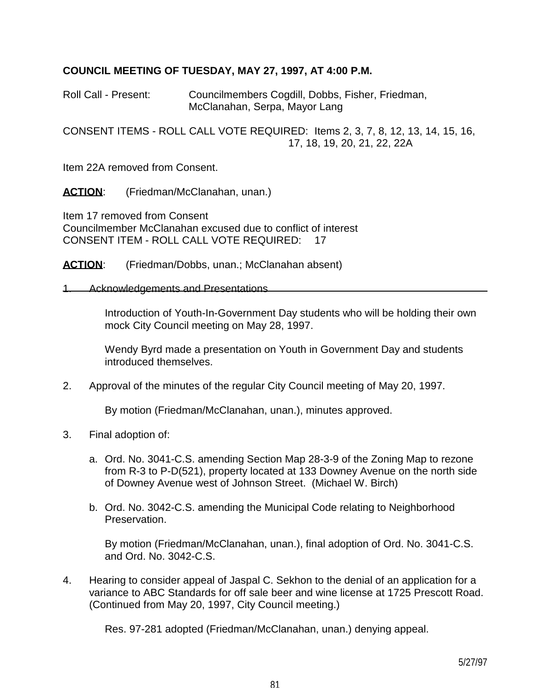## **COUNCIL MEETING OF TUESDAY, MAY 27, 1997, AT 4:00 P.M.**

Roll Call - Present: Councilmembers Cogdill, Dobbs, Fisher, Friedman, McClanahan, Serpa, Mayor Lang

CONSENT ITEMS - ROLL CALL VOTE REQUIRED: Items 2, 3, 7, 8, 12, 13, 14, 15, 16, 17, 18, 19, 20, 21, 22, 22A

Item 22A removed from Consent.

ACTION: (Friedman/McClanahan, unan.)

Item 17 removed from Consent Councilmember McClanahan excused due to conflict of interest CONSENT ITEM - ROLL CALL VOTE REQUIRED: 17

**ACTION:** (Friedman/Dobbs, unan.; McClanahan absent)

#### 1. Acknowledgements and Presentations

 Introduction of Youth-In-Government Day students who will be holding their own mock City Council meeting on May 28, 1997.

 Wendy Byrd made a presentation on Youth in Government Day and students introduced themselves.

2. Approval of the minutes of the regular City Council meeting of May 20, 1997.

By motion (Friedman/McClanahan, unan.), minutes approved.

- 3. Final adoption of:
	- a. Ord. No. 3041-C.S. amending Section Map 28-3-9 of the Zoning Map to rezone from R-3 to P-D(521), property located at 133 Downey Avenue on the north side of Downey Avenue west of Johnson Street. (Michael W. Birch)
	- b. Ord. No. 3042-C.S. amending the Municipal Code relating to Neighborhood Preservation.

 By motion (Friedman/McClanahan, unan.), final adoption of Ord. No. 3041-C.S. and Ord. No. 3042-C.S.

4. Hearing to consider appeal of Jaspal C. Sekhon to the denial of an application for a variance to ABC Standards for off sale beer and wine license at 1725 Prescott Road. (Continued from May 20, 1997, City Council meeting.)

Res. 97-281 adopted (Friedman/McClanahan, unan.) denying appeal.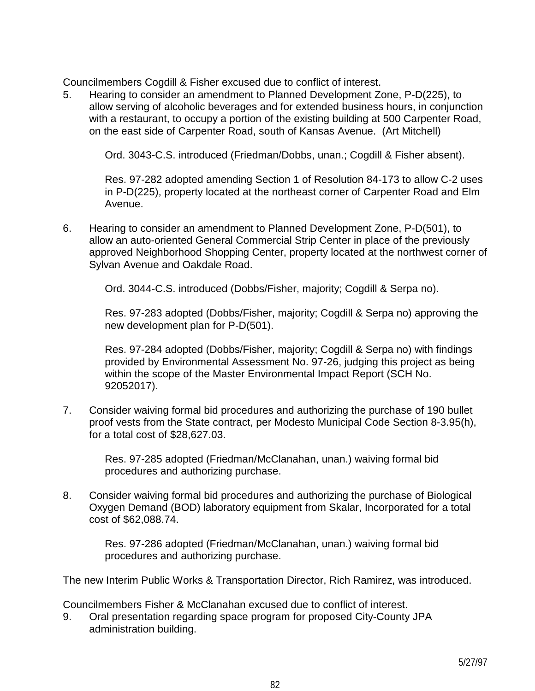Councilmembers Cogdill & Fisher excused due to conflict of interest.

5. Hearing to consider an amendment to Planned Development Zone, P-D(225), to allow serving of alcoholic beverages and for extended business hours, in conjunction with a restaurant, to occupy a portion of the existing building at 500 Carpenter Road, on the east side of Carpenter Road, south of Kansas Avenue. (Art Mitchell)

Ord. 3043-C.S. introduced (Friedman/Dobbs, unan.; Cogdill & Fisher absent).

 Res. 97-282 adopted amending Section 1 of Resolution 84-173 to allow C-2 uses in P-D(225), property located at the northeast corner of Carpenter Road and Elm Avenue.

6. Hearing to consider an amendment to Planned Development Zone, P-D(501), to allow an auto-oriented General Commercial Strip Center in place of the previously approved Neighborhood Shopping Center, property located at the northwest corner of Sylvan Avenue and Oakdale Road.

Ord. 3044-C.S. introduced (Dobbs/Fisher, majority; Cogdill & Serpa no).

 Res. 97-283 adopted (Dobbs/Fisher, majority; Cogdill & Serpa no) approving the new development plan for P-D(501).

 Res. 97-284 adopted (Dobbs/Fisher, majority; Cogdill & Serpa no) with findings provided by Environmental Assessment No. 97-26, judging this project as being within the scope of the Master Environmental Impact Report (SCH No. 92052017).

7. Consider waiving formal bid procedures and authorizing the purchase of 190 bullet proof vests from the State contract, per Modesto Municipal Code Section 8-3.95(h), for a total cost of \$28,627.03.

> Res. 97-285 adopted (Friedman/McClanahan, unan.) waiving formal bid procedures and authorizing purchase.

8. Consider waiving formal bid procedures and authorizing the purchase of Biological Oxygen Demand (BOD) laboratory equipment from Skalar, Incorporated for a total cost of \$62,088.74.

> Res. 97-286 adopted (Friedman/McClanahan, unan.) waiving formal bid procedures and authorizing purchase.

The new Interim Public Works & Transportation Director, Rich Ramirez, was introduced.

Councilmembers Fisher & McClanahan excused due to conflict of interest.

9. Oral presentation regarding space program for proposed City-County JPA administration building.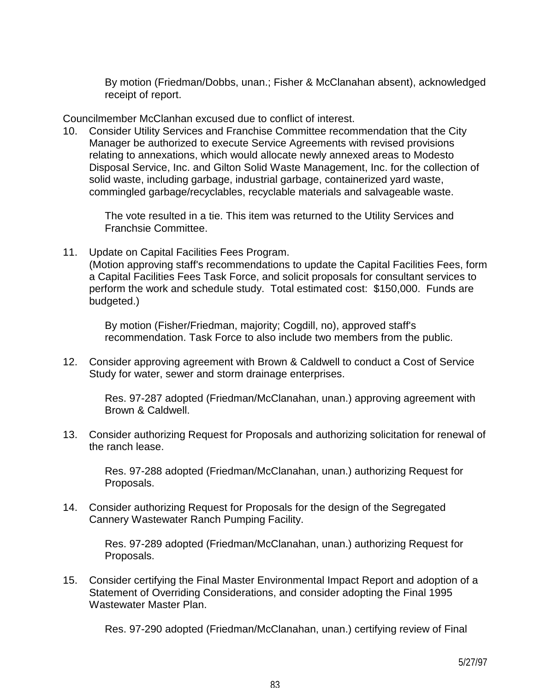By motion (Friedman/Dobbs, unan.; Fisher & McClanahan absent), acknowledged receipt of report.

Councilmember McClanhan excused due to conflict of interest.

10. Consider Utility Services and Franchise Committee recommendation that the City Manager be authorized to execute Service Agreements with revised provisions relating to annexations, which would allocate newly annexed areas to Modesto Disposal Service, Inc. and Gilton Solid Waste Management, Inc. for the collection of solid waste, including garbage, industrial garbage, containerized yard waste, commingled garbage/recyclables, recyclable materials and salvageable waste.

 The vote resulted in a tie. This item was returned to the Utility Services and Franchsie Committee.

11. Update on Capital Facilities Fees Program.

 (Motion approving staff's recommendations to update the Capital Facilities Fees, form a Capital Facilities Fees Task Force, and solicit proposals for consultant services to perform the work and schedule study. Total estimated cost: \$150,000. Funds are budgeted.)

 By motion (Fisher/Friedman, majority; Cogdill, no), approved staff's recommendation. Task Force to also include two members from the public.

12. Consider approving agreement with Brown & Caldwell to conduct a Cost of Service Study for water, sewer and storm drainage enterprises.

 Res. 97-287 adopted (Friedman/McClanahan, unan.) approving agreement with Brown & Caldwell.

13. Consider authorizing Request for Proposals and authorizing solicitation for renewal of the ranch lease.

 Res. 97-288 adopted (Friedman/McClanahan, unan.) authorizing Request for Proposals.

14. Consider authorizing Request for Proposals for the design of the Segregated Cannery Wastewater Ranch Pumping Facility.

> Res. 97-289 adopted (Friedman/McClanahan, unan.) authorizing Request for Proposals.

15. Consider certifying the Final Master Environmental Impact Report and adoption of a Statement of Overriding Considerations, and consider adopting the Final 1995 Wastewater Master Plan.

Res. 97-290 adopted (Friedman/McClanahan, unan.) certifying review of Final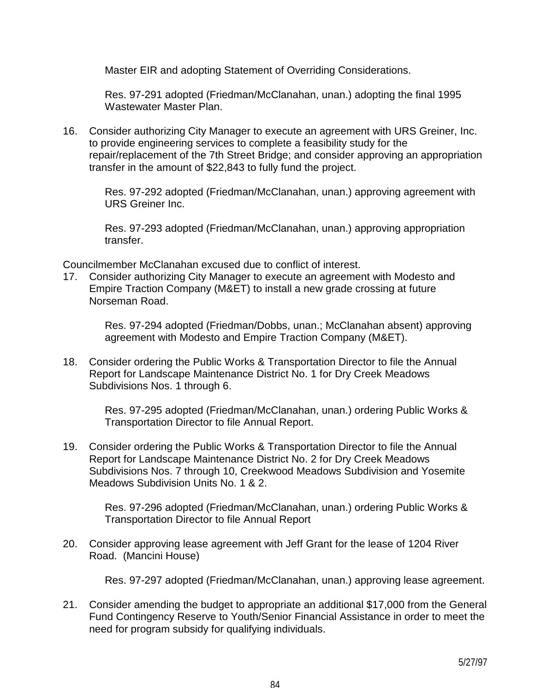Master EIR and adopting Statement of Overriding Considerations.

 Res. 97-291 adopted (Friedman/McClanahan, unan.) adopting the final 1995 Wastewater Master Plan.

16. Consider authorizing City Manager to execute an agreement with URS Greiner, Inc. to provide engineering services to complete a feasibility study for the repair/replacement of the 7th Street Bridge; and consider approving an appropriation transfer in the amount of \$22,843 to fully fund the project.

 Res. 97-292 adopted (Friedman/McClanahan, unan.) approving agreement with URS Greiner Inc.

 Res. 97-293 adopted (Friedman/McClanahan, unan.) approving appropriation transfer.

Councilmember McClanahan excused due to conflict of interest.

17. Consider authorizing City Manager to execute an agreement with Modesto and Empire Traction Company (M&ET) to install a new grade crossing at future Norseman Road.

> Res. 97-294 adopted (Friedman/Dobbs, unan.; McClanahan absent) approving agreement with Modesto and Empire Traction Company (M&ET).

18. Consider ordering the Public Works & Transportation Director to file the Annual Report for Landscape Maintenance District No. 1 for Dry Creek Meadows Subdivisions Nos. 1 through 6.

> Res. 97-295 adopted (Friedman/McClanahan, unan.) ordering Public Works & Transportation Director to file Annual Report.

19. Consider ordering the Public Works & Transportation Director to file the Annual Report for Landscape Maintenance District No. 2 for Dry Creek Meadows Subdivisions Nos. 7 through 10, Creekwood Meadows Subdivision and Yosemite Meadows Subdivision Units No. 1 & 2.

 Res. 97-296 adopted (Friedman/McClanahan, unan.) ordering Public Works & Transportation Director to file Annual Report

20. Consider approving lease agreement with Jeff Grant for the lease of 1204 River Road. (Mancini House)

Res. 97-297 adopted (Friedman/McClanahan, unan.) approving lease agreement.

21. Consider amending the budget to appropriate an additional \$17,000 from the General Fund Contingency Reserve to Youth/Senior Financial Assistance in order to meet the need for program subsidy for qualifying individuals.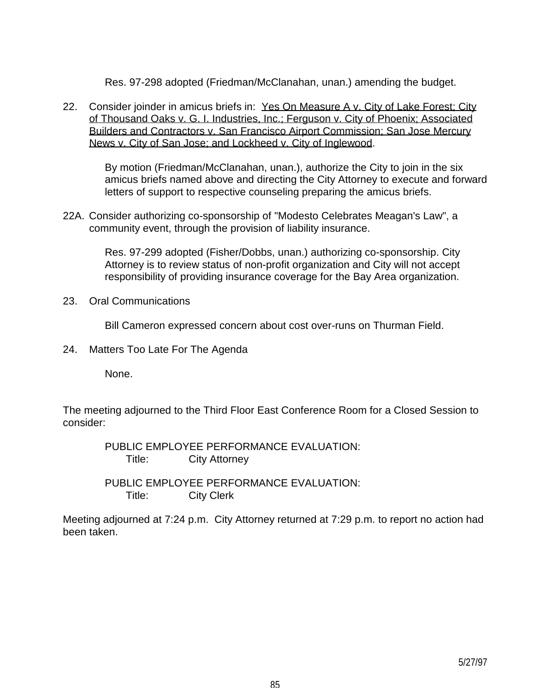Res. 97-298 adopted (Friedman/McClanahan, unan.) amending the budget.

22. Consider joinder in amicus briefs in: Yes On Measure A v. City of Lake Forest: City of Thousand Oaks v. G. I. Industries, Inc.; Ferguson v. City of Phoenix; Associated Builders and Contractors v. San Francisco Airport Commission; San Jose Mercury News v. City of San Jose; and Lockheed v. City of Inglewood.

> By motion (Friedman/McClanahan, unan.), authorize the City to join in the six amicus briefs named above and directing the City Attorney to execute and forward letters of support to respective counseling preparing the amicus briefs.

22A. Consider authorizing co-sponsorship of "Modesto Celebrates Meagan's Law", a community event, through the provision of liability insurance.

> Res. 97-299 adopted (Fisher/Dobbs, unan.) authorizing co-sponsorship. City Attorney is to review status of non-profit organization and City will not accept responsibility of providing insurance coverage for the Bay Area organization.

23. Oral Communications

Bill Cameron expressed concern about cost over-runs on Thurman Field.

24. Matters Too Late For The Agenda

None.

The meeting adjourned to the Third Floor East Conference Room for a Closed Session to consider:

> PUBLIC EMPLOYEE PERFORMANCE EVALUATION: Title: City Attorney

> PUBLIC EMPLOYEE PERFORMANCE EVALUATION: Title: City Clerk

Meeting adjourned at 7:24 p.m. City Attorney returned at 7:29 p.m. to report no action had been taken.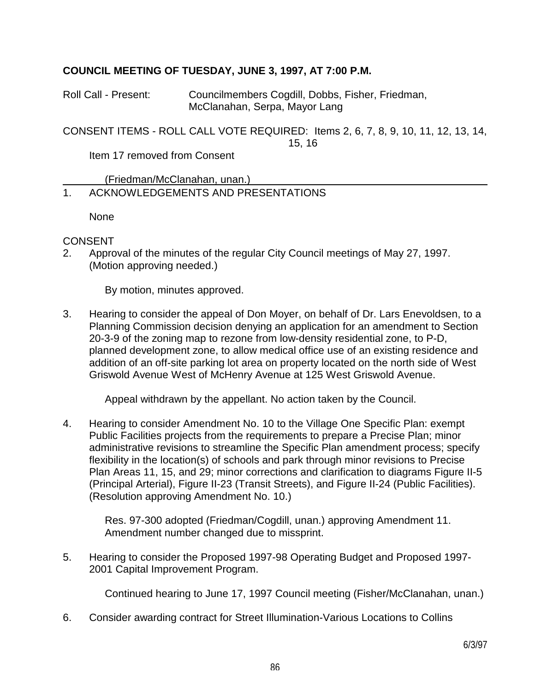# **COUNCIL MEETING OF TUESDAY, JUNE 3, 1997, AT 7:00 P.M.**

Roll Call - Present: Councilmembers Cogdill, Dobbs, Fisher, Friedman, McClanahan, Serpa, Mayor Lang

CONSENT ITEMS - ROLL CALL VOTE REQUIRED: Items 2, 6, 7, 8, 9, 10, 11, 12, 13, 14,

15, 16

Item 17 removed from Consent

(Friedman/McClanahan, unan.)

# 1. ACKNOWLEDGEMENTS AND PRESENTATIONS

None

# CONSENT

2. Approval of the minutes of the regular City Council meetings of May 27, 1997. (Motion approving needed.)

By motion, minutes approved.

3. Hearing to consider the appeal of Don Moyer, on behalf of Dr. Lars Enevoldsen, to a Planning Commission decision denying an application for an amendment to Section 20-3-9 of the zoning map to rezone from low-density residential zone, to P-D, planned development zone, to allow medical office use of an existing residence and addition of an off-site parking lot area on property located on the north side of West Griswold Avenue West of McHenry Avenue at 125 West Griswold Avenue.

Appeal withdrawn by the appellant. No action taken by the Council.

4. Hearing to consider Amendment No. 10 to the Village One Specific Plan: exempt Public Facilities projects from the requirements to prepare a Precise Plan; minor administrative revisions to streamline the Specific Plan amendment process; specify flexibility in the location(s) of schools and park through minor revisions to Precise Plan Areas 11, 15, and 29; minor corrections and clarification to diagrams Figure II-5 (Principal Arterial), Figure II-23 (Transit Streets), and Figure II-24 (Public Facilities). (Resolution approving Amendment No. 10.)

 Res. 97-300 adopted (Friedman/Cogdill, unan.) approving Amendment 11. Amendment number changed due to missprint.

5. Hearing to consider the Proposed 1997-98 Operating Budget and Proposed 1997- 2001 Capital Improvement Program.

Continued hearing to June 17, 1997 Council meeting (Fisher/McClanahan, unan.)

6. Consider awarding contract for Street Illumination-Various Locations to Collins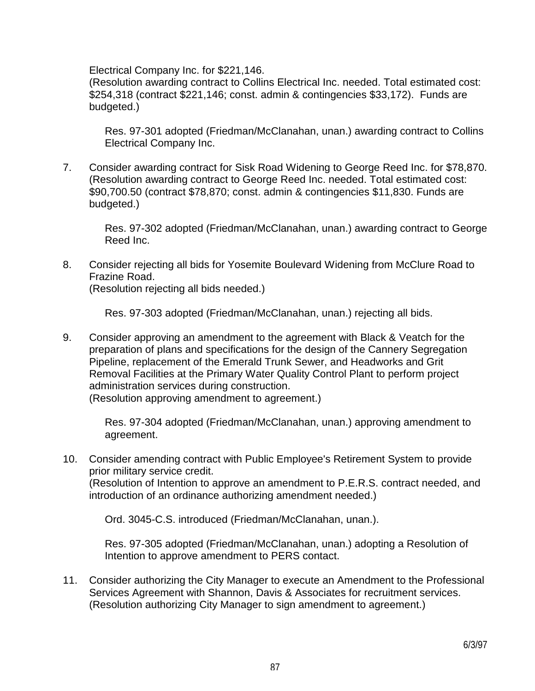Electrical Company Inc. for \$221,146.

 (Resolution awarding contract to Collins Electrical Inc. needed. Total estimated cost: \$254,318 (contract \$221,146; const. admin & contingencies \$33,172). Funds are budgeted.)

 Res. 97-301 adopted (Friedman/McClanahan, unan.) awarding contract to Collins Electrical Company Inc.

7. Consider awarding contract for Sisk Road Widening to George Reed Inc. for \$78,870. (Resolution awarding contract to George Reed Inc. needed. Total estimated cost: \$90,700.50 (contract \$78,870; const. admin & contingencies \$11,830. Funds are budgeted.)

 Res. 97-302 adopted (Friedman/McClanahan, unan.) awarding contract to George Reed Inc.

8. Consider rejecting all bids for Yosemite Boulevard Widening from McClure Road to Frazine Road.

(Resolution rejecting all bids needed.)

Res. 97-303 adopted (Friedman/McClanahan, unan.) rejecting all bids.

9. Consider approving an amendment to the agreement with Black & Veatch for the preparation of plans and specifications for the design of the Cannery Segregation Pipeline, replacement of the Emerald Trunk Sewer, and Headworks and Grit Removal Facilities at the Primary Water Quality Control Plant to perform project administration services during construction.

(Resolution approving amendment to agreement.)

 Res. 97-304 adopted (Friedman/McClanahan, unan.) approving amendment to agreement.

10. Consider amending contract with Public Employee's Retirement System to provide prior military service credit. (Resolution of Intention to approve an amendment to P.E.R.S. contract needed, and introduction of an ordinance authorizing amendment needed.)

Ord. 3045-C.S. introduced (Friedman/McClanahan, unan.).

 Res. 97-305 adopted (Friedman/McClanahan, unan.) adopting a Resolution of Intention to approve amendment to PERS contact.

11. Consider authorizing the City Manager to execute an Amendment to the Professional Services Agreement with Shannon, Davis & Associates for recruitment services. (Resolution authorizing City Manager to sign amendment to agreement.)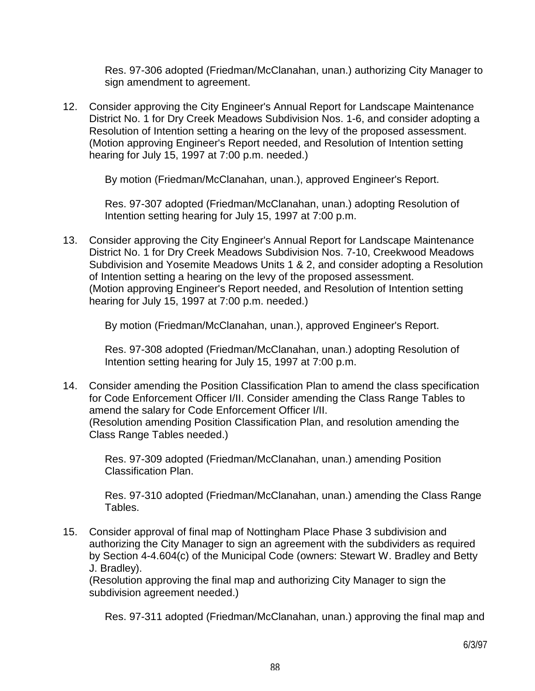Res. 97-306 adopted (Friedman/McClanahan, unan.) authorizing City Manager to sign amendment to agreement.

12. Consider approving the City Engineer's Annual Report for Landscape Maintenance District No. 1 for Dry Creek Meadows Subdivision Nos. 1-6, and consider adopting a Resolution of Intention setting a hearing on the levy of the proposed assessment. (Motion approving Engineer's Report needed, and Resolution of Intention setting hearing for July 15, 1997 at 7:00 p.m. needed.)

By motion (Friedman/McClanahan, unan.), approved Engineer's Report.

 Res. 97-307 adopted (Friedman/McClanahan, unan.) adopting Resolution of Intention setting hearing for July 15, 1997 at 7:00 p.m.

13. Consider approving the City Engineer's Annual Report for Landscape Maintenance District No. 1 for Dry Creek Meadows Subdivision Nos. 7-10, Creekwood Meadows Subdivision and Yosemite Meadows Units 1 & 2, and consider adopting a Resolution of Intention setting a hearing on the levy of the proposed assessment. (Motion approving Engineer's Report needed, and Resolution of Intention setting hearing for July 15, 1997 at 7:00 p.m. needed.)

By motion (Friedman/McClanahan, unan.), approved Engineer's Report.

 Res. 97-308 adopted (Friedman/McClanahan, unan.) adopting Resolution of Intention setting hearing for July 15, 1997 at 7:00 p.m.

14. Consider amending the Position Classification Plan to amend the class specification for Code Enforcement Officer I/II. Consider amending the Class Range Tables to amend the salary for Code Enforcement Officer I/II. (Resolution amending Position Classification Plan, and resolution amending the Class Range Tables needed.)

 Res. 97-309 adopted (Friedman/McClanahan, unan.) amending Position Classification Plan.

 Res. 97-310 adopted (Friedman/McClanahan, unan.) amending the Class Range Tables.

15. Consider approval of final map of Nottingham Place Phase 3 subdivision and authorizing the City Manager to sign an agreement with the subdividers as required by Section 4-4.604(c) of the Municipal Code (owners: Stewart W. Bradley and Betty J. Bradley).

 (Resolution approving the final map and authorizing City Manager to sign the subdivision agreement needed.)

Res. 97-311 adopted (Friedman/McClanahan, unan.) approving the final map and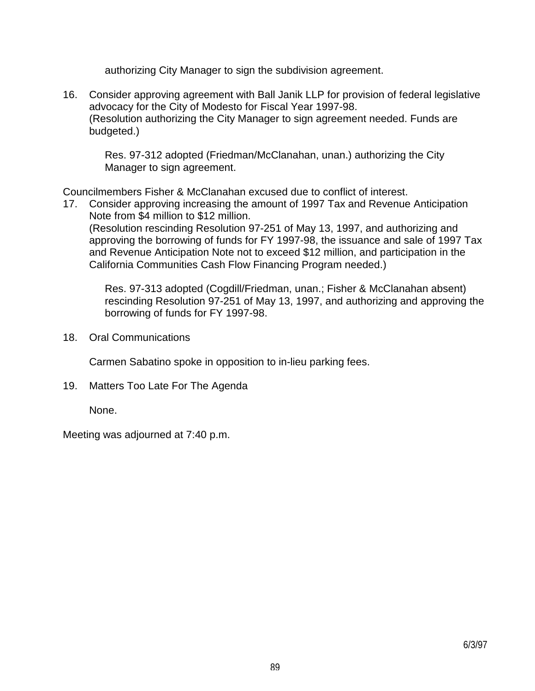authorizing City Manager to sign the subdivision agreement.

16. Consider approving agreement with Ball Janik LLP for provision of federal legislative advocacy for the City of Modesto for Fiscal Year 1997-98. (Resolution authorizing the City Manager to sign agreement needed. Funds are budgeted.)

 Res. 97-312 adopted (Friedman/McClanahan, unan.) authorizing the City Manager to sign agreement.

Councilmembers Fisher & McClanahan excused due to conflict of interest.

17. Consider approving increasing the amount of 1997 Tax and Revenue Anticipation Note from \$4 million to \$12 million.

 (Resolution rescinding Resolution 97-251 of May 13, 1997, and authorizing and approving the borrowing of funds for FY 1997-98, the issuance and sale of 1997 Tax and Revenue Anticipation Note not to exceed \$12 million, and participation in the California Communities Cash Flow Financing Program needed.)

 Res. 97-313 adopted (Cogdill/Friedman, unan.; Fisher & McClanahan absent) rescinding Resolution 97-251 of May 13, 1997, and authorizing and approving the borrowing of funds for FY 1997-98.

18. Oral Communications

Carmen Sabatino spoke in opposition to in-lieu parking fees.

19. Matters Too Late For The Agenda

None.

Meeting was adjourned at 7:40 p.m.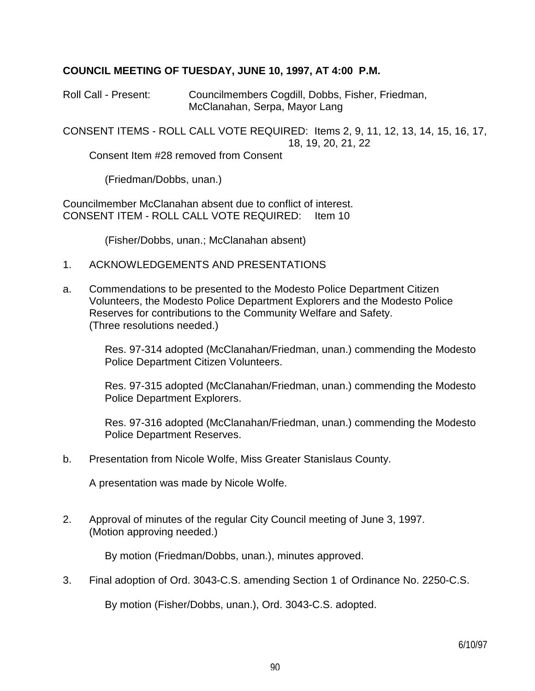## **COUNCIL MEETING OF TUESDAY, JUNE 10, 1997, AT 4:00 P.M.**

Roll Call - Present: Councilmembers Cogdill, Dobbs, Fisher, Friedman, McClanahan, Serpa, Mayor Lang

CONSENT ITEMS - ROLL CALL VOTE REQUIRED: Items 2, 9, 11, 12, 13, 14, 15, 16, 17, 18, 19, 20, 21, 22

Consent Item #28 removed from Consent

(Friedman/Dobbs, unan.)

Councilmember McClanahan absent due to conflict of interest. CONSENT ITEM - ROLL CALL VOTE REQUIRED: Item 10

(Fisher/Dobbs, unan.; McClanahan absent)

- 1. ACKNOWLEDGEMENTS AND PRESENTATIONS
- a. Commendations to be presented to the Modesto Police Department Citizen Volunteers, the Modesto Police Department Explorers and the Modesto Police Reserves for contributions to the Community Welfare and Safety. (Three resolutions needed.)

 Res. 97-314 adopted (McClanahan/Friedman, unan.) commending the Modesto Police Department Citizen Volunteers.

 Res. 97-315 adopted (McClanahan/Friedman, unan.) commending the Modesto Police Department Explorers.

 Res. 97-316 adopted (McClanahan/Friedman, unan.) commending the Modesto Police Department Reserves.

b. Presentation from Nicole Wolfe, Miss Greater Stanislaus County.

A presentation was made by Nicole Wolfe.

2. Approval of minutes of the regular City Council meeting of June 3, 1997. (Motion approving needed.)

By motion (Friedman/Dobbs, unan.), minutes approved.

3. Final adoption of Ord. 3043-C.S. amending Section 1 of Ordinance No. 2250-C.S.

By motion (Fisher/Dobbs, unan.), Ord. 3043-C.S. adopted.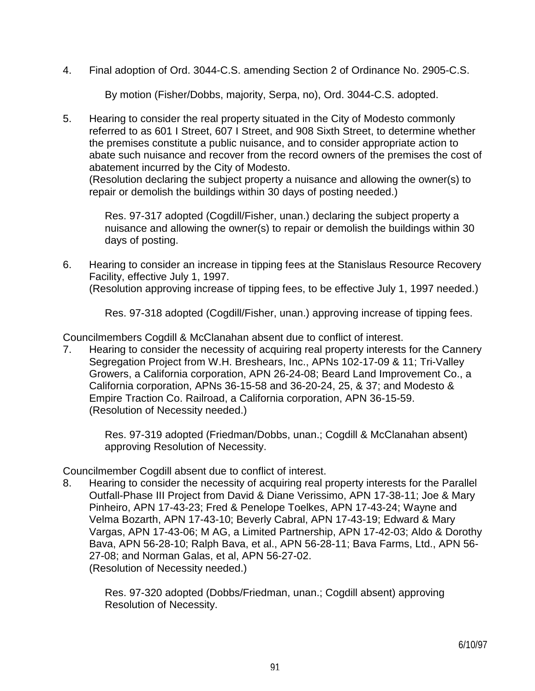4. Final adoption of Ord. 3044-C.S. amending Section 2 of Ordinance No. 2905-C.S.

By motion (Fisher/Dobbs, majority, Serpa, no), Ord. 3044-C.S. adopted.

5. Hearing to consider the real property situated in the City of Modesto commonly referred to as 601 I Street, 607 I Street, and 908 Sixth Street, to determine whether the premises constitute a public nuisance, and to consider appropriate action to abate such nuisance and recover from the record owners of the premises the cost of abatement incurred by the City of Modesto. (Resolution declaring the subject property a nuisance and allowing the owner(s) to

repair or demolish the buildings within 30 days of posting needed.)

 Res. 97-317 adopted (Cogdill/Fisher, unan.) declaring the subject property a nuisance and allowing the owner(s) to repair or demolish the buildings within 30 days of posting.

6. Hearing to consider an increase in tipping fees at the Stanislaus Resource Recovery Facility, effective July 1, 1997.

(Resolution approving increase of tipping fees, to be effective July 1, 1997 needed.)

Res. 97-318 adopted (Cogdill/Fisher, unan.) approving increase of tipping fees.

Councilmembers Cogdill & McClanahan absent due to conflict of interest.

7. Hearing to consider the necessity of acquiring real property interests for the Cannery Segregation Project from W.H. Breshears, Inc., APNs 102-17-09 & 11; Tri-Valley Growers, a California corporation, APN 26-24-08; Beard Land Improvement Co., a California corporation, APNs 36-15-58 and 36-20-24, 25, & 37; and Modesto & Empire Traction Co. Railroad, a California corporation, APN 36-15-59. (Resolution of Necessity needed.)

> Res. 97-319 adopted (Friedman/Dobbs, unan.; Cogdill & McClanahan absent) approving Resolution of Necessity.

Councilmember Cogdill absent due to conflict of interest.

8. Hearing to consider the necessity of acquiring real property interests for the Parallel Outfall-Phase III Project from David & Diane Verissimo, APN 17-38-11; Joe & Mary Pinheiro, APN 17-43-23; Fred & Penelope Toelkes, APN 17-43-24; Wayne and Velma Bozarth, APN 17-43-10; Beverly Cabral, APN 17-43-19; Edward & Mary Vargas, APN 17-43-06; M AG, a Limited Partnership, APN 17-42-03; Aldo & Dorothy Bava, APN 56-28-10; Ralph Bava, et al., APN 56-28-11; Bava Farms, Ltd., APN 56- 27-08; and Norman Galas, et al, APN 56-27-02. (Resolution of Necessity needed.)

 Res. 97-320 adopted (Dobbs/Friedman, unan.; Cogdill absent) approving Resolution of Necessity.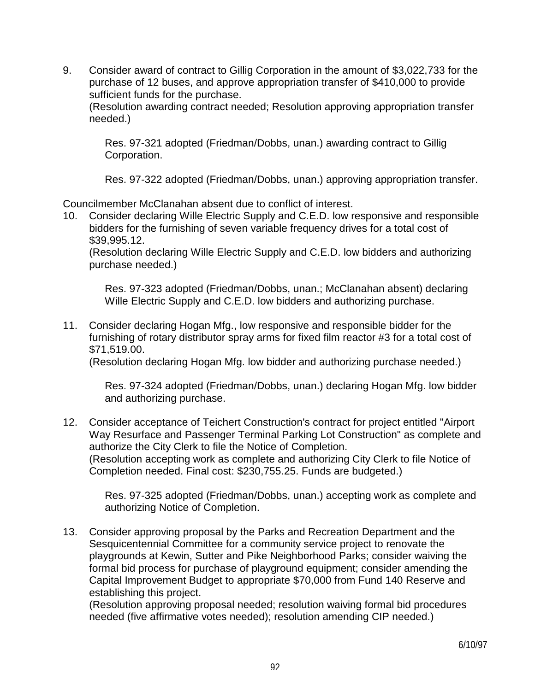9. Consider award of contract to Gillig Corporation in the amount of \$3,022,733 for the purchase of 12 buses, and approve appropriation transfer of \$410,000 to provide sufficient funds for the purchase.

 (Resolution awarding contract needed; Resolution approving appropriation transfer needed.)

 Res. 97-321 adopted (Friedman/Dobbs, unan.) awarding contract to Gillig Corporation.

Res. 97-322 adopted (Friedman/Dobbs, unan.) approving appropriation transfer.

Councilmember McClanahan absent due to conflict of interest.

10. Consider declaring Wille Electric Supply and C.E.D. low responsive and responsible bidders for the furnishing of seven variable frequency drives for a total cost of \$39,995.12.

 (Resolution declaring Wille Electric Supply and C.E.D. low bidders and authorizing purchase needed.)

 Res. 97-323 adopted (Friedman/Dobbs, unan.; McClanahan absent) declaring Wille Electric Supply and C.E.D. low bidders and authorizing purchase.

11. Consider declaring Hogan Mfg., low responsive and responsible bidder for the furnishing of rotary distributor spray arms for fixed film reactor #3 for a total cost of \$71,519.00.

(Resolution declaring Hogan Mfg. low bidder and authorizing purchase needed.)

 Res. 97-324 adopted (Friedman/Dobbs, unan.) declaring Hogan Mfg. low bidder and authorizing purchase.

12. Consider acceptance of Teichert Construction's contract for project entitled "Airport Way Resurface and Passenger Terminal Parking Lot Construction" as complete and authorize the City Clerk to file the Notice of Completion. (Resolution accepting work as complete and authorizing City Clerk to file Notice of Completion needed. Final cost: \$230,755.25. Funds are budgeted.)

 Res. 97-325 adopted (Friedman/Dobbs, unan.) accepting work as complete and authorizing Notice of Completion.

13. Consider approving proposal by the Parks and Recreation Department and the Sesquicentennial Committee for a community service project to renovate the playgrounds at Kewin, Sutter and Pike Neighborhood Parks; consider waiving the formal bid process for purchase of playground equipment; consider amending the Capital Improvement Budget to appropriate \$70,000 from Fund 140 Reserve and establishing this project.

 (Resolution approving proposal needed; resolution waiving formal bid procedures needed (five affirmative votes needed); resolution amending CIP needed.)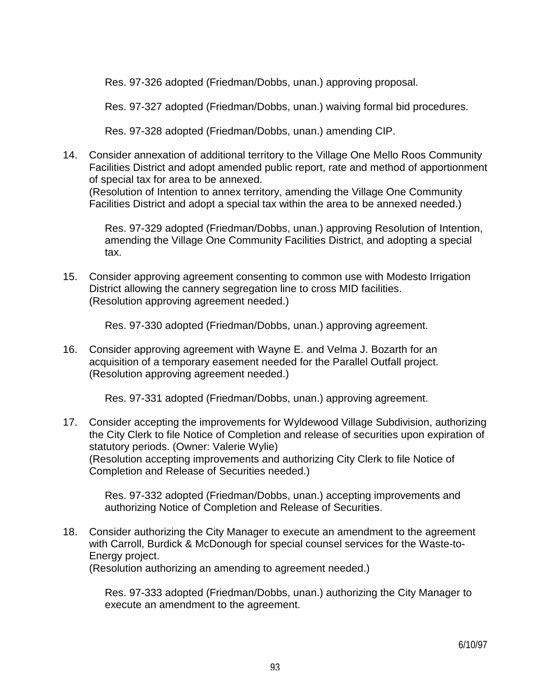Res. 97-326 adopted (Friedman/Dobbs, unan.) approving proposal.

Res. 97-327 adopted (Friedman/Dobbs, unan.) waiving formal bid procedures.

Res. 97-328 adopted (Friedman/Dobbs, unan.) amending CIP.

14. Consider annexation of additional territory to the Village One Mello Roos Community Facilities District and adopt amended public report, rate and method of apportionment of special tax for area to be annexed. (Resolution of Intention to annex territory, amending the Village One Community Facilities District and adopt a special tax within the area to be annexed needed.)

 Res. 97-329 adopted (Friedman/Dobbs, unan.) approving Resolution of Intention, amending the Village One Community Facilities District, and adopting a special tax.

15. Consider approving agreement consenting to common use with Modesto Irrigation District allowing the cannery segregation line to cross MID facilities. (Resolution approving agreement needed.)

Res. 97-330 adopted (Friedman/Dobbs, unan.) approving agreement.

16. Consider approving agreement with Wayne E. and Velma J. Bozarth for an acquisition of a temporary easement needed for the Parallel Outfall project. (Resolution approving agreement needed.)

Res. 97-331 adopted (Friedman/Dobbs, unan.) approving agreement.

17. Consider accepting the improvements for Wyldewood Village Subdivision, authorizing the City Clerk to file Notice of Completion and release of securities upon expiration of statutory periods. (Owner: Valerie Wylie) (Resolution accepting improvements and authorizing City Clerk to file Notice of Completion and Release of Securities needed.)

 Res. 97-332 adopted (Friedman/Dobbs, unan.) accepting improvements and authorizing Notice of Completion and Release of Securities.

18. Consider authorizing the City Manager to execute an amendment to the agreement with Carroll, Burdick & McDonough for special counsel services for the Waste-to-Energy project.

(Resolution authorizing an amending to agreement needed.)

 Res. 97-333 adopted (Friedman/Dobbs, unan.) authorizing the City Manager to execute an amendment to the agreement.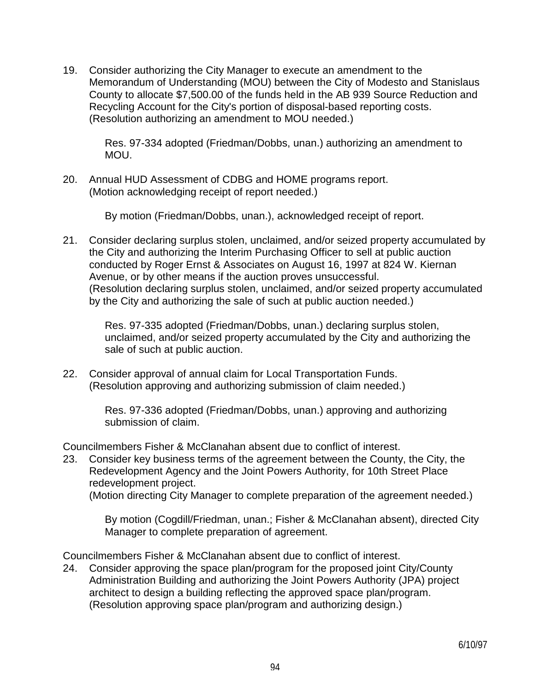19. Consider authorizing the City Manager to execute an amendment to the Memorandum of Understanding (MOU) between the City of Modesto and Stanislaus County to allocate \$7,500.00 of the funds held in the AB 939 Source Reduction and Recycling Account for the City's portion of disposal-based reporting costs. (Resolution authorizing an amendment to MOU needed.)

 Res. 97-334 adopted (Friedman/Dobbs, unan.) authorizing an amendment to MOU.

20. Annual HUD Assessment of CDBG and HOME programs report. (Motion acknowledging receipt of report needed.)

By motion (Friedman/Dobbs, unan.), acknowledged receipt of report.

21. Consider declaring surplus stolen, unclaimed, and/or seized property accumulated by the City and authorizing the Interim Purchasing Officer to sell at public auction conducted by Roger Ernst & Associates on August 16, 1997 at 824 W. Kiernan Avenue, or by other means if the auction proves unsuccessful. (Resolution declaring surplus stolen, unclaimed, and/or seized property accumulated by the City and authorizing the sale of such at public auction needed.)

 Res. 97-335 adopted (Friedman/Dobbs, unan.) declaring surplus stolen, unclaimed, and/or seized property accumulated by the City and authorizing the sale of such at public auction.

22. Consider approval of annual claim for Local Transportation Funds. (Resolution approving and authorizing submission of claim needed.)

> Res. 97-336 adopted (Friedman/Dobbs, unan.) approving and authorizing submission of claim.

Councilmembers Fisher & McClanahan absent due to conflict of interest.

23. Consider key business terms of the agreement between the County, the City, the Redevelopment Agency and the Joint Powers Authority, for 10th Street Place redevelopment project.

(Motion directing City Manager to complete preparation of the agreement needed.)

 By motion (Cogdill/Friedman, unan.; Fisher & McClanahan absent), directed City Manager to complete preparation of agreement.

Councilmembers Fisher & McClanahan absent due to conflict of interest.

24. Consider approving the space plan/program for the proposed joint City/County Administration Building and authorizing the Joint Powers Authority (JPA) project architect to design a building reflecting the approved space plan/program. (Resolution approving space plan/program and authorizing design.)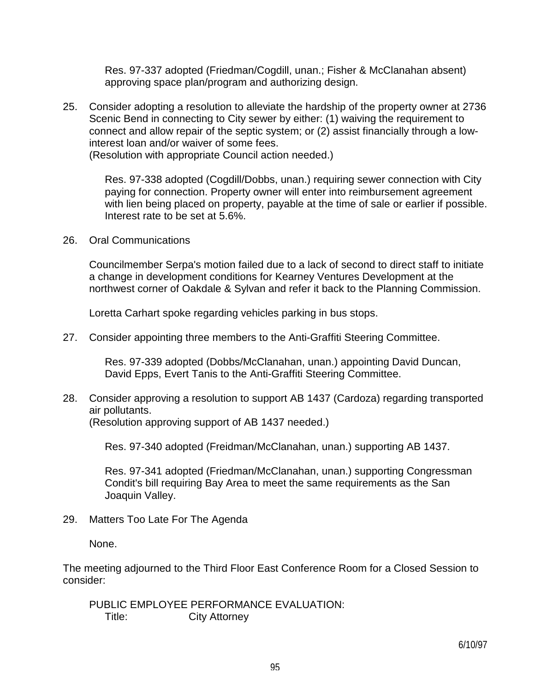Res. 97-337 adopted (Friedman/Cogdill, unan.; Fisher & McClanahan absent) approving space plan/program and authorizing design.

25. Consider adopting a resolution to alleviate the hardship of the property owner at 2736 Scenic Bend in connecting to City sewer by either: (1) waiving the requirement to connect and allow repair of the septic system; or (2) assist financially through a lowinterest loan and/or waiver of some fees.

(Resolution with appropriate Council action needed.)

 Res. 97-338 adopted (Cogdill/Dobbs, unan.) requiring sewer connection with City paying for connection. Property owner will enter into reimbursement agreement with lien being placed on property, payable at the time of sale or earlier if possible. Interest rate to be set at 5.6%.

26. Oral Communications

 Councilmember Serpa's motion failed due to a lack of second to direct staff to initiate a change in development conditions for Kearney Ventures Development at the northwest corner of Oakdale & Sylvan and refer it back to the Planning Commission.

Loretta Carhart spoke regarding vehicles parking in bus stops.

27. Consider appointing three members to the Anti-Graffiti Steering Committee.

 Res. 97-339 adopted (Dobbs/McClanahan, unan.) appointing David Duncan, David Epps, Evert Tanis to the Anti-Graffiti Steering Committee.

28. Consider approving a resolution to support AB 1437 (Cardoza) regarding transported air pollutants.

(Resolution approving support of AB 1437 needed.)

Res. 97-340 adopted (Freidman/McClanahan, unan.) supporting AB 1437.

 Res. 97-341 adopted (Friedman/McClanahan, unan.) supporting Congressman Condit's bill requiring Bay Area to meet the same requirements as the San Joaquin Valley.

29. Matters Too Late For The Agenda

None.

The meeting adjourned to the Third Floor East Conference Room for a Closed Session to consider:

 PUBLIC EMPLOYEE PERFORMANCE EVALUATION: Title: City Attorney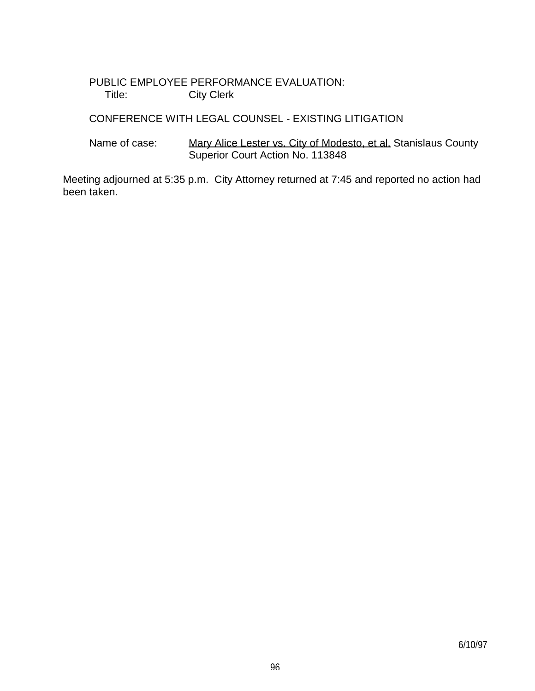## PUBLIC EMPLOYEE PERFORMANCE EVALUATION: Title: City Clerk

# CONFERENCE WITH LEGAL COUNSEL - EXISTING LITIGATION

Name of case: Mary Alice Lester vs. City of Modesto, et al. Stanislaus County Superior Court Action No. 113848

Meeting adjourned at 5:35 p.m. City Attorney returned at 7:45 and reported no action had been taken.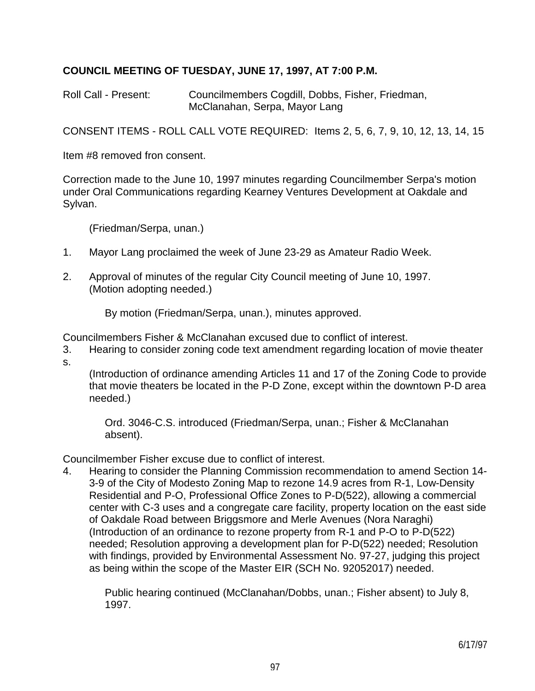# **COUNCIL MEETING OF TUESDAY, JUNE 17, 1997, AT 7:00 P.M.**

Roll Call - Present: Councilmembers Cogdill, Dobbs, Fisher, Friedman, McClanahan, Serpa, Mayor Lang

CONSENT ITEMS - ROLL CALL VOTE REQUIRED: Items 2, 5, 6, 7, 9, 10, 12, 13, 14, 15

Item #8 removed fron consent.

Correction made to the June 10, 1997 minutes regarding Councilmember Serpa's motion under Oral Communications regarding Kearney Ventures Development at Oakdale and Sylvan.

(Friedman/Serpa, unan.)

- 1. Mayor Lang proclaimed the week of June 23-29 as Amateur Radio Week.
- 2. Approval of minutes of the regular City Council meeting of June 10, 1997. (Motion adopting needed.)

By motion (Friedman/Serpa, unan.), minutes approved.

Councilmembers Fisher & McClanahan excused due to conflict of interest.

3. Hearing to consider zoning code text amendment regarding location of movie theater s.

 (Introduction of ordinance amending Articles 11 and 17 of the Zoning Code to provide that movie theaters be located in the P-D Zone, except within the downtown P-D area needed.)

 Ord. 3046-C.S. introduced (Friedman/Serpa, unan.; Fisher & McClanahan absent).

Councilmember Fisher excuse due to conflict of interest.

4. Hearing to consider the Planning Commission recommendation to amend Section 14- 3-9 of the City of Modesto Zoning Map to rezone 14.9 acres from R-1, Low-Density Residential and P-O, Professional Office Zones to P-D(522), allowing a commercial center with C-3 uses and a congregate care facility, property location on the east side of Oakdale Road between Briggsmore and Merle Avenues (Nora Naraghi) (Introduction of an ordinance to rezone property from R-1 and P-O to P-D(522) needed; Resolution approving a development plan for P-D(522) needed; Resolution with findings, provided by Environmental Assessment No. 97-27, judging this project as being within the scope of the Master EIR (SCH No. 92052017) needed.

 Public hearing continued (McClanahan/Dobbs, unan.; Fisher absent) to July 8, 1997.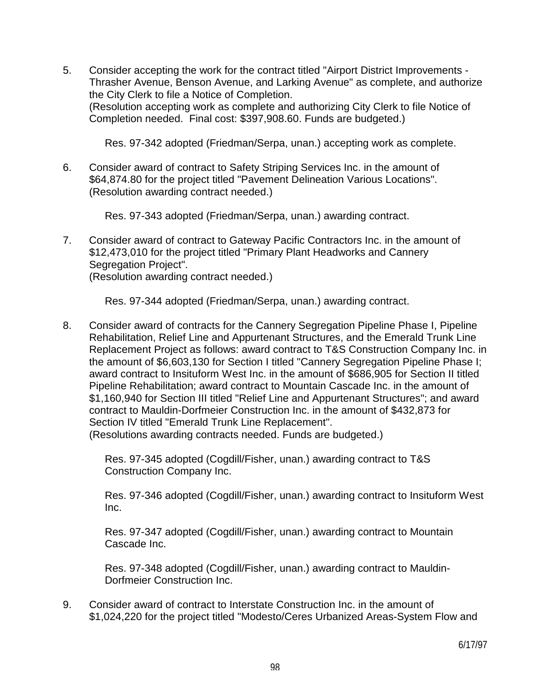5. Consider accepting the work for the contract titled "Airport District Improvements - Thrasher Avenue, Benson Avenue, and Larking Avenue" as complete, and authorize the City Clerk to file a Notice of Completion. (Resolution accepting work as complete and authorizing City Clerk to file Notice of Completion needed. Final cost: \$397,908.60. Funds are budgeted.)

Res. 97-342 adopted (Friedman/Serpa, unan.) accepting work as complete.

6. Consider award of contract to Safety Striping Services Inc. in the amount of \$64,874.80 for the project titled "Pavement Delineation Various Locations". (Resolution awarding contract needed.)

Res. 97-343 adopted (Friedman/Serpa, unan.) awarding contract.

7. Consider award of contract to Gateway Pacific Contractors Inc. in the amount of \$12,473,010 for the project titled "Primary Plant Headworks and Cannery Segregation Project".

(Resolution awarding contract needed.)

Res. 97-344 adopted (Friedman/Serpa, unan.) awarding contract.

8. Consider award of contracts for the Cannery Segregation Pipeline Phase I, Pipeline Rehabilitation, Relief Line and Appurtenant Structures, and the Emerald Trunk Line Replacement Project as follows: award contract to T&S Construction Company Inc. in the amount of \$6,603,130 for Section I titled "Cannery Segregation Pipeline Phase I; award contract to Insituform West Inc. in the amount of \$686,905 for Section II titled Pipeline Rehabilitation; award contract to Mountain Cascade Inc. in the amount of \$1,160,940 for Section III titled "Relief Line and Appurtenant Structures"; and award contract to Mauldin-Dorfmeier Construction Inc. in the amount of \$432,873 for Section IV titled "Emerald Trunk Line Replacement". (Resolutions awarding contracts needed. Funds are budgeted.)

 Res. 97-345 adopted (Cogdill/Fisher, unan.) awarding contract to T&S Construction Company Inc.

 Res. 97-346 adopted (Cogdill/Fisher, unan.) awarding contract to Insituform West Inc.

 Res. 97-347 adopted (Cogdill/Fisher, unan.) awarding contract to Mountain Cascade Inc.

 Res. 97-348 adopted (Cogdill/Fisher, unan.) awarding contract to Mauldin-Dorfmeier Construction Inc.

9. Consider award of contract to Interstate Construction Inc. in the amount of \$1,024,220 for the project titled "Modesto/Ceres Urbanized Areas-System Flow and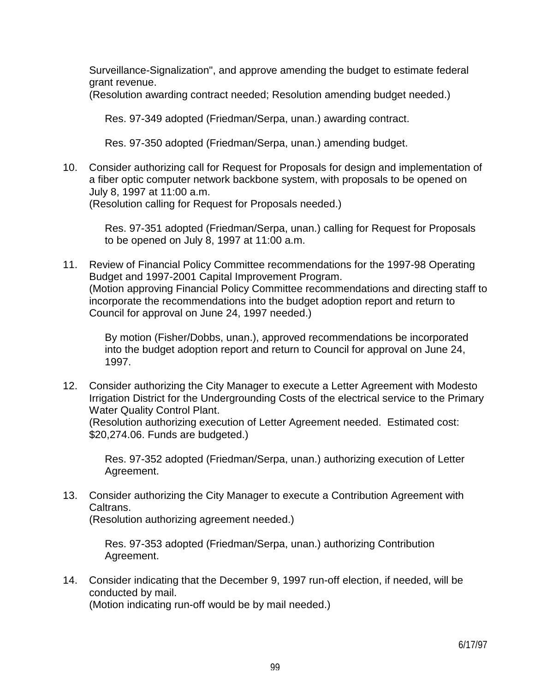Surveillance-Signalization", and approve amending the budget to estimate federal grant revenue.

(Resolution awarding contract needed; Resolution amending budget needed.)

Res. 97-349 adopted (Friedman/Serpa, unan.) awarding contract.

Res. 97-350 adopted (Friedman/Serpa, unan.) amending budget.

10. Consider authorizing call for Request for Proposals for design and implementation of a fiber optic computer network backbone system, with proposals to be opened on July 8, 1997 at 11:00 a.m.

(Resolution calling for Request for Proposals needed.)

 Res. 97-351 adopted (Friedman/Serpa, unan.) calling for Request for Proposals to be opened on July 8, 1997 at 11:00 a.m.

11. Review of Financial Policy Committee recommendations for the 1997-98 Operating Budget and 1997-2001 Capital Improvement Program. (Motion approving Financial Policy Committee recommendations and directing staff to incorporate the recommendations into the budget adoption report and return to Council for approval on June 24, 1997 needed.)

 By motion (Fisher/Dobbs, unan.), approved recommendations be incorporated into the budget adoption report and return to Council for approval on June 24, 1997.

12. Consider authorizing the City Manager to execute a Letter Agreement with Modesto Irrigation District for the Undergrounding Costs of the electrical service to the Primary Water Quality Control Plant.

 (Resolution authorizing execution of Letter Agreement needed. Estimated cost: \$20,274.06. Funds are budgeted.)

 Res. 97-352 adopted (Friedman/Serpa, unan.) authorizing execution of Letter Agreement.

13. Consider authorizing the City Manager to execute a Contribution Agreement with Caltrans.

(Resolution authorizing agreement needed.)

 Res. 97-353 adopted (Friedman/Serpa, unan.) authorizing Contribution Agreement.

14. Consider indicating that the December 9, 1997 run-off election, if needed, will be conducted by mail.

(Motion indicating run-off would be by mail needed.)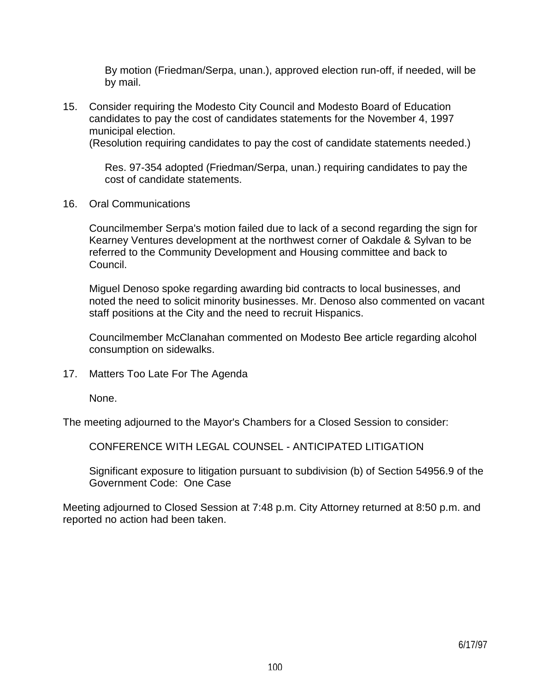By motion (Friedman/Serpa, unan.), approved election run-off, if needed, will be by mail.

15. Consider requiring the Modesto City Council and Modesto Board of Education candidates to pay the cost of candidates statements for the November 4, 1997 municipal election.

(Resolution requiring candidates to pay the cost of candidate statements needed.)

 Res. 97-354 adopted (Friedman/Serpa, unan.) requiring candidates to pay the cost of candidate statements.

16. Oral Communications

 Councilmember Serpa's motion failed due to lack of a second regarding the sign for Kearney Ventures development at the northwest corner of Oakdale & Sylvan to be referred to the Community Development and Housing committee and back to Council.

 Miguel Denoso spoke regarding awarding bid contracts to local businesses, and noted the need to solicit minority businesses. Mr. Denoso also commented on vacant staff positions at the City and the need to recruit Hispanics.

 Councilmember McClanahan commented on Modesto Bee article regarding alcohol consumption on sidewalks.

17. Matters Too Late For The Agenda

None.

The meeting adjourned to the Mayor's Chambers for a Closed Session to consider:

CONFERENCE WITH LEGAL COUNSEL - ANTICIPATED LITIGATION

 Significant exposure to litigation pursuant to subdivision (b) of Section 54956.9 of the Government Code: One Case

Meeting adjourned to Closed Session at 7:48 p.m. City Attorney returned at 8:50 p.m. and reported no action had been taken.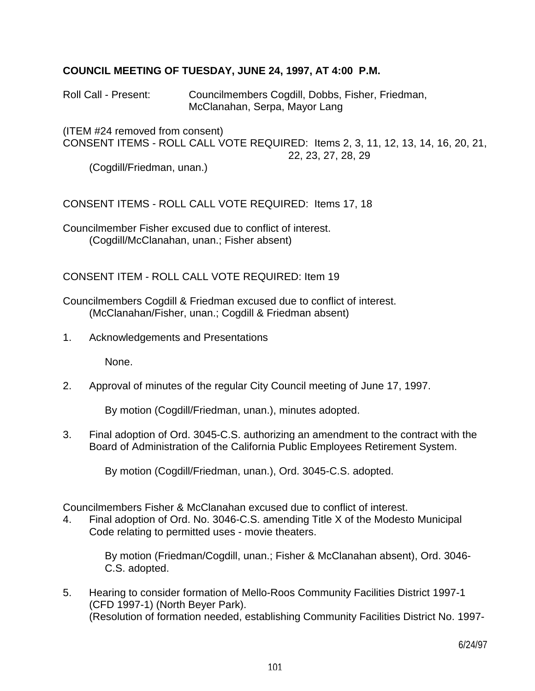## **COUNCIL MEETING OF TUESDAY, JUNE 24, 1997, AT 4:00 P.M.**

Roll Call - Present: Councilmembers Cogdill, Dobbs, Fisher, Friedman, McClanahan, Serpa, Mayor Lang

(ITEM #24 removed from consent) CONSENT ITEMS - ROLL CALL VOTE REQUIRED: Items 2, 3, 11, 12, 13, 14, 16, 20, 21, 22, 23, 27, 28, 29

(Cogdill/Friedman, unan.)

CONSENT ITEMS - ROLL CALL VOTE REQUIRED: Items 17, 18

Councilmember Fisher excused due to conflict of interest. (Cogdill/McClanahan, unan.; Fisher absent)

CONSENT ITEM - ROLL CALL VOTE REQUIRED: Item 19

Councilmembers Cogdill & Friedman excused due to conflict of interest. (McClanahan/Fisher, unan.; Cogdill & Friedman absent)

1. Acknowledgements and Presentations

None.

2. Approval of minutes of the regular City Council meeting of June 17, 1997.

By motion (Cogdill/Friedman, unan.), minutes adopted.

3. Final adoption of Ord. 3045-C.S. authorizing an amendment to the contract with the Board of Administration of the California Public Employees Retirement System.

By motion (Cogdill/Friedman, unan.), Ord. 3045-C.S. adopted.

Councilmembers Fisher & McClanahan excused due to conflict of interest.

4. Final adoption of Ord. No. 3046-C.S. amending Title X of the Modesto Municipal Code relating to permitted uses - movie theaters.

> By motion (Friedman/Cogdill, unan.; Fisher & McClanahan absent), Ord. 3046- C.S. adopted.

5. Hearing to consider formation of Mello-Roos Community Facilities District 1997-1 (CFD 1997-1) (North Beyer Park). (Resolution of formation needed, establishing Community Facilities District No. 1997-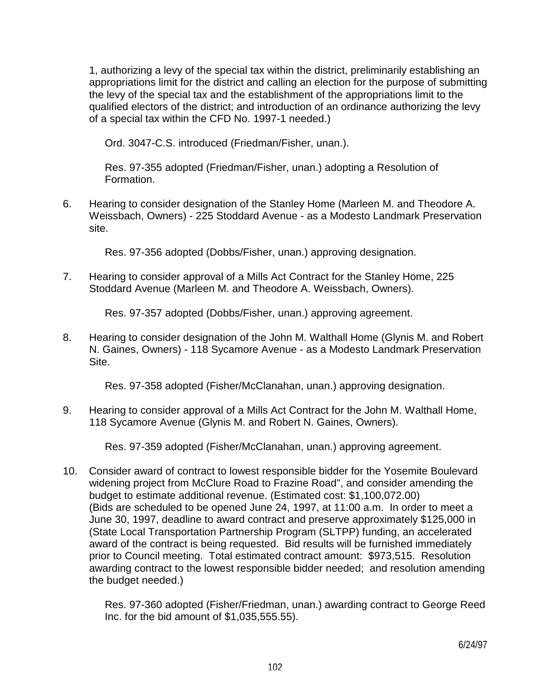1, authorizing a levy of the special tax within the district, preliminarily establishing an appropriations limit for the district and calling an election for the purpose of submitting the levy of the special tax and the establishment of the appropriations limit to the qualified electors of the district; and introduction of an ordinance authorizing the levy of a special tax within the CFD No. 1997-1 needed.)

Ord. 3047-C.S. introduced (Friedman/Fisher, unan.).

 Res. 97-355 adopted (Friedman/Fisher, unan.) adopting a Resolution of Formation.

6. Hearing to consider designation of the Stanley Home (Marleen M. and Theodore A. Weissbach, Owners) - 225 Stoddard Avenue - as a Modesto Landmark Preservation site.

Res. 97-356 adopted (Dobbs/Fisher, unan.) approving designation.

7. Hearing to consider approval of a Mills Act Contract for the Stanley Home, 225 Stoddard Avenue (Marleen M. and Theodore A. Weissbach, Owners).

Res. 97-357 adopted (Dobbs/Fisher, unan.) approving agreement.

8. Hearing to consider designation of the John M. Walthall Home (Glynis M. and Robert N. Gaines, Owners) - 118 Sycamore Avenue - as a Modesto Landmark Preservation Site.

Res. 97-358 adopted (Fisher/McClanahan, unan.) approving designation.

9. Hearing to consider approval of a Mills Act Contract for the John M. Walthall Home, 118 Sycamore Avenue (Glynis M. and Robert N. Gaines, Owners).

Res. 97-359 adopted (Fisher/McClanahan, unan.) approving agreement.

10. Consider award of contract to lowest responsible bidder for the Yosemite Boulevard widening project from McClure Road to Frazine Road", and consider amending the budget to estimate additional revenue. (Estimated cost: \$1,100,072.00) (Bids are scheduled to be opened June 24, 1997, at 11:00 a.m. In order to meet a June 30, 1997, deadline to award contract and preserve approximately \$125,000 in (State Local Transportation Partnership Program (SLTPP) funding, an accelerated award of the contract is being requested. Bid results will be furnished immediately prior to Council meeting. Total estimated contract amount: \$973,515. Resolution awarding contract to the lowest responsible bidder needed; and resolution amending the budget needed.)

 Res. 97-360 adopted (Fisher/Friedman, unan.) awarding contract to George Reed Inc. for the bid amount of \$1,035,555.55).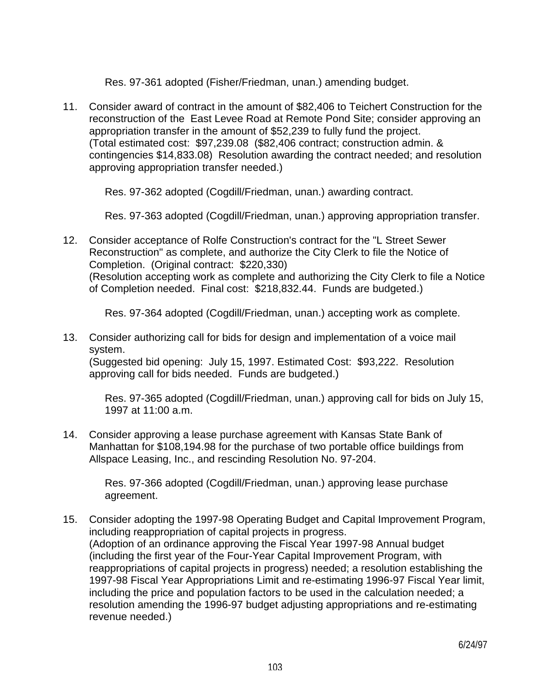Res. 97-361 adopted (Fisher/Friedman, unan.) amending budget.

11. Consider award of contract in the amount of \$82,406 to Teichert Construction for the reconstruction of the East Levee Road at Remote Pond Site; consider approving an appropriation transfer in the amount of \$52,239 to fully fund the project. (Total estimated cost: \$97,239.08 (\$82,406 contract; construction admin. & contingencies \$14,833.08) Resolution awarding the contract needed; and resolution approving appropriation transfer needed.)

Res. 97-362 adopted (Cogdill/Friedman, unan.) awarding contract.

Res. 97-363 adopted (Cogdill/Friedman, unan.) approving appropriation transfer.

12. Consider acceptance of Rolfe Construction's contract for the "L Street Sewer Reconstruction" as complete, and authorize the City Clerk to file the Notice of Completion. (Original contract: \$220,330) (Resolution accepting work as complete and authorizing the City Clerk to file a Notice of Completion needed. Final cost: \$218,832.44. Funds are budgeted.)

Res. 97-364 adopted (Cogdill/Friedman, unan.) accepting work as complete.

13. Consider authorizing call for bids for design and implementation of a voice mail system.

 (Suggested bid opening: July 15, 1997. Estimated Cost: \$93,222. Resolution approving call for bids needed. Funds are budgeted.)

 Res. 97-365 adopted (Cogdill/Friedman, unan.) approving call for bids on July 15, 1997 at 11:00 a.m.

14. Consider approving a lease purchase agreement with Kansas State Bank of Manhattan for \$108,194.98 for the purchase of two portable office buildings from Allspace Leasing, Inc., and rescinding Resolution No. 97-204.

 Res. 97-366 adopted (Cogdill/Friedman, unan.) approving lease purchase agreement.

15. Consider adopting the 1997-98 Operating Budget and Capital Improvement Program, including reappropriation of capital projects in progress. (Adoption of an ordinance approving the Fiscal Year 1997-98 Annual budget (including the first year of the Four-Year Capital Improvement Program, with reappropriations of capital projects in progress) needed; a resolution establishing the 1997-98 Fiscal Year Appropriations Limit and re-estimating 1996-97 Fiscal Year limit, including the price and population factors to be used in the calculation needed; a resolution amending the 1996-97 budget adjusting appropriations and re-estimating revenue needed.)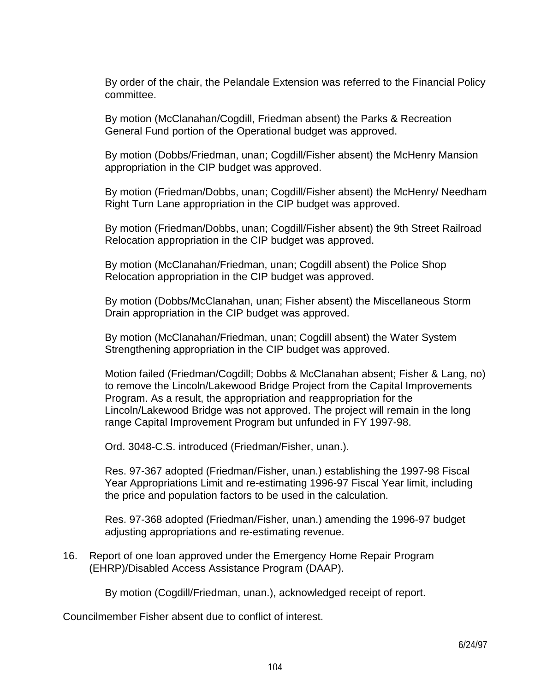By order of the chair, the Pelandale Extension was referred to the Financial Policy committee.

 By motion (McClanahan/Cogdill, Friedman absent) the Parks & Recreation General Fund portion of the Operational budget was approved.

 By motion (Dobbs/Friedman, unan; Cogdill/Fisher absent) the McHenry Mansion appropriation in the CIP budget was approved.

 By motion (Friedman/Dobbs, unan; Cogdill/Fisher absent) the McHenry/ Needham Right Turn Lane appropriation in the CIP budget was approved.

 By motion (Friedman/Dobbs, unan; Cogdill/Fisher absent) the 9th Street Railroad Relocation appropriation in the CIP budget was approved.

 By motion (McClanahan/Friedman, unan; Cogdill absent) the Police Shop Relocation appropriation in the CIP budget was approved.

 By motion (Dobbs/McClanahan, unan; Fisher absent) the Miscellaneous Storm Drain appropriation in the CIP budget was approved.

 By motion (McClanahan/Friedman, unan; Cogdill absent) the Water System Strengthening appropriation in the CIP budget was approved.

 Motion failed (Friedman/Cogdill; Dobbs & McClanahan absent; Fisher & Lang, no) to remove the Lincoln/Lakewood Bridge Project from the Capital Improvements Program. As a result, the appropriation and reappropriation for the Lincoln/Lakewood Bridge was not approved. The project will remain in the long range Capital Improvement Program but unfunded in FY 1997-98.

Ord. 3048-C.S. introduced (Friedman/Fisher, unan.).

 Res. 97-367 adopted (Friedman/Fisher, unan.) establishing the 1997-98 Fiscal Year Appropriations Limit and re-estimating 1996-97 Fiscal Year limit, including the price and population factors to be used in the calculation.

 Res. 97-368 adopted (Friedman/Fisher, unan.) amending the 1996-97 budget adjusting appropriations and re-estimating revenue.

16. Report of one loan approved under the Emergency Home Repair Program (EHRP)/Disabled Access Assistance Program (DAAP).

By motion (Cogdill/Friedman, unan.), acknowledged receipt of report.

Councilmember Fisher absent due to conflict of interest.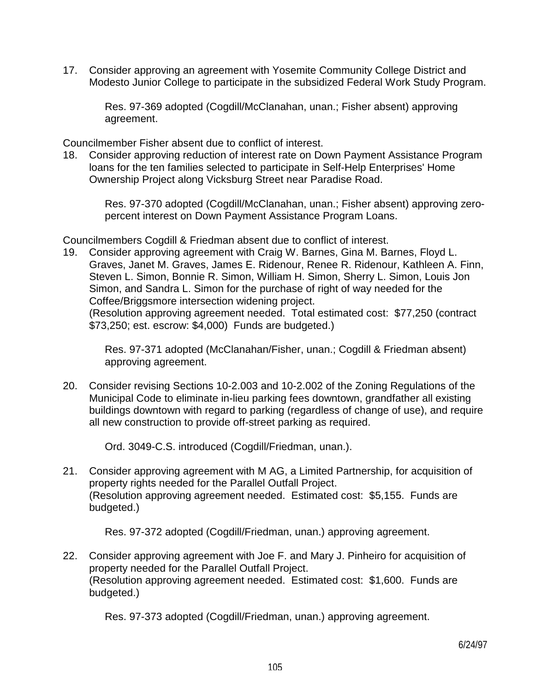17. Consider approving an agreement with Yosemite Community College District and Modesto Junior College to participate in the subsidized Federal Work Study Program.

 Res. 97-369 adopted (Cogdill/McClanahan, unan.; Fisher absent) approving agreement.

Councilmember Fisher absent due to conflict of interest.

18. Consider approving reduction of interest rate on Down Payment Assistance Program loans for the ten families selected to participate in Self-Help Enterprises' Home Ownership Project along Vicksburg Street near Paradise Road.

 Res. 97-370 adopted (Cogdill/McClanahan, unan.; Fisher absent) approving zeropercent interest on Down Payment Assistance Program Loans.

Councilmembers Cogdill & Friedman absent due to conflict of interest.

19. Consider approving agreement with Craig W. Barnes, Gina M. Barnes, Floyd L. Graves, Janet M. Graves, James E. Ridenour, Renee R. Ridenour, Kathleen A. Finn, Steven L. Simon, Bonnie R. Simon, William H. Simon, Sherry L. Simon, Louis Jon Simon, and Sandra L. Simon for the purchase of right of way needed for the Coffee/Briggsmore intersection widening project. (Resolution approving agreement needed. Total estimated cost: \$77,250 (contract

\$73,250; est. escrow: \$4,000) Funds are budgeted.)

 Res. 97-371 adopted (McClanahan/Fisher, unan.; Cogdill & Friedman absent) approving agreement.

20. Consider revising Sections 10-2.003 and 10-2.002 of the Zoning Regulations of the Municipal Code to eliminate in-lieu parking fees downtown, grandfather all existing buildings downtown with regard to parking (regardless of change of use), and require all new construction to provide off-street parking as required.

Ord. 3049-C.S. introduced (Cogdill/Friedman, unan.).

21. Consider approving agreement with M AG, a Limited Partnership, for acquisition of property rights needed for the Parallel Outfall Project. (Resolution approving agreement needed. Estimated cost: \$5,155. Funds are budgeted.)

Res. 97-372 adopted (Cogdill/Friedman, unan.) approving agreement.

22. Consider approving agreement with Joe F. and Mary J. Pinheiro for acquisition of property needed for the Parallel Outfall Project. (Resolution approving agreement needed. Estimated cost: \$1,600. Funds are budgeted.)

Res. 97-373 adopted (Cogdill/Friedman, unan.) approving agreement.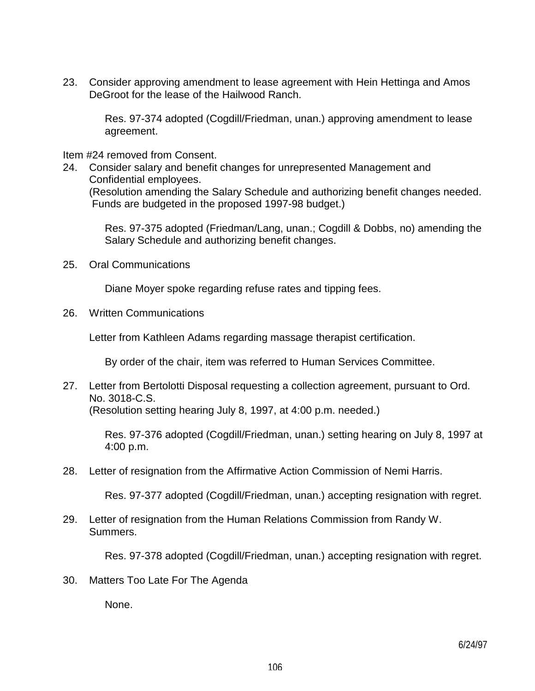23. Consider approving amendment to lease agreement with Hein Hettinga and Amos DeGroot for the lease of the Hailwood Ranch.

 Res. 97-374 adopted (Cogdill/Friedman, unan.) approving amendment to lease agreement.

Item #24 removed from Consent.

24. Consider salary and benefit changes for unrepresented Management and Confidential employees. (Resolution amending the Salary Schedule and authorizing benefit changes needed. Funds are budgeted in the proposed 1997-98 budget.)

> Res. 97-375 adopted (Friedman/Lang, unan.; Cogdill & Dobbs, no) amending the Salary Schedule and authorizing benefit changes.

25. Oral Communications

Diane Moyer spoke regarding refuse rates and tipping fees.

26. Written Communications

Letter from Kathleen Adams regarding massage therapist certification.

By order of the chair, item was referred to Human Services Committee.

27. Letter from Bertolotti Disposal requesting a collection agreement, pursuant to Ord. No. 3018-C.S.

(Resolution setting hearing July 8, 1997, at 4:00 p.m. needed.)

 Res. 97-376 adopted (Cogdill/Friedman, unan.) setting hearing on July 8, 1997 at 4:00 p.m.

28. Letter of resignation from the Affirmative Action Commission of Nemi Harris.

Res. 97-377 adopted (Cogdill/Friedman, unan.) accepting resignation with regret.

29. Letter of resignation from the Human Relations Commission from Randy W. Summers.

Res. 97-378 adopted (Cogdill/Friedman, unan.) accepting resignation with regret.

30. Matters Too Late For The Agenda

None.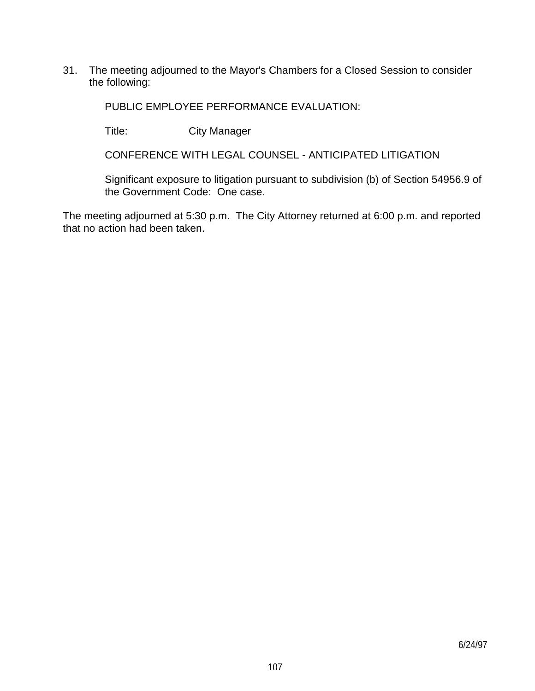31. The meeting adjourned to the Mayor's Chambers for a Closed Session to consider the following:

PUBLIC EMPLOYEE PERFORMANCE EVALUATION:

Title: City Manager

CONFERENCE WITH LEGAL COUNSEL - ANTICIPATED LITIGATION

 Significant exposure to litigation pursuant to subdivision (b) of Section 54956.9 of the Government Code: One case.

The meeting adjourned at 5:30 p.m. The City Attorney returned at 6:00 p.m. and reported that no action had been taken.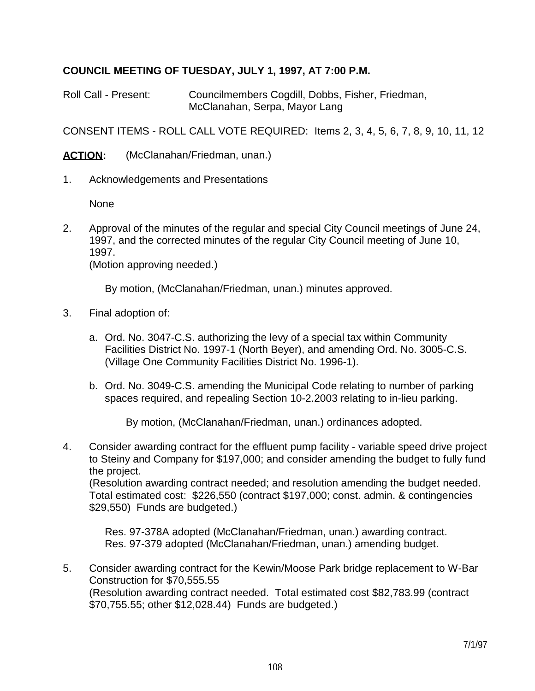# **COUNCIL MEETING OF TUESDAY, JULY 1, 1997, AT 7:00 P.M.**

Roll Call - Present: Councilmembers Cogdill, Dobbs, Fisher, Friedman, McClanahan, Serpa, Mayor Lang

CONSENT ITEMS - ROLL CALL VOTE REQUIRED: Items 2, 3, 4, 5, 6, 7, 8, 9, 10, 11, 12

ACTION: (McClanahan/Friedman, unan.)

1. Acknowledgements and Presentations

None

2. Approval of the minutes of the regular and special City Council meetings of June 24, 1997, and the corrected minutes of the regular City Council meeting of June 10, 1997.

(Motion approving needed.)

By motion, (McClanahan/Friedman, unan.) minutes approved.

- 3. Final adoption of:
	- a. Ord. No. 3047-C.S. authorizing the levy of a special tax within Community Facilities District No. 1997-1 (North Beyer), and amending Ord. No. 3005-C.S. (Village One Community Facilities District No. 1996-1).
	- b. Ord. No. 3049-C.S. amending the Municipal Code relating to number of parking spaces required, and repealing Section 10-2.2003 relating to in-lieu parking.

By motion, (McClanahan/Friedman, unan.) ordinances adopted.

4. Consider awarding contract for the effluent pump facility - variable speed drive project to Steiny and Company for \$197,000; and consider amending the budget to fully fund the project.

 (Resolution awarding contract needed; and resolution amending the budget needed. Total estimated cost: \$226,550 (contract \$197,000; const. admin. & contingencies \$29,550) Funds are budgeted.)

 Res. 97-378A adopted (McClanahan/Friedman, unan.) awarding contract. Res. 97-379 adopted (McClanahan/Friedman, unan.) amending budget.

5. Consider awarding contract for the Kewin/Moose Park bridge replacement to W-Bar Construction for \$70,555.55 (Resolution awarding contract needed. Total estimated cost \$82,783.99 (contract \$70,755.55; other \$12,028.44) Funds are budgeted.)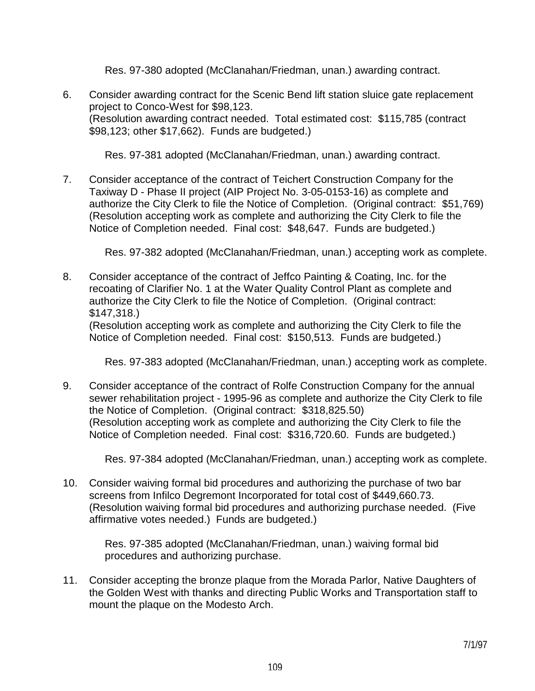Res. 97-380 adopted (McClanahan/Friedman, unan.) awarding contract.

6. Consider awarding contract for the Scenic Bend lift station sluice gate replacement project to Conco-West for \$98,123. (Resolution awarding contract needed. Total estimated cost: \$115,785 (contract \$98,123; other \$17,662). Funds are budgeted.)

Res. 97-381 adopted (McClanahan/Friedman, unan.) awarding contract.

7. Consider acceptance of the contract of Teichert Construction Company for the Taxiway D - Phase II project (AIP Project No. 3-05-0153-16) as complete and authorize the City Clerk to file the Notice of Completion. (Original contract: \$51,769) (Resolution accepting work as complete and authorizing the City Clerk to file the Notice of Completion needed. Final cost: \$48,647. Funds are budgeted.)

Res. 97-382 adopted (McClanahan/Friedman, unan.) accepting work as complete.

8. Consider acceptance of the contract of Jeffco Painting & Coating, Inc. for the recoating of Clarifier No. 1 at the Water Quality Control Plant as complete and authorize the City Clerk to file the Notice of Completion. (Original contract: \$147,318.)

 (Resolution accepting work as complete and authorizing the City Clerk to file the Notice of Completion needed. Final cost: \$150,513. Funds are budgeted.)

Res. 97-383 adopted (McClanahan/Friedman, unan.) accepting work as complete.

9. Consider acceptance of the contract of Rolfe Construction Company for the annual sewer rehabilitation project - 1995-96 as complete and authorize the City Clerk to file the Notice of Completion. (Original contract: \$318,825.50) (Resolution accepting work as complete and authorizing the City Clerk to file the Notice of Completion needed. Final cost: \$316,720.60. Funds are budgeted.)

Res. 97-384 adopted (McClanahan/Friedman, unan.) accepting work as complete.

10. Consider waiving formal bid procedures and authorizing the purchase of two bar screens from Infilco Degremont Incorporated for total cost of \$449,660.73. (Resolution waiving formal bid procedures and authorizing purchase needed. (Five affirmative votes needed.) Funds are budgeted.)

 Res. 97-385 adopted (McClanahan/Friedman, unan.) waiving formal bid procedures and authorizing purchase.

11. Consider accepting the bronze plaque from the Morada Parlor, Native Daughters of the Golden West with thanks and directing Public Works and Transportation staff to mount the plaque on the Modesto Arch.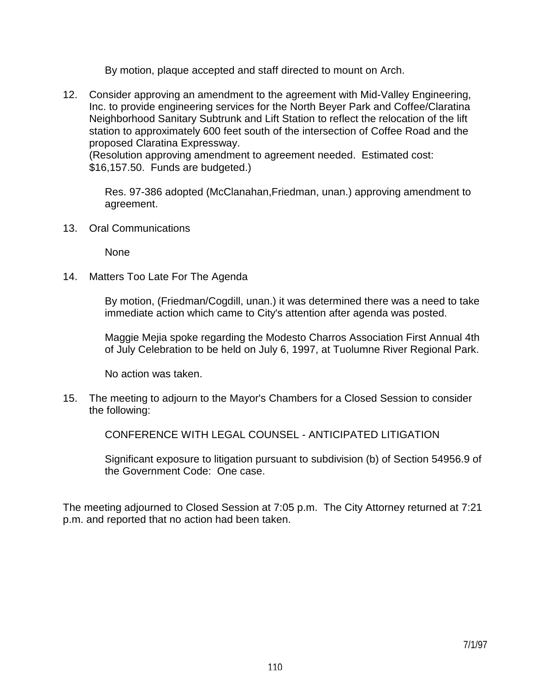By motion, plaque accepted and staff directed to mount on Arch.

12. Consider approving an amendment to the agreement with Mid-Valley Engineering, Inc. to provide engineering services for the North Beyer Park and Coffee/Claratina Neighborhood Sanitary Subtrunk and Lift Station to reflect the relocation of the lift station to approximately 600 feet south of the intersection of Coffee Road and the proposed Claratina Expressway.

 (Resolution approving amendment to agreement needed. Estimated cost: \$16,157.50. Funds are budgeted.)

 Res. 97-386 adopted (McClanahan,Friedman, unan.) approving amendment to agreement.

13. Oral Communications

None

14. Matters Too Late For The Agenda

 By motion, (Friedman/Cogdill, unan.) it was determined there was a need to take immediate action which came to City's attention after agenda was posted.

 Maggie Mejia spoke regarding the Modesto Charros Association First Annual 4th of July Celebration to be held on July 6, 1997, at Tuolumne River Regional Park.

No action was taken.

15. The meeting to adjourn to the Mayor's Chambers for a Closed Session to consider the following:

CONFERENCE WITH LEGAL COUNSEL - ANTICIPATED LITIGATION

 Significant exposure to litigation pursuant to subdivision (b) of Section 54956.9 of the Government Code: One case.

The meeting adjourned to Closed Session at 7:05 p.m. The City Attorney returned at 7:21 p.m. and reported that no action had been taken.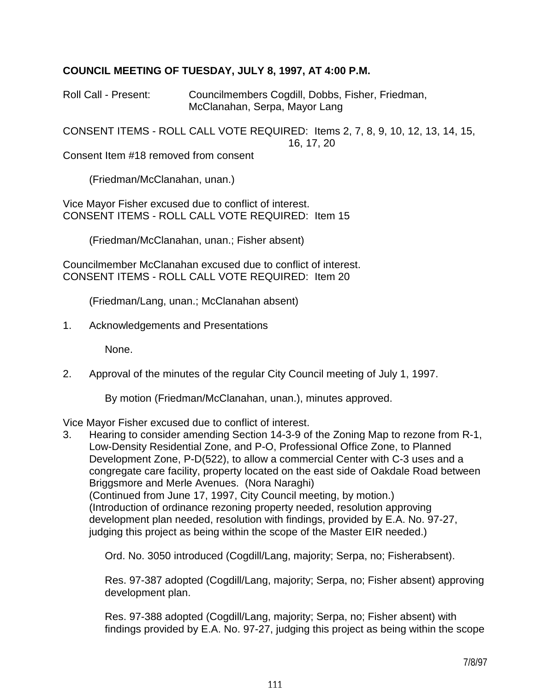# **COUNCIL MEETING OF TUESDAY, JULY 8, 1997, AT 4:00 P.M.**

Roll Call - Present: Councilmembers Cogdill, Dobbs, Fisher, Friedman, McClanahan, Serpa, Mayor Lang

CONSENT ITEMS - ROLL CALL VOTE REQUIRED: Items 2, 7, 8, 9, 10, 12, 13, 14, 15, 16, 17, 20

Consent Item #18 removed from consent

(Friedman/McClanahan, unan.)

Vice Mayor Fisher excused due to conflict of interest. CONSENT ITEMS - ROLL CALL VOTE REQUIRED: Item 15

(Friedman/McClanahan, unan.; Fisher absent)

Councilmember McClanahan excused due to conflict of interest. CONSENT ITEMS - ROLL CALL VOTE REQUIRED: Item 20

(Friedman/Lang, unan.; McClanahan absent)

1. Acknowledgements and Presentations

None.

2. Approval of the minutes of the regular City Council meeting of July 1, 1997.

By motion (Friedman/McClanahan, unan.), minutes approved.

Vice Mayor Fisher excused due to conflict of interest.

3. Hearing to consider amending Section 14-3-9 of the Zoning Map to rezone from R-1, Low-Density Residential Zone, and P-O, Professional Office Zone, to Planned Development Zone, P-D(522), to allow a commercial Center with C-3 uses and a congregate care facility, property located on the east side of Oakdale Road between Briggsmore and Merle Avenues. (Nora Naraghi) (Continued from June 17, 1997, City Council meeting, by motion.) (Introduction of ordinance rezoning property needed, resolution approving development plan needed, resolution with findings, provided by E.A. No. 97-27, judging this project as being within the scope of the Master EIR needed.)

Ord. No. 3050 introduced (Cogdill/Lang, majority; Serpa, no; Fisherabsent).

 Res. 97-387 adopted (Cogdill/Lang, majority; Serpa, no; Fisher absent) approving development plan.

 Res. 97-388 adopted (Cogdill/Lang, majority; Serpa, no; Fisher absent) with findings provided by E.A. No. 97-27, judging this project as being within the scope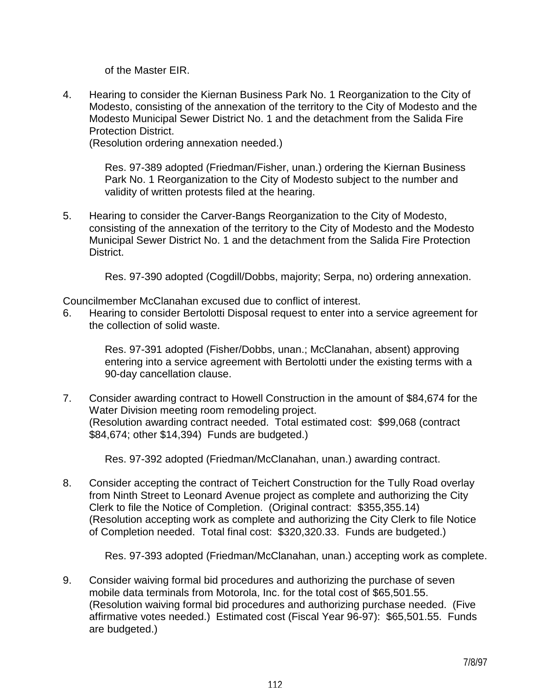of the Master EIR.

4. Hearing to consider the Kiernan Business Park No. 1 Reorganization to the City of Modesto, consisting of the annexation of the territory to the City of Modesto and the Modesto Municipal Sewer District No. 1 and the detachment from the Salida Fire Protection District.

(Resolution ordering annexation needed.)

 Res. 97-389 adopted (Friedman/Fisher, unan.) ordering the Kiernan Business Park No. 1 Reorganization to the City of Modesto subject to the number and validity of written protests filed at the hearing.

5. Hearing to consider the Carver-Bangs Reorganization to the City of Modesto, consisting of the annexation of the territory to the City of Modesto and the Modesto Municipal Sewer District No. 1 and the detachment from the Salida Fire Protection District.

Res. 97-390 adopted (Cogdill/Dobbs, majority; Serpa, no) ordering annexation.

Councilmember McClanahan excused due to conflict of interest.

6. Hearing to consider Bertolotti Disposal request to enter into a service agreement for the collection of solid waste.

> Res. 97-391 adopted (Fisher/Dobbs, unan.; McClanahan, absent) approving entering into a service agreement with Bertolotti under the existing terms with a 90-day cancellation clause.

7. Consider awarding contract to Howell Construction in the amount of \$84,674 for the Water Division meeting room remodeling project. (Resolution awarding contract needed. Total estimated cost: \$99,068 (contract \$84,674; other \$14,394) Funds are budgeted.)

Res. 97-392 adopted (Friedman/McClanahan, unan.) awarding contract.

8. Consider accepting the contract of Teichert Construction for the Tully Road overlay from Ninth Street to Leonard Avenue project as complete and authorizing the City Clerk to file the Notice of Completion. (Original contract: \$355,355.14) (Resolution accepting work as complete and authorizing the City Clerk to file Notice of Completion needed. Total final cost: \$320,320.33. Funds are budgeted.)

Res. 97-393 adopted (Friedman/McClanahan, unan.) accepting work as complete.

9. Consider waiving formal bid procedures and authorizing the purchase of seven mobile data terminals from Motorola, Inc. for the total cost of \$65,501.55. (Resolution waiving formal bid procedures and authorizing purchase needed. (Five affirmative votes needed.) Estimated cost (Fiscal Year 96-97): \$65,501.55. Funds are budgeted.)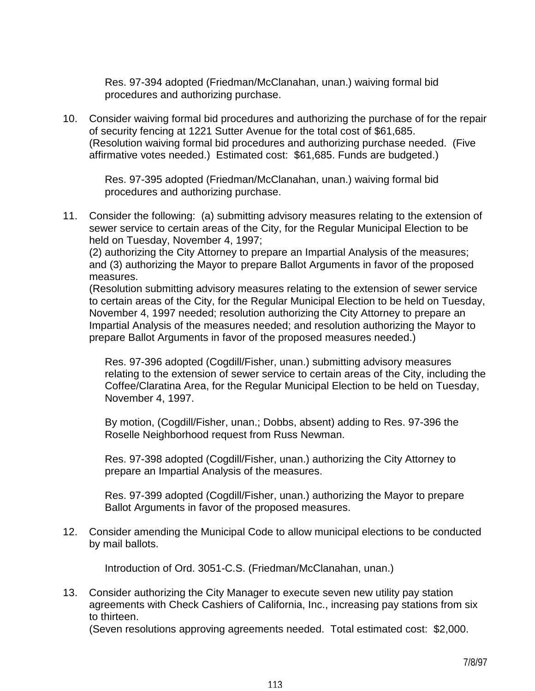Res. 97-394 adopted (Friedman/McClanahan, unan.) waiving formal bid procedures and authorizing purchase.

10. Consider waiving formal bid procedures and authorizing the purchase of for the repair of security fencing at 1221 Sutter Avenue for the total cost of \$61,685. (Resolution waiving formal bid procedures and authorizing purchase needed. (Five affirmative votes needed.) Estimated cost: \$61,685. Funds are budgeted.)

 Res. 97-395 adopted (Friedman/McClanahan, unan.) waiving formal bid procedures and authorizing purchase.

11. Consider the following: (a) submitting advisory measures relating to the extension of sewer service to certain areas of the City, for the Regular Municipal Election to be held on Tuesday, November 4, 1997;

 (2) authorizing the City Attorney to prepare an Impartial Analysis of the measures; and (3) authorizing the Mayor to prepare Ballot Arguments in favor of the proposed measures.

 (Resolution submitting advisory measures relating to the extension of sewer service to certain areas of the City, for the Regular Municipal Election to be held on Tuesday, November 4, 1997 needed; resolution authorizing the City Attorney to prepare an Impartial Analysis of the measures needed; and resolution authorizing the Mayor to prepare Ballot Arguments in favor of the proposed measures needed.)

 Res. 97-396 adopted (Cogdill/Fisher, unan.) submitting advisory measures relating to the extension of sewer service to certain areas of the City, including the Coffee/Claratina Area, for the Regular Municipal Election to be held on Tuesday, November 4, 1997.

 By motion, (Cogdill/Fisher, unan.; Dobbs, absent) adding to Res. 97-396 the Roselle Neighborhood request from Russ Newman.

 Res. 97-398 adopted (Cogdill/Fisher, unan.) authorizing the City Attorney to prepare an Impartial Analysis of the measures.

 Res. 97-399 adopted (Cogdill/Fisher, unan.) authorizing the Mayor to prepare Ballot Arguments in favor of the proposed measures.

12. Consider amending the Municipal Code to allow municipal elections to be conducted by mail ballots.

Introduction of Ord. 3051-C.S. (Friedman/McClanahan, unan.)

13. Consider authorizing the City Manager to execute seven new utility pay station agreements with Check Cashiers of California, Inc., increasing pay stations from six to thirteen.

(Seven resolutions approving agreements needed. Total estimated cost: \$2,000.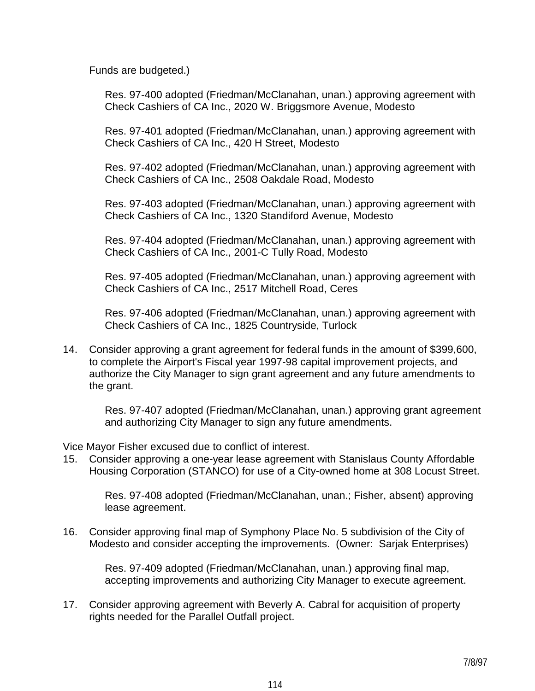Funds are budgeted.)

 Res. 97-400 adopted (Friedman/McClanahan, unan.) approving agreement with Check Cashiers of CA Inc., 2020 W. Briggsmore Avenue, Modesto

 Res. 97-401 adopted (Friedman/McClanahan, unan.) approving agreement with Check Cashiers of CA Inc., 420 H Street, Modesto

 Res. 97-402 adopted (Friedman/McClanahan, unan.) approving agreement with Check Cashiers of CA Inc., 2508 Oakdale Road, Modesto

 Res. 97-403 adopted (Friedman/McClanahan, unan.) approving agreement with Check Cashiers of CA Inc., 1320 Standiford Avenue, Modesto

 Res. 97-404 adopted (Friedman/McClanahan, unan.) approving agreement with Check Cashiers of CA Inc., 2001-C Tully Road, Modesto

 Res. 97-405 adopted (Friedman/McClanahan, unan.) approving agreement with Check Cashiers of CA Inc., 2517 Mitchell Road, Ceres

 Res. 97-406 adopted (Friedman/McClanahan, unan.) approving agreement with Check Cashiers of CA Inc., 1825 Countryside, Turlock

14. Consider approving a grant agreement for federal funds in the amount of \$399,600, to complete the Airport's Fiscal year 1997-98 capital improvement projects, and authorize the City Manager to sign grant agreement and any future amendments to the grant.

 Res. 97-407 adopted (Friedman/McClanahan, unan.) approving grant agreement and authorizing City Manager to sign any future amendments.

Vice Mayor Fisher excused due to conflict of interest.

15. Consider approving a one-year lease agreement with Stanislaus County Affordable Housing Corporation (STANCO) for use of a City-owned home at 308 Locust Street.

 Res. 97-408 adopted (Friedman/McClanahan, unan.; Fisher, absent) approving lease agreement.

16. Consider approving final map of Symphony Place No. 5 subdivision of the City of Modesto and consider accepting the improvements. (Owner: Sarjak Enterprises)

 Res. 97-409 adopted (Friedman/McClanahan, unan.) approving final map, accepting improvements and authorizing City Manager to execute agreement.

17. Consider approving agreement with Beverly A. Cabral for acquisition of property rights needed for the Parallel Outfall project.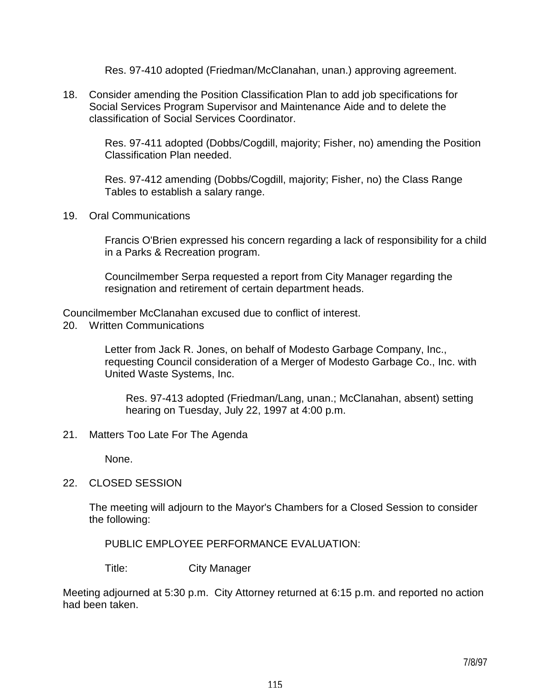Res. 97-410 adopted (Friedman/McClanahan, unan.) approving agreement.

18. Consider amending the Position Classification Plan to add job specifications for Social Services Program Supervisor and Maintenance Aide and to delete the classification of Social Services Coordinator.

> Res. 97-411 adopted (Dobbs/Cogdill, majority; Fisher, no) amending the Position Classification Plan needed.

 Res. 97-412 amending (Dobbs/Cogdill, majority; Fisher, no) the Class Range Tables to establish a salary range.

19. Oral Communications

 Francis O'Brien expressed his concern regarding a lack of responsibility for a child in a Parks & Recreation program.

 Councilmember Serpa requested a report from City Manager regarding the resignation and retirement of certain department heads.

Councilmember McClanahan excused due to conflict of interest.

20. Written Communications

 Letter from Jack R. Jones, on behalf of Modesto Garbage Company, Inc., requesting Council consideration of a Merger of Modesto Garbage Co., Inc. with United Waste Systems, Inc.

 Res. 97-413 adopted (Friedman/Lang, unan.; McClanahan, absent) setting hearing on Tuesday, July 22, 1997 at 4:00 p.m.

21. Matters Too Late For The Agenda

None.

22. CLOSED SESSION

 The meeting will adjourn to the Mayor's Chambers for a Closed Session to consider the following:

PUBLIC EMPLOYEE PERFORMANCE EVALUATION:

Title: City Manager

Meeting adjourned at 5:30 p.m. City Attorney returned at 6:15 p.m. and reported no action had been taken.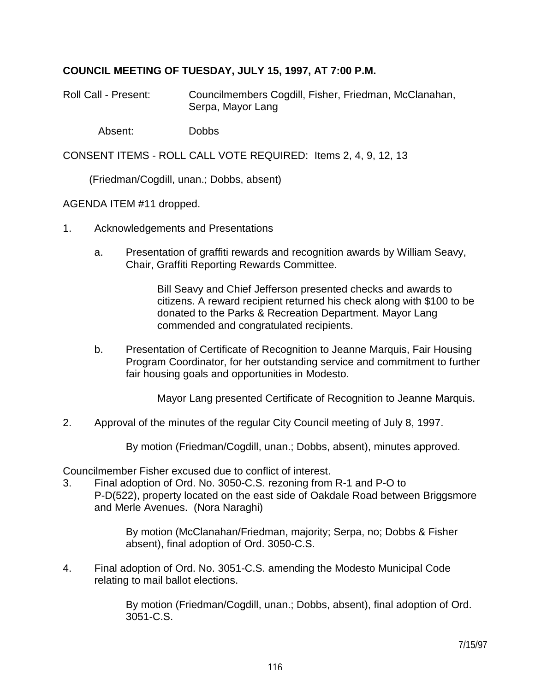# **COUNCIL MEETING OF TUESDAY, JULY 15, 1997, AT 7:00 P.M.**

- Roll Call Present: Councilmembers Cogdill, Fisher, Friedman, McClanahan, Serpa, Mayor Lang
	- Absent: Dobbs

CONSENT ITEMS - ROLL CALL VOTE REQUIRED: Items 2, 4, 9, 12, 13

(Friedman/Cogdill, unan.; Dobbs, absent)

AGENDA ITEM #11 dropped.

- 1. Acknowledgements and Presentations
	- a. Presentation of graffiti rewards and recognition awards by William Seavy, Chair, Graffiti Reporting Rewards Committee.

 Bill Seavy and Chief Jefferson presented checks and awards to citizens. A reward recipient returned his check along with \$100 to be donated to the Parks & Recreation Department. Mayor Lang commended and congratulated recipients.

 b. Presentation of Certificate of Recognition to Jeanne Marquis, Fair Housing Program Coordinator, for her outstanding service and commitment to further fair housing goals and opportunities in Modesto.

Mayor Lang presented Certificate of Recognition to Jeanne Marquis.

2. Approval of the minutes of the regular City Council meeting of July 8, 1997.

By motion (Friedman/Cogdill, unan.; Dobbs, absent), minutes approved.

Councilmember Fisher excused due to conflict of interest.

3. Final adoption of Ord. No. 3050-C.S. rezoning from R-1 and P-O to P-D(522), property located on the east side of Oakdale Road between Briggsmore and Merle Avenues. (Nora Naraghi)

> By motion (McClanahan/Friedman, majority; Serpa, no; Dobbs & Fisher absent), final adoption of Ord. 3050-C.S.

4. Final adoption of Ord. No. 3051-C.S. amending the Modesto Municipal Code relating to mail ballot elections.

> By motion (Friedman/Cogdill, unan.; Dobbs, absent), final adoption of Ord. 3051-C.S.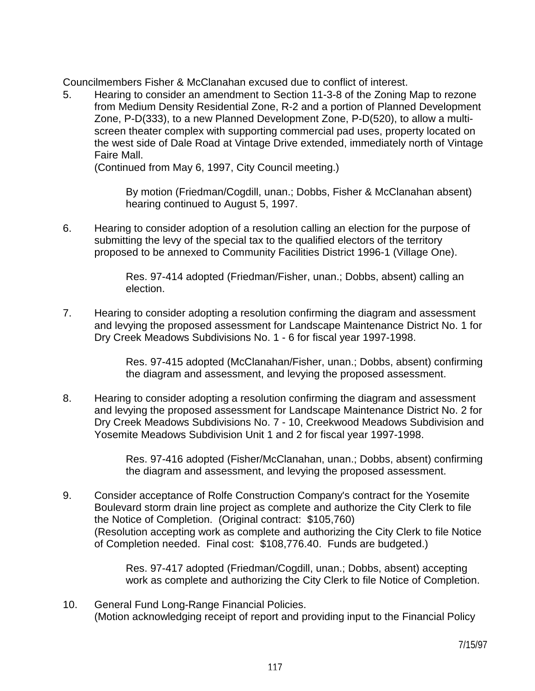Councilmembers Fisher & McClanahan excused due to conflict of interest.

5. Hearing to consider an amendment to Section 11-3-8 of the Zoning Map to rezone from Medium Density Residential Zone, R-2 and a portion of Planned Development Zone, P-D(333), to a new Planned Development Zone, P-D(520), to allow a multiscreen theater complex with supporting commercial pad uses, property located on the west side of Dale Road at Vintage Drive extended, immediately north of Vintage Faire Mall.

(Continued from May 6, 1997, City Council meeting.)

 By motion (Friedman/Cogdill, unan.; Dobbs, Fisher & McClanahan absent) hearing continued to August 5, 1997.

6. Hearing to consider adoption of a resolution calling an election for the purpose of submitting the levy of the special tax to the qualified electors of the territory proposed to be annexed to Community Facilities District 1996-1 (Village One).

> Res. 97-414 adopted (Friedman/Fisher, unan.; Dobbs, absent) calling an election.

7. Hearing to consider adopting a resolution confirming the diagram and assessment and levying the proposed assessment for Landscape Maintenance District No. 1 for Dry Creek Meadows Subdivisions No. 1 - 6 for fiscal year 1997-1998.

> Res. 97-415 adopted (McClanahan/Fisher, unan.; Dobbs, absent) confirming the diagram and assessment, and levying the proposed assessment.

8. Hearing to consider adopting a resolution confirming the diagram and assessment and levying the proposed assessment for Landscape Maintenance District No. 2 for Dry Creek Meadows Subdivisions No. 7 - 10, Creekwood Meadows Subdivision and Yosemite Meadows Subdivision Unit 1 and 2 for fiscal year 1997-1998.

> Res. 97-416 adopted (Fisher/McClanahan, unan.; Dobbs, absent) confirming the diagram and assessment, and levying the proposed assessment.

9. Consider acceptance of Rolfe Construction Company's contract for the Yosemite Boulevard storm drain line project as complete and authorize the City Clerk to file the Notice of Completion. (Original contract: \$105,760) (Resolution accepting work as complete and authorizing the City Clerk to file Notice of Completion needed. Final cost: \$108,776.40. Funds are budgeted.)

> Res. 97-417 adopted (Friedman/Cogdill, unan.; Dobbs, absent) accepting work as complete and authorizing the City Clerk to file Notice of Completion.

10. General Fund Long-Range Financial Policies. (Motion acknowledging receipt of report and providing input to the Financial Policy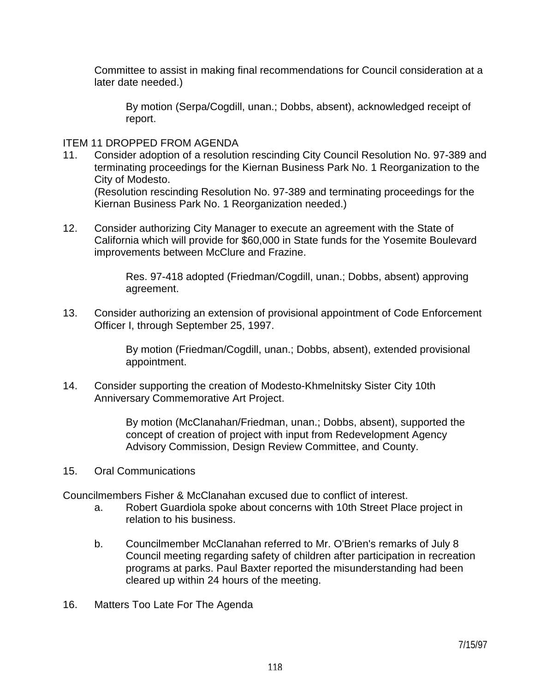Committee to assist in making final recommendations for Council consideration at a later date needed.)

 By motion (Serpa/Cogdill, unan.; Dobbs, absent), acknowledged receipt of report.

#### ITEM 11 DROPPED FROM AGENDA

11. Consider adoption of a resolution rescinding City Council Resolution No. 97-389 and terminating proceedings for the Kiernan Business Park No. 1 Reorganization to the City of Modesto.

 (Resolution rescinding Resolution No. 97-389 and terminating proceedings for the Kiernan Business Park No. 1 Reorganization needed.)

12. Consider authorizing City Manager to execute an agreement with the State of California which will provide for \$60,000 in State funds for the Yosemite Boulevard improvements between McClure and Frazine.

> Res. 97-418 adopted (Friedman/Cogdill, unan.; Dobbs, absent) approving agreement.

13. Consider authorizing an extension of provisional appointment of Code Enforcement Officer I, through September 25, 1997.

> By motion (Friedman/Cogdill, unan.; Dobbs, absent), extended provisional appointment.

14. Consider supporting the creation of Modesto-Khmelnitsky Sister City 10th Anniversary Commemorative Art Project.

> By motion (McClanahan/Friedman, unan.; Dobbs, absent), supported the concept of creation of project with input from Redevelopment Agency Advisory Commission, Design Review Committee, and County.

15. Oral Communications

Councilmembers Fisher & McClanahan excused due to conflict of interest.

- a. Robert Guardiola spoke about concerns with 10th Street Place project in relation to his business.
- b. Councilmember McClanahan referred to Mr. O'Brien's remarks of July 8 Council meeting regarding safety of children after participation in recreation programs at parks. Paul Baxter reported the misunderstanding had been cleared up within 24 hours of the meeting.
- 16. Matters Too Late For The Agenda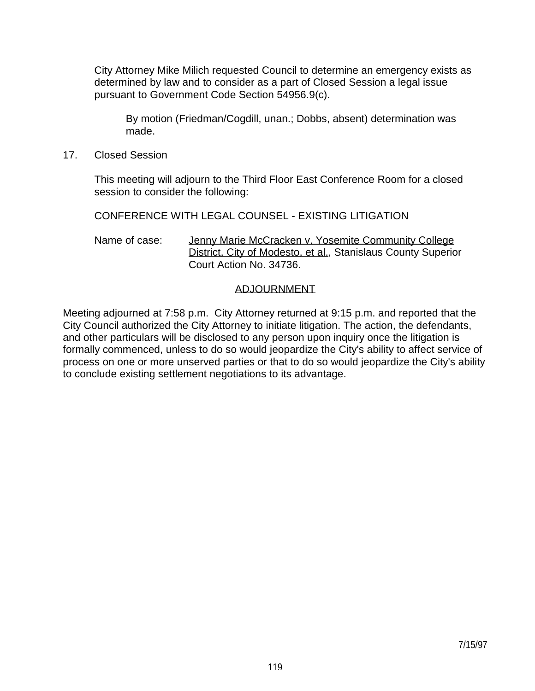City Attorney Mike Milich requested Council to determine an emergency exists as determined by law and to consider as a part of Closed Session a legal issue pursuant to Government Code Section 54956.9(c).

 By motion (Friedman/Cogdill, unan.; Dobbs, absent) determination was made.

17. Closed Session

 This meeting will adjourn to the Third Floor East Conference Room for a closed session to consider the following:

CONFERENCE WITH LEGAL COUNSEL - EXISTING LITIGATION

Name of case: Jenny Marie McCracken v. Yosemite Community College District, City of Modesto, et al., Stanislaus County Superior Court Action No. 34736.

### ADJOURNMENT

Meeting adjourned at 7:58 p.m. City Attorney returned at 9:15 p.m. and reported that the City Council authorized the City Attorney to initiate litigation. The action, the defendants, and other particulars will be disclosed to any person upon inquiry once the litigation is formally commenced, unless to do so would jeopardize the City's ability to affect service of process on one or more unserved parties or that to do so would jeopardize the City's ability to conclude existing settlement negotiations to its advantage.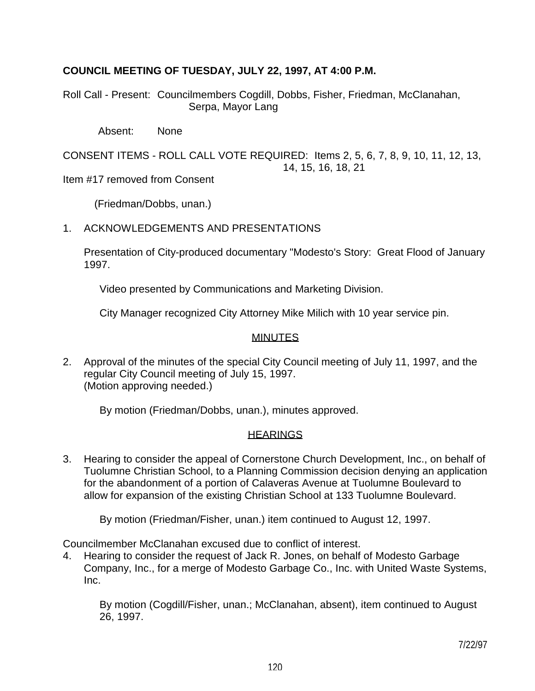# **COUNCIL MEETING OF TUESDAY, JULY 22, 1997, AT 4:00 P.M.**

Roll Call - Present: Councilmembers Cogdill, Dobbs, Fisher, Friedman, McClanahan, Serpa, Mayor Lang

Absent: None

CONSENT ITEMS - ROLL CALL VOTE REQUIRED: Items 2, 5, 6, 7, 8, 9, 10, 11, 12, 13, 14, 15, 16, 18, 21

Item #17 removed from Consent

(Friedman/Dobbs, unan.)

# 1. ACKNOWLEDGEMENTS AND PRESENTATIONS

 Presentation of City-produced documentary "Modesto's Story: Great Flood of January 1997.

Video presented by Communications and Marketing Division.

City Manager recognized City Attorney Mike Milich with 10 year service pin.

# **MINUTES**

2. Approval of the minutes of the special City Council meeting of July 11, 1997, and the regular City Council meeting of July 15, 1997. (Motion approving needed.)

By motion (Friedman/Dobbs, unan.), minutes approved.

#### **HEARINGS**

3. Hearing to consider the appeal of Cornerstone Church Development, Inc., on behalf of Tuolumne Christian School, to a Planning Commission decision denying an application for the abandonment of a portion of Calaveras Avenue at Tuolumne Boulevard to allow for expansion of the existing Christian School at 133 Tuolumne Boulevard.

By motion (Friedman/Fisher, unan.) item continued to August 12, 1997.

Councilmember McClanahan excused due to conflict of interest.

4. Hearing to consider the request of Jack R. Jones, on behalf of Modesto Garbage Company, Inc., for a merge of Modesto Garbage Co., Inc. with United Waste Systems, Inc.

 By motion (Cogdill/Fisher, unan.; McClanahan, absent), item continued to August 26, 1997.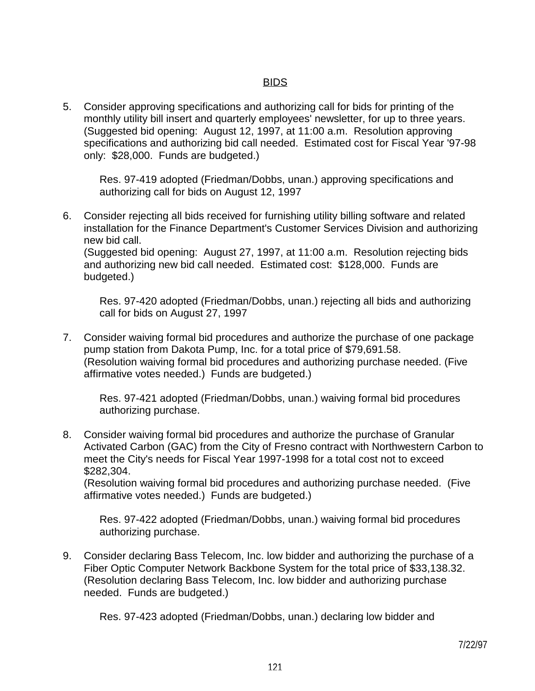# <u>BIDS and the contract of the contract of the BIDS</u>

5. Consider approving specifications and authorizing call for bids for printing of the monthly utility bill insert and quarterly employees' newsletter, for up to three years. (Suggested bid opening: August 12, 1997, at 11:00 a.m. Resolution approving specifications and authorizing bid call needed. Estimated cost for Fiscal Year '97-98 only: \$28,000. Funds are budgeted.)

 Res. 97-419 adopted (Friedman/Dobbs, unan.) approving specifications and authorizing call for bids on August 12, 1997

6. Consider rejecting all bids received for furnishing utility billing software and related installation for the Finance Department's Customer Services Division and authorizing new bid call. (Suggested bid opening: August 27, 1997, at 11:00 a.m. Resolution rejecting bids and authorizing new bid call needed. Estimated cost: \$128,000. Funds are budgeted.)

 Res. 97-420 adopted (Friedman/Dobbs, unan.) rejecting all bids and authorizing call for bids on August 27, 1997

7. Consider waiving formal bid procedures and authorize the purchase of one package pump station from Dakota Pump, Inc. for a total price of \$79,691.58. (Resolution waiving formal bid procedures and authorizing purchase needed. (Five affirmative votes needed.) Funds are budgeted.)

 Res. 97-421 adopted (Friedman/Dobbs, unan.) waiving formal bid procedures authorizing purchase.

8. Consider waiving formal bid procedures and authorize the purchase of Granular Activated Carbon (GAC) from the City of Fresno contract with Northwestern Carbon to meet the City's needs for Fiscal Year 1997-1998 for a total cost not to exceed \$282,304.

 (Resolution waiving formal bid procedures and authorizing purchase needed. (Five affirmative votes needed.) Funds are budgeted.)

 Res. 97-422 adopted (Friedman/Dobbs, unan.) waiving formal bid procedures authorizing purchase.

9. Consider declaring Bass Telecom, Inc. low bidder and authorizing the purchase of a Fiber Optic Computer Network Backbone System for the total price of \$33,138.32. (Resolution declaring Bass Telecom, Inc. low bidder and authorizing purchase needed. Funds are budgeted.)

Res. 97-423 adopted (Friedman/Dobbs, unan.) declaring low bidder and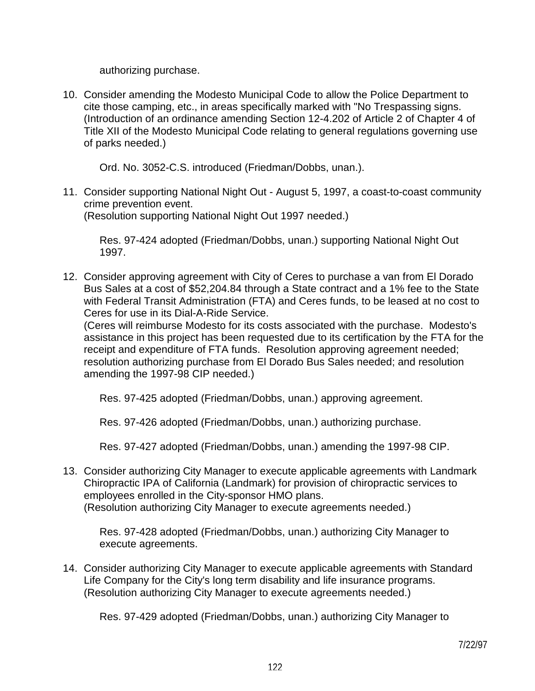authorizing purchase.

10. Consider amending the Modesto Municipal Code to allow the Police Department to cite those camping, etc., in areas specifically marked with "No Trespassing signs. (Introduction of an ordinance amending Section 12-4.202 of Article 2 of Chapter 4 of Title XII of the Modesto Municipal Code relating to general regulations governing use of parks needed.)

Ord. No. 3052-C.S. introduced (Friedman/Dobbs, unan.).

11. Consider supporting National Night Out - August 5, 1997, a coast-to-coast community crime prevention event. (Resolution supporting National Night Out 1997 needed.)

 Res. 97-424 adopted (Friedman/Dobbs, unan.) supporting National Night Out 1997.

12. Consider approving agreement with City of Ceres to purchase a van from El Dorado Bus Sales at a cost of \$52,204.84 through a State contract and a 1% fee to the State with Federal Transit Administration (FTA) and Ceres funds, to be leased at no cost to Ceres for use in its Dial-A-Ride Service.

 (Ceres will reimburse Modesto for its costs associated with the purchase. Modesto's assistance in this project has been requested due to its certification by the FTA for the receipt and expenditure of FTA funds. Resolution approving agreement needed; resolution authorizing purchase from El Dorado Bus Sales needed; and resolution amending the 1997-98 CIP needed.)

Res. 97-425 adopted (Friedman/Dobbs, unan.) approving agreement.

Res. 97-426 adopted (Friedman/Dobbs, unan.) authorizing purchase.

Res. 97-427 adopted (Friedman/Dobbs, unan.) amending the 1997-98 CIP.

13. Consider authorizing City Manager to execute applicable agreements with Landmark Chiropractic IPA of California (Landmark) for provision of chiropractic services to employees enrolled in the City-sponsor HMO plans. (Resolution authorizing City Manager to execute agreements needed.)

 Res. 97-428 adopted (Friedman/Dobbs, unan.) authorizing City Manager to execute agreements.

14. Consider authorizing City Manager to execute applicable agreements with Standard Life Company for the City's long term disability and life insurance programs. (Resolution authorizing City Manager to execute agreements needed.)

Res. 97-429 adopted (Friedman/Dobbs, unan.) authorizing City Manager to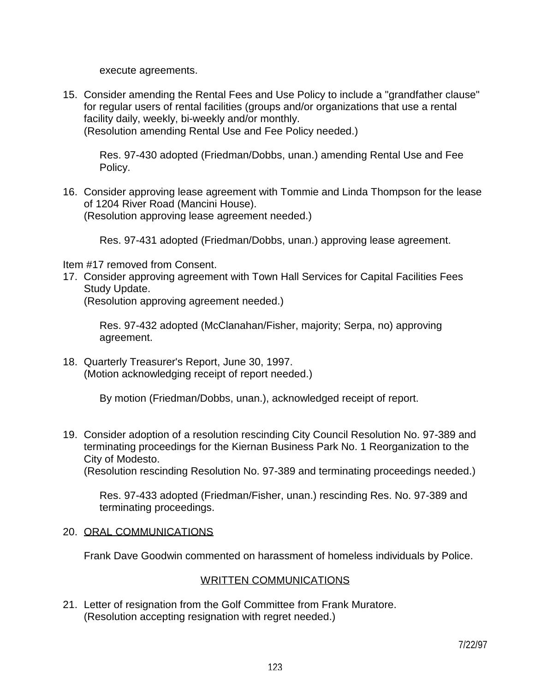execute agreements.

15. Consider amending the Rental Fees and Use Policy to include a "grandfather clause" for regular users of rental facilities (groups and/or organizations that use a rental facility daily, weekly, bi-weekly and/or monthly. (Resolution amending Rental Use and Fee Policy needed.)

 Res. 97-430 adopted (Friedman/Dobbs, unan.) amending Rental Use and Fee Policy.

16. Consider approving lease agreement with Tommie and Linda Thompson for the lease of 1204 River Road (Mancini House). (Resolution approving lease agreement needed.)

Res. 97-431 adopted (Friedman/Dobbs, unan.) approving lease agreement.

Item #17 removed from Consent.

17. Consider approving agreement with Town Hall Services for Capital Facilities Fees Study Update.

(Resolution approving agreement needed.)

 Res. 97-432 adopted (McClanahan/Fisher, majority; Serpa, no) approving agreement.

18. Quarterly Treasurer's Report, June 30, 1997. (Motion acknowledging receipt of report needed.)

By motion (Friedman/Dobbs, unan.), acknowledged receipt of report.

19. Consider adoption of a resolution rescinding City Council Resolution No. 97-389 and terminating proceedings for the Kiernan Business Park No. 1 Reorganization to the City of Modesto. (Resolution rescinding Resolution No. 97-389 and terminating proceedings needed.)

 Res. 97-433 adopted (Friedman/Fisher, unan.) rescinding Res. No. 97-389 and terminating proceedings.

# 20. ORAL COMMUNICATIONS

Frank Dave Goodwin commented on harassment of homeless individuals by Police.

# WRITTEN COMMUNICATIONS

21. Letter of resignation from the Golf Committee from Frank Muratore. (Resolution accepting resignation with regret needed.)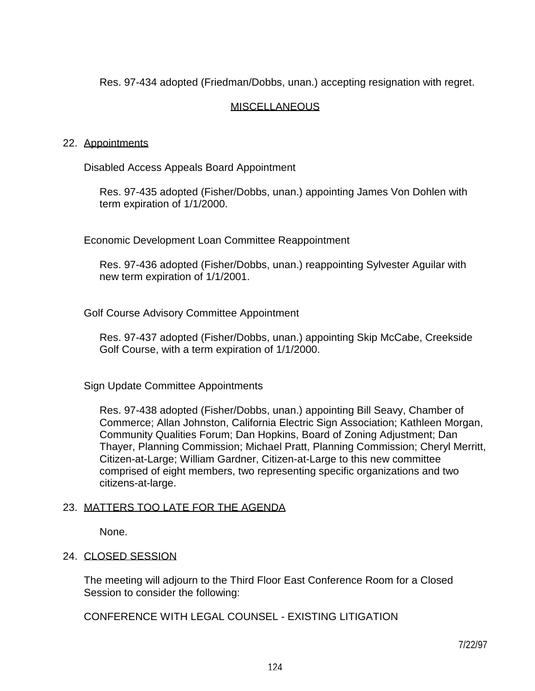Res. 97-434 adopted (Friedman/Dobbs, unan.) accepting resignation with regret.

# MISCELLANEOUS

### 22. Appointments

Disabled Access Appeals Board Appointment

 Res. 97-435 adopted (Fisher/Dobbs, unan.) appointing James Von Dohlen with term expiration of 1/1/2000.

Economic Development Loan Committee Reappointment

 Res. 97-436 adopted (Fisher/Dobbs, unan.) reappointing Sylvester Aguilar with new term expiration of 1/1/2001.

Golf Course Advisory Committee Appointment

 Res. 97-437 adopted (Fisher/Dobbs, unan.) appointing Skip McCabe, Creekside Golf Course, with a term expiration of 1/1/2000.

Sign Update Committee Appointments

 Res. 97-438 adopted (Fisher/Dobbs, unan.) appointing Bill Seavy, Chamber of Commerce; Allan Johnston, California Electric Sign Association; Kathleen Morgan, Community Qualities Forum; Dan Hopkins, Board of Zoning Adjustment; Dan Thayer, Planning Commission; Michael Pratt, Planning Commission; Cheryl Merritt, Citizen-at-Large; William Gardner, Citizen-at-Large to this new committee comprised of eight members, two representing specific organizations and two citizens-at-large.

# 23. MATTERS TOO LATE FOR THE AGENDA

None.

# 24. CLOSED SESSION

 The meeting will adjourn to the Third Floor East Conference Room for a Closed Session to consider the following:

CONFERENCE WITH LEGAL COUNSEL - EXISTING LITIGATION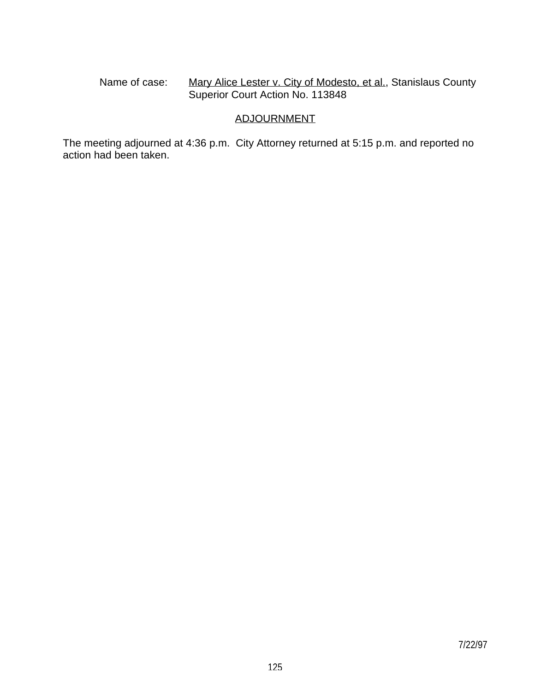Name of case: Mary Alice Lester v. City of Modesto, et al., Stanislaus County Superior Court Action No. 113848

# ADJOURNMENT

The meeting adjourned at 4:36 p.m. City Attorney returned at 5:15 p.m. and reported no action had been taken.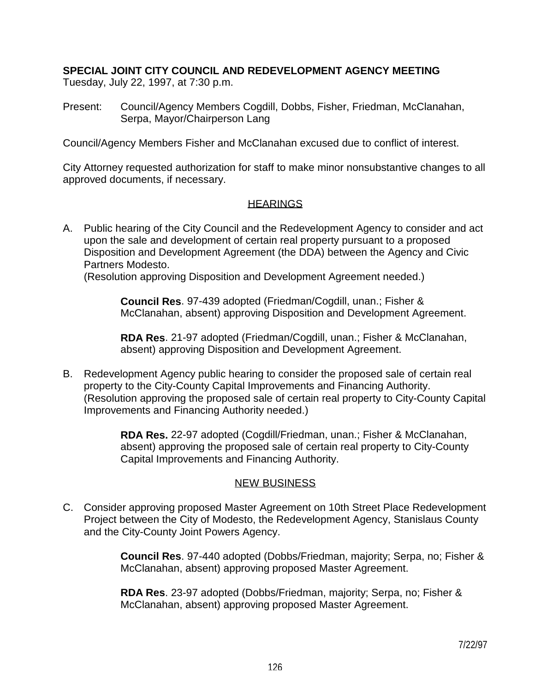# **SPECIAL JOINT CITY COUNCIL AND REDEVELOPMENT AGENCY MEETING**

Tuesday, July 22, 1997, at 7:30 p.m.

Present: Council/Agency Members Cogdill, Dobbs, Fisher, Friedman, McClanahan, Serpa, Mayor/Chairperson Lang

Council/Agency Members Fisher and McClanahan excused due to conflict of interest.

City Attorney requested authorization for staff to make minor nonsubstantive changes to all approved documents, if necessary.

# **HEARINGS**

A. Public hearing of the City Council and the Redevelopment Agency to consider and act upon the sale and development of certain real property pursuant to a proposed Disposition and Development Agreement (the DDA) between the Agency and Civic Partners Modesto.

(Resolution approving Disposition and Development Agreement needed.)

 **Council Res**. 97-439 adopted (Friedman/Cogdill, unan.; Fisher & McClanahan, absent) approving Disposition and Development Agreement.

 **RDA Res**. 21-97 adopted (Friedman/Cogdill, unan.; Fisher & McClanahan, absent) approving Disposition and Development Agreement.

B. Redevelopment Agency public hearing to consider the proposed sale of certain real property to the City-County Capital Improvements and Financing Authority. (Resolution approving the proposed sale of certain real property to City-County Capital Improvements and Financing Authority needed.)

> **RDA Res.** 22-97 adopted (Cogdill/Friedman, unan.; Fisher & McClanahan, absent) approving the proposed sale of certain real property to City-County Capital Improvements and Financing Authority.

# NEW BUSINESS

C. Consider approving proposed Master Agreement on 10th Street Place Redevelopment Project between the City of Modesto, the Redevelopment Agency, Stanislaus County and the City-County Joint Powers Agency.

> **Council Res**. 97-440 adopted (Dobbs/Friedman, majority; Serpa, no; Fisher & McClanahan, absent) approving proposed Master Agreement.

 **RDA Res**. 23-97 adopted (Dobbs/Friedman, majority; Serpa, no; Fisher & McClanahan, absent) approving proposed Master Agreement.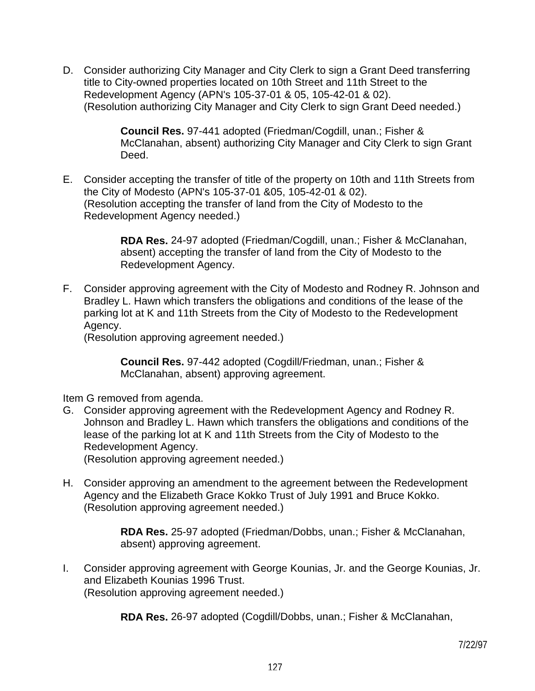D. Consider authorizing City Manager and City Clerk to sign a Grant Deed transferring title to City-owned properties located on 10th Street and 11th Street to the Redevelopment Agency (APN's 105-37-01 & 05, 105-42-01 & 02). (Resolution authorizing City Manager and City Clerk to sign Grant Deed needed.)

> **Council Res.** 97-441 adopted (Friedman/Cogdill, unan.; Fisher & McClanahan, absent) authorizing City Manager and City Clerk to sign Grant Deed.

E. Consider accepting the transfer of title of the property on 10th and 11th Streets from the City of Modesto (APN's 105-37-01 &05, 105-42-01 & 02). (Resolution accepting the transfer of land from the City of Modesto to the Redevelopment Agency needed.)

> **RDA Res.** 24-97 adopted (Friedman/Cogdill, unan.; Fisher & McClanahan, absent) accepting the transfer of land from the City of Modesto to the Redevelopment Agency.

F. Consider approving agreement with the City of Modesto and Rodney R. Johnson and Bradley L. Hawn which transfers the obligations and conditions of the lease of the parking lot at K and 11th Streets from the City of Modesto to the Redevelopment Agency.

(Resolution approving agreement needed.)

 **Council Res.** 97-442 adopted (Cogdill/Friedman, unan.; Fisher & McClanahan, absent) approving agreement.

Item G removed from agenda.

G. Consider approving agreement with the Redevelopment Agency and Rodney R. Johnson and Bradley L. Hawn which transfers the obligations and conditions of the lease of the parking lot at K and 11th Streets from the City of Modesto to the Redevelopment Agency.

(Resolution approving agreement needed.)

H. Consider approving an amendment to the agreement between the Redevelopment Agency and the Elizabeth Grace Kokko Trust of July 1991 and Bruce Kokko. (Resolution approving agreement needed.)

> **RDA Res.** 25-97 adopted (Friedman/Dobbs, unan.; Fisher & McClanahan, absent) approving agreement.

I. Consider approving agreement with George Kounias, Jr. and the George Kounias, Jr. and Elizabeth Kounias 1996 Trust. (Resolution approving agreement needed.)

 **RDA Res.** 26-97 adopted (Cogdill/Dobbs, unan.; Fisher & McClanahan,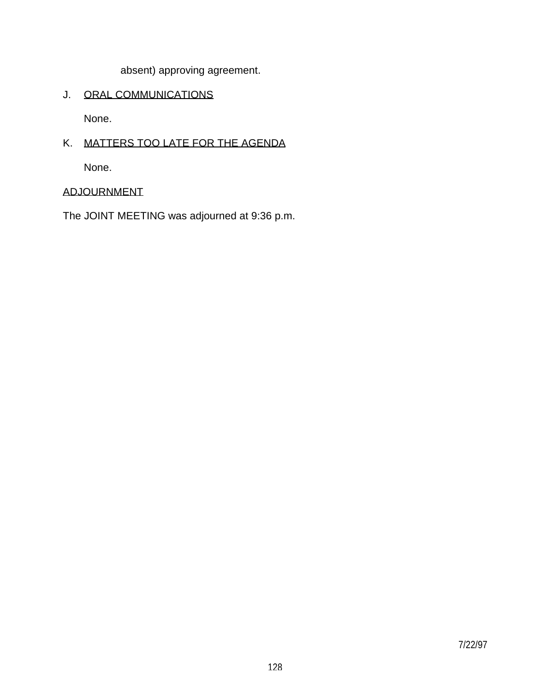absent) approving agreement.

# J. ORAL COMMUNICATIONS

None.

# K. MATTERS TOO LATE FOR THE AGENDA

None.

# ADJOURNMENT

The JOINT MEETING was adjourned at 9:36 p.m.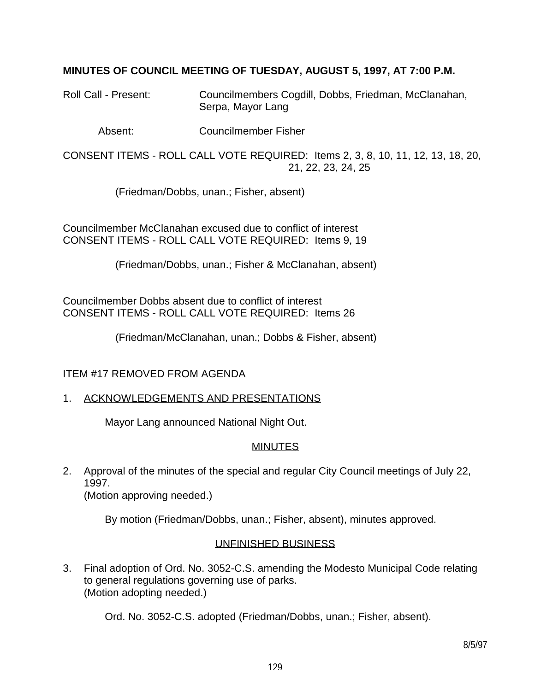# **MINUTES OF COUNCIL MEETING OF TUESDAY, AUGUST 5, 1997, AT 7:00 P.M.**

Roll Call - Present: Councilmembers Cogdill, Dobbs, Friedman, McClanahan, Serpa, Mayor Lang

Absent: Councilmember Fisher

CONSENT ITEMS - ROLL CALL VOTE REQUIRED: Items 2, 3, 8, 10, 11, 12, 13, 18, 20, 21, 22, 23, 24, 25

(Friedman/Dobbs, unan.; Fisher, absent)

Councilmember McClanahan excused due to conflict of interest CONSENT ITEMS - ROLL CALL VOTE REQUIRED: Items 9, 19

(Friedman/Dobbs, unan.; Fisher & McClanahan, absent)

Councilmember Dobbs absent due to conflict of interest CONSENT ITEMS - ROLL CALL VOTE REQUIRED: Items 26

(Friedman/McClanahan, unan.; Dobbs & Fisher, absent)

# ITEM #17 REMOVED FROM AGENDA

#### 1. ACKNOWLEDGEMENTS AND PRESENTATIONS

Mayor Lang announced National Night Out.

#### MINUTES

2. Approval of the minutes of the special and regular City Council meetings of July 22, 1997. (Motion approving needed.)

By motion (Friedman/Dobbs, unan.; Fisher, absent), minutes approved.

#### UNFINISHED BUSINESS

3. Final adoption of Ord. No. 3052-C.S. amending the Modesto Municipal Code relating to general regulations governing use of parks. (Motion adopting needed.)

Ord. No. 3052-C.S. adopted (Friedman/Dobbs, unan.; Fisher, absent).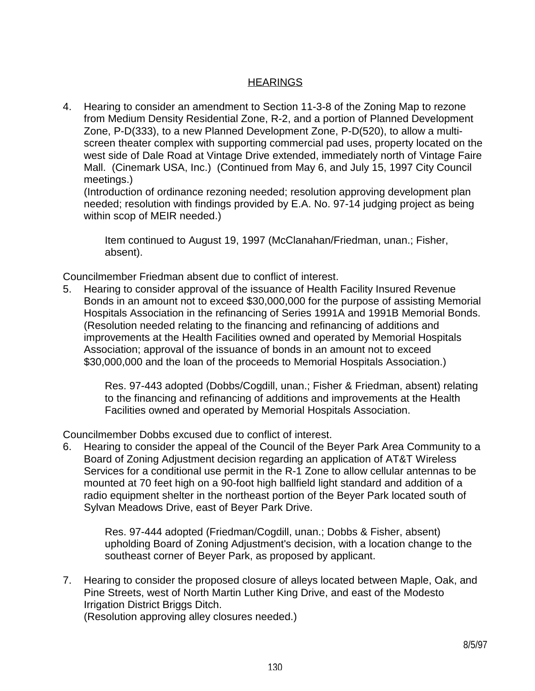# **HEARINGS**

4. Hearing to consider an amendment to Section 11-3-8 of the Zoning Map to rezone from Medium Density Residential Zone, R-2, and a portion of Planned Development Zone, P-D(333), to a new Planned Development Zone, P-D(520), to allow a multiscreen theater complex with supporting commercial pad uses, property located on the west side of Dale Road at Vintage Drive extended, immediately north of Vintage Faire Mall. (Cinemark USA, Inc.) (Continued from May 6, and July 15, 1997 City Council meetings.)

 (Introduction of ordinance rezoning needed; resolution approving development plan needed; resolution with findings provided by E.A. No. 97-14 judging project as being within scop of MEIR needed.)

 Item continued to August 19, 1997 (McClanahan/Friedman, unan.; Fisher, absent).

Councilmember Friedman absent due to conflict of interest.

5. Hearing to consider approval of the issuance of Health Facility Insured Revenue Bonds in an amount not to exceed \$30,000,000 for the purpose of assisting Memorial Hospitals Association in the refinancing of Series 1991A and 1991B Memorial Bonds. (Resolution needed relating to the financing and refinancing of additions and improvements at the Health Facilities owned and operated by Memorial Hospitals Association; approval of the issuance of bonds in an amount not to exceed \$30,000,000 and the loan of the proceeds to Memorial Hospitals Association.)

 Res. 97-443 adopted (Dobbs/Cogdill, unan.; Fisher & Friedman, absent) relating to the financing and refinancing of additions and improvements at the Health Facilities owned and operated by Memorial Hospitals Association.

Councilmember Dobbs excused due to conflict of interest.

6. Hearing to consider the appeal of the Council of the Beyer Park Area Community to a Board of Zoning Adjustment decision regarding an application of AT&T Wireless Services for a conditional use permit in the R-1 Zone to allow cellular antennas to be mounted at 70 feet high on a 90-foot high ballfield light standard and addition of a radio equipment shelter in the northeast portion of the Beyer Park located south of Sylvan Meadows Drive, east of Beyer Park Drive.

 Res. 97-444 adopted (Friedman/Cogdill, unan.; Dobbs & Fisher, absent) upholding Board of Zoning Adjustment's decision, with a location change to the southeast corner of Beyer Park, as proposed by applicant.

7. Hearing to consider the proposed closure of alleys located between Maple, Oak, and Pine Streets, west of North Martin Luther King Drive, and east of the Modesto Irrigation District Briggs Ditch. (Resolution approving alley closures needed.)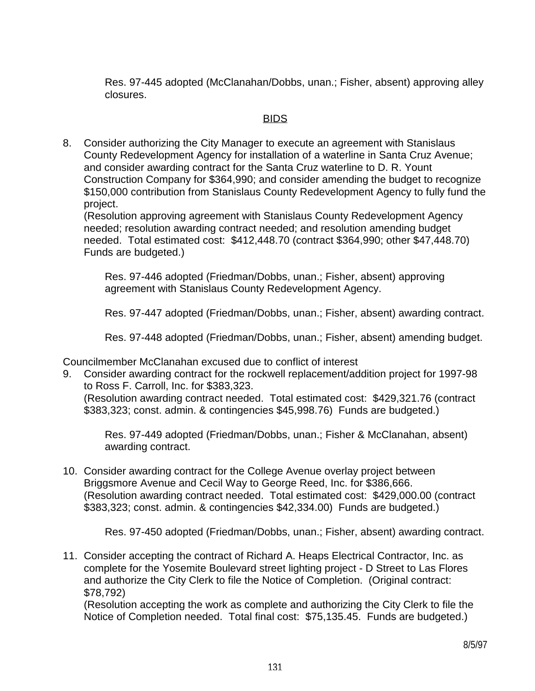Res. 97-445 adopted (McClanahan/Dobbs, unan.; Fisher, absent) approving alley closures.

# <u>BIDS and the contract of the contract of the BIDS</u>

8. Consider authorizing the City Manager to execute an agreement with Stanislaus County Redevelopment Agency for installation of a waterline in Santa Cruz Avenue; and consider awarding contract for the Santa Cruz waterline to D. R. Yount Construction Company for \$364,990; and consider amending the budget to recognize \$150,000 contribution from Stanislaus County Redevelopment Agency to fully fund the project.

 (Resolution approving agreement with Stanislaus County Redevelopment Agency needed; resolution awarding contract needed; and resolution amending budget needed. Total estimated cost: \$412,448.70 (contract \$364,990; other \$47,448.70) Funds are budgeted.)

 Res. 97-446 adopted (Friedman/Dobbs, unan.; Fisher, absent) approving agreement with Stanislaus County Redevelopment Agency.

Res. 97-447 adopted (Friedman/Dobbs, unan.; Fisher, absent) awarding contract.

Res. 97-448 adopted (Friedman/Dobbs, unan.; Fisher, absent) amending budget.

Councilmember McClanahan excused due to conflict of interest

9. Consider awarding contract for the rockwell replacement/addition project for 1997-98 to Ross F. Carroll, Inc. for \$383,323.

 (Resolution awarding contract needed. Total estimated cost: \$429,321.76 (contract \$383,323; const. admin. & contingencies \$45,998.76) Funds are budgeted.)

 Res. 97-449 adopted (Friedman/Dobbs, unan.; Fisher & McClanahan, absent) awarding contract.

10. Consider awarding contract for the College Avenue overlay project between Briggsmore Avenue and Cecil Way to George Reed, Inc. for \$386,666. (Resolution awarding contract needed. Total estimated cost: \$429,000.00 (contract \$383,323; const. admin. & contingencies \$42,334.00) Funds are budgeted.)

Res. 97-450 adopted (Friedman/Dobbs, unan.; Fisher, absent) awarding contract.

11. Consider accepting the contract of Richard A. Heaps Electrical Contractor, Inc. as complete for the Yosemite Boulevard street lighting project - D Street to Las Flores and authorize the City Clerk to file the Notice of Completion. (Original contract: \$78,792)

 (Resolution accepting the work as complete and authorizing the City Clerk to file the Notice of Completion needed. Total final cost: \$75,135.45. Funds are budgeted.)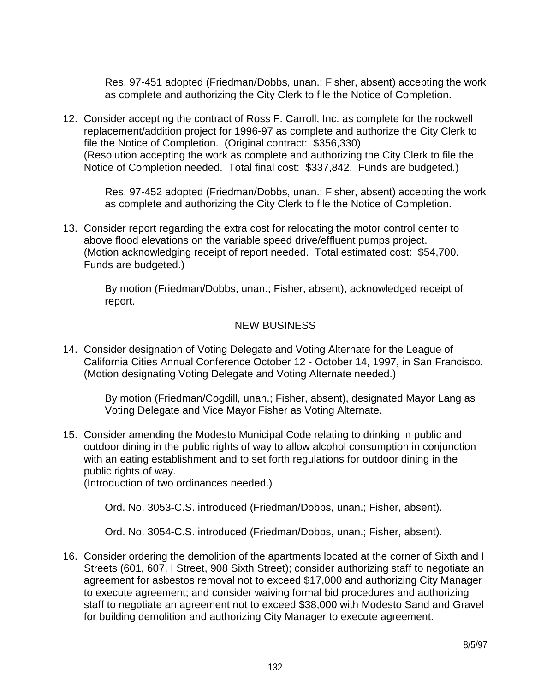Res. 97-451 adopted (Friedman/Dobbs, unan.; Fisher, absent) accepting the work as complete and authorizing the City Clerk to file the Notice of Completion.

12. Consider accepting the contract of Ross F. Carroll, Inc. as complete for the rockwell replacement/addition project for 1996-97 as complete and authorize the City Clerk to file the Notice of Completion. (Original contract: \$356,330) (Resolution accepting the work as complete and authorizing the City Clerk to file the Notice of Completion needed. Total final cost: \$337,842. Funds are budgeted.)

 Res. 97-452 adopted (Friedman/Dobbs, unan.; Fisher, absent) accepting the work as complete and authorizing the City Clerk to file the Notice of Completion.

13. Consider report regarding the extra cost for relocating the motor control center to above flood elevations on the variable speed drive/effluent pumps project. (Motion acknowledging receipt of report needed. Total estimated cost: \$54,700. Funds are budgeted.)

> By motion (Friedman/Dobbs, unan.; Fisher, absent), acknowledged receipt of report.

# NEW BUSINESS

14. Consider designation of Voting Delegate and Voting Alternate for the League of California Cities Annual Conference October 12 - October 14, 1997, in San Francisco. (Motion designating Voting Delegate and Voting Alternate needed.)

 By motion (Friedman/Cogdill, unan.; Fisher, absent), designated Mayor Lang as Voting Delegate and Vice Mayor Fisher as Voting Alternate.

15. Consider amending the Modesto Municipal Code relating to drinking in public and outdoor dining in the public rights of way to allow alcohol consumption in conjunction with an eating establishment and to set forth regulations for outdoor dining in the public rights of way.

(Introduction of two ordinances needed.)

Ord. No. 3053-C.S. introduced (Friedman/Dobbs, unan.; Fisher, absent).

Ord. No. 3054-C.S. introduced (Friedman/Dobbs, unan.; Fisher, absent).

16. Consider ordering the demolition of the apartments located at the corner of Sixth and I Streets (601, 607, I Street, 908 Sixth Street); consider authorizing staff to negotiate an agreement for asbestos removal not to exceed \$17,000 and authorizing City Manager to execute agreement; and consider waiving formal bid procedures and authorizing staff to negotiate an agreement not to exceed \$38,000 with Modesto Sand and Gravel for building demolition and authorizing City Manager to execute agreement.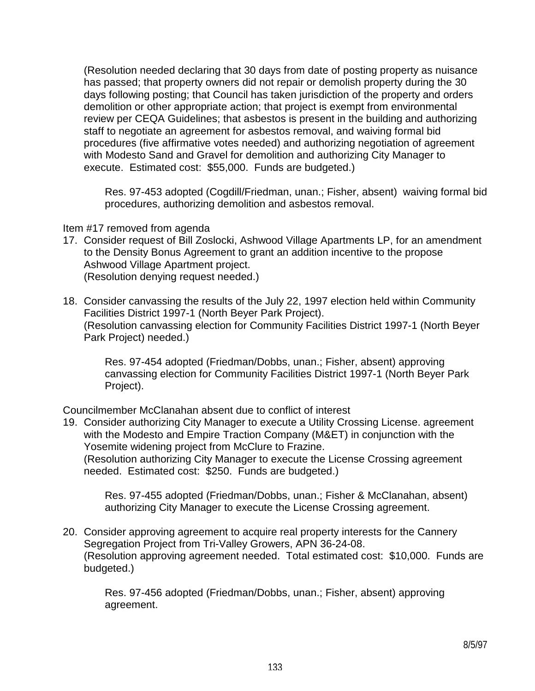(Resolution needed declaring that 30 days from date of posting property as nuisance has passed; that property owners did not repair or demolish property during the 30 days following posting; that Council has taken jurisdiction of the property and orders demolition or other appropriate action; that project is exempt from environmental review per CEQA Guidelines; that asbestos is present in the building and authorizing staff to negotiate an agreement for asbestos removal, and waiving formal bid procedures (five affirmative votes needed) and authorizing negotiation of agreement with Modesto Sand and Gravel for demolition and authorizing City Manager to execute. Estimated cost: \$55,000. Funds are budgeted.)

 Res. 97-453 adopted (Cogdill/Friedman, unan.; Fisher, absent) waiving formal bid procedures, authorizing demolition and asbestos removal.

#### Item #17 removed from agenda

- 17. Consider request of Bill Zoslocki, Ashwood Village Apartments LP, for an amendment to the Density Bonus Agreement to grant an addition incentive to the propose Ashwood Village Apartment project. (Resolution denying request needed.)
- 18. Consider canvassing the results of the July 22, 1997 election held within Community Facilities District 1997-1 (North Beyer Park Project). (Resolution canvassing election for Community Facilities District 1997-1 (North Beyer Park Project) needed.)

 Res. 97-454 adopted (Friedman/Dobbs, unan.; Fisher, absent) approving canvassing election for Community Facilities District 1997-1 (North Beyer Park Project).

Councilmember McClanahan absent due to conflict of interest

19. Consider authorizing City Manager to execute a Utility Crossing License. agreement with the Modesto and Empire Traction Company (M&ET) in conjunction with the Yosemite widening project from McClure to Frazine. (Resolution authorizing City Manager to execute the License Crossing agreement needed. Estimated cost: \$250. Funds are budgeted.)

 Res. 97-455 adopted (Friedman/Dobbs, unan.; Fisher & McClanahan, absent) authorizing City Manager to execute the License Crossing agreement.

20. Consider approving agreement to acquire real property interests for the Cannery Segregation Project from Tri-Valley Growers, APN 36-24-08. (Resolution approving agreement needed. Total estimated cost: \$10,000. Funds are budgeted.)

 Res. 97-456 adopted (Friedman/Dobbs, unan.; Fisher, absent) approving agreement.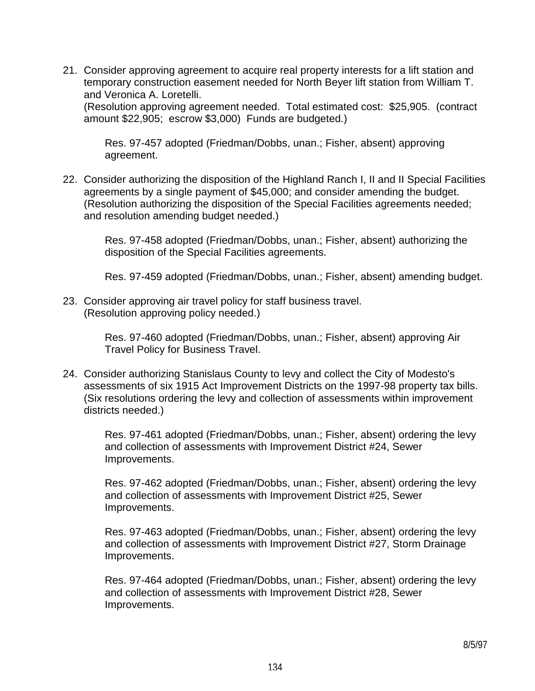21. Consider approving agreement to acquire real property interests for a lift station and temporary construction easement needed for North Beyer lift station from William T. and Veronica A. Loretelli.

 (Resolution approving agreement needed. Total estimated cost: \$25,905. (contract amount \$22,905; escrow \$3,000) Funds are budgeted.)

 Res. 97-457 adopted (Friedman/Dobbs, unan.; Fisher, absent) approving agreement.

22. Consider authorizing the disposition of the Highland Ranch I, II and II Special Facilities agreements by a single payment of \$45,000; and consider amending the budget. (Resolution authorizing the disposition of the Special Facilities agreements needed; and resolution amending budget needed.)

 Res. 97-458 adopted (Friedman/Dobbs, unan.; Fisher, absent) authorizing the disposition of the Special Facilities agreements.

Res. 97-459 adopted (Friedman/Dobbs, unan.; Fisher, absent) amending budget.

23. Consider approving air travel policy for staff business travel. (Resolution approving policy needed.)

> Res. 97-460 adopted (Friedman/Dobbs, unan.; Fisher, absent) approving Air Travel Policy for Business Travel.

24. Consider authorizing Stanislaus County to levy and collect the City of Modesto's assessments of six 1915 Act Improvement Districts on the 1997-98 property tax bills. (Six resolutions ordering the levy and collection of assessments within improvement districts needed.)

> Res. 97-461 adopted (Friedman/Dobbs, unan.; Fisher, absent) ordering the levy and collection of assessments with Improvement District #24, Sewer Improvements.

> Res. 97-462 adopted (Friedman/Dobbs, unan.; Fisher, absent) ordering the levy and collection of assessments with Improvement District #25, Sewer Improvements.

> Res. 97-463 adopted (Friedman/Dobbs, unan.; Fisher, absent) ordering the levy and collection of assessments with Improvement District #27, Storm Drainage Improvements.

> Res. 97-464 adopted (Friedman/Dobbs, unan.; Fisher, absent) ordering the levy and collection of assessments with Improvement District #28, Sewer Improvements.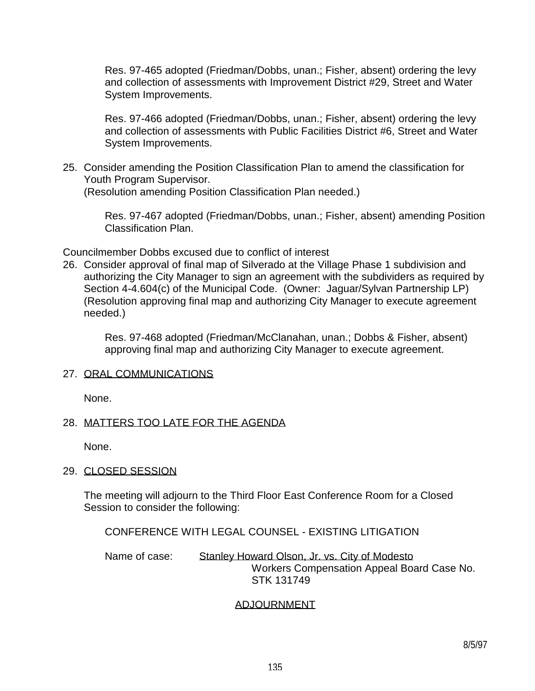Res. 97-465 adopted (Friedman/Dobbs, unan.; Fisher, absent) ordering the levy and collection of assessments with Improvement District #29, Street and Water System Improvements.

 Res. 97-466 adopted (Friedman/Dobbs, unan.; Fisher, absent) ordering the levy and collection of assessments with Public Facilities District #6, Street and Water System Improvements.

25. Consider amending the Position Classification Plan to amend the classification for Youth Program Supervisor. (Resolution amending Position Classification Plan needed.)

> Res. 97-467 adopted (Friedman/Dobbs, unan.; Fisher, absent) amending Position Classification Plan.

Councilmember Dobbs excused due to conflict of interest

26. Consider approval of final map of Silverado at the Village Phase 1 subdivision and authorizing the City Manager to sign an agreement with the subdividers as required by Section 4-4.604(c) of the Municipal Code. (Owner: Jaguar/Sylvan Partnership LP) (Resolution approving final map and authorizing City Manager to execute agreement needed.)

 Res. 97-468 adopted (Friedman/McClanahan, unan.; Dobbs & Fisher, absent) approving final map and authorizing City Manager to execute agreement.

#### 27. ORAL COMMUNICATIONS

None.

# 28. MATTERS TOO LATE FOR THE AGENDA

None.

# 29. CLOSED SESSION

 The meeting will adjourn to the Third Floor East Conference Room for a Closed Session to consider the following:

CONFERENCE WITH LEGAL COUNSEL - EXISTING LITIGATION

Name of case: Stanley Howard Olson, Jr. vs. City of Modesto Workers Compensation Appeal Board Case No. STK 131749

# ADJOURNMENT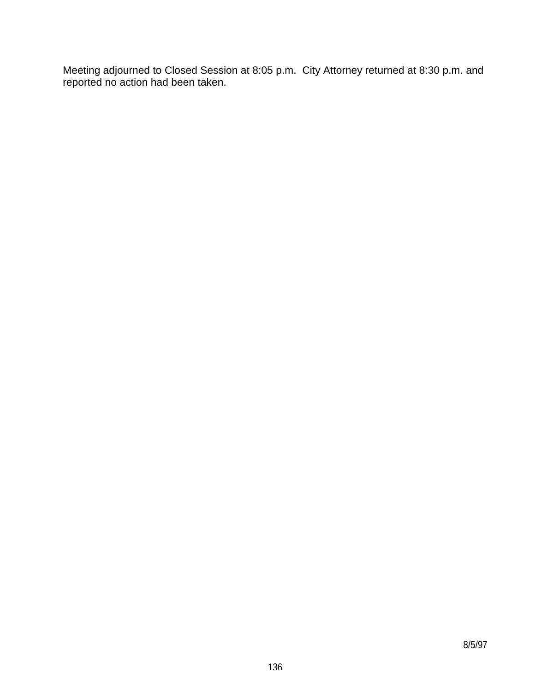Meeting adjourned to Closed Session at 8:05 p.m. City Attorney returned at 8:30 p.m. and reported no action had been taken.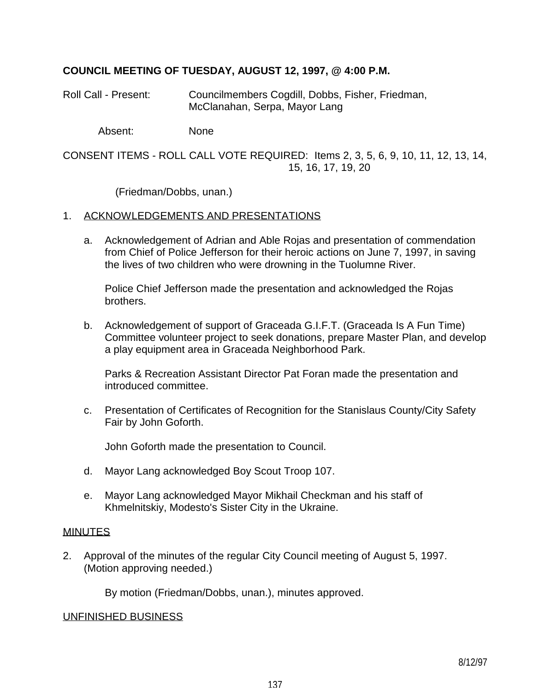# **COUNCIL MEETING OF TUESDAY, AUGUST 12, 1997, @ 4:00 P.M.**

Roll Call - Present: Councilmembers Cogdill, Dobbs, Fisher, Friedman, McClanahan, Serpa, Mayor Lang

Absent: None

CONSENT ITEMS - ROLL CALL VOTE REQUIRED: Items 2, 3, 5, 6, 9, 10, 11, 12, 13, 14, 15, 16, 17, 19, 20

(Friedman/Dobbs, unan.)

#### 1. ACKNOWLEDGEMENTS AND PRESENTATIONS

 a. Acknowledgement of Adrian and Able Rojas and presentation of commendation from Chief of Police Jefferson for their heroic actions on June 7, 1997, in saving the lives of two children who were drowning in the Tuolumne River.

 Police Chief Jefferson made the presentation and acknowledged the Rojas brothers.

 b. Acknowledgement of support of Graceada G.I.F.T. (Graceada Is A Fun Time) Committee volunteer project to seek donations, prepare Master Plan, and develop a play equipment area in Graceada Neighborhood Park.

 Parks & Recreation Assistant Director Pat Foran made the presentation and introduced committee.

 c. Presentation of Certificates of Recognition for the Stanislaus County/City Safety Fair by John Goforth.

John Goforth made the presentation to Council.

- d. Mayor Lang acknowledged Boy Scout Troop 107.
- e. Mayor Lang acknowledged Mayor Mikhail Checkman and his staff of Khmelnitskiy, Modesto's Sister City in the Ukraine.

#### MINUTES

2. Approval of the minutes of the regular City Council meeting of August 5, 1997. (Motion approving needed.)

By motion (Friedman/Dobbs, unan.), minutes approved.

#### UNFINISHED BUSINESS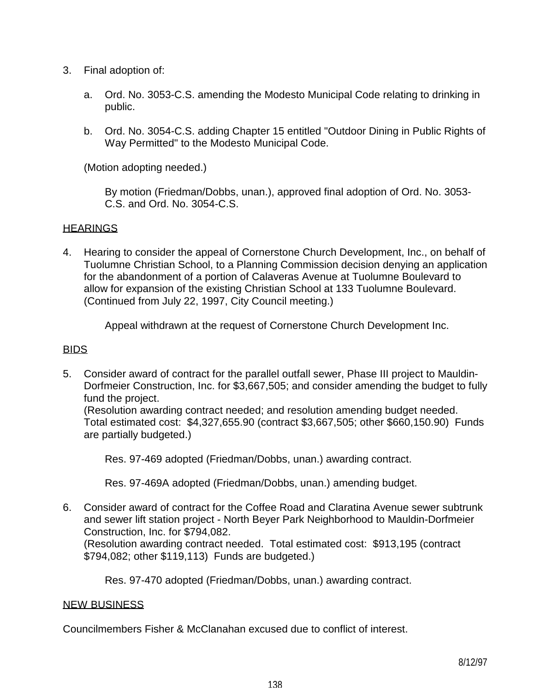- 3. Final adoption of:
	- a. Ord. No. 3053-C.S. amending the Modesto Municipal Code relating to drinking in public.
	- b. Ord. No. 3054-C.S. adding Chapter 15 entitled "Outdoor Dining in Public Rights of Way Permitted" to the Modesto Municipal Code.

(Motion adopting needed.)

 By motion (Friedman/Dobbs, unan.), approved final adoption of Ord. No. 3053- C.S. and Ord. No. 3054-C.S.

# **HEARINGS**

4. Hearing to consider the appeal of Cornerstone Church Development, Inc., on behalf of Tuolumne Christian School, to a Planning Commission decision denying an application for the abandonment of a portion of Calaveras Avenue at Tuolumne Boulevard to allow for expansion of the existing Christian School at 133 Tuolumne Boulevard. (Continued from July 22, 1997, City Council meeting.)

Appeal withdrawn at the request of Cornerstone Church Development Inc.

# BIDS

5. Consider award of contract for the parallel outfall sewer, Phase III project to Mauldin-Dorfmeier Construction, Inc. for \$3,667,505; and consider amending the budget to fully fund the project.

 (Resolution awarding contract needed; and resolution amending budget needed. Total estimated cost: \$4,327,655.90 (contract \$3,667,505; other \$660,150.90) Funds are partially budgeted.)

Res. 97-469 adopted (Friedman/Dobbs, unan.) awarding contract.

Res. 97-469A adopted (Friedman/Dobbs, unan.) amending budget.

6. Consider award of contract for the Coffee Road and Claratina Avenue sewer subtrunk and sewer lift station project - North Beyer Park Neighborhood to Mauldin-Dorfmeier Construction, Inc. for \$794,082.

 (Resolution awarding contract needed. Total estimated cost: \$913,195 (contract \$794,082; other \$119,113) Funds are budgeted.)

Res. 97-470 adopted (Friedman/Dobbs, unan.) awarding contract.

# NEW BUSINESS

Councilmembers Fisher & McClanahan excused due to conflict of interest.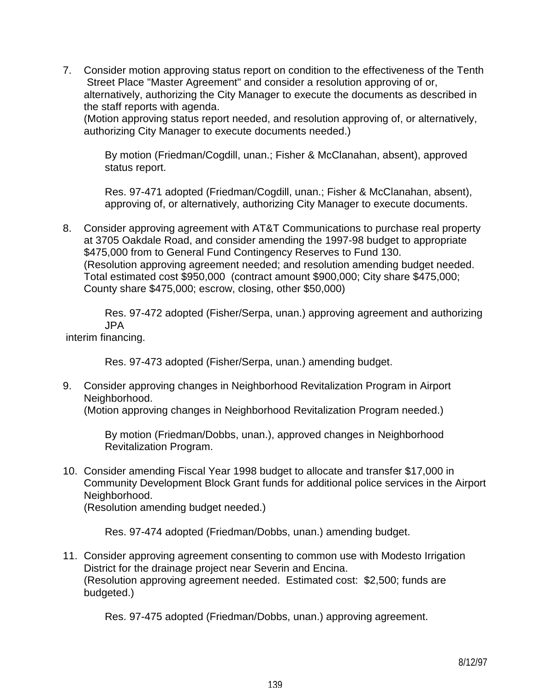7. Consider motion approving status report on condition to the effectiveness of the Tenth Street Place "Master Agreement" and consider a resolution approving of or, alternatively, authorizing the City Manager to execute the documents as described in the staff reports with agenda.

 (Motion approving status report needed, and resolution approving of, or alternatively, authorizing City Manager to execute documents needed.)

 By motion (Friedman/Cogdill, unan.; Fisher & McClanahan, absent), approved status report.

 Res. 97-471 adopted (Friedman/Cogdill, unan.; Fisher & McClanahan, absent), approving of, or alternatively, authorizing City Manager to execute documents.

8. Consider approving agreement with AT&T Communications to purchase real property at 3705 Oakdale Road, and consider amending the 1997-98 budget to appropriate \$475,000 from to General Fund Contingency Reserves to Fund 130. (Resolution approving agreement needed; and resolution amending budget needed. Total estimated cost \$950,000 (contract amount \$900,000; City share \$475,000; County share \$475,000; escrow, closing, other \$50,000)

 Res. 97-472 adopted (Fisher/Serpa, unan.) approving agreement and authorizing JPA

interim financing.

Res. 97-473 adopted (Fisher/Serpa, unan.) amending budget.

9. Consider approving changes in Neighborhood Revitalization Program in Airport Neighborhood.

(Motion approving changes in Neighborhood Revitalization Program needed.)

 By motion (Friedman/Dobbs, unan.), approved changes in Neighborhood Revitalization Program.

10. Consider amending Fiscal Year 1998 budget to allocate and transfer \$17,000 in Community Development Block Grant funds for additional police services in the Airport Neighborhood.

(Resolution amending budget needed.)

Res. 97-474 adopted (Friedman/Dobbs, unan.) amending budget.

11. Consider approving agreement consenting to common use with Modesto Irrigation District for the drainage project near Severin and Encina. (Resolution approving agreement needed. Estimated cost: \$2,500; funds are budgeted.)

Res. 97-475 adopted (Friedman/Dobbs, unan.) approving agreement.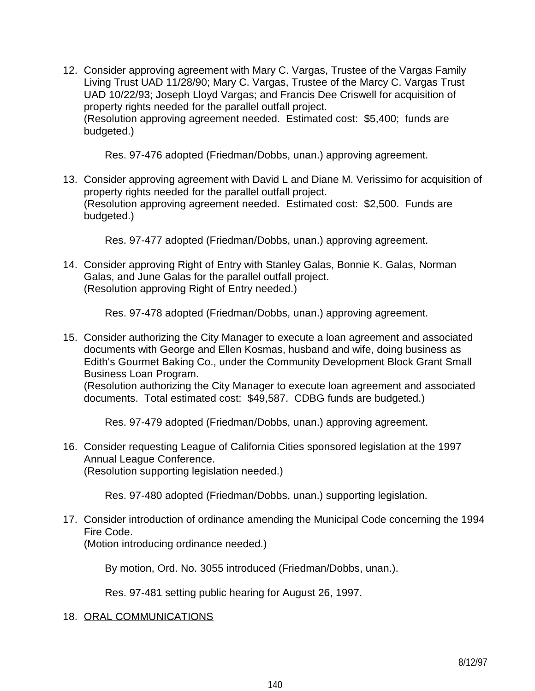12. Consider approving agreement with Mary C. Vargas, Trustee of the Vargas Family Living Trust UAD 11/28/90; Mary C. Vargas, Trustee of the Marcy C. Vargas Trust UAD 10/22/93; Joseph Lloyd Vargas; and Francis Dee Criswell for acquisition of property rights needed for the parallel outfall project. (Resolution approving agreement needed. Estimated cost: \$5,400; funds are budgeted.)

Res. 97-476 adopted (Friedman/Dobbs, unan.) approving agreement.

13. Consider approving agreement with David L and Diane M. Verissimo for acquisition of property rights needed for the parallel outfall project. (Resolution approving agreement needed. Estimated cost: \$2,500. Funds are budgeted.)

Res. 97-477 adopted (Friedman/Dobbs, unan.) approving agreement.

14. Consider approving Right of Entry with Stanley Galas, Bonnie K. Galas, Norman Galas, and June Galas for the parallel outfall project. (Resolution approving Right of Entry needed.)

Res. 97-478 adopted (Friedman/Dobbs, unan.) approving agreement.

15. Consider authorizing the City Manager to execute a loan agreement and associated documents with George and Ellen Kosmas, husband and wife, doing business as Edith's Gourmet Baking Co., under the Community Development Block Grant Small Business Loan Program.

 (Resolution authorizing the City Manager to execute loan agreement and associated documents. Total estimated cost: \$49,587. CDBG funds are budgeted.)

Res. 97-479 adopted (Friedman/Dobbs, unan.) approving agreement.

16. Consider requesting League of California Cities sponsored legislation at the 1997 Annual League Conference. (Resolution supporting legislation needed.)

Res. 97-480 adopted (Friedman/Dobbs, unan.) supporting legislation.

# 17. Consider introduction of ordinance amending the Municipal Code concerning the 1994 Fire Code.

(Motion introducing ordinance needed.)

By motion, Ord. No. 3055 introduced (Friedman/Dobbs, unan.).

Res. 97-481 setting public hearing for August 26, 1997.

#### 18. ORAL COMMUNICATIONS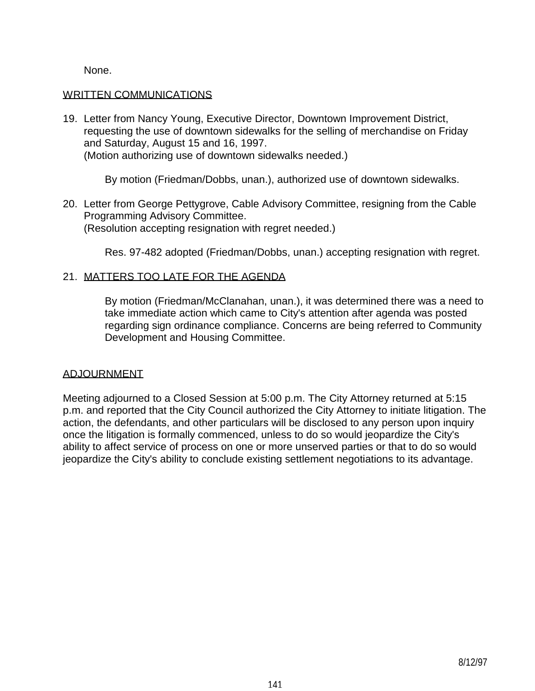None.

#### WRITTEN COMMUNICATIONS

19. Letter from Nancy Young, Executive Director, Downtown Improvement District, requesting the use of downtown sidewalks for the selling of merchandise on Friday and Saturday, August 15 and 16, 1997. (Motion authorizing use of downtown sidewalks needed.)

By motion (Friedman/Dobbs, unan.), authorized use of downtown sidewalks.

20. Letter from George Pettygrove, Cable Advisory Committee, resigning from the Cable Programming Advisory Committee. (Resolution accepting resignation with regret needed.)

Res. 97-482 adopted (Friedman/Dobbs, unan.) accepting resignation with regret.

# 21. MATTERS TOO LATE FOR THE AGENDA

 By motion (Friedman/McClanahan, unan.), it was determined there was a need to take immediate action which came to City's attention after agenda was posted regarding sign ordinance compliance. Concerns are being referred to Community Development and Housing Committee.

#### ADJOURNMENT

Meeting adjourned to a Closed Session at 5:00 p.m. The City Attorney returned at 5:15 p.m. and reported that the City Council authorized the City Attorney to initiate litigation. The action, the defendants, and other particulars will be disclosed to any person upon inquiry once the litigation is formally commenced, unless to do so would jeopardize the City's ability to affect service of process on one or more unserved parties or that to do so would jeopardize the City's ability to conclude existing settlement negotiations to its advantage.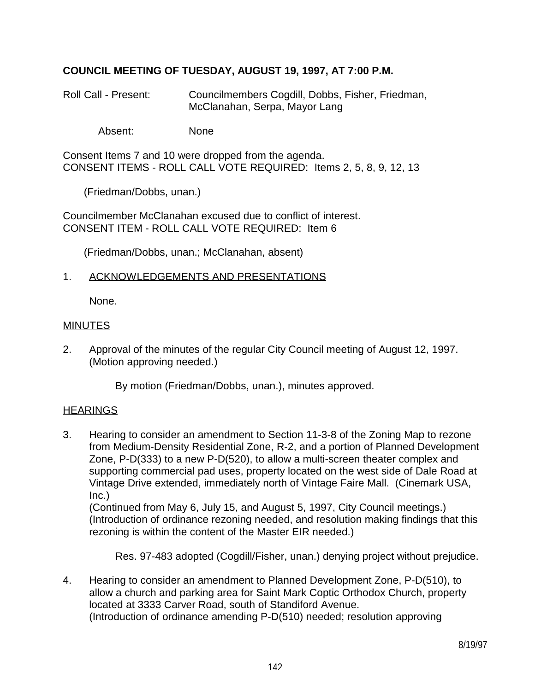# **COUNCIL MEETING OF TUESDAY, AUGUST 19, 1997, AT 7:00 P.M.**

- Roll Call Present: Councilmembers Cogdill, Dobbs, Fisher, Friedman, McClanahan, Serpa, Mayor Lang
	- Absent: None

Consent Items 7 and 10 were dropped from the agenda. CONSENT ITEMS - ROLL CALL VOTE REQUIRED: Items 2, 5, 8, 9, 12, 13

(Friedman/Dobbs, unan.)

Councilmember McClanahan excused due to conflict of interest. CONSENT ITEM - ROLL CALL VOTE REQUIRED: Item 6

(Friedman/Dobbs, unan.; McClanahan, absent)

### 1. ACKNOWLEDGEMENTS AND PRESENTATIONS

None.

#### **MINUTES**

2. Approval of the minutes of the regular City Council meeting of August 12, 1997. (Motion approving needed.)

By motion (Friedman/Dobbs, unan.), minutes approved.

# **HEARINGS**

3. Hearing to consider an amendment to Section 11-3-8 of the Zoning Map to rezone from Medium-Density Residential Zone, R-2, and a portion of Planned Development Zone, P-D(333) to a new P-D(520), to allow a multi-screen theater complex and supporting commercial pad uses, property located on the west side of Dale Road at Vintage Drive extended, immediately north of Vintage Faire Mall. (Cinemark USA, Inc.)

 (Continued from May 6, July 15, and August 5, 1997, City Council meetings.) (Introduction of ordinance rezoning needed, and resolution making findings that this rezoning is within the content of the Master EIR needed.)

Res. 97-483 adopted (Cogdill/Fisher, unan.) denying project without prejudice.

4. Hearing to consider an amendment to Planned Development Zone, P-D(510), to allow a church and parking area for Saint Mark Coptic Orthodox Church, property located at 3333 Carver Road, south of Standiford Avenue. (Introduction of ordinance amending P-D(510) needed; resolution approving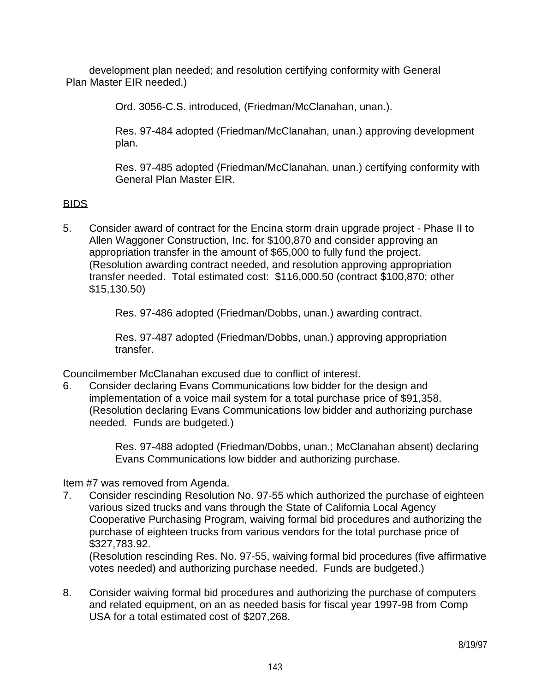development plan needed; and resolution certifying conformity with General Plan Master EIR needed.)

Ord. 3056-C.S. introduced, (Friedman/McClanahan, unan.).

 Res. 97-484 adopted (Friedman/McClanahan, unan.) approving development plan.

 Res. 97-485 adopted (Friedman/McClanahan, unan.) certifying conformity with General Plan Master EIR.

# BIDS

5. Consider award of contract for the Encina storm drain upgrade project - Phase II to Allen Waggoner Construction, Inc. for \$100,870 and consider approving an appropriation transfer in the amount of \$65,000 to fully fund the project. (Resolution awarding contract needed, and resolution approving appropriation transfer needed. Total estimated cost: \$116,000.50 (contract \$100,870; other \$15,130.50)

Res. 97-486 adopted (Friedman/Dobbs, unan.) awarding contract.

 Res. 97-487 adopted (Friedman/Dobbs, unan.) approving appropriation transfer.

Councilmember McClanahan excused due to conflict of interest.

6. Consider declaring Evans Communications low bidder for the design and implementation of a voice mail system for a total purchase price of \$91,358. (Resolution declaring Evans Communications low bidder and authorizing purchase needed. Funds are budgeted.)

> Res. 97-488 adopted (Friedman/Dobbs, unan.; McClanahan absent) declaring Evans Communications low bidder and authorizing purchase.

Item #7 was removed from Agenda.

7. Consider rescinding Resolution No. 97-55 which authorized the purchase of eighteen various sized trucks and vans through the State of California Local Agency Cooperative Purchasing Program, waiving formal bid procedures and authorizing the purchase of eighteen trucks from various vendors for the total purchase price of \$327,783.92.

 (Resolution rescinding Res. No. 97-55, waiving formal bid procedures (five affirmative votes needed) and authorizing purchase needed. Funds are budgeted.)

8. Consider waiving formal bid procedures and authorizing the purchase of computers and related equipment, on an as needed basis for fiscal year 1997-98 from Comp USA for a total estimated cost of \$207,268.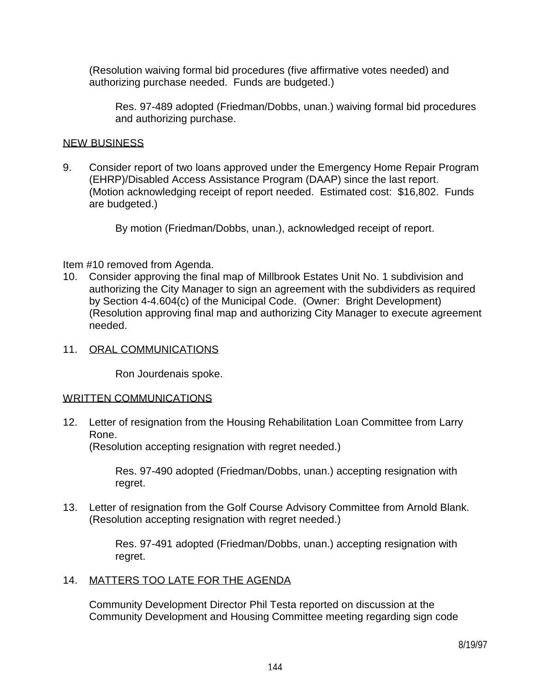(Resolution waiving formal bid procedures (five affirmative votes needed) and authorizing purchase needed. Funds are budgeted.)

 Res. 97-489 adopted (Friedman/Dobbs, unan.) waiving formal bid procedures and authorizing purchase.

### NEW BUSINESS

9. Consider report of two loans approved under the Emergency Home Repair Program (EHRP)/Disabled Access Assistance Program (DAAP) since the last report. (Motion acknowledging receipt of report needed. Estimated cost: \$16,802. Funds are budgeted.)

By motion (Friedman/Dobbs, unan.), acknowledged receipt of report.

### Item #10 removed from Agenda.

10. Consider approving the final map of Millbrook Estates Unit No. 1 subdivision and authorizing the City Manager to sign an agreement with the subdividers as required by Section 4-4.604(c) of the Municipal Code. (Owner: Bright Development) (Resolution approving final map and authorizing City Manager to execute agreement needed.

#### 11. ORAL COMMUNICATIONS

Ron Jourdenais spoke.

#### WRITTEN COMMUNICATIONS

12. Letter of resignation from the Housing Rehabilitation Loan Committee from Larry Rone.

(Resolution accepting resignation with regret needed.)

 Res. 97-490 adopted (Friedman/Dobbs, unan.) accepting resignation with regret.

13. Letter of resignation from the Golf Course Advisory Committee from Arnold Blank. (Resolution accepting resignation with regret needed.)

> Res. 97-491 adopted (Friedman/Dobbs, unan.) accepting resignation with regret.

# 14. MATTERS TOO LATE FOR THE AGENDA

 Community Development Director Phil Testa reported on discussion at the Community Development and Housing Committee meeting regarding sign code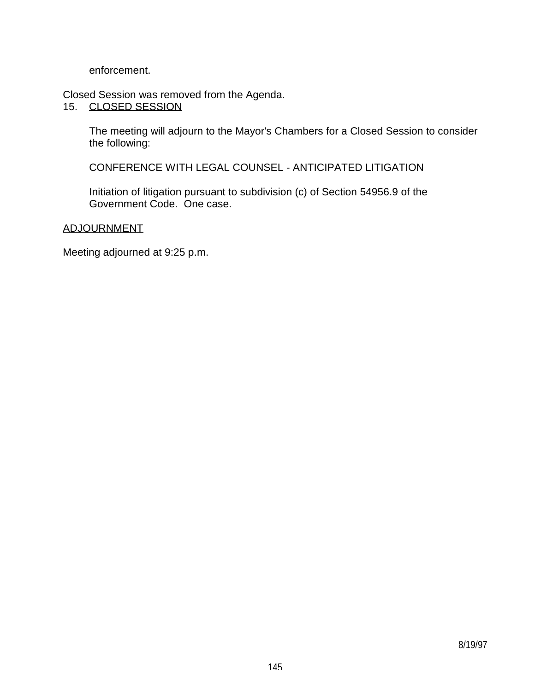enforcement.

Closed Session was removed from the Agenda.

15. CLOSED SESSION

 The meeting will adjourn to the Mayor's Chambers for a Closed Session to consider the following:

CONFERENCE WITH LEGAL COUNSEL - ANTICIPATED LITIGATION

 Initiation of litigation pursuant to subdivision (c) of Section 54956.9 of the Government Code. One case.

# ADJOURNMENT

Meeting adjourned at 9:25 p.m.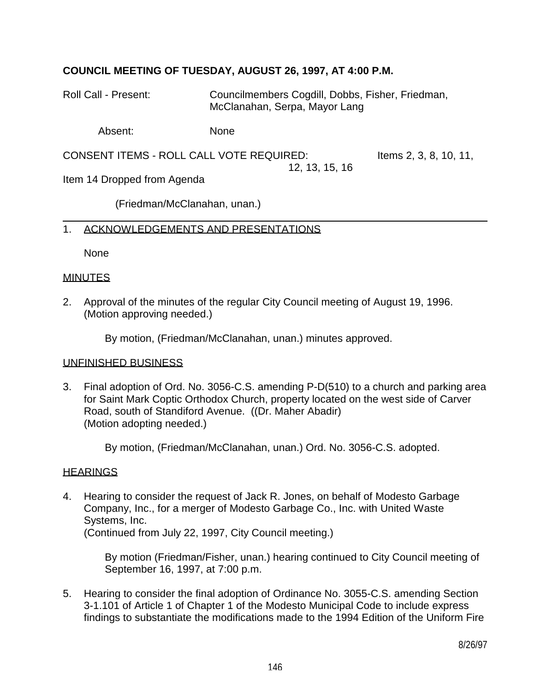# **COUNCIL MEETING OF TUESDAY, AUGUST 26, 1997, AT 4:00 P.M.**

Roll Call - Present: Councilmembers Cogdill, Dobbs, Fisher, Friedman, McClanahan, Serpa, Mayor Lang

Absent: None

CONSENT ITEMS - ROLL CALL VOTE REQUIRED: Items 2, 3, 8, 10, 11, 12, 13, 15, 16

Item 14 Dropped from Agenda

(Friedman/McClanahan, unan.)

#### 1. ACKNOWLEDGEMENTS AND PRESENTATIONS

None

#### MINUTES

2. Approval of the minutes of the regular City Council meeting of August 19, 1996. (Motion approving needed.)

By motion, (Friedman/McClanahan, unan.) minutes approved.

#### UNFINISHED BUSINESS

3. Final adoption of Ord. No. 3056-C.S. amending P-D(510) to a church and parking area for Saint Mark Coptic Orthodox Church, property located on the west side of Carver Road, south of Standiford Avenue. ((Dr. Maher Abadir) (Motion adopting needed.)

By motion, (Friedman/McClanahan, unan.) Ord. No. 3056-C.S. adopted.

#### **HEARINGS**

4. Hearing to consider the request of Jack R. Jones, on behalf of Modesto Garbage Company, Inc., for a merger of Modesto Garbage Co., Inc. with United Waste Systems, Inc. (Continued from July 22, 1997, City Council meeting.)

> By motion (Friedman/Fisher, unan.) hearing continued to City Council meeting of September 16, 1997, at 7:00 p.m.

5. Hearing to consider the final adoption of Ordinance No. 3055-C.S. amending Section 3-1.101 of Article 1 of Chapter 1 of the Modesto Municipal Code to include express findings to substantiate the modifications made to the 1994 Edition of the Uniform Fire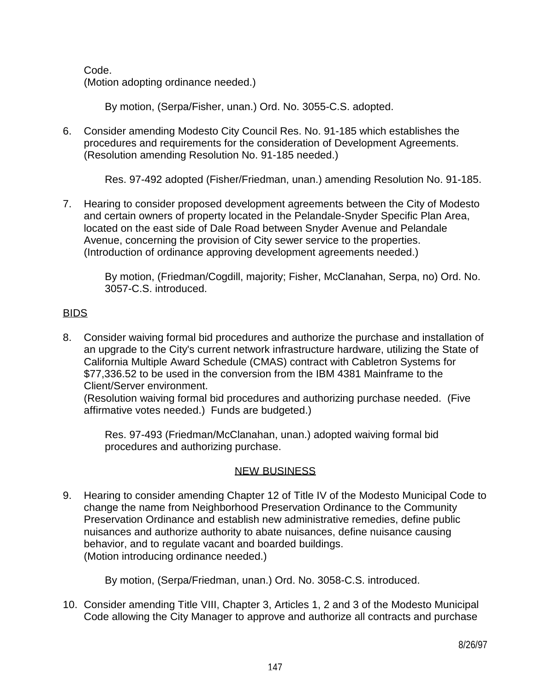Code. (Motion adopting ordinance needed.)

By motion, (Serpa/Fisher, unan.) Ord. No. 3055-C.S. adopted.

6. Consider amending Modesto City Council Res. No. 91-185 which establishes the procedures and requirements for the consideration of Development Agreements. (Resolution amending Resolution No. 91-185 needed.)

Res. 97-492 adopted (Fisher/Friedman, unan.) amending Resolution No. 91-185.

7. Hearing to consider proposed development agreements between the City of Modesto and certain owners of property located in the Pelandale-Snyder Specific Plan Area, located on the east side of Dale Road between Snyder Avenue and Pelandale Avenue, concerning the provision of City sewer service to the properties. (Introduction of ordinance approving development agreements needed.)

 By motion, (Friedman/Cogdill, majority; Fisher, McClanahan, Serpa, no) Ord. No. 3057-C.S. introduced.

# BIDS

8. Consider waiving formal bid procedures and authorize the purchase and installation of an upgrade to the City's current network infrastructure hardware, utilizing the State of California Multiple Award Schedule (CMAS) contract with Cabletron Systems for \$77,336.52 to be used in the conversion from the IBM 4381 Mainframe to the Client/Server environment.

 (Resolution waiving formal bid procedures and authorizing purchase needed. (Five affirmative votes needed.) Funds are budgeted.)

 Res. 97-493 (Friedman/McClanahan, unan.) adopted waiving formal bid procedures and authorizing purchase.

# NEW BUSINESS

9. Hearing to consider amending Chapter 12 of Title IV of the Modesto Municipal Code to change the name from Neighborhood Preservation Ordinance to the Community Preservation Ordinance and establish new administrative remedies, define public nuisances and authorize authority to abate nuisances, define nuisance causing behavior, and to regulate vacant and boarded buildings. (Motion introducing ordinance needed.)

By motion, (Serpa/Friedman, unan.) Ord. No. 3058-C.S. introduced.

10. Consider amending Title VIII, Chapter 3, Articles 1, 2 and 3 of the Modesto Municipal Code allowing the City Manager to approve and authorize all contracts and purchase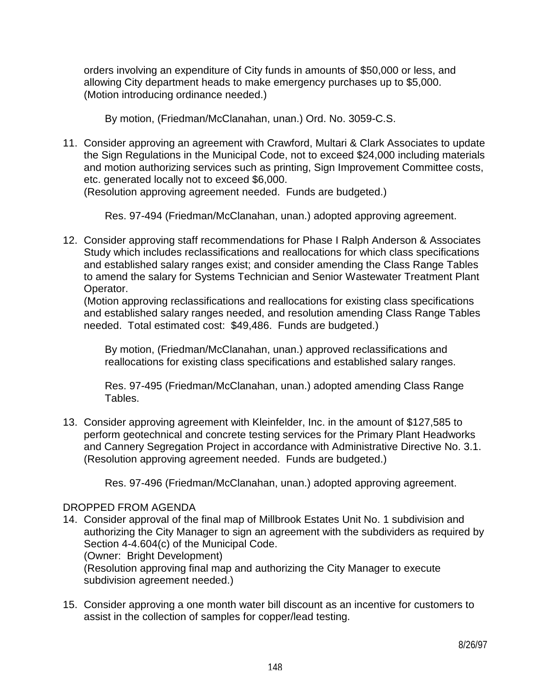orders involving an expenditure of City funds in amounts of \$50,000 or less, and allowing City department heads to make emergency purchases up to \$5,000. (Motion introducing ordinance needed.)

By motion, (Friedman/McClanahan, unan.) Ord. No. 3059-C.S.

11. Consider approving an agreement with Crawford, Multari & Clark Associates to update the Sign Regulations in the Municipal Code, not to exceed \$24,000 including materials and motion authorizing services such as printing, Sign Improvement Committee costs, etc. generated locally not to exceed \$6,000. (Resolution approving agreement needed. Funds are budgeted.)

Res. 97-494 (Friedman/McClanahan, unan.) adopted approving agreement.

12. Consider approving staff recommendations for Phase I Ralph Anderson & Associates Study which includes reclassifications and reallocations for which class specifications and established salary ranges exist; and consider amending the Class Range Tables to amend the salary for Systems Technician and Senior Wastewater Treatment Plant Operator.

 (Motion approving reclassifications and reallocations for existing class specifications and established salary ranges needed, and resolution amending Class Range Tables needed. Total estimated cost: \$49,486. Funds are budgeted.)

 By motion, (Friedman/McClanahan, unan.) approved reclassifications and reallocations for existing class specifications and established salary ranges.

 Res. 97-495 (Friedman/McClanahan, unan.) adopted amending Class Range Tables.

13. Consider approving agreement with Kleinfelder, Inc. in the amount of \$127,585 to perform geotechnical and concrete testing services for the Primary Plant Headworks and Cannery Segregation Project in accordance with Administrative Directive No. 3.1. (Resolution approving agreement needed. Funds are budgeted.)

Res. 97-496 (Friedman/McClanahan, unan.) adopted approving agreement.

### DROPPED FROM AGENDA

14. Consider approval of the final map of Millbrook Estates Unit No. 1 subdivision and authorizing the City Manager to sign an agreement with the subdividers as required by Section 4-4.604(c) of the Municipal Code. (Owner: Bright Development)

 (Resolution approving final map and authorizing the City Manager to execute subdivision agreement needed.)

15. Consider approving a one month water bill discount as an incentive for customers to assist in the collection of samples for copper/lead testing.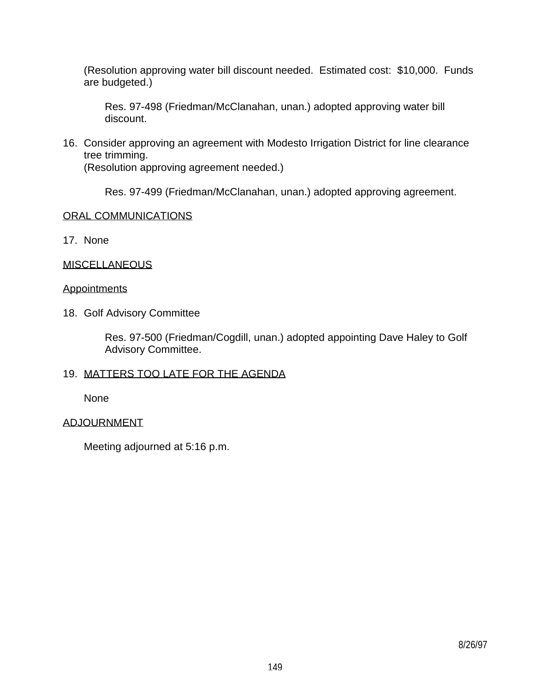(Resolution approving water bill discount needed. Estimated cost: \$10,000. Funds are budgeted.)

 Res. 97-498 (Friedman/McClanahan, unan.) adopted approving water bill discount.

16. Consider approving an agreement with Modesto Irrigation District for line clearance tree trimming.

(Resolution approving agreement needed.)

Res. 97-499 (Friedman/McClanahan, unan.) adopted approving agreement.

# ORAL COMMUNICATIONS

17. None

### **MISCELLANEOUS**

### **Appointments**

18. Golf Advisory Committee

 Res. 97-500 (Friedman/Cogdill, unan.) adopted appointing Dave Haley to Golf Advisory Committee.

### 19. MATTERS TOO LATE FOR THE AGENDA

None

### ADJOURNMENT

Meeting adjourned at 5:16 p.m.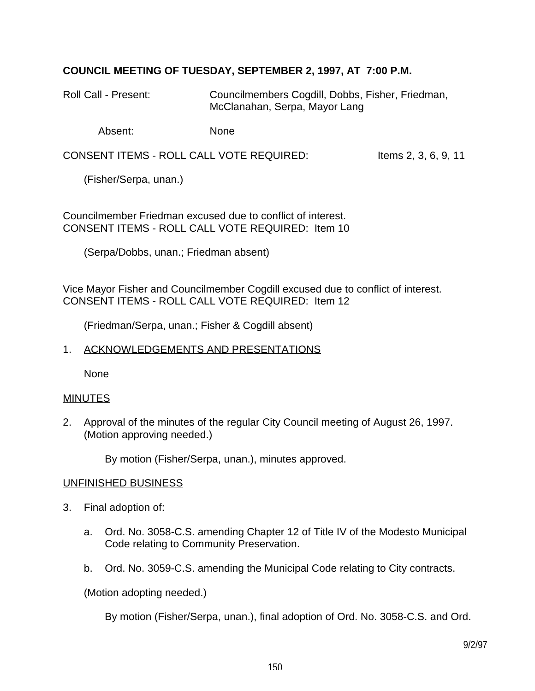# **COUNCIL MEETING OF TUESDAY, SEPTEMBER 2, 1997, AT 7:00 P.M.**

Roll Call - Present: Councilmembers Cogdill, Dobbs, Fisher, Friedman, McClanahan, Serpa, Mayor Lang

Absent: None

CONSENT ITEMS - ROLL CALL VOTE REQUIRED: Items 2, 3, 6, 9, 11

(Fisher/Serpa, unan.)

Councilmember Friedman excused due to conflict of interest. CONSENT ITEMS - ROLL CALL VOTE REQUIRED: Item 10

(Serpa/Dobbs, unan.; Friedman absent)

Vice Mayor Fisher and Councilmember Cogdill excused due to conflict of interest. CONSENT ITEMS - ROLL CALL VOTE REQUIRED: Item 12

(Friedman/Serpa, unan.; Fisher & Cogdill absent)

#### 1. ACKNOWLEDGEMENTS AND PRESENTATIONS

None

#### MINUTES

2. Approval of the minutes of the regular City Council meeting of August 26, 1997. (Motion approving needed.)

By motion (Fisher/Serpa, unan.), minutes approved.

#### UNFINISHED BUSINESS

- 3. Final adoption of:
	- a. Ord. No. 3058-C.S. amending Chapter 12 of Title IV of the Modesto Municipal Code relating to Community Preservation.
	- b. Ord. No. 3059-C.S. amending the Municipal Code relating to City contracts.

(Motion adopting needed.)

By motion (Fisher/Serpa, unan.), final adoption of Ord. No. 3058-C.S. and Ord.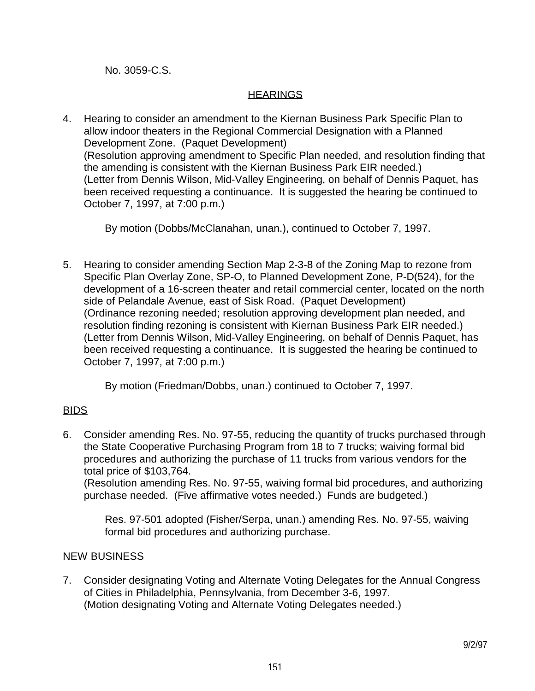No. 3059-C.S.

### **HEARINGS**

4. Hearing to consider an amendment to the Kiernan Business Park Specific Plan to allow indoor theaters in the Regional Commercial Designation with a Planned Development Zone. (Paquet Development) (Resolution approving amendment to Specific Plan needed, and resolution finding that the amending is consistent with the Kiernan Business Park EIR needed.) (Letter from Dennis Wilson, Mid-Valley Engineering, on behalf of Dennis Paquet, has been received requesting a continuance. It is suggested the hearing be continued to October 7, 1997, at 7:00 p.m.)

By motion (Dobbs/McClanahan, unan.), continued to October 7, 1997.

5. Hearing to consider amending Section Map 2-3-8 of the Zoning Map to rezone from Specific Plan Overlay Zone, SP-O, to Planned Development Zone, P-D(524), for the development of a 16-screen theater and retail commercial center, located on the north side of Pelandale Avenue, east of Sisk Road. (Paquet Development) (Ordinance rezoning needed; resolution approving development plan needed, and resolution finding rezoning is consistent with Kiernan Business Park EIR needed.) (Letter from Dennis Wilson, Mid-Valley Engineering, on behalf of Dennis Paquet, has been received requesting a continuance. It is suggested the hearing be continued to October 7, 1997, at 7:00 p.m.)

By motion (Friedman/Dobbs, unan.) continued to October 7, 1997.

# BIDS

6. Consider amending Res. No. 97-55, reducing the quantity of trucks purchased through the State Cooperative Purchasing Program from 18 to 7 trucks; waiving formal bid procedures and authorizing the purchase of 11 trucks from various vendors for the total price of \$103,764.

 (Resolution amending Res. No. 97-55, waiving formal bid procedures, and authorizing purchase needed. (Five affirmative votes needed.) Funds are budgeted.)

 Res. 97-501 adopted (Fisher/Serpa, unan.) amending Res. No. 97-55, waiving formal bid procedures and authorizing purchase.

# NEW BUSINESS

7. Consider designating Voting and Alternate Voting Delegates for the Annual Congress of Cities in Philadelphia, Pennsylvania, from December 3-6, 1997. (Motion designating Voting and Alternate Voting Delegates needed.)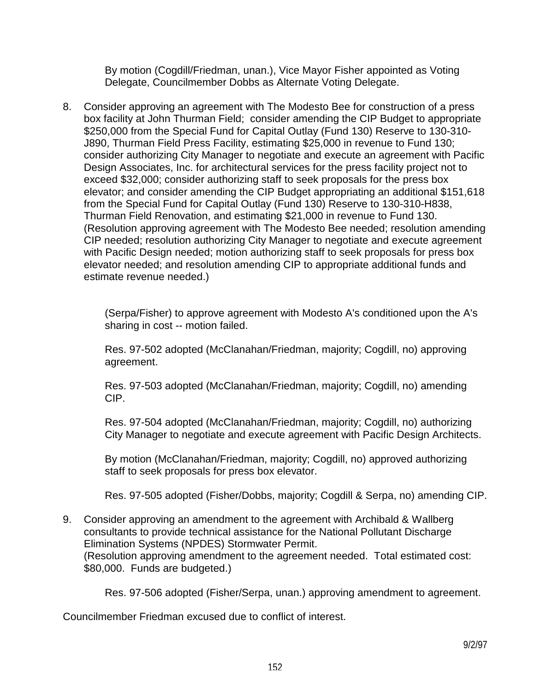By motion (Cogdill/Friedman, unan.), Vice Mayor Fisher appointed as Voting Delegate, Councilmember Dobbs as Alternate Voting Delegate.

8. Consider approving an agreement with The Modesto Bee for construction of a press box facility at John Thurman Field; consider amending the CIP Budget to appropriate \$250,000 from the Special Fund for Capital Outlay (Fund 130) Reserve to 130-310- J890, Thurman Field Press Facility, estimating \$25,000 in revenue to Fund 130; consider authorizing City Manager to negotiate and execute an agreement with Pacific Design Associates, Inc. for architectural services for the press facility project not to exceed \$32,000; consider authorizing staff to seek proposals for the press box elevator; and consider amending the CIP Budget appropriating an additional \$151,618 from the Special Fund for Capital Outlay (Fund 130) Reserve to 130-310-H838, Thurman Field Renovation, and estimating \$21,000 in revenue to Fund 130. (Resolution approving agreement with The Modesto Bee needed; resolution amending CIP needed; resolution authorizing City Manager to negotiate and execute agreement with Pacific Design needed; motion authorizing staff to seek proposals for press box elevator needed; and resolution amending CIP to appropriate additional funds and estimate revenue needed.)

 (Serpa/Fisher) to approve agreement with Modesto A's conditioned upon the A's sharing in cost -- motion failed.

 Res. 97-502 adopted (McClanahan/Friedman, majority; Cogdill, no) approving agreement.

 Res. 97-503 adopted (McClanahan/Friedman, majority; Cogdill, no) amending CIP.

 Res. 97-504 adopted (McClanahan/Friedman, majority; Cogdill, no) authorizing City Manager to negotiate and execute agreement with Pacific Design Architects.

 By motion (McClanahan/Friedman, majority; Cogdill, no) approved authorizing staff to seek proposals for press box elevator.

Res. 97-505 adopted (Fisher/Dobbs, majority; Cogdill & Serpa, no) amending CIP.

9. Consider approving an amendment to the agreement with Archibald & Wallberg consultants to provide technical assistance for the National Pollutant Discharge Elimination Systems (NPDES) Stormwater Permit. (Resolution approving amendment to the agreement needed. Total estimated cost: \$80,000. Funds are budgeted.)

Res. 97-506 adopted (Fisher/Serpa, unan.) approving amendment to agreement.

Councilmember Friedman excused due to conflict of interest.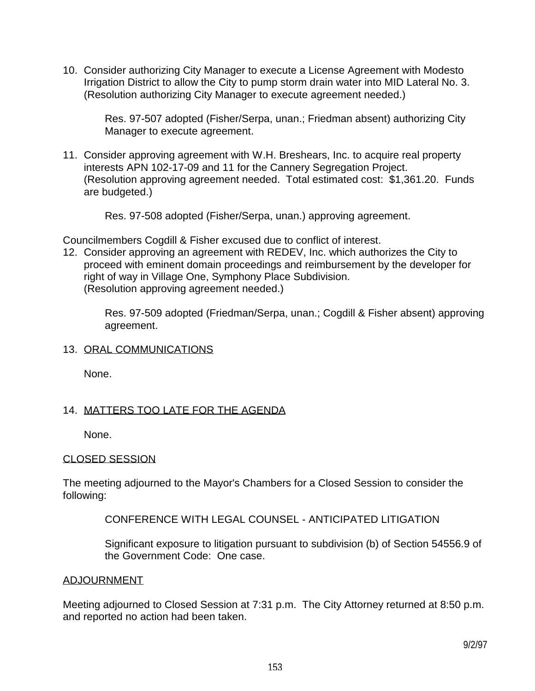10. Consider authorizing City Manager to execute a License Agreement with Modesto Irrigation District to allow the City to pump storm drain water into MID Lateral No. 3. (Resolution authorizing City Manager to execute agreement needed.)

 Res. 97-507 adopted (Fisher/Serpa, unan.; Friedman absent) authorizing City Manager to execute agreement.

11. Consider approving agreement with W.H. Breshears, Inc. to acquire real property interests APN 102-17-09 and 11 for the Cannery Segregation Project. (Resolution approving agreement needed. Total estimated cost: \$1,361.20. Funds are budgeted.)

Res. 97-508 adopted (Fisher/Serpa, unan.) approving agreement.

Councilmembers Cogdill & Fisher excused due to conflict of interest.

12. Consider approving an agreement with REDEV, Inc. which authorizes the City to proceed with eminent domain proceedings and reimbursement by the developer for right of way in Village One, Symphony Place Subdivision. (Resolution approving agreement needed.)

 Res. 97-509 adopted (Friedman/Serpa, unan.; Cogdill & Fisher absent) approving agreement.

### 13. ORAL COMMUNICATIONS

None.

### 14. MATTERS TOO LATE FOR THE AGENDA

None.

#### CLOSED SESSION

The meeting adjourned to the Mayor's Chambers for a Closed Session to consider the following:

# CONFERENCE WITH LEGAL COUNSEL - ANTICIPATED LITIGATION

 Significant exposure to litigation pursuant to subdivision (b) of Section 54556.9 of the Government Code: One case.

#### ADJOURNMENT

Meeting adjourned to Closed Session at 7:31 p.m. The City Attorney returned at 8:50 p.m. and reported no action had been taken.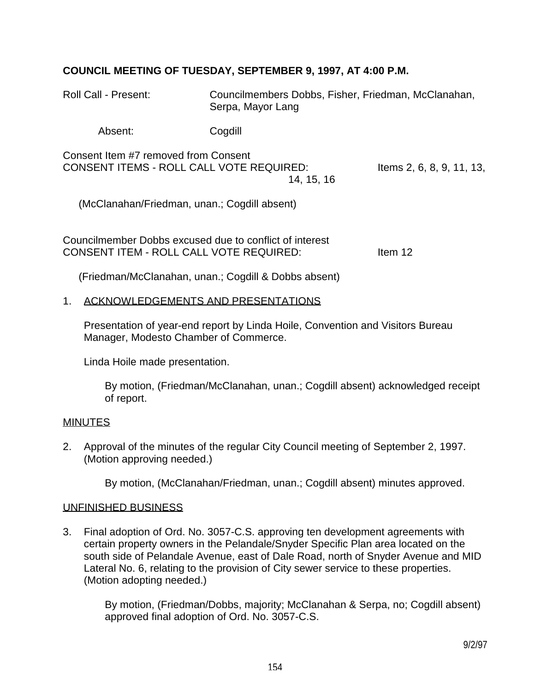# **COUNCIL MEETING OF TUESDAY, SEPTEMBER 9, 1997, AT 4:00 P.M.**

| <b>Roll Call - Present:</b>                                                                        | Councilmembers Dobbs, Fisher, Friedman, McClanahan,<br>Serpa, Mayor Lang |                           |
|----------------------------------------------------------------------------------------------------|--------------------------------------------------------------------------|---------------------------|
| Absent:                                                                                            | Cogdill                                                                  |                           |
| Consent Item #7 removed from Consent<br><b>CONSENT ITEMS - ROLL CALL VOTE REQUIRED:</b>            | 14, 15, 16                                                               | Items 2, 6, 8, 9, 11, 13, |
| (McClanahan/Friedman, unan.; Cogdill absent)                                                       |                                                                          |                           |
| Councilmember Dobbs excused due to conflict of interest<br>CONSENT ITEM - ROLL CALL VOTE REQUIRED: |                                                                          | Item 12                   |
|                                                                                                    | (Friedman/McClanahan, unan.; Cogdill & Dobbs absent)                     |                           |

#### 1. ACKNOWLEDGEMENTS AND PRESENTATIONS

 Presentation of year-end report by Linda Hoile, Convention and Visitors Bureau Manager, Modesto Chamber of Commerce.

Linda Hoile made presentation.

 By motion, (Friedman/McClanahan, unan.; Cogdill absent) acknowledged receipt of report.

#### MINUTES

2. Approval of the minutes of the regular City Council meeting of September 2, 1997. (Motion approving needed.)

By motion, (McClanahan/Friedman, unan.; Cogdill absent) minutes approved.

#### UNFINISHED BUSINESS

3. Final adoption of Ord. No. 3057-C.S. approving ten development agreements with certain property owners in the Pelandale/Snyder Specific Plan area located on the south side of Pelandale Avenue, east of Dale Road, north of Snyder Avenue and MID Lateral No. 6, relating to the provision of City sewer service to these properties. (Motion adopting needed.)

 By motion, (Friedman/Dobbs, majority; McClanahan & Serpa, no; Cogdill absent) approved final adoption of Ord. No. 3057-C.S.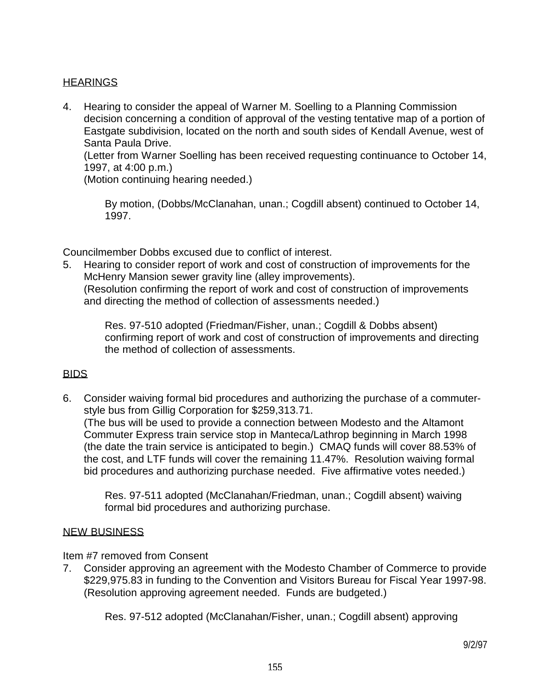# **HEARINGS**

4. Hearing to consider the appeal of Warner M. Soelling to a Planning Commission decision concerning a condition of approval of the vesting tentative map of a portion of Eastgate subdivision, located on the north and south sides of Kendall Avenue, west of Santa Paula Drive.

 (Letter from Warner Soelling has been received requesting continuance to October 14, 1997, at 4:00 p.m.)

(Motion continuing hearing needed.)

 By motion, (Dobbs/McClanahan, unan.; Cogdill absent) continued to October 14, 1997.

Councilmember Dobbs excused due to conflict of interest.

5. Hearing to consider report of work and cost of construction of improvements for the McHenry Mansion sewer gravity line (alley improvements). (Resolution confirming the report of work and cost of construction of improvements and directing the method of collection of assessments needed.)

> Res. 97-510 adopted (Friedman/Fisher, unan.; Cogdill & Dobbs absent) confirming report of work and cost of construction of improvements and directing the method of collection of assessments.

### BIDS

6. Consider waiving formal bid procedures and authorizing the purchase of a commuterstyle bus from Gillig Corporation for \$259,313.71. (The bus will be used to provide a connection between Modesto and the Altamont Commuter Express train service stop in Manteca/Lathrop beginning in March 1998 (the date the train service is anticipated to begin.) CMAQ funds will cover 88.53% of the cost, and LTF funds will cover the remaining 11.47%. Resolution waiving formal bid procedures and authorizing purchase needed. Five affirmative votes needed.)

 Res. 97-511 adopted (McClanahan/Friedman, unan.; Cogdill absent) waiving formal bid procedures and authorizing purchase.

### NEW BUSINESS

Item #7 removed from Consent

7. Consider approving an agreement with the Modesto Chamber of Commerce to provide \$229,975.83 in funding to the Convention and Visitors Bureau for Fiscal Year 1997-98. (Resolution approving agreement needed. Funds are budgeted.)

Res. 97-512 adopted (McClanahan/Fisher, unan.; Cogdill absent) approving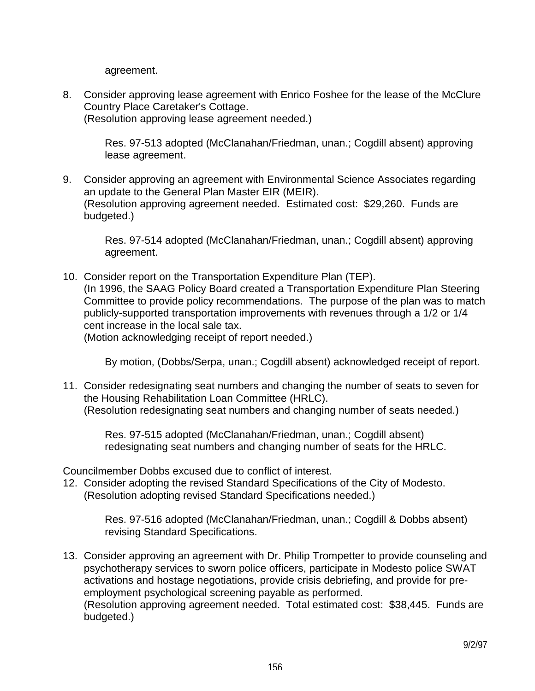agreement.

8. Consider approving lease agreement with Enrico Foshee for the lease of the McClure Country Place Caretaker's Cottage. (Resolution approving lease agreement needed.)

 Res. 97-513 adopted (McClanahan/Friedman, unan.; Cogdill absent) approving lease agreement.

9. Consider approving an agreement with Environmental Science Associates regarding an update to the General Plan Master EIR (MEIR). (Resolution approving agreement needed. Estimated cost: \$29,260. Funds are budgeted.)

 Res. 97-514 adopted (McClanahan/Friedman, unan.; Cogdill absent) approving agreement.

10. Consider report on the Transportation Expenditure Plan (TEP). (In 1996, the SAAG Policy Board created a Transportation Expenditure Plan Steering Committee to provide policy recommendations. The purpose of the plan was to match publicly-supported transportation improvements with revenues through a 1/2 or 1/4 cent increase in the local sale tax.

(Motion acknowledging receipt of report needed.)

By motion, (Dobbs/Serpa, unan.; Cogdill absent) acknowledged receipt of report.

11. Consider redesignating seat numbers and changing the number of seats to seven for the Housing Rehabilitation Loan Committee (HRLC). (Resolution redesignating seat numbers and changing number of seats needed.)

 Res. 97-515 adopted (McClanahan/Friedman, unan.; Cogdill absent) redesignating seat numbers and changing number of seats for the HRLC.

Councilmember Dobbs excused due to conflict of interest.

12. Consider adopting the revised Standard Specifications of the City of Modesto. (Resolution adopting revised Standard Specifications needed.)

> Res. 97-516 adopted (McClanahan/Friedman, unan.; Cogdill & Dobbs absent) revising Standard Specifications.

13. Consider approving an agreement with Dr. Philip Trompetter to provide counseling and psychotherapy services to sworn police officers, participate in Modesto police SWAT activations and hostage negotiations, provide crisis debriefing, and provide for preemployment psychological screening payable as performed. (Resolution approving agreement needed. Total estimated cost: \$38,445. Funds are budgeted.)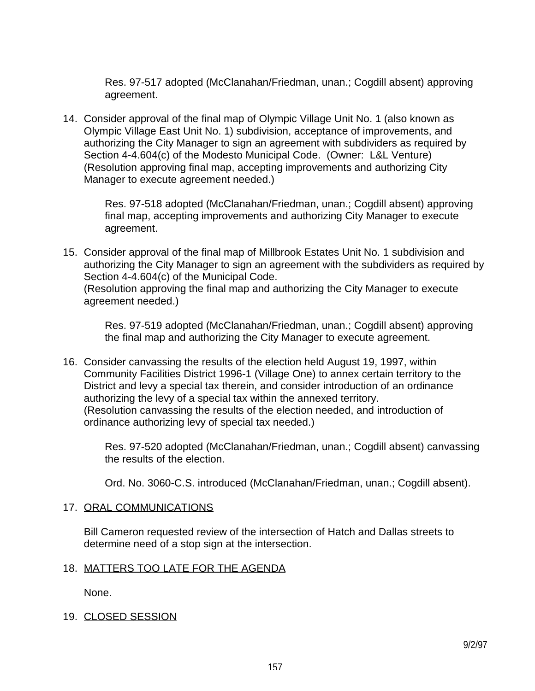Res. 97-517 adopted (McClanahan/Friedman, unan.; Cogdill absent) approving agreement.

14. Consider approval of the final map of Olympic Village Unit No. 1 (also known as Olympic Village East Unit No. 1) subdivision, acceptance of improvements, and authorizing the City Manager to sign an agreement with subdividers as required by Section 4-4.604(c) of the Modesto Municipal Code. (Owner: L&L Venture) (Resolution approving final map, accepting improvements and authorizing City Manager to execute agreement needed.)

> Res. 97-518 adopted (McClanahan/Friedman, unan.; Cogdill absent) approving final map, accepting improvements and authorizing City Manager to execute agreement.

15. Consider approval of the final map of Millbrook Estates Unit No. 1 subdivision and authorizing the City Manager to sign an agreement with the subdividers as required by Section 4-4.604(c) of the Municipal Code. (Resolution approving the final map and authorizing the City Manager to execute agreement needed.)

 Res. 97-519 adopted (McClanahan/Friedman, unan.; Cogdill absent) approving the final map and authorizing the City Manager to execute agreement.

16. Consider canvassing the results of the election held August 19, 1997, within Community Facilities District 1996-1 (Village One) to annex certain territory to the District and levy a special tax therein, and consider introduction of an ordinance authorizing the levy of a special tax within the annexed territory. (Resolution canvassing the results of the election needed, and introduction of ordinance authorizing levy of special tax needed.)

 Res. 97-520 adopted (McClanahan/Friedman, unan.; Cogdill absent) canvassing the results of the election.

Ord. No. 3060-C.S. introduced (McClanahan/Friedman, unan.; Cogdill absent).

### 17. ORAL COMMUNICATIONS

 Bill Cameron requested review of the intersection of Hatch and Dallas streets to determine need of a stop sign at the intersection.

### 18. MATTERS TOO LATE FOR THE AGENDA

None.

# 19. CLOSED SESSION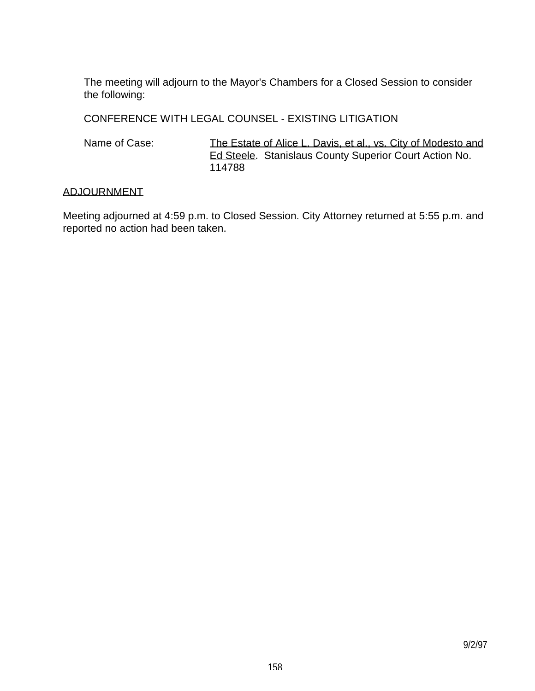The meeting will adjourn to the Mayor's Chambers for a Closed Session to consider the following:

CONFERENCE WITH LEGAL COUNSEL - EXISTING LITIGATION

Name of Case: The Estate of Alice L. Davis, et al., vs. City of Modesto and Ed Steele. Stanislaus County Superior Court Action No. 114788

### ADJOURNMENT

Meeting adjourned at 4:59 p.m. to Closed Session. City Attorney returned at 5:55 p.m. and reported no action had been taken.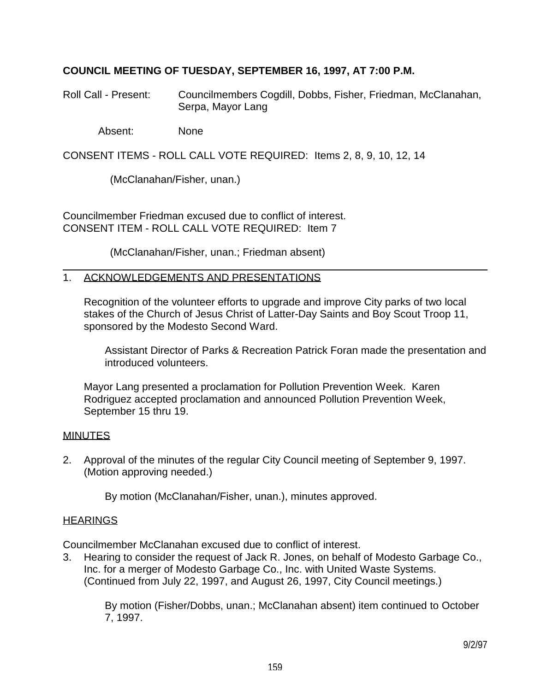# **COUNCIL MEETING OF TUESDAY, SEPTEMBER 16, 1997, AT 7:00 P.M.**

Roll Call - Present: Councilmembers Cogdill, Dobbs, Fisher, Friedman, McClanahan, Serpa, Mayor Lang

Absent: None

CONSENT ITEMS - ROLL CALL VOTE REQUIRED: Items 2, 8, 9, 10, 12, 14

(McClanahan/Fisher, unan.)

Councilmember Friedman excused due to conflict of interest. CONSENT ITEM - ROLL CALL VOTE REQUIRED: Item 7

(McClanahan/Fisher, unan.; Friedman absent)

### 1. ACKNOWLEDGEMENTS AND PRESENTATIONS

 Recognition of the volunteer efforts to upgrade and improve City parks of two local stakes of the Church of Jesus Christ of Latter-Day Saints and Boy Scout Troop 11, sponsored by the Modesto Second Ward.

 Assistant Director of Parks & Recreation Patrick Foran made the presentation and introduced volunteers.

 Mayor Lang presented a proclamation for Pollution Prevention Week. Karen Rodriguez accepted proclamation and announced Pollution Prevention Week, September 15 thru 19.

#### **MINUTES**

2. Approval of the minutes of the regular City Council meeting of September 9, 1997. (Motion approving needed.)

By motion (McClanahan/Fisher, unan.), minutes approved.

### **HEARINGS**

Councilmember McClanahan excused due to conflict of interest.

3. Hearing to consider the request of Jack R. Jones, on behalf of Modesto Garbage Co., Inc. for a merger of Modesto Garbage Co., Inc. with United Waste Systems. (Continued from July 22, 1997, and August 26, 1997, City Council meetings.)

 By motion (Fisher/Dobbs, unan.; McClanahan absent) item continued to October 7, 1997.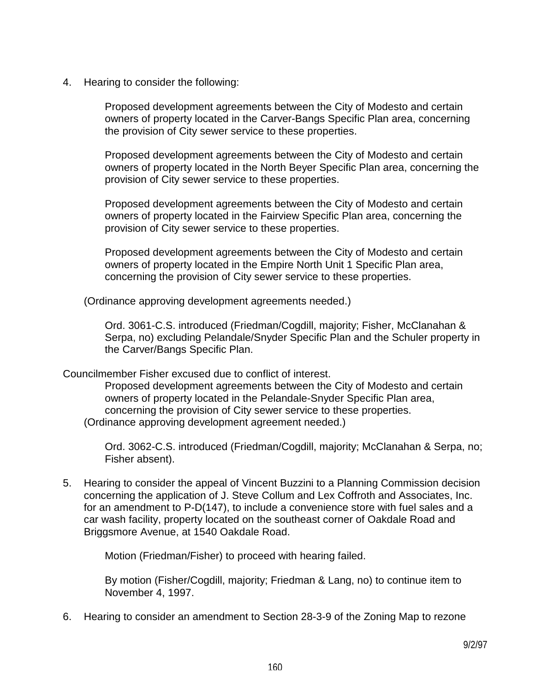4. Hearing to consider the following:

 Proposed development agreements between the City of Modesto and certain owners of property located in the Carver-Bangs Specific Plan area, concerning the provision of City sewer service to these properties.

 Proposed development agreements between the City of Modesto and certain owners of property located in the North Beyer Specific Plan area, concerning the provision of City sewer service to these properties.

 Proposed development agreements between the City of Modesto and certain owners of property located in the Fairview Specific Plan area, concerning the provision of City sewer service to these properties.

 Proposed development agreements between the City of Modesto and certain owners of property located in the Empire North Unit 1 Specific Plan area, concerning the provision of City sewer service to these properties.

(Ordinance approving development agreements needed.)

 Ord. 3061-C.S. introduced (Friedman/Cogdill, majority; Fisher, McClanahan & Serpa, no) excluding Pelandale/Snyder Specific Plan and the Schuler property in the Carver/Bangs Specific Plan.

Councilmember Fisher excused due to conflict of interest.

 Proposed development agreements between the City of Modesto and certain owners of property located in the Pelandale-Snyder Specific Plan area, concerning the provision of City sewer service to these properties. (Ordinance approving development agreement needed.)

 Ord. 3062-C.S. introduced (Friedman/Cogdill, majority; McClanahan & Serpa, no; Fisher absent).

5. Hearing to consider the appeal of Vincent Buzzini to a Planning Commission decision concerning the application of J. Steve Collum and Lex Coffroth and Associates, Inc. for an amendment to P-D(147), to include a convenience store with fuel sales and a car wash facility, property located on the southeast corner of Oakdale Road and Briggsmore Avenue, at 1540 Oakdale Road.

Motion (Friedman/Fisher) to proceed with hearing failed.

 By motion (Fisher/Cogdill, majority; Friedman & Lang, no) to continue item to November 4, 1997.

6. Hearing to consider an amendment to Section 28-3-9 of the Zoning Map to rezone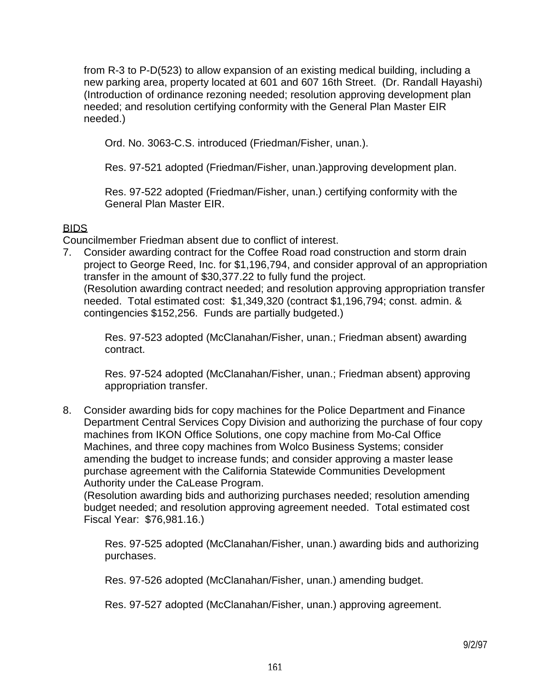from R-3 to P-D(523) to allow expansion of an existing medical building, including a new parking area, property located at 601 and 607 16th Street. (Dr. Randall Hayashi) (Introduction of ordinance rezoning needed; resolution approving development plan needed; and resolution certifying conformity with the General Plan Master EIR needed.)

Ord. No. 3063-C.S. introduced (Friedman/Fisher, unan.).

Res. 97-521 adopted (Friedman/Fisher, unan.)approving development plan.

 Res. 97-522 adopted (Friedman/Fisher, unan.) certifying conformity with the General Plan Master EIR.

# BIDS

Councilmember Friedman absent due to conflict of interest.

7. Consider awarding contract for the Coffee Road road construction and storm drain project to George Reed, Inc. for \$1,196,794, and consider approval of an appropriation transfer in the amount of \$30,377.22 to fully fund the project. (Resolution awarding contract needed; and resolution approving appropriation transfer needed. Total estimated cost: \$1,349,320 (contract \$1,196,794; const. admin. & contingencies \$152,256. Funds are partially budgeted.)

 Res. 97-523 adopted (McClanahan/Fisher, unan.; Friedman absent) awarding contract.

 Res. 97-524 adopted (McClanahan/Fisher, unan.; Friedman absent) approving appropriation transfer.

8. Consider awarding bids for copy machines for the Police Department and Finance Department Central Services Copy Division and authorizing the purchase of four copy machines from IKON Office Solutions, one copy machine from Mo-Cal Office Machines, and three copy machines from Wolco Business Systems; consider amending the budget to increase funds; and consider approving a master lease purchase agreement with the California Statewide Communities Development Authority under the CaLease Program.

 (Resolution awarding bids and authorizing purchases needed; resolution amending budget needed; and resolution approving agreement needed. Total estimated cost Fiscal Year: \$76,981.16.)

 Res. 97-525 adopted (McClanahan/Fisher, unan.) awarding bids and authorizing purchases.

Res. 97-526 adopted (McClanahan/Fisher, unan.) amending budget.

Res. 97-527 adopted (McClanahan/Fisher, unan.) approving agreement.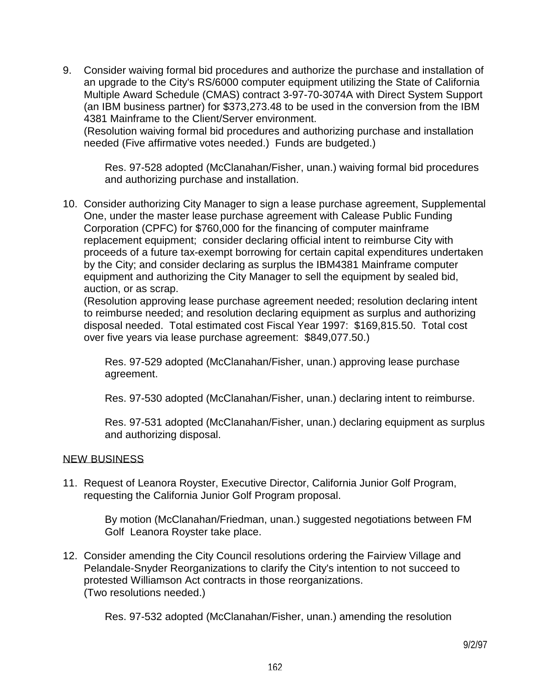9. Consider waiving formal bid procedures and authorize the purchase and installation of an upgrade to the City's RS/6000 computer equipment utilizing the State of California Multiple Award Schedule (CMAS) contract 3-97-70-3074A with Direct System Support (an IBM business partner) for \$373,273.48 to be used in the conversion from the IBM 4381 Mainframe to the Client/Server environment.

 (Resolution waiving formal bid procedures and authorizing purchase and installation needed (Five affirmative votes needed.) Funds are budgeted.)

 Res. 97-528 adopted (McClanahan/Fisher, unan.) waiving formal bid procedures and authorizing purchase and installation.

10. Consider authorizing City Manager to sign a lease purchase agreement, Supplemental One, under the master lease purchase agreement with Calease Public Funding Corporation (CPFC) for \$760,000 for the financing of computer mainframe replacement equipment; consider declaring official intent to reimburse City with proceeds of a future tax-exempt borrowing for certain capital expenditures undertaken by the City; and consider declaring as surplus the IBM4381 Mainframe computer equipment and authorizing the City Manager to sell the equipment by sealed bid, auction, or as scrap.

 (Resolution approving lease purchase agreement needed; resolution declaring intent to reimburse needed; and resolution declaring equipment as surplus and authorizing disposal needed. Total estimated cost Fiscal Year 1997: \$169,815.50. Total cost over five years via lease purchase agreement: \$849,077.50.)

 Res. 97-529 adopted (McClanahan/Fisher, unan.) approving lease purchase agreement.

Res. 97-530 adopted (McClanahan/Fisher, unan.) declaring intent to reimburse.

 Res. 97-531 adopted (McClanahan/Fisher, unan.) declaring equipment as surplus and authorizing disposal.

### NEW BUSINESS

11. Request of Leanora Royster, Executive Director, California Junior Golf Program, requesting the California Junior Golf Program proposal.

> By motion (McClanahan/Friedman, unan.) suggested negotiations between FM Golf Leanora Royster take place.

12. Consider amending the City Council resolutions ordering the Fairview Village and Pelandale-Snyder Reorganizations to clarify the City's intention to not succeed to protested Williamson Act contracts in those reorganizations. (Two resolutions needed.)

Res. 97-532 adopted (McClanahan/Fisher, unan.) amending the resolution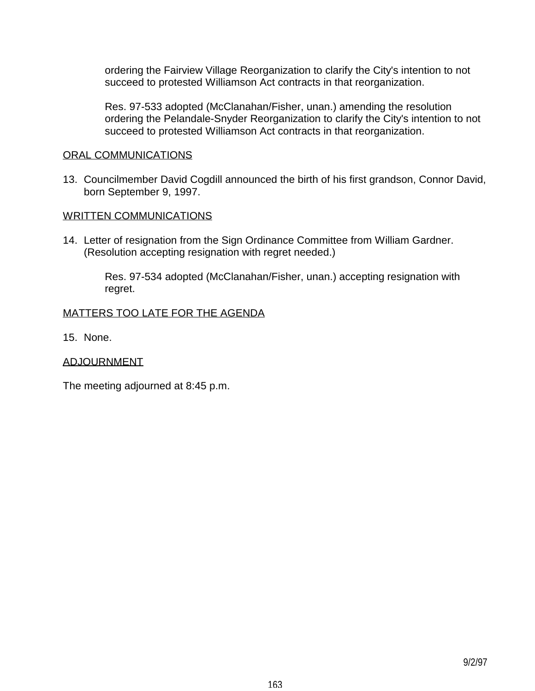ordering the Fairview Village Reorganization to clarify the City's intention to not succeed to protested Williamson Act contracts in that reorganization.

 Res. 97-533 adopted (McClanahan/Fisher, unan.) amending the resolution ordering the Pelandale-Snyder Reorganization to clarify the City's intention to not succeed to protested Williamson Act contracts in that reorganization.

#### ORAL COMMUNICATIONS

13. Councilmember David Cogdill announced the birth of his first grandson, Connor David, born September 9, 1997.

#### WRITTEN COMMUNICATIONS

14. Letter of resignation from the Sign Ordinance Committee from William Gardner. (Resolution accepting resignation with regret needed.)

> Res. 97-534 adopted (McClanahan/Fisher, unan.) accepting resignation with regret.

#### MATTERS TOO LATE FOR THE AGENDA

15. None.

#### ADJOURNMENT

The meeting adjourned at 8:45 p.m.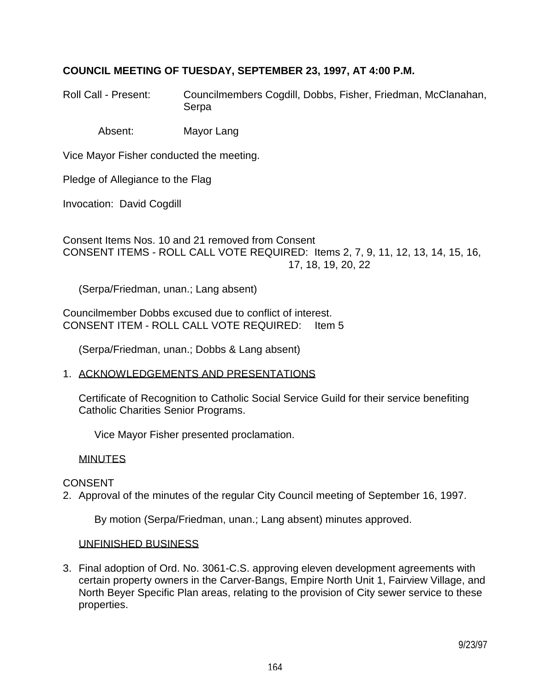# **COUNCIL MEETING OF TUESDAY, SEPTEMBER 23, 1997, AT 4:00 P.M.**

Roll Call - Present: Councilmembers Cogdill, Dobbs, Fisher, Friedman, McClanahan, Serpa

Absent: Mayor Lang

Vice Mayor Fisher conducted the meeting.

Pledge of Allegiance to the Flag

Invocation: David Cogdill

Consent Items Nos. 10 and 21 removed from Consent CONSENT ITEMS - ROLL CALL VOTE REQUIRED: Items 2, 7, 9, 11, 12, 13, 14, 15, 16, 17, 18, 19, 20, 22

(Serpa/Friedman, unan.; Lang absent)

Councilmember Dobbs excused due to conflict of interest. CONSENT ITEM - ROLL CALL VOTE REQUIRED: Item 5

(Serpa/Friedman, unan.; Dobbs & Lang absent)

1. ACKNOWLEDGEMENTS AND PRESENTATIONS

 Certificate of Recognition to Catholic Social Service Guild for their service benefiting Catholic Charities Senior Programs.

Vice Mayor Fisher presented proclamation.

#### **MINUTES**

#### CONSENT

2. Approval of the minutes of the regular City Council meeting of September 16, 1997.

By motion (Serpa/Friedman, unan.; Lang absent) minutes approved.

#### UNFINISHED BUSINESS

3. Final adoption of Ord. No. 3061-C.S. approving eleven development agreements with certain property owners in the Carver-Bangs, Empire North Unit 1, Fairview Village, and North Beyer Specific Plan areas, relating to the provision of City sewer service to these properties.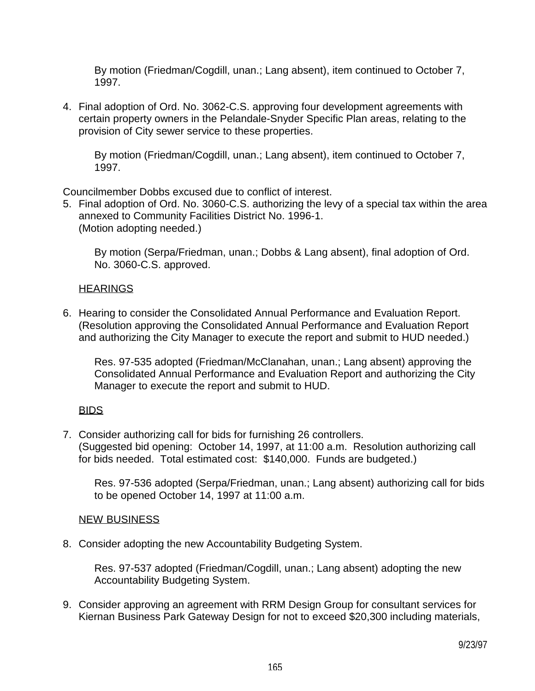By motion (Friedman/Cogdill, unan.; Lang absent), item continued to October 7, 1997.

4. Final adoption of Ord. No. 3062-C.S. approving four development agreements with certain property owners in the Pelandale-Snyder Specific Plan areas, relating to the provision of City sewer service to these properties.

 By motion (Friedman/Cogdill, unan.; Lang absent), item continued to October 7, 1997.

Councilmember Dobbs excused due to conflict of interest.

5. Final adoption of Ord. No. 3060-C.S. authorizing the levy of a special tax within the area annexed to Community Facilities District No. 1996-1. (Motion adopting needed.)

 By motion (Serpa/Friedman, unan.; Dobbs & Lang absent), final adoption of Ord. No. 3060-C.S. approved.

### **HEARINGS**

6. Hearing to consider the Consolidated Annual Performance and Evaluation Report. (Resolution approving the Consolidated Annual Performance and Evaluation Report and authorizing the City Manager to execute the report and submit to HUD needed.)

 Res. 97-535 adopted (Friedman/McClanahan, unan.; Lang absent) approving the Consolidated Annual Performance and Evaluation Report and authorizing the City Manager to execute the report and submit to HUD.

### BIDS

7. Consider authorizing call for bids for furnishing 26 controllers. (Suggested bid opening: October 14, 1997, at 11:00 a.m. Resolution authorizing call for bids needed. Total estimated cost: \$140,000. Funds are budgeted.)

 Res. 97-536 adopted (Serpa/Friedman, unan.; Lang absent) authorizing call for bids to be opened October 14, 1997 at 11:00 a.m.

#### NEW BUSINESS

8. Consider adopting the new Accountability Budgeting System.

 Res. 97-537 adopted (Friedman/Cogdill, unan.; Lang absent) adopting the new Accountability Budgeting System.

9. Consider approving an agreement with RRM Design Group for consultant services for Kiernan Business Park Gateway Design for not to exceed \$20,300 including materials,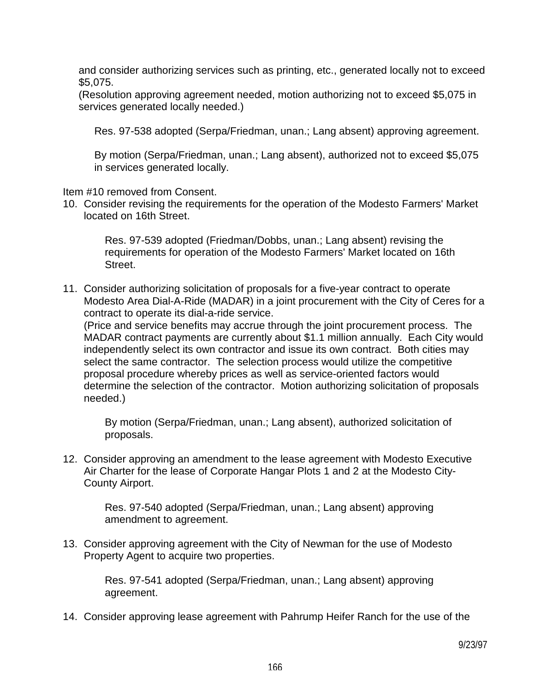and consider authorizing services such as printing, etc., generated locally not to exceed \$5,075.

 (Resolution approving agreement needed, motion authorizing not to exceed \$5,075 in services generated locally needed.)

Res. 97-538 adopted (Serpa/Friedman, unan.; Lang absent) approving agreement.

 By motion (Serpa/Friedman, unan.; Lang absent), authorized not to exceed \$5,075 in services generated locally.

Item #10 removed from Consent.

10. Consider revising the requirements for the operation of the Modesto Farmers' Market located on 16th Street.

 Res. 97-539 adopted (Friedman/Dobbs, unan.; Lang absent) revising the requirements for operation of the Modesto Farmers' Market located on 16th Street.

11. Consider authorizing solicitation of proposals for a five-year contract to operate Modesto Area Dial-A-Ride (MADAR) in a joint procurement with the City of Ceres for a contract to operate its dial-a-ride service.

 (Price and service benefits may accrue through the joint procurement process. The MADAR contract payments are currently about \$1.1 million annually. Each City would independently select its own contractor and issue its own contract. Both cities may select the same contractor. The selection process would utilize the competitive proposal procedure whereby prices as well as service-oriented factors would determine the selection of the contractor. Motion authorizing solicitation of proposals needed.)

 By motion (Serpa/Friedman, unan.; Lang absent), authorized solicitation of proposals.

12. Consider approving an amendment to the lease agreement with Modesto Executive Air Charter for the lease of Corporate Hangar Plots 1 and 2 at the Modesto City-County Airport.

 Res. 97-540 adopted (Serpa/Friedman, unan.; Lang absent) approving amendment to agreement.

13. Consider approving agreement with the City of Newman for the use of Modesto Property Agent to acquire two properties.

> Res. 97-541 adopted (Serpa/Friedman, unan.; Lang absent) approving agreement.

14. Consider approving lease agreement with Pahrump Heifer Ranch for the use of the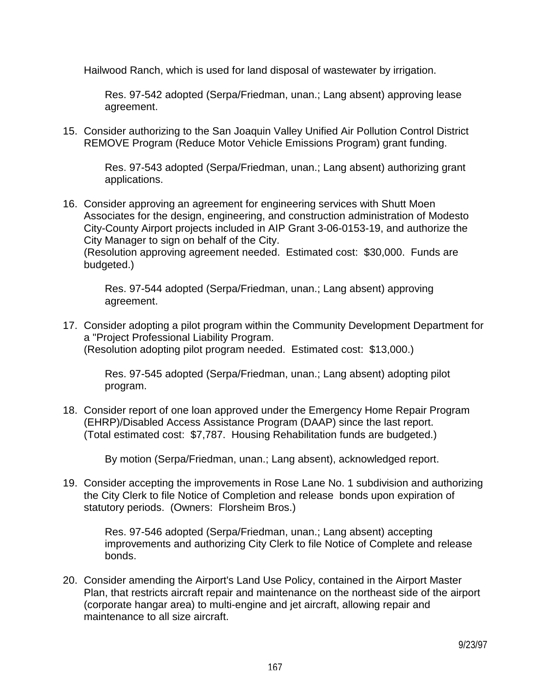Hailwood Ranch, which is used for land disposal of wastewater by irrigation.

 Res. 97-542 adopted (Serpa/Friedman, unan.; Lang absent) approving lease agreement.

15. Consider authorizing to the San Joaquin Valley Unified Air Pollution Control District REMOVE Program (Reduce Motor Vehicle Emissions Program) grant funding.

> Res. 97-543 adopted (Serpa/Friedman, unan.; Lang absent) authorizing grant applications.

16. Consider approving an agreement for engineering services with Shutt Moen Associates for the design, engineering, and construction administration of Modesto City-County Airport projects included in AIP Grant 3-06-0153-19, and authorize the City Manager to sign on behalf of the City. (Resolution approving agreement needed. Estimated cost: \$30,000. Funds are budgeted.)

> Res. 97-544 adopted (Serpa/Friedman, unan.; Lang absent) approving agreement.

17. Consider adopting a pilot program within the Community Development Department for a "Project Professional Liability Program. (Resolution adopting pilot program needed. Estimated cost: \$13,000.)

 Res. 97-545 adopted (Serpa/Friedman, unan.; Lang absent) adopting pilot program.

18. Consider report of one loan approved under the Emergency Home Repair Program (EHRP)/Disabled Access Assistance Program (DAAP) since the last report. (Total estimated cost: \$7,787. Housing Rehabilitation funds are budgeted.)

By motion (Serpa/Friedman, unan.; Lang absent), acknowledged report.

19. Consider accepting the improvements in Rose Lane No. 1 subdivision and authorizing the City Clerk to file Notice of Completion and release bonds upon expiration of statutory periods. (Owners: Florsheim Bros.)

 Res. 97-546 adopted (Serpa/Friedman, unan.; Lang absent) accepting improvements and authorizing City Clerk to file Notice of Complete and release bonds.

20. Consider amending the Airport's Land Use Policy, contained in the Airport Master Plan, that restricts aircraft repair and maintenance on the northeast side of the airport (corporate hangar area) to multi-engine and jet aircraft, allowing repair and maintenance to all size aircraft.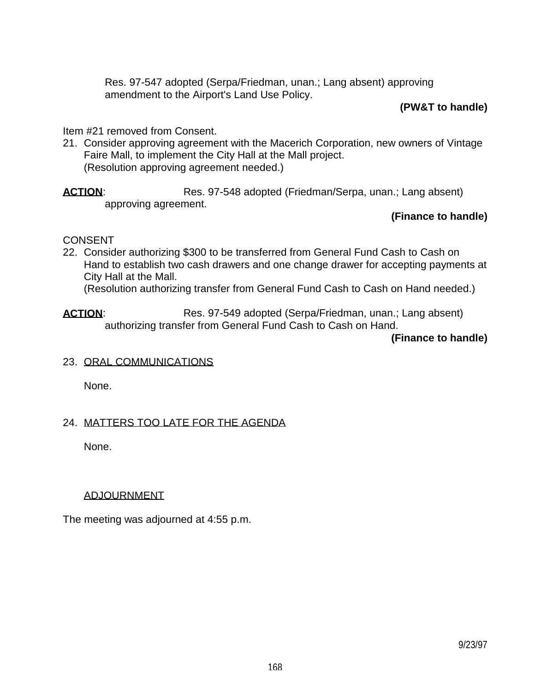Res. 97-547 adopted (Serpa/Friedman, unan.; Lang absent) approving amendment to the Airport's Land Use Policy.

### **(PW&T to handle)**

### Item #21 removed from Consent.

- 21. Consider approving agreement with the Macerich Corporation, new owners of Vintage Faire Mall, to implement the City Hall at the Mall project. (Resolution approving agreement needed.)
- **ACTION:** Res. 97-548 adopted (Friedman/Serpa, unan.; Lang absent) approving agreement.

# **(Finance to handle)**

### **CONSENT**

22. Consider authorizing \$300 to be transferred from General Fund Cash to Cash on Hand to establish two cash drawers and one change drawer for accepting payments at City Hall at the Mall.

(Resolution authorizing transfer from General Fund Cash to Cash on Hand needed.)

**ACTION:** Res. 97-549 adopted (Serpa/Friedman, unan.; Lang absent) authorizing transfer from General Fund Cash to Cash on Hand.

 **(Finance to handle)**

23. ORAL COMMUNICATIONS

None.

### 24. MATTERS TOO LATE FOR THE AGENDA

None.

### ADJOURNMENT

The meeting was adjourned at 4:55 p.m.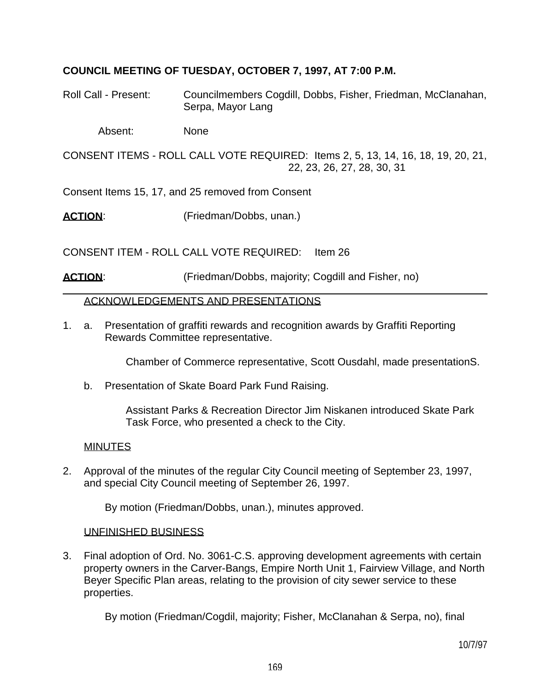# **COUNCIL MEETING OF TUESDAY, OCTOBER 7, 1997, AT 7:00 P.M.**

Roll Call - Present: Councilmembers Cogdill, Dobbs, Fisher, Friedman, McClanahan, Serpa, Mayor Lang

Absent: None

CONSENT ITEMS - ROLL CALL VOTE REQUIRED: Items 2, 5, 13, 14, 16, 18, 19, 20, 21, 22, 23, 26, 27, 28, 30, 31

Consent Items 15, 17, and 25 removed from Consent

**ACTION:** (Friedman/Dobbs, unan.)

CONSENT ITEM - ROLL CALL VOTE REQUIRED: Item 26

**ACTION:** (Friedman/Dobbs, majority; Cogdill and Fisher, no)

### ACKNOWLEDGEMENTS AND PRESENTATIONS

1. a. Presentation of graffiti rewards and recognition awards by Graffiti Reporting Rewards Committee representative.

Chamber of Commerce representative, Scott Ousdahl, made presentationS.

b. Presentation of Skate Board Park Fund Raising.

 Assistant Parks & Recreation Director Jim Niskanen introduced Skate Park Task Force, who presented a check to the City.

### MINUTES

2. Approval of the minutes of the regular City Council meeting of September 23, 1997, and special City Council meeting of September 26, 1997.

By motion (Friedman/Dobbs, unan.), minutes approved.

### UNFINISHED BUSINESS

3. Final adoption of Ord. No. 3061-C.S. approving development agreements with certain property owners in the Carver-Bangs, Empire North Unit 1, Fairview Village, and North Beyer Specific Plan areas, relating to the provision of city sewer service to these properties.

By motion (Friedman/Cogdil, majority; Fisher, McClanahan & Serpa, no), final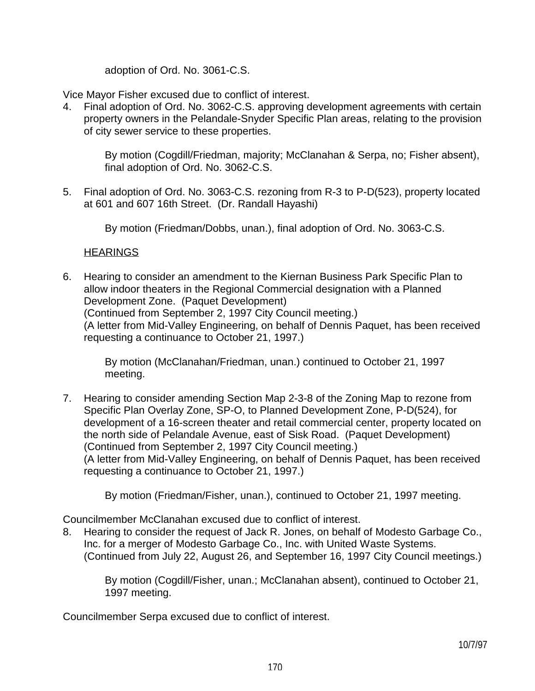adoption of Ord. No. 3061-C.S.

Vice Mayor Fisher excused due to conflict of interest.

4. Final adoption of Ord. No. 3062-C.S. approving development agreements with certain property owners in the Pelandale-Snyder Specific Plan areas, relating to the provision of city sewer service to these properties.

 By motion (Cogdill/Friedman, majority; McClanahan & Serpa, no; Fisher absent), final adoption of Ord. No. 3062-C.S.

5. Final adoption of Ord. No. 3063-C.S. rezoning from R-3 to P-D(523), property located at 601 and 607 16th Street. (Dr. Randall Hayashi)

By motion (Friedman/Dobbs, unan.), final adoption of Ord. No. 3063-C.S.

# **HEARINGS**

6. Hearing to consider an amendment to the Kiernan Business Park Specific Plan to allow indoor theaters in the Regional Commercial designation with a Planned Development Zone. (Paquet Development) (Continued from September 2, 1997 City Council meeting.) (A letter from Mid-Valley Engineering, on behalf of Dennis Paquet, has been received requesting a continuance to October 21, 1997.)

 By motion (McClanahan/Friedman, unan.) continued to October 21, 1997 meeting.

7. Hearing to consider amending Section Map 2-3-8 of the Zoning Map to rezone from Specific Plan Overlay Zone, SP-O, to Planned Development Zone, P-D(524), for development of a 16-screen theater and retail commercial center, property located on the north side of Pelandale Avenue, east of Sisk Road. (Paquet Development) (Continued from September 2, 1997 City Council meeting.) (A letter from Mid-Valley Engineering, on behalf of Dennis Paquet, has been received requesting a continuance to October 21, 1997.)

By motion (Friedman/Fisher, unan.), continued to October 21, 1997 meeting.

Councilmember McClanahan excused due to conflict of interest.

8. Hearing to consider the request of Jack R. Jones, on behalf of Modesto Garbage Co., Inc. for a merger of Modesto Garbage Co., Inc. with United Waste Systems. (Continued from July 22, August 26, and September 16, 1997 City Council meetings.)

 By motion (Cogdill/Fisher, unan.; McClanahan absent), continued to October 21, 1997 meeting.

Councilmember Serpa excused due to conflict of interest.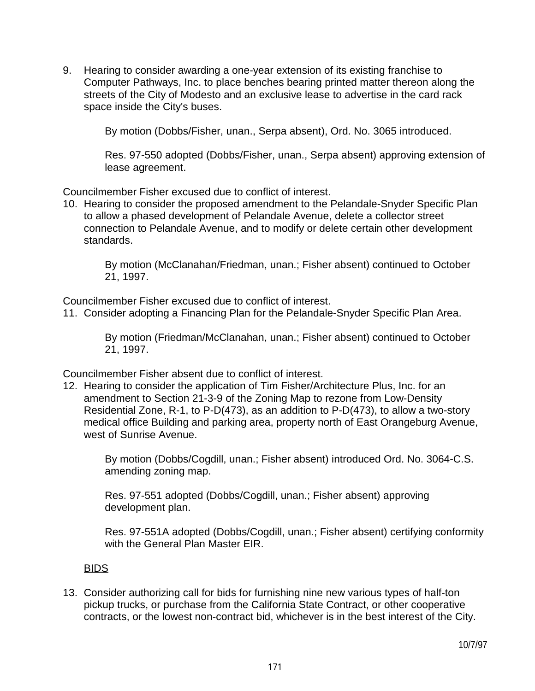9. Hearing to consider awarding a one-year extension of its existing franchise to Computer Pathways, Inc. to place benches bearing printed matter thereon along the streets of the City of Modesto and an exclusive lease to advertise in the card rack space inside the City's buses.

By motion (Dobbs/Fisher, unan., Serpa absent), Ord. No. 3065 introduced.

 Res. 97-550 adopted (Dobbs/Fisher, unan., Serpa absent) approving extension of lease agreement.

Councilmember Fisher excused due to conflict of interest.

10. Hearing to consider the proposed amendment to the Pelandale-Snyder Specific Plan to allow a phased development of Pelandale Avenue, delete a collector street connection to Pelandale Avenue, and to modify or delete certain other development standards.

 By motion (McClanahan/Friedman, unan.; Fisher absent) continued to October 21, 1997.

Councilmember Fisher excused due to conflict of interest.

11. Consider adopting a Financing Plan for the Pelandale-Snyder Specific Plan Area.

 By motion (Friedman/McClanahan, unan.; Fisher absent) continued to October 21, 1997.

Councilmember Fisher absent due to conflict of interest.

12. Hearing to consider the application of Tim Fisher/Architecture Plus, Inc. for an amendment to Section 21-3-9 of the Zoning Map to rezone from Low-Density Residential Zone, R-1, to P-D(473), as an addition to P-D(473), to allow a two-story medical office Building and parking area, property north of East Orangeburg Avenue, west of Sunrise Avenue.

 By motion (Dobbs/Cogdill, unan.; Fisher absent) introduced Ord. No. 3064-C.S. amending zoning map.

 Res. 97-551 adopted (Dobbs/Cogdill, unan.; Fisher absent) approving development plan.

 Res. 97-551A adopted (Dobbs/Cogdill, unan.; Fisher absent) certifying conformity with the General Plan Master EIR.

### **BIDS**

13. Consider authorizing call for bids for furnishing nine new various types of half-ton pickup trucks, or purchase from the California State Contract, or other cooperative contracts, or the lowest non-contract bid, whichever is in the best interest of the City.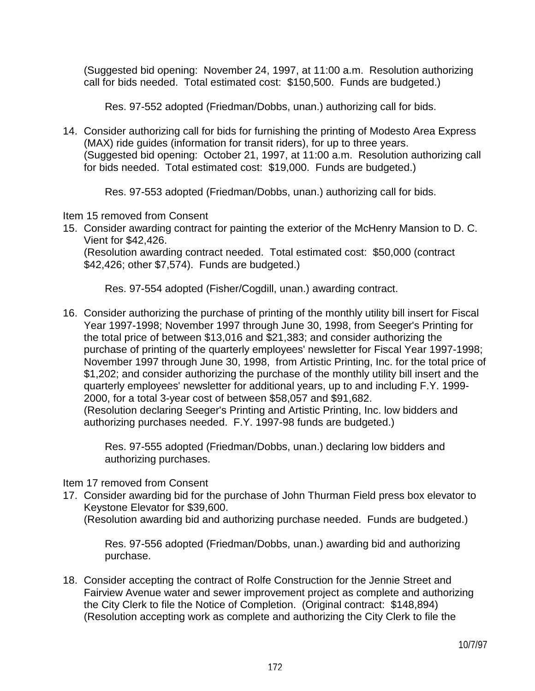(Suggested bid opening: November 24, 1997, at 11:00 a.m. Resolution authorizing call for bids needed. Total estimated cost: \$150,500. Funds are budgeted.)

Res. 97-552 adopted (Friedman/Dobbs, unan.) authorizing call for bids.

14. Consider authorizing call for bids for furnishing the printing of Modesto Area Express (MAX) ride guides (information for transit riders), for up to three years. (Suggested bid opening: October 21, 1997, at 11:00 a.m. Resolution authorizing call for bids needed. Total estimated cost: \$19,000. Funds are budgeted.)

Res. 97-553 adopted (Friedman/Dobbs, unan.) authorizing call for bids.

Item 15 removed from Consent

15. Consider awarding contract for painting the exterior of the McHenry Mansion to D. C. Vient for \$42,426.

 (Resolution awarding contract needed. Total estimated cost: \$50,000 (contract \$42,426; other \$7,574). Funds are budgeted.)

Res. 97-554 adopted (Fisher/Cogdill, unan.) awarding contract.

16. Consider authorizing the purchase of printing of the monthly utility bill insert for Fiscal Year 1997-1998; November 1997 through June 30, 1998, from Seeger's Printing for the total price of between \$13,016 and \$21,383; and consider authorizing the purchase of printing of the quarterly employees' newsletter for Fiscal Year 1997-1998; November 1997 through June 30, 1998, from Artistic Printing, Inc. for the total price of \$1,202; and consider authorizing the purchase of the monthly utility bill insert and the quarterly employees' newsletter for additional years, up to and including F.Y. 1999- 2000, for a total 3-year cost of between \$58,057 and \$91,682. (Resolution declaring Seeger's Printing and Artistic Printing, Inc. low bidders and authorizing purchases needed. F.Y. 1997-98 funds are budgeted.)

 Res. 97-555 adopted (Friedman/Dobbs, unan.) declaring low bidders and authorizing purchases.

Item 17 removed from Consent

- 17. Consider awarding bid for the purchase of John Thurman Field press box elevator to Keystone Elevator for \$39,600.
	- (Resolution awarding bid and authorizing purchase needed. Funds are budgeted.)

 Res. 97-556 adopted (Friedman/Dobbs, unan.) awarding bid and authorizing purchase.

18. Consider accepting the contract of Rolfe Construction for the Jennie Street and Fairview Avenue water and sewer improvement project as complete and authorizing the City Clerk to file the Notice of Completion. (Original contract: \$148,894) (Resolution accepting work as complete and authorizing the City Clerk to file the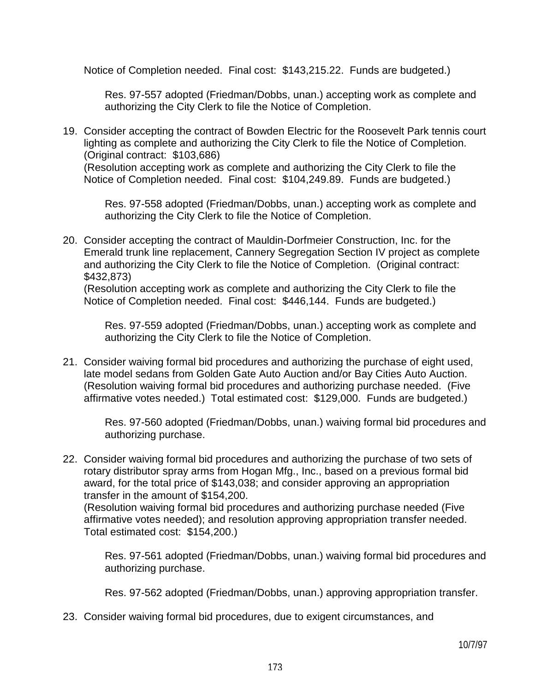Notice of Completion needed. Final cost: \$143,215.22. Funds are budgeted.)

 Res. 97-557 adopted (Friedman/Dobbs, unan.) accepting work as complete and authorizing the City Clerk to file the Notice of Completion.

19. Consider accepting the contract of Bowden Electric for the Roosevelt Park tennis court lighting as complete and authorizing the City Clerk to file the Notice of Completion. (Original contract: \$103,686) (Resolution accepting work as complete and authorizing the City Clerk to file the Notice of Completion needed. Final cost: \$104,249.89. Funds are budgeted.)

 Res. 97-558 adopted (Friedman/Dobbs, unan.) accepting work as complete and authorizing the City Clerk to file the Notice of Completion.

20. Consider accepting the contract of Mauldin-Dorfmeier Construction, Inc. for the Emerald trunk line replacement, Cannery Segregation Section IV project as complete and authorizing the City Clerk to file the Notice of Completion. (Original contract: \$432,873)

 (Resolution accepting work as complete and authorizing the City Clerk to file the Notice of Completion needed. Final cost: \$446,144. Funds are budgeted.)

 Res. 97-559 adopted (Friedman/Dobbs, unan.) accepting work as complete and authorizing the City Clerk to file the Notice of Completion.

21. Consider waiving formal bid procedures and authorizing the purchase of eight used, late model sedans from Golden Gate Auto Auction and/or Bay Cities Auto Auction. (Resolution waiving formal bid procedures and authorizing purchase needed. (Five affirmative votes needed.) Total estimated cost: \$129,000. Funds are budgeted.)

 Res. 97-560 adopted (Friedman/Dobbs, unan.) waiving formal bid procedures and authorizing purchase.

22. Consider waiving formal bid procedures and authorizing the purchase of two sets of rotary distributor spray arms from Hogan Mfg., Inc., based on a previous formal bid award, for the total price of \$143,038; and consider approving an appropriation transfer in the amount of \$154,200.

 (Resolution waiving formal bid procedures and authorizing purchase needed (Five affirmative votes needed); and resolution approving appropriation transfer needed. Total estimated cost: \$154,200.)

 Res. 97-561 adopted (Friedman/Dobbs, unan.) waiving formal bid procedures and authorizing purchase.

Res. 97-562 adopted (Friedman/Dobbs, unan.) approving appropriation transfer.

23. Consider waiving formal bid procedures, due to exigent circumstances, and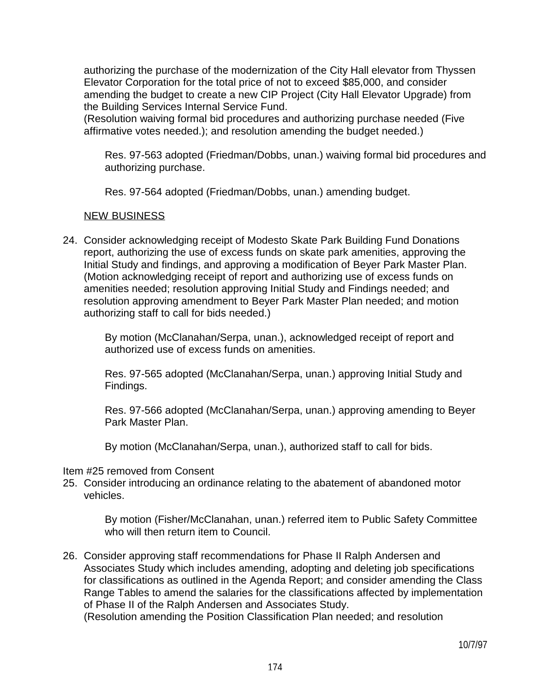authorizing the purchase of the modernization of the City Hall elevator from Thyssen Elevator Corporation for the total price of not to exceed \$85,000, and consider amending the budget to create a new CIP Project (City Hall Elevator Upgrade) from the Building Services Internal Service Fund.

 (Resolution waiving formal bid procedures and authorizing purchase needed (Five affirmative votes needed.); and resolution amending the budget needed.)

 Res. 97-563 adopted (Friedman/Dobbs, unan.) waiving formal bid procedures and authorizing purchase.

Res. 97-564 adopted (Friedman/Dobbs, unan.) amending budget.

### NEW BUSINESS

24. Consider acknowledging receipt of Modesto Skate Park Building Fund Donations report, authorizing the use of excess funds on skate park amenities, approving the Initial Study and findings, and approving a modification of Beyer Park Master Plan. (Motion acknowledging receipt of report and authorizing use of excess funds on amenities needed; resolution approving Initial Study and Findings needed; and resolution approving amendment to Beyer Park Master Plan needed; and motion authorizing staff to call for bids needed.)

> By motion (McClanahan/Serpa, unan.), acknowledged receipt of report and authorized use of excess funds on amenities.

 Res. 97-565 adopted (McClanahan/Serpa, unan.) approving Initial Study and Findings.

 Res. 97-566 adopted (McClanahan/Serpa, unan.) approving amending to Beyer Park Master Plan.

By motion (McClanahan/Serpa, unan.), authorized staff to call for bids.

#### Item #25 removed from Consent

25. Consider introducing an ordinance relating to the abatement of abandoned motor vehicles.

 By motion (Fisher/McClanahan, unan.) referred item to Public Safety Committee who will then return item to Council.

26. Consider approving staff recommendations for Phase II Ralph Andersen and Associates Study which includes amending, adopting and deleting job specifications for classifications as outlined in the Agenda Report; and consider amending the Class Range Tables to amend the salaries for the classifications affected by implementation of Phase II of the Ralph Andersen and Associates Study.

(Resolution amending the Position Classification Plan needed; and resolution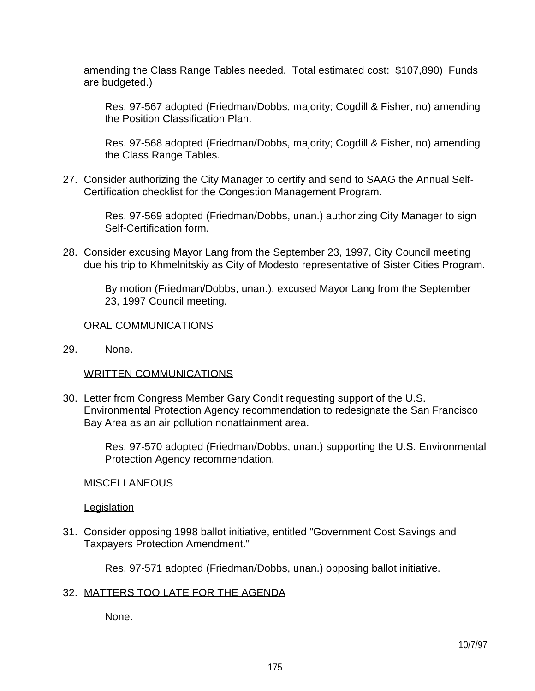amending the Class Range Tables needed. Total estimated cost: \$107,890) Funds are budgeted.)

 Res. 97-567 adopted (Friedman/Dobbs, majority; Cogdill & Fisher, no) amending the Position Classification Plan.

 Res. 97-568 adopted (Friedman/Dobbs, majority; Cogdill & Fisher, no) amending the Class Range Tables.

27. Consider authorizing the City Manager to certify and send to SAAG the Annual Self-Certification checklist for the Congestion Management Program.

> Res. 97-569 adopted (Friedman/Dobbs, unan.) authorizing City Manager to sign Self-Certification form.

28. Consider excusing Mayor Lang from the September 23, 1997, City Council meeting due his trip to Khmelnitskiy as City of Modesto representative of Sister Cities Program.

> By motion (Friedman/Dobbs, unan.), excused Mayor Lang from the September 23, 1997 Council meeting.

### ORAL COMMUNICATIONS

29. None.

#### WRITTEN COMMUNICATIONS

30. Letter from Congress Member Gary Condit requesting support of the U.S. Environmental Protection Agency recommendation to redesignate the San Francisco Bay Area as an air pollution nonattainment area.

 Res. 97-570 adopted (Friedman/Dobbs, unan.) supporting the U.S. Environmental Protection Agency recommendation.

#### **MISCELLANEOUS**

#### **Legislation**

31. Consider opposing 1998 ballot initiative, entitled "Government Cost Savings and Taxpayers Protection Amendment."

Res. 97-571 adopted (Friedman/Dobbs, unan.) opposing ballot initiative.

### 32. MATTERS TOO LATE FOR THE AGENDA

None.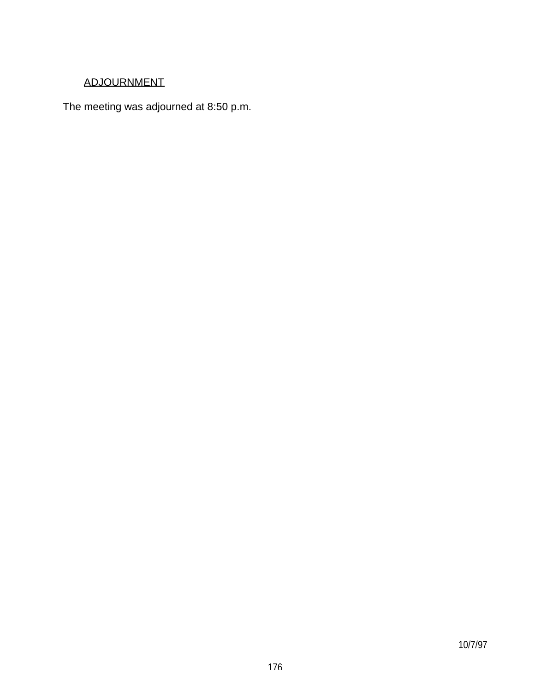# ADJOURNMENT

The meeting was adjourned at 8:50 p.m.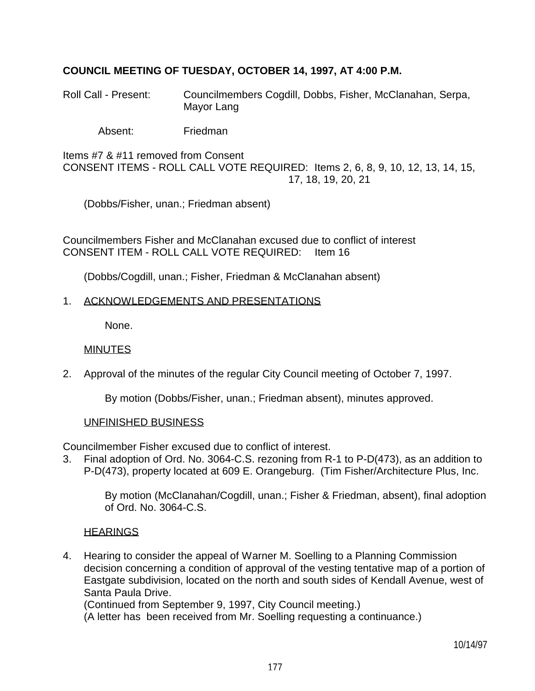# **COUNCIL MEETING OF TUESDAY, OCTOBER 14, 1997, AT 4:00 P.M.**

Roll Call - Present: Councilmembers Cogdill, Dobbs, Fisher, McClanahan, Serpa, Mayor Lang

Absent: Friedman

Items #7 & #11 removed from Consent CONSENT ITEMS - ROLL CALL VOTE REQUIRED: Items 2, 6, 8, 9, 10, 12, 13, 14, 15, 17, 18, 19, 20, 21

(Dobbs/Fisher, unan.; Friedman absent)

Councilmembers Fisher and McClanahan excused due to conflict of interest CONSENT ITEM - ROLL CALL VOTE REQUIRED: Item 16

(Dobbs/Cogdill, unan.; Fisher, Friedman & McClanahan absent)

#### 1. ACKNOWLEDGEMENTS AND PRESENTATIONS

None.

#### MINUTES

2. Approval of the minutes of the regular City Council meeting of October 7, 1997.

By motion (Dobbs/Fisher, unan.; Friedman absent), minutes approved.

#### UNFINISHED BUSINESS

Councilmember Fisher excused due to conflict of interest.

3. Final adoption of Ord. No. 3064-C.S. rezoning from R-1 to P-D(473), as an addition to P-D(473), property located at 609 E. Orangeburg. (Tim Fisher/Architecture Plus, Inc.

 By motion (McClanahan/Cogdill, unan.; Fisher & Friedman, absent), final adoption of Ord. No. 3064-C.S.

### **HEARINGS**

4. Hearing to consider the appeal of Warner M. Soelling to a Planning Commission decision concerning a condition of approval of the vesting tentative map of a portion of Eastgate subdivision, located on the north and south sides of Kendall Avenue, west of Santa Paula Drive.

(Continued from September 9, 1997, City Council meeting.)

(A letter has been received from Mr. Soelling requesting a continuance.)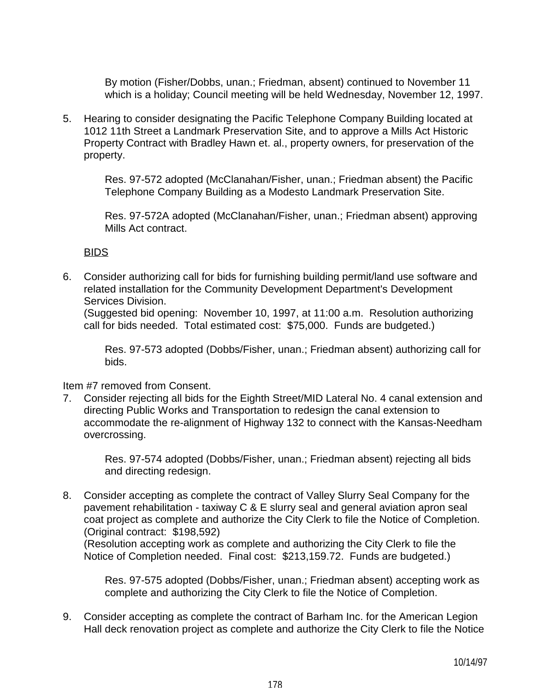By motion (Fisher/Dobbs, unan.; Friedman, absent) continued to November 11 which is a holiday; Council meeting will be held Wednesday, November 12, 1997.

5. Hearing to consider designating the Pacific Telephone Company Building located at 1012 11th Street a Landmark Preservation Site, and to approve a Mills Act Historic Property Contract with Bradley Hawn et. al., property owners, for preservation of the property.

> Res. 97-572 adopted (McClanahan/Fisher, unan.; Friedman absent) the Pacific Telephone Company Building as a Modesto Landmark Preservation Site.

> Res. 97-572A adopted (McClanahan/Fisher, unan.; Friedman absent) approving Mills Act contract.

### BIDS

6. Consider authorizing call for bids for furnishing building permit/land use software and related installation for the Community Development Department's Development Services Division.

 (Suggested bid opening: November 10, 1997, at 11:00 a.m. Resolution authorizing call for bids needed. Total estimated cost: \$75,000. Funds are budgeted.)

 Res. 97-573 adopted (Dobbs/Fisher, unan.; Friedman absent) authorizing call for bids.

Item #7 removed from Consent.

7. Consider rejecting all bids for the Eighth Street/MID Lateral No. 4 canal extension and directing Public Works and Transportation to redesign the canal extension to accommodate the re-alignment of Highway 132 to connect with the Kansas-Needham overcrossing.

 Res. 97-574 adopted (Dobbs/Fisher, unan.; Friedman absent) rejecting all bids and directing redesign.

8. Consider accepting as complete the contract of Valley Slurry Seal Company for the pavement rehabilitation - taxiway C & E slurry seal and general aviation apron seal coat project as complete and authorize the City Clerk to file the Notice of Completion. (Original contract: \$198,592)

 (Resolution accepting work as complete and authorizing the City Clerk to file the Notice of Completion needed. Final cost: \$213,159.72. Funds are budgeted.)

 Res. 97-575 adopted (Dobbs/Fisher, unan.; Friedman absent) accepting work as complete and authorizing the City Clerk to file the Notice of Completion.

9. Consider accepting as complete the contract of Barham Inc. for the American Legion Hall deck renovation project as complete and authorize the City Clerk to file the Notice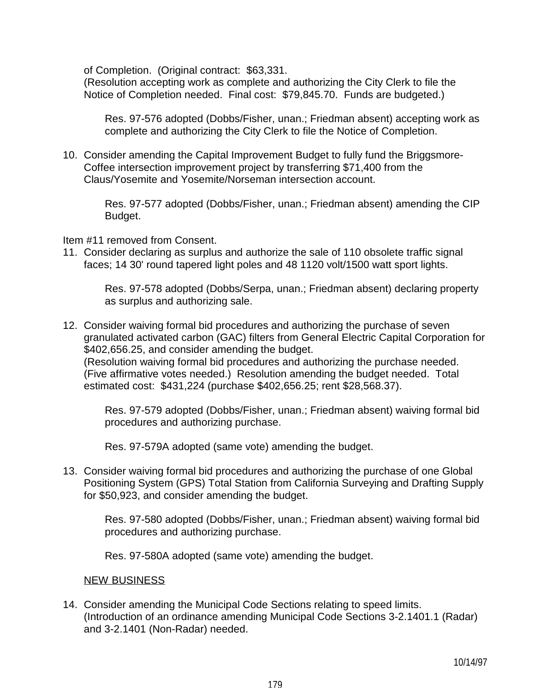of Completion. (Original contract: \$63,331.

 (Resolution accepting work as complete and authorizing the City Clerk to file the Notice of Completion needed. Final cost: \$79,845.70. Funds are budgeted.)

 Res. 97-576 adopted (Dobbs/Fisher, unan.; Friedman absent) accepting work as complete and authorizing the City Clerk to file the Notice of Completion.

10. Consider amending the Capital Improvement Budget to fully fund the Briggsmore-Coffee intersection improvement project by transferring \$71,400 from the Claus/Yosemite and Yosemite/Norseman intersection account.

> Res. 97-577 adopted (Dobbs/Fisher, unan.; Friedman absent) amending the CIP Budget.

Item #11 removed from Consent.

11. Consider declaring as surplus and authorize the sale of 110 obsolete traffic signal faces; 14 30' round tapered light poles and 48 1120 volt/1500 watt sport lights.

> Res. 97-578 adopted (Dobbs/Serpa, unan.; Friedman absent) declaring property as surplus and authorizing sale.

12. Consider waiving formal bid procedures and authorizing the purchase of seven granulated activated carbon (GAC) filters from General Electric Capital Corporation for \$402,656.25, and consider amending the budget. (Resolution waiving formal bid procedures and authorizing the purchase needed. (Five affirmative votes needed.) Resolution amending the budget needed. Total estimated cost: \$431,224 (purchase \$402,656.25; rent \$28,568.37).

 Res. 97-579 adopted (Dobbs/Fisher, unan.; Friedman absent) waiving formal bid procedures and authorizing purchase.

Res. 97-579A adopted (same vote) amending the budget.

13. Consider waiving formal bid procedures and authorizing the purchase of one Global Positioning System (GPS) Total Station from California Surveying and Drafting Supply for \$50,923, and consider amending the budget.

 Res. 97-580 adopted (Dobbs/Fisher, unan.; Friedman absent) waiving formal bid procedures and authorizing purchase.

Res. 97-580A adopted (same vote) amending the budget.

### NEW BUSINESS

14. Consider amending the Municipal Code Sections relating to speed limits. (Introduction of an ordinance amending Municipal Code Sections 3-2.1401.1 (Radar) and 3-2.1401 (Non-Radar) needed.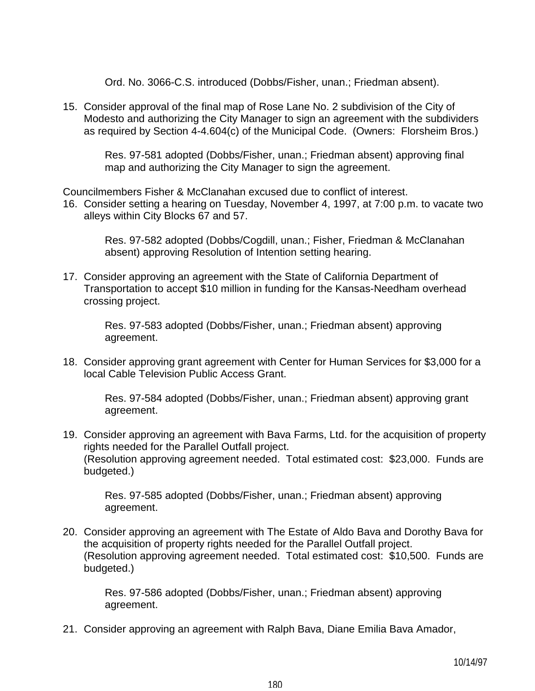Ord. No. 3066-C.S. introduced (Dobbs/Fisher, unan.; Friedman absent).

15. Consider approval of the final map of Rose Lane No. 2 subdivision of the City of Modesto and authorizing the City Manager to sign an agreement with the subdividers as required by Section 4-4.604(c) of the Municipal Code. (Owners: Florsheim Bros.)

 Res. 97-581 adopted (Dobbs/Fisher, unan.; Friedman absent) approving final map and authorizing the City Manager to sign the agreement.

Councilmembers Fisher & McClanahan excused due to conflict of interest.

16. Consider setting a hearing on Tuesday, November 4, 1997, at 7:00 p.m. to vacate two alleys within City Blocks 67 and 57.

 Res. 97-582 adopted (Dobbs/Cogdill, unan.; Fisher, Friedman & McClanahan absent) approving Resolution of Intention setting hearing.

17. Consider approving an agreement with the State of California Department of Transportation to accept \$10 million in funding for the Kansas-Needham overhead crossing project.

> Res. 97-583 adopted (Dobbs/Fisher, unan.; Friedman absent) approving agreement.

18. Consider approving grant agreement with Center for Human Services for \$3,000 for a local Cable Television Public Access Grant.

 Res. 97-584 adopted (Dobbs/Fisher, unan.; Friedman absent) approving grant agreement.

19. Consider approving an agreement with Bava Farms, Ltd. for the acquisition of property rights needed for the Parallel Outfall project. (Resolution approving agreement needed. Total estimated cost: \$23,000. Funds are budgeted.)

 Res. 97-585 adopted (Dobbs/Fisher, unan.; Friedman absent) approving agreement.

20. Consider approving an agreement with The Estate of Aldo Bava and Dorothy Bava for the acquisition of property rights needed for the Parallel Outfall project. (Resolution approving agreement needed. Total estimated cost: \$10,500. Funds are budgeted.)

 Res. 97-586 adopted (Dobbs/Fisher, unan.; Friedman absent) approving agreement.

21. Consider approving an agreement with Ralph Bava, Diane Emilia Bava Amador,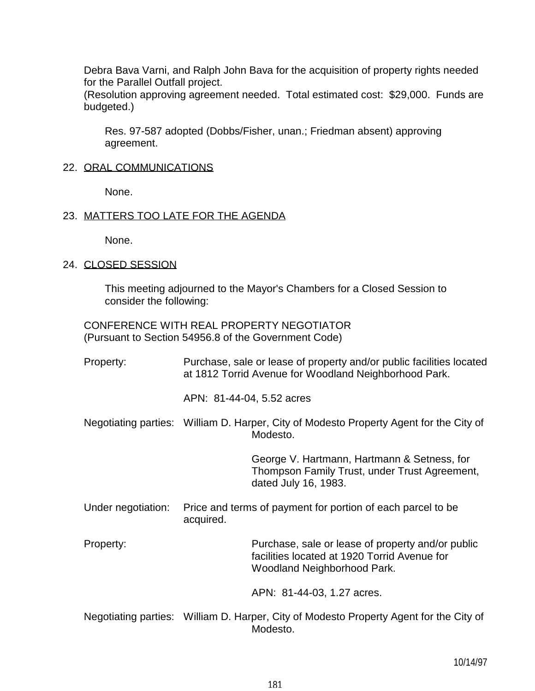Debra Bava Varni, and Ralph John Bava for the acquisition of property rights needed for the Parallel Outfall project.

 (Resolution approving agreement needed. Total estimated cost: \$29,000. Funds are budgeted.)

 Res. 97-587 adopted (Dobbs/Fisher, unan.; Friedman absent) approving agreement.

#### 22. ORAL COMMUNICATIONS

None.

### 23. MATTERS TOO LATE FOR THE AGENDA

None.

### 24. CLOSED SESSION

 This meeting adjourned to the Mayor's Chambers for a Closed Session to consider the following:

 CONFERENCE WITH REAL PROPERTY NEGOTIATOR (Pursuant to Section 54956.8 of the Government Code)

| Property:            | Purchase, sale or lease of property and/or public facilities located<br>at 1812 Torrid Avenue for Woodland Neighborhood Park.<br>APN: 81-44-04, 5.52 acres |                                                                                                                                  |
|----------------------|------------------------------------------------------------------------------------------------------------------------------------------------------------|----------------------------------------------------------------------------------------------------------------------------------|
|                      |                                                                                                                                                            |                                                                                                                                  |
|                      | Negotiating parties: William D. Harper, City of Modesto Property Agent for the City of<br>Modesto.                                                         |                                                                                                                                  |
|                      |                                                                                                                                                            | George V. Hartmann, Hartmann & Setness, for<br>Thompson Family Trust, under Trust Agreement,<br>dated July 16, 1983.             |
| Under negotiation:   | Price and terms of payment for portion of each parcel to be<br>acquired.                                                                                   |                                                                                                                                  |
| Property:            |                                                                                                                                                            | Purchase, sale or lease of property and/or public<br>facilities located at 1920 Torrid Avenue for<br>Woodland Neighborhood Park. |
|                      |                                                                                                                                                            | APN: 81-44-03, 1.27 acres.                                                                                                       |
| Negotiating parties: | William D. Harper, City of Modesto Property Agent for the City of                                                                                          |                                                                                                                                  |

egotiating parties. William D. Harper, City of Modesto Property Modesto.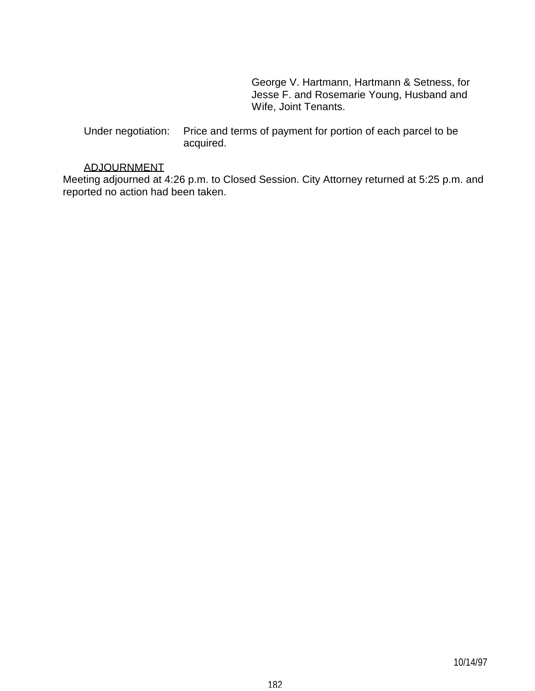George V. Hartmann, Hartmann & Setness, for Jesse F. and Rosemarie Young, Husband and Wife, Joint Tenants.

 Under negotiation: Price and terms of payment for portion of each parcel to be acquired.

### ADJOURNMENT

Meeting adjourned at 4:26 p.m. to Closed Session. City Attorney returned at 5:25 p.m. and reported no action had been taken.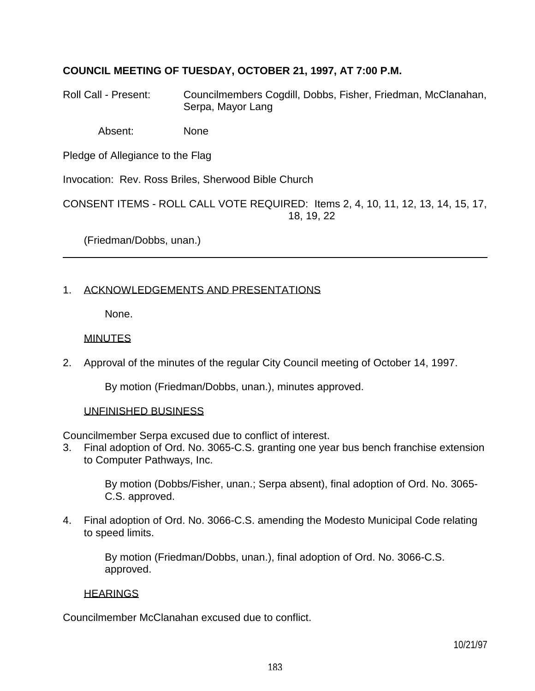# **COUNCIL MEETING OF TUESDAY, OCTOBER 21, 1997, AT 7:00 P.M.**

Roll Call - Present: Councilmembers Cogdill, Dobbs, Fisher, Friedman, McClanahan, Serpa, Mayor Lang

Absent: None

Pledge of Allegiance to the Flag

Invocation: Rev. Ross Briles, Sherwood Bible Church

CONSENT ITEMS - ROLL CALL VOTE REQUIRED: Items 2, 4, 10, 11, 12, 13, 14, 15, 17, 18, 19, 22

(Friedman/Dobbs, unan.)

# 1. ACKNOWLEDGEMENTS AND PRESENTATIONS

None.

# **MINUTES**

2. Approval of the minutes of the regular City Council meeting of October 14, 1997.

By motion (Friedman/Dobbs, unan.), minutes approved.

# UNFINISHED BUSINESS

Councilmember Serpa excused due to conflict of interest.

3. Final adoption of Ord. No. 3065-C.S. granting one year bus bench franchise extension to Computer Pathways, Inc.

 By motion (Dobbs/Fisher, unan.; Serpa absent), final adoption of Ord. No. 3065- C.S. approved.

4. Final adoption of Ord. No. 3066-C.S. amending the Modesto Municipal Code relating to speed limits.

> By motion (Friedman/Dobbs, unan.), final adoption of Ord. No. 3066-C.S. approved.

# **HEARINGS**

Councilmember McClanahan excused due to conflict.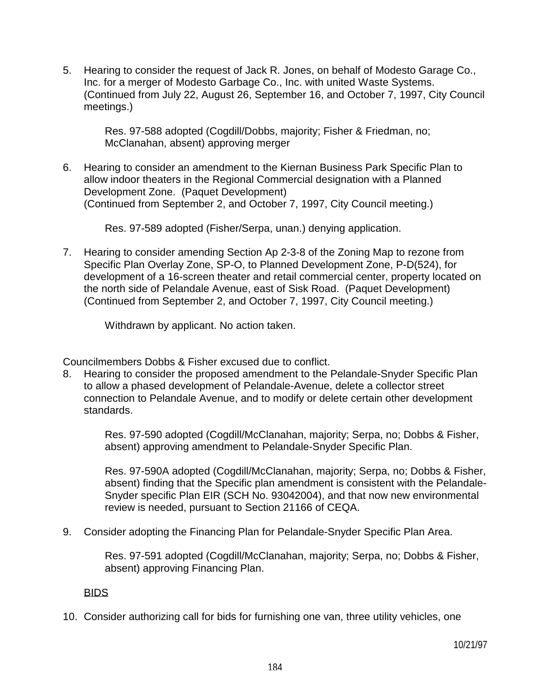5. Hearing to consider the request of Jack R. Jones, on behalf of Modesto Garage Co., Inc. for a merger of Modesto Garbage Co., Inc. with united Waste Systems. (Continued from July 22, August 26, September 16, and October 7, 1997, City Council meetings.)

 Res. 97-588 adopted (Cogdill/Dobbs, majority; Fisher & Friedman, no; McClanahan, absent) approving merger

6. Hearing to consider an amendment to the Kiernan Business Park Specific Plan to allow indoor theaters in the Regional Commercial designation with a Planned Development Zone. (Paquet Development) (Continued from September 2, and October 7, 1997, City Council meeting.)

Res. 97-589 adopted (Fisher/Serpa, unan.) denying application.

7. Hearing to consider amending Section Ap 2-3-8 of the Zoning Map to rezone from Specific Plan Overlay Zone, SP-O, to Planned Development Zone, P-D(524), for development of a 16-screen theater and retail commercial center, property located on the north side of Pelandale Avenue, east of Sisk Road. (Paquet Development) (Continued from September 2, and October 7, 1997, City Council meeting.)

Withdrawn by applicant. No action taken.

Councilmembers Dobbs & Fisher excused due to conflict.

8. Hearing to consider the proposed amendment to the Pelandale-Snyder Specific Plan to allow a phased development of Pelandale-Avenue, delete a collector street connection to Pelandale Avenue, and to modify or delete certain other development standards.

 Res. 97-590 adopted (Cogdill/McClanahan, majority; Serpa, no; Dobbs & Fisher, absent) approving amendment to Pelandale-Snyder Specific Plan.

 Res. 97-590A adopted (Cogdill/McClanahan, majority; Serpa, no; Dobbs & Fisher, absent) finding that the Specific plan amendment is consistent with the Pelandale-Snyder specific Plan EIR (SCH No. 93042004), and that now new environmental review is needed, pursuant to Section 21166 of CEQA.

9. Consider adopting the Financing Plan for Pelandale-Snyder Specific Plan Area.

 Res. 97-591 adopted (Cogdill/McClanahan, majority; Serpa, no; Dobbs & Fisher, absent) approving Financing Plan.

#### BIDS

10. Consider authorizing call for bids for furnishing one van, three utility vehicles, one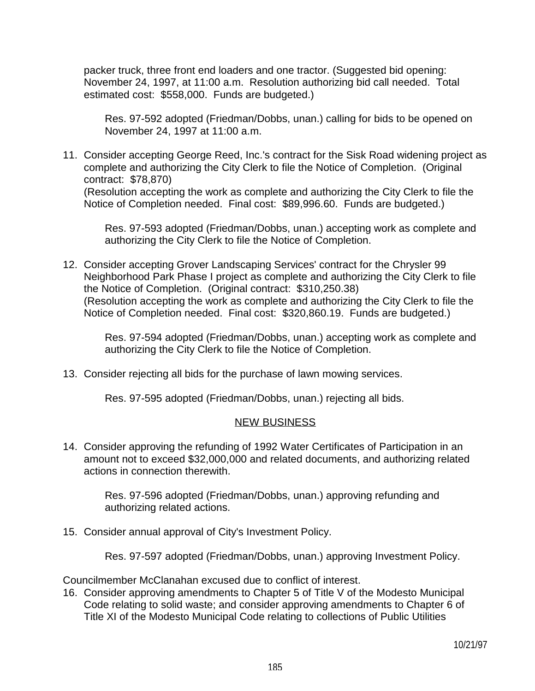packer truck, three front end loaders and one tractor. (Suggested bid opening: November 24, 1997, at 11:00 a.m. Resolution authorizing bid call needed. Total estimated cost: \$558,000. Funds are budgeted.)

 Res. 97-592 adopted (Friedman/Dobbs, unan.) calling for bids to be opened on November 24, 1997 at 11:00 a.m.

11. Consider accepting George Reed, Inc.'s contract for the Sisk Road widening project as complete and authorizing the City Clerk to file the Notice of Completion. (Original contract: \$78,870) (Resolution accepting the work as complete and authorizing the City Clerk to file the Notice of Completion needed. Final cost: \$89,996.60. Funds are budgeted.)

 Res. 97-593 adopted (Friedman/Dobbs, unan.) accepting work as complete and authorizing the City Clerk to file the Notice of Completion.

12. Consider accepting Grover Landscaping Services' contract for the Chrysler 99 Neighborhood Park Phase I project as complete and authorizing the City Clerk to file the Notice of Completion. (Original contract: \$310,250.38) (Resolution accepting the work as complete and authorizing the City Clerk to file the Notice of Completion needed. Final cost: \$320,860.19. Funds are budgeted.)

 Res. 97-594 adopted (Friedman/Dobbs, unan.) accepting work as complete and authorizing the City Clerk to file the Notice of Completion.

13. Consider rejecting all bids for the purchase of lawn mowing services.

Res. 97-595 adopted (Friedman/Dobbs, unan.) rejecting all bids.

#### NEW BUSINESS

14. Consider approving the refunding of 1992 Water Certificates of Participation in an amount not to exceed \$32,000,000 and related documents, and authorizing related actions in connection therewith.

 Res. 97-596 adopted (Friedman/Dobbs, unan.) approving refunding and authorizing related actions.

15. Consider annual approval of City's Investment Policy.

Res. 97-597 adopted (Friedman/Dobbs, unan.) approving Investment Policy.

Councilmember McClanahan excused due to conflict of interest.

16. Consider approving amendments to Chapter 5 of Title V of the Modesto Municipal Code relating to solid waste; and consider approving amendments to Chapter 6 of Title XI of the Modesto Municipal Code relating to collections of Public Utilities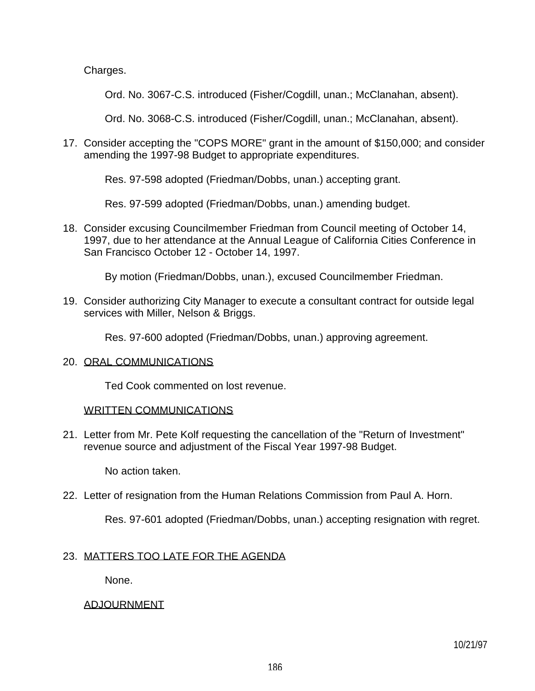Charges.

Ord. No. 3067-C.S. introduced (Fisher/Cogdill, unan.; McClanahan, absent).

Ord. No. 3068-C.S. introduced (Fisher/Cogdill, unan.; McClanahan, absent).

17. Consider accepting the "COPS MORE" grant in the amount of \$150,000; and consider amending the 1997-98 Budget to appropriate expenditures.

Res. 97-598 adopted (Friedman/Dobbs, unan.) accepting grant.

Res. 97-599 adopted (Friedman/Dobbs, unan.) amending budget.

18. Consider excusing Councilmember Friedman from Council meeting of October 14, 1997, due to her attendance at the Annual League of California Cities Conference in San Francisco October 12 - October 14, 1997.

By motion (Friedman/Dobbs, unan.), excused Councilmember Friedman.

19. Consider authorizing City Manager to execute a consultant contract for outside legal services with Miller, Nelson & Briggs.

Res. 97-600 adopted (Friedman/Dobbs, unan.) approving agreement.

#### 20. ORAL COMMUNICATIONS

Ted Cook commented on lost revenue.

#### WRITTEN COMMUNICATIONS

21. Letter from Mr. Pete Kolf requesting the cancellation of the "Return of Investment" revenue source and adjustment of the Fiscal Year 1997-98 Budget.

No action taken.

22. Letter of resignation from the Human Relations Commission from Paul A. Horn.

Res. 97-601 adopted (Friedman/Dobbs, unan.) accepting resignation with regret.

# 23. MATTERS TOO LATE FOR THE AGENDA

None.

# ADJOURNMENT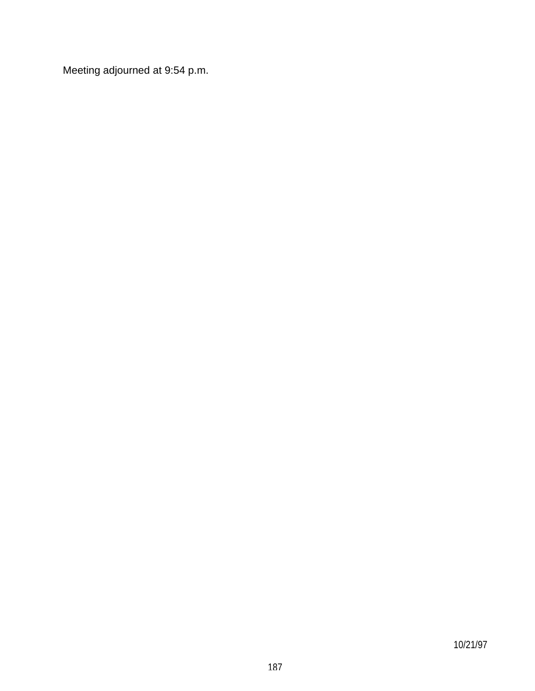Meeting adjourned at 9:54 p.m.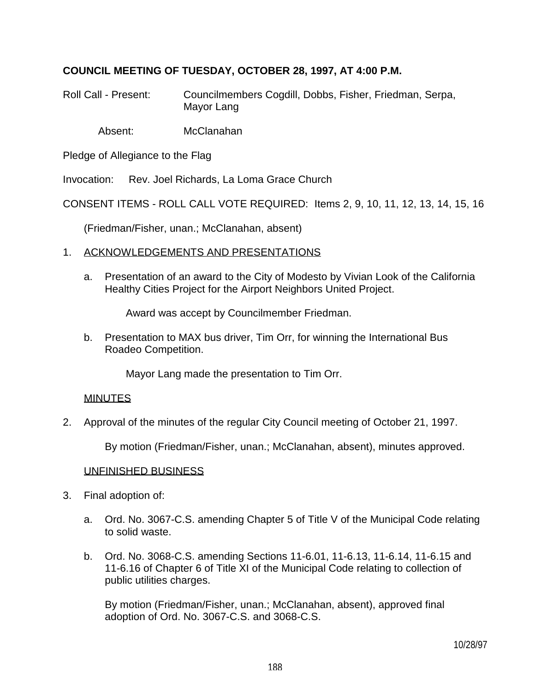# **COUNCIL MEETING OF TUESDAY, OCTOBER 28, 1997, AT 4:00 P.M.**

Roll Call - Present: Councilmembers Cogdill, Dobbs, Fisher, Friedman, Serpa, Mayor Lang

Absent: McClanahan

Pledge of Allegiance to the Flag

Invocation: Rev. Joel Richards, La Loma Grace Church

CONSENT ITEMS - ROLL CALL VOTE REQUIRED: Items 2, 9, 10, 11, 12, 13, 14, 15, 16

(Friedman/Fisher, unan.; McClanahan, absent)

### 1. ACKNOWLEDGEMENTS AND PRESENTATIONS

 a. Presentation of an award to the City of Modesto by Vivian Look of the California Healthy Cities Project for the Airport Neighbors United Project.

Award was accept by Councilmember Friedman.

 b. Presentation to MAX bus driver, Tim Orr, for winning the International Bus Roadeo Competition.

Mayor Lang made the presentation to Tim Orr.

#### MINUTES

2. Approval of the minutes of the regular City Council meeting of October 21, 1997.

By motion (Friedman/Fisher, unan.; McClanahan, absent), minutes approved.

### UNFINISHED BUSINESS

- 3. Final adoption of:
	- a. Ord. No. 3067-C.S. amending Chapter 5 of Title V of the Municipal Code relating to solid waste.
	- b. Ord. No. 3068-C.S. amending Sections 11-6.01, 11-6.13, 11-6.14, 11-6.15 and 11-6.16 of Chapter 6 of Title XI of the Municipal Code relating to collection of public utilities charges.

 By motion (Friedman/Fisher, unan.; McClanahan, absent), approved final adoption of Ord. No. 3067-C.S. and 3068-C.S.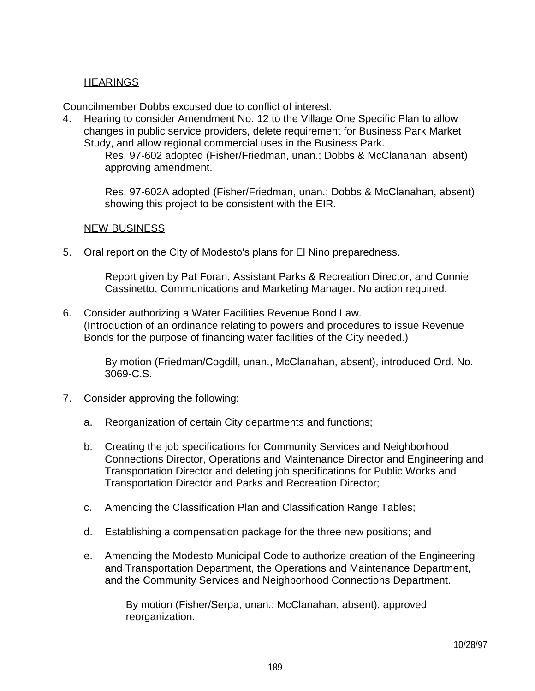# **HEARINGS**

Councilmember Dobbs excused due to conflict of interest.

4. Hearing to consider Amendment No. 12 to the Village One Specific Plan to allow changes in public service providers, delete requirement for Business Park Market Study, and allow regional commercial uses in the Business Park.

 Res. 97-602 adopted (Fisher/Friedman, unan.; Dobbs & McClanahan, absent) approving amendment.

 Res. 97-602A adopted (Fisher/Friedman, unan.; Dobbs & McClanahan, absent) showing this project to be consistent with the EIR.

### NEW BUSINESS

5. Oral report on the City of Modesto's plans for El Nino preparedness.

 Report given by Pat Foran, Assistant Parks & Recreation Director, and Connie Cassinetto, Communications and Marketing Manager. No action required.

6. Consider authorizing a Water Facilities Revenue Bond Law. (Introduction of an ordinance relating to powers and procedures to issue Revenue Bonds for the purpose of financing water facilities of the City needed.)

> By motion (Friedman/Cogdill, unan., McClanahan, absent), introduced Ord. No. 3069-C.S.

- 7. Consider approving the following:
	- a. Reorganization of certain City departments and functions;
	- b. Creating the job specifications for Community Services and Neighborhood Connections Director, Operations and Maintenance Director and Engineering and Transportation Director and deleting job specifications for Public Works and Transportation Director and Parks and Recreation Director;
	- c. Amending the Classification Plan and Classification Range Tables;
	- d. Establishing a compensation package for the three new positions; and
	- e. Amending the Modesto Municipal Code to authorize creation of the Engineering and Transportation Department, the Operations and Maintenance Department, and the Community Services and Neighborhood Connections Department.

 By motion (Fisher/Serpa, unan.; McClanahan, absent), approved reorganization.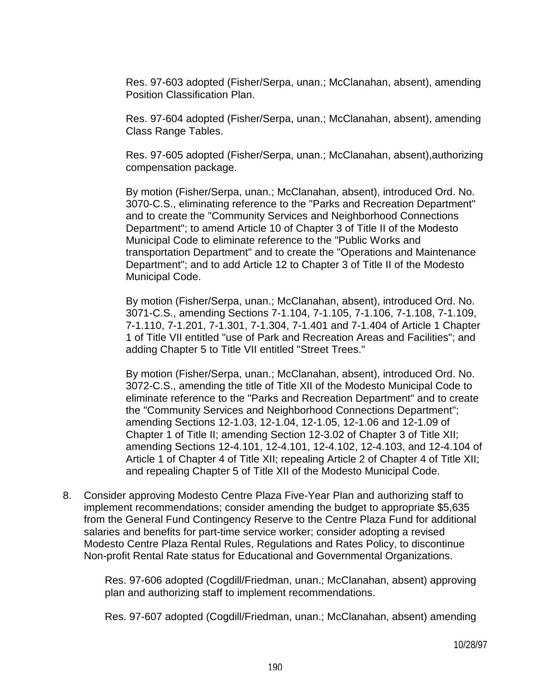Res. 97-603 adopted (Fisher/Serpa, unan.; McClanahan, absent), amending Position Classification Plan.

 Res. 97-604 adopted (Fisher/Serpa, unan.; McClanahan, absent), amending Class Range Tables.

 Res. 97-605 adopted (Fisher/Serpa, unan.; McClanahan, absent),authorizing compensation package.

 By motion (Fisher/Serpa, unan.; McClanahan, absent), introduced Ord. No. 3070-C.S., eliminating reference to the "Parks and Recreation Department" and to create the "Community Services and Neighborhood Connections Department"; to amend Article 10 of Chapter 3 of Title II of the Modesto Municipal Code to eliminate reference to the "Public Works and transportation Department" and to create the "Operations and Maintenance Department"; and to add Article 12 to Chapter 3 of Title II of the Modesto Municipal Code.

 By motion (Fisher/Serpa, unan.; McClanahan, absent), introduced Ord. No. 3071-C.S., amending Sections 7-1.104, 7-1.105, 7-1.106, 7-1.108, 7-1.109, 7-1.110, 7-1.201, 7-1.301, 7-1.304, 7-1.401 and 7-1.404 of Article 1 Chapter 1 of Title VII entitled "use of Park and Recreation Areas and Facilities"; and adding Chapter 5 to Title VII entitled "Street Trees."

 By motion (Fisher/Serpa, unan.; McClanahan, absent), introduced Ord. No. 3072-C.S., amending the title of Title XII of the Modesto Municipal Code to eliminate reference to the "Parks and Recreation Department" and to create the "Community Services and Neighborhood Connections Department"; amending Sections 12-1.03, 12-1.04, 12-1.05, 12-1.06 and 12-1.09 of Chapter 1 of Title II; amending Section 12-3.02 of Chapter 3 of Title XII; amending Sections 12-4.101, 12-4.101, 12-4.102, 12-4.103, and 12-4.104 of Article 1 of Chapter 4 of Title XII; repealing Article 2 of Chapter 4 of Title XII; and repealing Chapter 5 of Title XII of the Modesto Municipal Code.

8. Consider approving Modesto Centre Plaza Five-Year Plan and authorizing staff to implement recommendations; consider amending the budget to appropriate \$5,635 from the General Fund Contingency Reserve to the Centre Plaza Fund for additional salaries and benefits for part-time service worker; consider adopting a revised Modesto Centre Plaza Rental Rules, Regulations and Rates Policy, to discontinue Non-profit Rental Rate status for Educational and Governmental Organizations.

 Res. 97-606 adopted (Cogdill/Friedman, unan.; McClanahan, absent) approving plan and authorizing staff to implement recommendations.

Res. 97-607 adopted (Cogdill/Friedman, unan.; McClanahan, absent) amending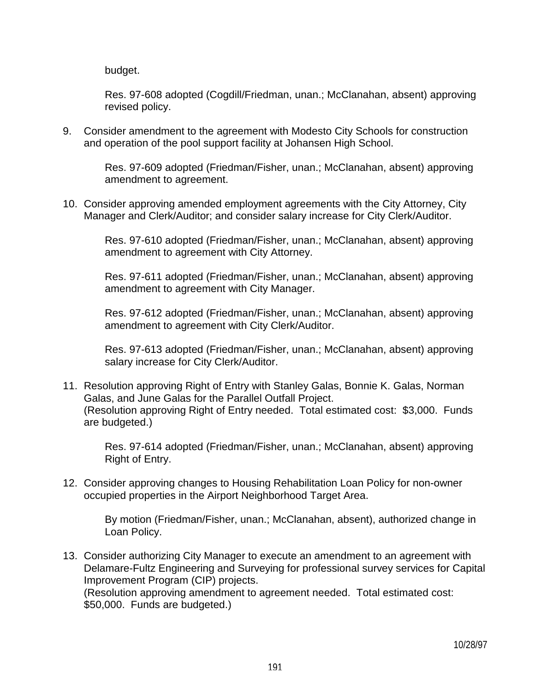budget.

 Res. 97-608 adopted (Cogdill/Friedman, unan.; McClanahan, absent) approving revised policy.

9. Consider amendment to the agreement with Modesto City Schools for construction and operation of the pool support facility at Johansen High School.

> Res. 97-609 adopted (Friedman/Fisher, unan.; McClanahan, absent) approving amendment to agreement.

10. Consider approving amended employment agreements with the City Attorney, City Manager and Clerk/Auditor; and consider salary increase for City Clerk/Auditor.

> Res. 97-610 adopted (Friedman/Fisher, unan.; McClanahan, absent) approving amendment to agreement with City Attorney.

> Res. 97-611 adopted (Friedman/Fisher, unan.; McClanahan, absent) approving amendment to agreement with City Manager.

> Res. 97-612 adopted (Friedman/Fisher, unan.; McClanahan, absent) approving amendment to agreement with City Clerk/Auditor.

> Res. 97-613 adopted (Friedman/Fisher, unan.; McClanahan, absent) approving salary increase for City Clerk/Auditor.

11. Resolution approving Right of Entry with Stanley Galas, Bonnie K. Galas, Norman Galas, and June Galas for the Parallel Outfall Project. (Resolution approving Right of Entry needed. Total estimated cost: \$3,000. Funds are budgeted.)

 Res. 97-614 adopted (Friedman/Fisher, unan.; McClanahan, absent) approving Right of Entry.

12. Consider approving changes to Housing Rehabilitation Loan Policy for non-owner occupied properties in the Airport Neighborhood Target Area.

 By motion (Friedman/Fisher, unan.; McClanahan, absent), authorized change in Loan Policy.

13. Consider authorizing City Manager to execute an amendment to an agreement with Delamare-Fultz Engineering and Surveying for professional survey services for Capital Improvement Program (CIP) projects. (Resolution approving amendment to agreement needed. Total estimated cost:

\$50,000. Funds are budgeted.)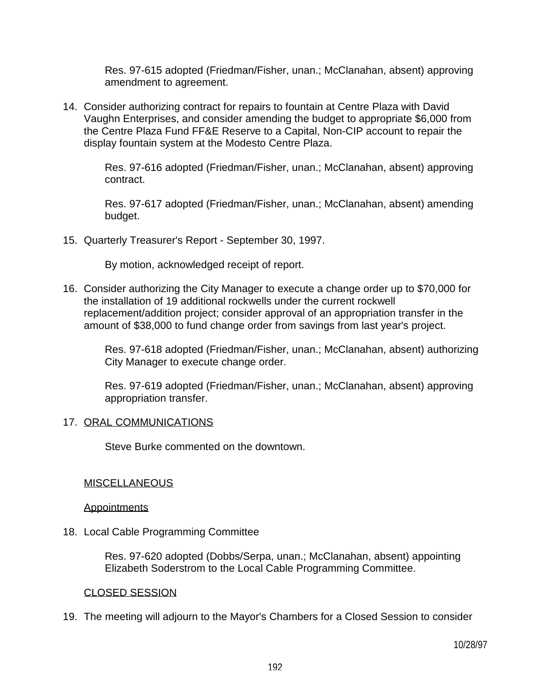Res. 97-615 adopted (Friedman/Fisher, unan.; McClanahan, absent) approving amendment to agreement.

14. Consider authorizing contract for repairs to fountain at Centre Plaza with David Vaughn Enterprises, and consider amending the budget to appropriate \$6,000 from the Centre Plaza Fund FF&E Reserve to a Capital, Non-CIP account to repair the display fountain system at the Modesto Centre Plaza.

> Res. 97-616 adopted (Friedman/Fisher, unan.; McClanahan, absent) approving contract.

> Res. 97-617 adopted (Friedman/Fisher, unan.; McClanahan, absent) amending budget.

15. Quarterly Treasurer's Report - September 30, 1997.

By motion, acknowledged receipt of report.

16. Consider authorizing the City Manager to execute a change order up to \$70,000 for the installation of 19 additional rockwells under the current rockwell replacement/addition project; consider approval of an appropriation transfer in the amount of \$38,000 to fund change order from savings from last year's project.

 Res. 97-618 adopted (Friedman/Fisher, unan.; McClanahan, absent) authorizing City Manager to execute change order.

 Res. 97-619 adopted (Friedman/Fisher, unan.; McClanahan, absent) approving appropriation transfer.

#### 17. ORAL COMMUNICATIONS

Steve Burke commented on the downtown.

#### **MISCELLANEOUS**

**Appointments** 

18. Local Cable Programming Committee

 Res. 97-620 adopted (Dobbs/Serpa, unan.; McClanahan, absent) appointing Elizabeth Soderstrom to the Local Cable Programming Committee.

### CLOSED SESSION

19. The meeting will adjourn to the Mayor's Chambers for a Closed Session to consider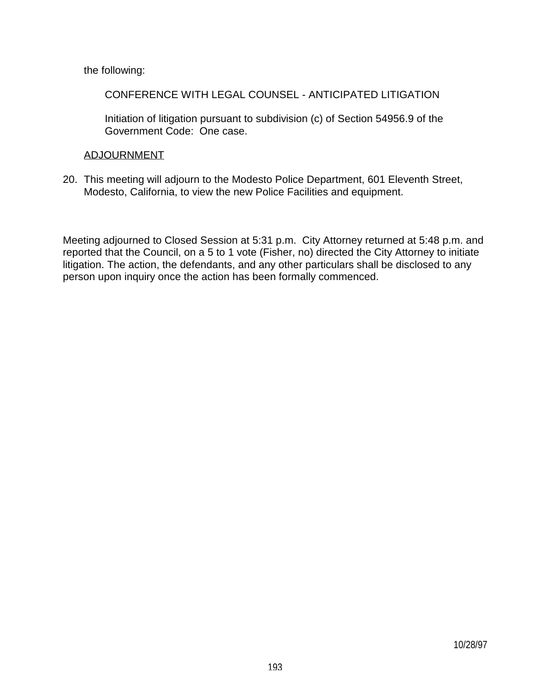the following:

CONFERENCE WITH LEGAL COUNSEL - ANTICIPATED LITIGATION

 Initiation of litigation pursuant to subdivision (c) of Section 54956.9 of the Government Code: One case.

## ADJOURNMENT

20. This meeting will adjourn to the Modesto Police Department, 601 Eleventh Street, Modesto, California, to view the new Police Facilities and equipment.

Meeting adjourned to Closed Session at 5:31 p.m. City Attorney returned at 5:48 p.m. and reported that the Council, on a 5 to 1 vote (Fisher, no) directed the City Attorney to initiate litigation. The action, the defendants, and any other particulars shall be disclosed to any person upon inquiry once the action has been formally commenced.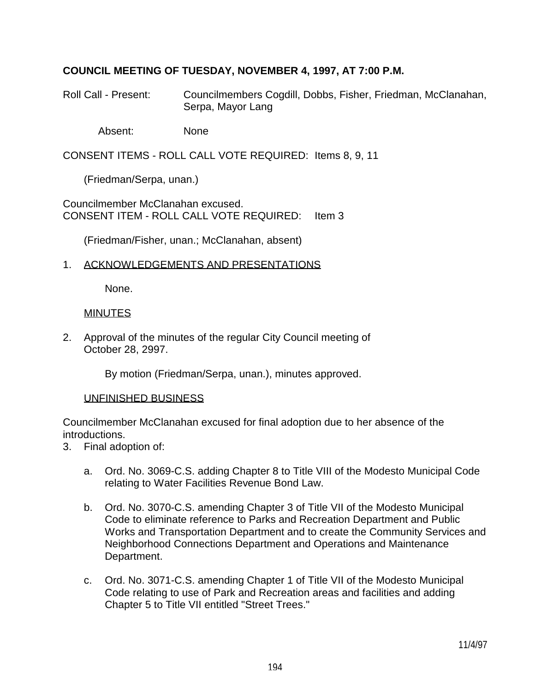# **COUNCIL MEETING OF TUESDAY, NOVEMBER 4, 1997, AT 7:00 P.M.**

- Roll Call Present: Councilmembers Cogdill, Dobbs, Fisher, Friedman, McClanahan, Serpa, Mayor Lang
	- Absent: None

CONSENT ITEMS - ROLL CALL VOTE REQUIRED: Items 8, 9, 11

(Friedman/Serpa, unan.)

Councilmember McClanahan excused. CONSENT ITEM - ROLL CALL VOTE REQUIRED: Item 3

(Friedman/Fisher, unan.; McClanahan, absent)

### 1. ACKNOWLEDGEMENTS AND PRESENTATIONS

None.

### MINUTES

2. Approval of the minutes of the regular City Council meeting of October 28, 2997.

By motion (Friedman/Serpa, unan.), minutes approved.

#### UNFINISHED BUSINESS

Councilmember McClanahan excused for final adoption due to her absence of the introductions.

- 3. Final adoption of:
	- a. Ord. No. 3069-C.S. adding Chapter 8 to Title VIII of the Modesto Municipal Code relating to Water Facilities Revenue Bond Law.
	- b. Ord. No. 3070-C.S. amending Chapter 3 of Title VII of the Modesto Municipal Code to eliminate reference to Parks and Recreation Department and Public Works and Transportation Department and to create the Community Services and Neighborhood Connections Department and Operations and Maintenance Department.
	- c. Ord. No. 3071-C.S. amending Chapter 1 of Title VII of the Modesto Municipal Code relating to use of Park and Recreation areas and facilities and adding Chapter 5 to Title VII entitled "Street Trees."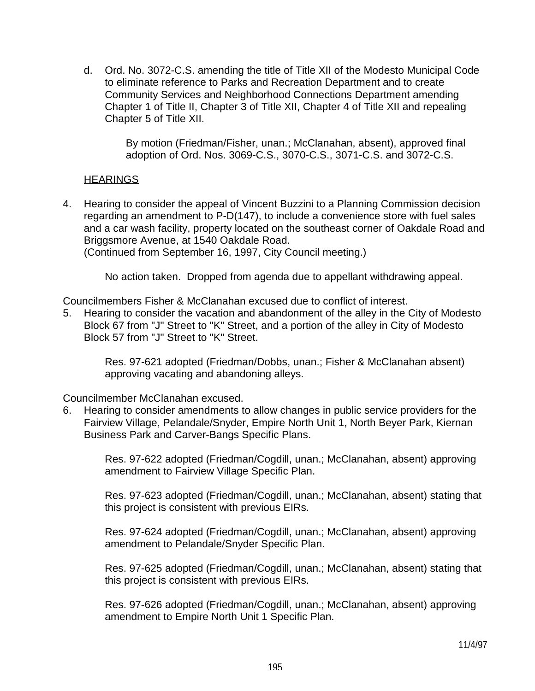d. Ord. No. 3072-C.S. amending the title of Title XII of the Modesto Municipal Code to eliminate reference to Parks and Recreation Department and to create Community Services and Neighborhood Connections Department amending Chapter 1 of Title II, Chapter 3 of Title XII, Chapter 4 of Title XII and repealing Chapter 5 of Title XII.

> By motion (Friedman/Fisher, unan.; McClanahan, absent), approved final adoption of Ord. Nos. 3069-C.S., 3070-C.S., 3071-C.S. and 3072-C.S.

### **HEARINGS**

4. Hearing to consider the appeal of Vincent Buzzini to a Planning Commission decision regarding an amendment to P-D(147), to include a convenience store with fuel sales and a car wash facility, property located on the southeast corner of Oakdale Road and Briggsmore Avenue, at 1540 Oakdale Road. (Continued from September 16, 1997, City Council meeting.)

No action taken. Dropped from agenda due to appellant withdrawing appeal.

Councilmembers Fisher & McClanahan excused due to conflict of interest.

5. Hearing to consider the vacation and abandonment of the alley in the City of Modesto Block 67 from "J" Street to "K" Street, and a portion of the alley in City of Modesto Block 57 from "J" Street to "K" Street.

 Res. 97-621 adopted (Friedman/Dobbs, unan.; Fisher & McClanahan absent) approving vacating and abandoning alleys.

Councilmember McClanahan excused.

6. Hearing to consider amendments to allow changes in public service providers for the Fairview Village, Pelandale/Snyder, Empire North Unit 1, North Beyer Park, Kiernan Business Park and Carver-Bangs Specific Plans.

> Res. 97-622 adopted (Friedman/Cogdill, unan.; McClanahan, absent) approving amendment to Fairview Village Specific Plan.

 Res. 97-623 adopted (Friedman/Cogdill, unan.; McClanahan, absent) stating that this project is consistent with previous EIRs.

 Res. 97-624 adopted (Friedman/Cogdill, unan.; McClanahan, absent) approving amendment to Pelandale/Snyder Specific Plan.

 Res. 97-625 adopted (Friedman/Cogdill, unan.; McClanahan, absent) stating that this project is consistent with previous EIRs.

 Res. 97-626 adopted (Friedman/Cogdill, unan.; McClanahan, absent) approving amendment to Empire North Unit 1 Specific Plan.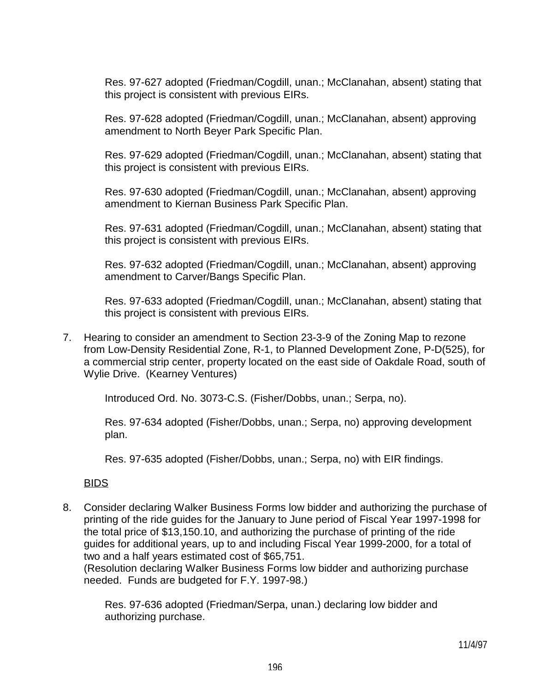Res. 97-627 adopted (Friedman/Cogdill, unan.; McClanahan, absent) stating that this project is consistent with previous EIRs.

 Res. 97-628 adopted (Friedman/Cogdill, unan.; McClanahan, absent) approving amendment to North Beyer Park Specific Plan.

 Res. 97-629 adopted (Friedman/Cogdill, unan.; McClanahan, absent) stating that this project is consistent with previous EIRs.

 Res. 97-630 adopted (Friedman/Cogdill, unan.; McClanahan, absent) approving amendment to Kiernan Business Park Specific Plan.

 Res. 97-631 adopted (Friedman/Cogdill, unan.; McClanahan, absent) stating that this project is consistent with previous EIRs.

 Res. 97-632 adopted (Friedman/Cogdill, unan.; McClanahan, absent) approving amendment to Carver/Bangs Specific Plan.

 Res. 97-633 adopted (Friedman/Cogdill, unan.; McClanahan, absent) stating that this project is consistent with previous EIRs.

7. Hearing to consider an amendment to Section 23-3-9 of the Zoning Map to rezone from Low-Density Residential Zone, R-1, to Planned Development Zone, P-D(525), for a commercial strip center, property located on the east side of Oakdale Road, south of Wylie Drive. (Kearney Ventures)

Introduced Ord. No. 3073-C.S. (Fisher/Dobbs, unan.; Serpa, no).

 Res. 97-634 adopted (Fisher/Dobbs, unan.; Serpa, no) approving development plan.

Res. 97-635 adopted (Fisher/Dobbs, unan.; Serpa, no) with EIR findings.

BIDS

8. Consider declaring Walker Business Forms low bidder and authorizing the purchase of printing of the ride guides for the January to June period of Fiscal Year 1997-1998 for the total price of \$13,150.10, and authorizing the purchase of printing of the ride guides for additional years, up to and including Fiscal Year 1999-2000, for a total of two and a half years estimated cost of \$65,751.

 (Resolution declaring Walker Business Forms low bidder and authorizing purchase needed. Funds are budgeted for F.Y. 1997-98.)

 Res. 97-636 adopted (Friedman/Serpa, unan.) declaring low bidder and authorizing purchase.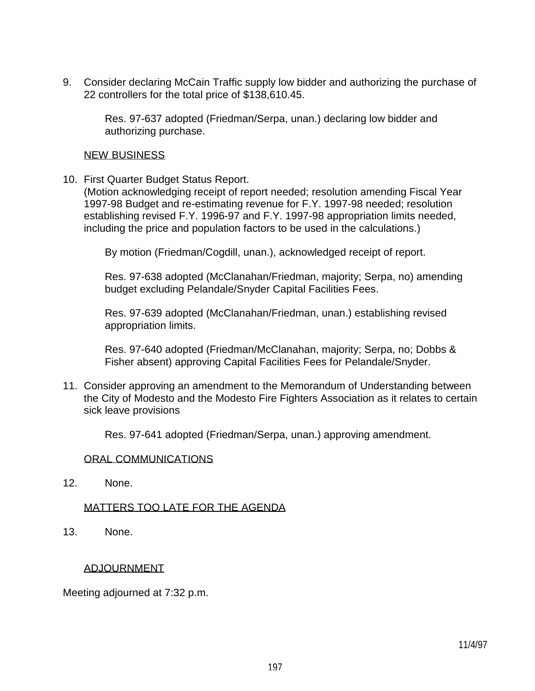9. Consider declaring McCain Traffic supply low bidder and authorizing the purchase of 22 controllers for the total price of \$138,610.45.

 Res. 97-637 adopted (Friedman/Serpa, unan.) declaring low bidder and authorizing purchase.

#### NEW BUSINESS

10. First Quarter Budget Status Report.

 (Motion acknowledging receipt of report needed; resolution amending Fiscal Year 1997-98 Budget and re-estimating revenue for F.Y. 1997-98 needed; resolution establishing revised F.Y. 1996-97 and F.Y. 1997-98 appropriation limits needed, including the price and population factors to be used in the calculations.)

By motion (Friedman/Cogdill, unan.), acknowledged receipt of report.

 Res. 97-638 adopted (McClanahan/Friedman, majority; Serpa, no) amending budget excluding Pelandale/Snyder Capital Facilities Fees.

 Res. 97-639 adopted (McClanahan/Friedman, unan.) establishing revised appropriation limits.

 Res. 97-640 adopted (Friedman/McClanahan, majority; Serpa, no; Dobbs & Fisher absent) approving Capital Facilities Fees for Pelandale/Snyder.

11. Consider approving an amendment to the Memorandum of Understanding between the City of Modesto and the Modesto Fire Fighters Association as it relates to certain sick leave provisions

Res. 97-641 adopted (Friedman/Serpa, unan.) approving amendment.

#### ORAL COMMUNICATIONS

12. None.

#### MATTERS TOO LATE FOR THE AGENDA

13. None.

#### ADJOURNMENT

Meeting adjourned at 7:32 p.m.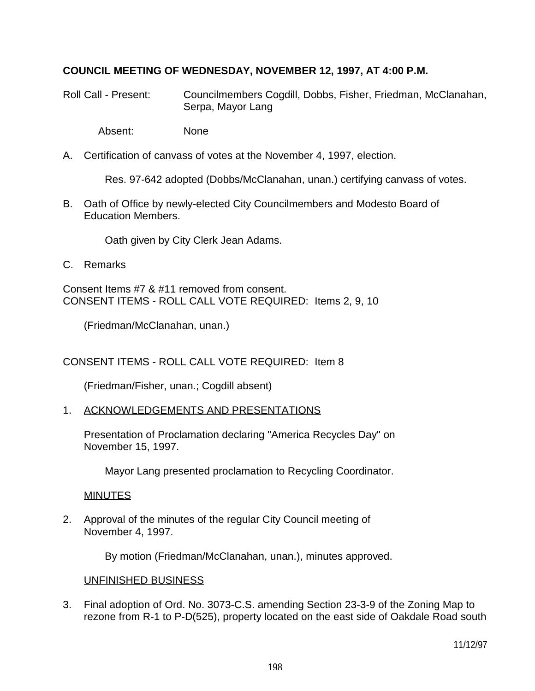# **COUNCIL MEETING OF WEDNESDAY, NOVEMBER 12, 1997, AT 4:00 P.M.**

Roll Call - Present: Councilmembers Cogdill, Dobbs, Fisher, Friedman, McClanahan, Serpa, Mayor Lang

Absent: None

A. Certification of canvass of votes at the November 4, 1997, election.

Res. 97-642 adopted (Dobbs/McClanahan, unan.) certifying canvass of votes.

B. Oath of Office by newly-elected City Councilmembers and Modesto Board of Education Members.

Oath given by City Clerk Jean Adams.

C. Remarks

Consent Items #7 & #11 removed from consent. CONSENT ITEMS - ROLL CALL VOTE REQUIRED: Items 2, 9, 10

(Friedman/McClanahan, unan.)

CONSENT ITEMS - ROLL CALL VOTE REQUIRED: Item 8

(Friedman/Fisher, unan.; Cogdill absent)

1. ACKNOWLEDGEMENTS AND PRESENTATIONS

 Presentation of Proclamation declaring "America Recycles Day" on November 15, 1997.

Mayor Lang presented proclamation to Recycling Coordinator.

MINUTES

2. Approval of the minutes of the regular City Council meeting of November 4, 1997.

By motion (Friedman/McClanahan, unan.), minutes approved.

# UNFINISHED BUSINESS

3. Final adoption of Ord. No. 3073-C.S. amending Section 23-3-9 of the Zoning Map to rezone from R-1 to P-D(525), property located on the east side of Oakdale Road south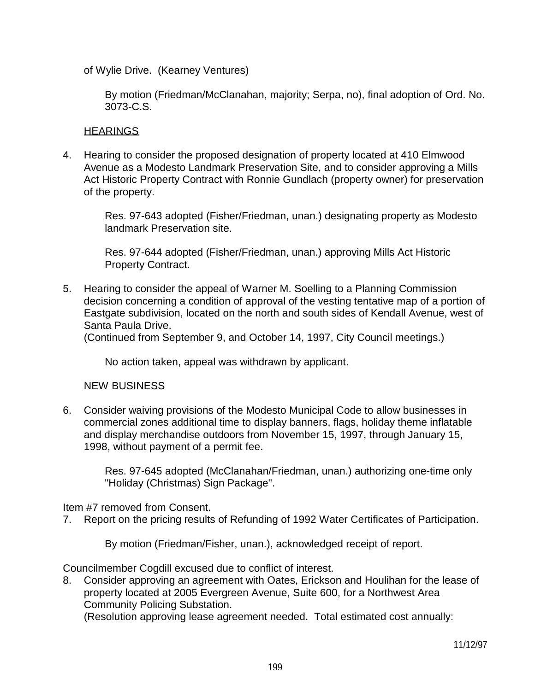of Wylie Drive. (Kearney Ventures)

 By motion (Friedman/McClanahan, majority; Serpa, no), final adoption of Ord. No. 3073-C.S.

#### **HEARINGS**

4. Hearing to consider the proposed designation of property located at 410 Elmwood Avenue as a Modesto Landmark Preservation Site, and to consider approving a Mills Act Historic Property Contract with Ronnie Gundlach (property owner) for preservation of the property.

 Res. 97-643 adopted (Fisher/Friedman, unan.) designating property as Modesto landmark Preservation site.

 Res. 97-644 adopted (Fisher/Friedman, unan.) approving Mills Act Historic Property Contract.

5. Hearing to consider the appeal of Warner M. Soelling to a Planning Commission decision concerning a condition of approval of the vesting tentative map of a portion of Eastgate subdivision, located on the north and south sides of Kendall Avenue, west of Santa Paula Drive.

(Continued from September 9, and October 14, 1997, City Council meetings.)

No action taken, appeal was withdrawn by applicant.

#### NEW BUSINESS

6. Consider waiving provisions of the Modesto Municipal Code to allow businesses in commercial zones additional time to display banners, flags, holiday theme inflatable and display merchandise outdoors from November 15, 1997, through January 15, 1998, without payment of a permit fee.

> Res. 97-645 adopted (McClanahan/Friedman, unan.) authorizing one-time only "Holiday (Christmas) Sign Package".

Item #7 removed from Consent.

7. Report on the pricing results of Refunding of 1992 Water Certificates of Participation.

By motion (Friedman/Fisher, unan.), acknowledged receipt of report.

Councilmember Cogdill excused due to conflict of interest.

8. Consider approving an agreement with Oates, Erickson and Houlihan for the lease of property located at 2005 Evergreen Avenue, Suite 600, for a Northwest Area Community Policing Substation.

(Resolution approving lease agreement needed. Total estimated cost annually: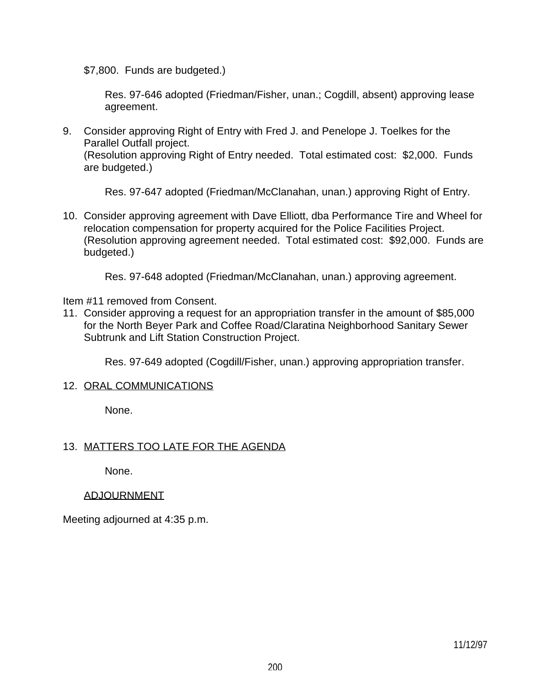\$7,800. Funds are budgeted.)

 Res. 97-646 adopted (Friedman/Fisher, unan.; Cogdill, absent) approving lease agreement.

9. Consider approving Right of Entry with Fred J. and Penelope J. Toelkes for the Parallel Outfall project.

 (Resolution approving Right of Entry needed. Total estimated cost: \$2,000. Funds are budgeted.)

Res. 97-647 adopted (Friedman/McClanahan, unan.) approving Right of Entry.

10. Consider approving agreement with Dave Elliott, dba Performance Tire and Wheel for relocation compensation for property acquired for the Police Facilities Project. (Resolution approving agreement needed. Total estimated cost: \$92,000. Funds are budgeted.)

Res. 97-648 adopted (Friedman/McClanahan, unan.) approving agreement.

Item #11 removed from Consent.

11. Consider approving a request for an appropriation transfer in the amount of \$85,000 for the North Beyer Park and Coffee Road/Claratina Neighborhood Sanitary Sewer Subtrunk and Lift Station Construction Project.

Res. 97-649 adopted (Cogdill/Fisher, unan.) approving appropriation transfer.

#### 12. ORAL COMMUNICATIONS

None.

# 13. MATTERS TOO LATE FOR THE AGENDA

None.

#### ADJOURNMENT

Meeting adjourned at 4:35 p.m.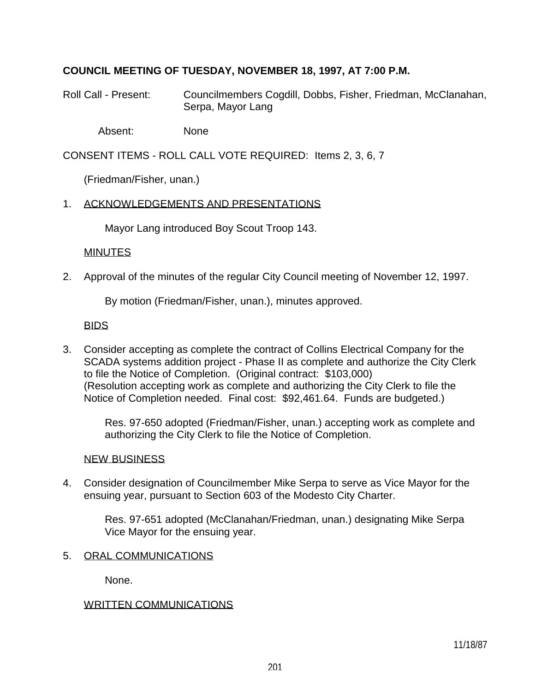# **COUNCIL MEETING OF TUESDAY, NOVEMBER 18, 1997, AT 7:00 P.M.**

Roll Call - Present: Councilmembers Cogdill, Dobbs, Fisher, Friedman, McClanahan, Serpa, Mayor Lang

Absent: None

CONSENT ITEMS - ROLL CALL VOTE REQUIRED: Items 2, 3, 6, 7

(Friedman/Fisher, unan.)

### 1. ACKNOWLEDGEMENTS AND PRESENTATIONS

Mayor Lang introduced Boy Scout Troop 143.

### **MINUTES**

2. Approval of the minutes of the regular City Council meeting of November 12, 1997.

By motion (Friedman/Fisher, unan.), minutes approved.

### BIDS

3. Consider accepting as complete the contract of Collins Electrical Company for the SCADA systems addition project - Phase II as complete and authorize the City Clerk to file the Notice of Completion. (Original contract: \$103,000) (Resolution accepting work as complete and authorizing the City Clerk to file the Notice of Completion needed. Final cost: \$92,461.64. Funds are budgeted.)

 Res. 97-650 adopted (Friedman/Fisher, unan.) accepting work as complete and authorizing the City Clerk to file the Notice of Completion.

#### NEW BUSINESS

4. Consider designation of Councilmember Mike Serpa to serve as Vice Mayor for the ensuing year, pursuant to Section 603 of the Modesto City Charter.

> Res. 97-651 adopted (McClanahan/Friedman, unan.) designating Mike Serpa Vice Mayor for the ensuing year.

5. ORAL COMMUNICATIONS

None.

# WRITTEN COMMUNICATIONS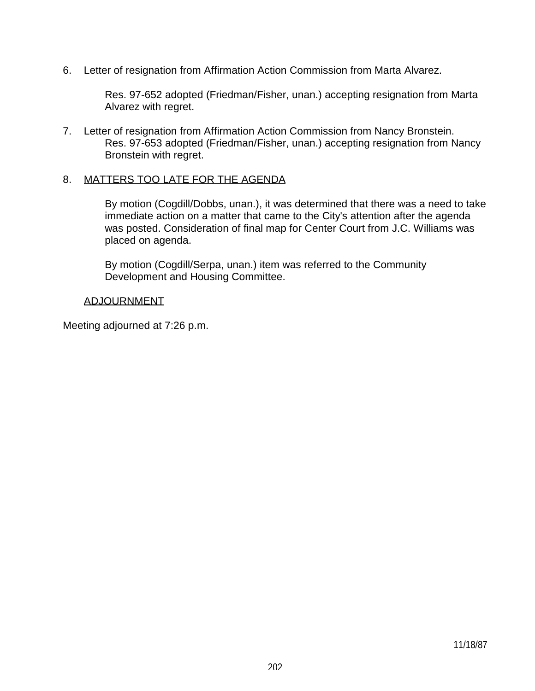6. Letter of resignation from Affirmation Action Commission from Marta Alvarez.

 Res. 97-652 adopted (Friedman/Fisher, unan.) accepting resignation from Marta Alvarez with regret.

7. Letter of resignation from Affirmation Action Commission from Nancy Bronstein. Res. 97-653 adopted (Friedman/Fisher, unan.) accepting resignation from Nancy Bronstein with regret.

#### 8. MATTERS TOO LATE FOR THE AGENDA

 By motion (Cogdill/Dobbs, unan.), it was determined that there was a need to take immediate action on a matter that came to the City's attention after the agenda was posted. Consideration of final map for Center Court from J.C. Williams was placed on agenda.

 By motion (Cogdill/Serpa, unan.) item was referred to the Community Development and Housing Committee.

#### ADJOURNMENT

Meeting adjourned at 7:26 p.m.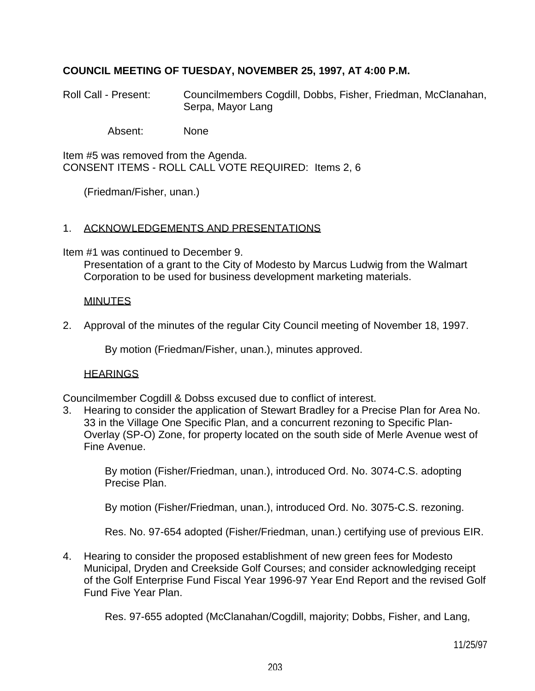# **COUNCIL MEETING OF TUESDAY, NOVEMBER 25, 1997, AT 4:00 P.M.**

Roll Call - Present: Councilmembers Cogdill, Dobbs, Fisher, Friedman, McClanahan, Serpa, Mayor Lang

Absent: None

Item #5 was removed from the Agenda. CONSENT ITEMS - ROLL CALL VOTE REQUIRED: Items 2, 6

(Friedman/Fisher, unan.)

### 1. ACKNOWLEDGEMENTS AND PRESENTATIONS

Item #1 was continued to December 9.

 Presentation of a grant to the City of Modesto by Marcus Ludwig from the Walmart Corporation to be used for business development marketing materials.

#### MINUTES

2. Approval of the minutes of the regular City Council meeting of November 18, 1997.

By motion (Friedman/Fisher, unan.), minutes approved.

#### **HEARINGS**

Councilmember Cogdill & Dobss excused due to conflict of interest.

3. Hearing to consider the application of Stewart Bradley for a Precise Plan for Area No. 33 in the Village One Specific Plan, and a concurrent rezoning to Specific Plan-Overlay (SP-O) Zone, for property located on the south side of Merle Avenue west of Fine Avenue.

 By motion (Fisher/Friedman, unan.), introduced Ord. No. 3074-C.S. adopting Precise Plan.

By motion (Fisher/Friedman, unan.), introduced Ord. No. 3075-C.S. rezoning.

Res. No. 97-654 adopted (Fisher/Friedman, unan.) certifying use of previous EIR.

4. Hearing to consider the proposed establishment of new green fees for Modesto Municipal, Dryden and Creekside Golf Courses; and consider acknowledging receipt of the Golf Enterprise Fund Fiscal Year 1996-97 Year End Report and the revised Golf Fund Five Year Plan.

Res. 97-655 adopted (McClanahan/Cogdill, majority; Dobbs, Fisher, and Lang,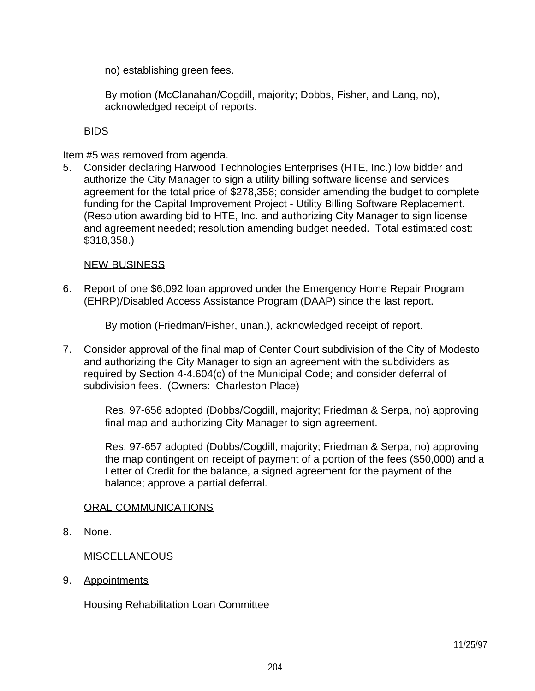no) establishing green fees.

 By motion (McClanahan/Cogdill, majority; Dobbs, Fisher, and Lang, no), acknowledged receipt of reports.

### BIDS

Item #5 was removed from agenda.

5. Consider declaring Harwood Technologies Enterprises (HTE, Inc.) low bidder and authorize the City Manager to sign a utility billing software license and services agreement for the total price of \$278,358; consider amending the budget to complete funding for the Capital Improvement Project - Utility Billing Software Replacement. (Resolution awarding bid to HTE, Inc. and authorizing City Manager to sign license and agreement needed; resolution amending budget needed. Total estimated cost: \$318,358.)

#### NEW BUSINESS

6. Report of one \$6,092 loan approved under the Emergency Home Repair Program (EHRP)/Disabled Access Assistance Program (DAAP) since the last report.

By motion (Friedman/Fisher, unan.), acknowledged receipt of report.

7. Consider approval of the final map of Center Court subdivision of the City of Modesto and authorizing the City Manager to sign an agreement with the subdividers as required by Section 4-4.604(c) of the Municipal Code; and consider deferral of subdivision fees. (Owners: Charleston Place)

 Res. 97-656 adopted (Dobbs/Cogdill, majority; Friedman & Serpa, no) approving final map and authorizing City Manager to sign agreement.

 Res. 97-657 adopted (Dobbs/Cogdill, majority; Friedman & Serpa, no) approving the map contingent on receipt of payment of a portion of the fees (\$50,000) and a Letter of Credit for the balance, a signed agreement for the payment of the balance; approve a partial deferral.

# ORAL COMMUNICATIONS

8. None.

# MISCELLANEOUS

9. Appointments

Housing Rehabilitation Loan Committee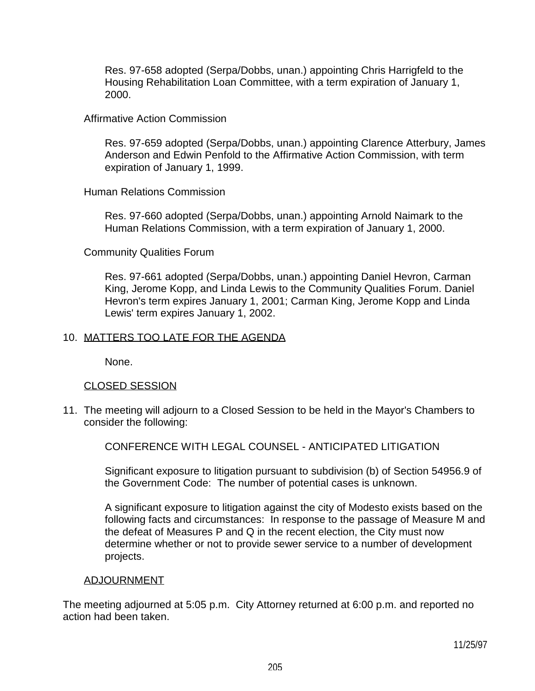Res. 97-658 adopted (Serpa/Dobbs, unan.) appointing Chris Harrigfeld to the Housing Rehabilitation Loan Committee, with a term expiration of January 1, 2000.

#### Affirmative Action Commission

 Res. 97-659 adopted (Serpa/Dobbs, unan.) appointing Clarence Atterbury, James Anderson and Edwin Penfold to the Affirmative Action Commission, with term expiration of January 1, 1999.

#### Human Relations Commission

 Res. 97-660 adopted (Serpa/Dobbs, unan.) appointing Arnold Naimark to the Human Relations Commission, with a term expiration of January 1, 2000.

#### Community Qualities Forum

 Res. 97-661 adopted (Serpa/Dobbs, unan.) appointing Daniel Hevron, Carman King, Jerome Kopp, and Linda Lewis to the Community Qualities Forum. Daniel Hevron's term expires January 1, 2001; Carman King, Jerome Kopp and Linda Lewis' term expires January 1, 2002.

#### 10. MATTERS TOO LATE FOR THE AGENDA

None.

#### CLOSED SESSION

11. The meeting will adjourn to a Closed Session to be held in the Mayor's Chambers to consider the following:

CONFERENCE WITH LEGAL COUNSEL - ANTICIPATED LITIGATION

 Significant exposure to litigation pursuant to subdivision (b) of Section 54956.9 of the Government Code: The number of potential cases is unknown.

 A significant exposure to litigation against the city of Modesto exists based on the following facts and circumstances: In response to the passage of Measure M and the defeat of Measures P and Q in the recent election, the City must now determine whether or not to provide sewer service to a number of development projects.

#### ADJOURNMENT

The meeting adjourned at 5:05 p.m. City Attorney returned at 6:00 p.m. and reported no action had been taken.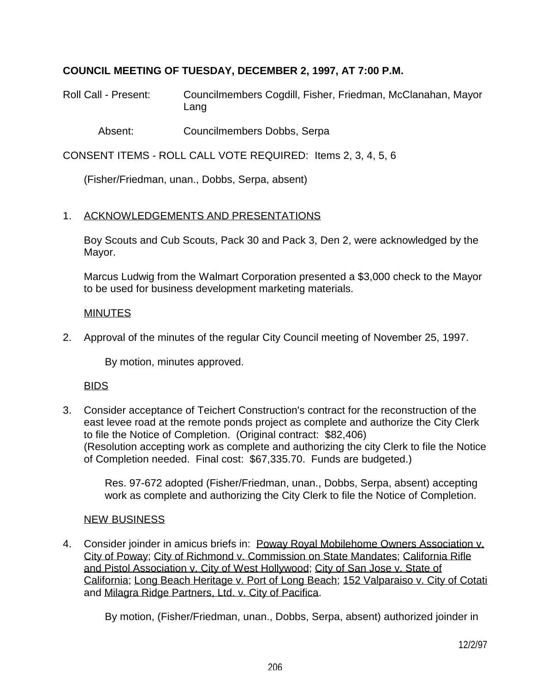# **COUNCIL MEETING OF TUESDAY, DECEMBER 2, 1997, AT 7:00 P.M.**

Roll Call - Present: Councilmembers Cogdill, Fisher, Friedman, McClanahan, Mayor Lang

Absent: Councilmembers Dobbs, Serpa

CONSENT ITEMS - ROLL CALL VOTE REQUIRED: Items 2, 3, 4, 5, 6

(Fisher/Friedman, unan., Dobbs, Serpa, absent)

### 1. ACKNOWLEDGEMENTS AND PRESENTATIONS

 Boy Scouts and Cub Scouts, Pack 30 and Pack 3, Den 2, were acknowledged by the Mayor.

 Marcus Ludwig from the Walmart Corporation presented a \$3,000 check to the Mayor to be used for business development marketing materials.

### MINUTES

2. Approval of the minutes of the regular City Council meeting of November 25, 1997.

By motion, minutes approved.

#### BIDS

3. Consider acceptance of Teichert Construction's contract for the reconstruction of the east levee road at the remote ponds project as complete and authorize the City Clerk to file the Notice of Completion. (Original contract: \$82,406) (Resolution accepting work as complete and authorizing the city Clerk to file the Notice of Completion needed. Final cost: \$67,335.70. Funds are budgeted.)

 Res. 97-672 adopted (Fisher/Friedman, unan., Dobbs, Serpa, absent) accepting work as complete and authorizing the City Clerk to file the Notice of Completion.

#### NEW BUSINESS

4. Consider joinder in amicus briefs in: Poway Royal Mobilehome Owners Association v. City of Poway; City of Richmond v. Commission on State Mandates; California Rifle and Pistol Association v. City of West Hollywood; City of San Jose v. State of California; Long Beach Heritage v. Port of Long Beach; 152 Valparaiso v. City of Cotati and Milagra Ridge Partners, Ltd. v. City of Pacifica.

By motion, (Fisher/Friedman, unan., Dobbs, Serpa, absent) authorized joinder in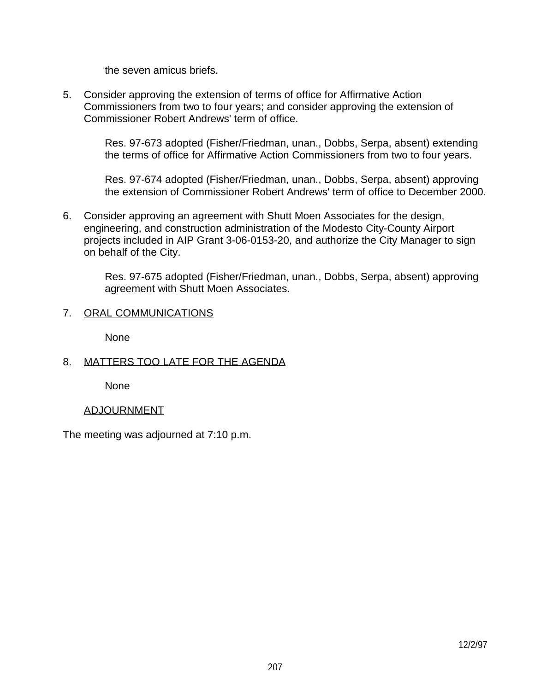the seven amicus briefs.

5. Consider approving the extension of terms of office for Affirmative Action Commissioners from two to four years; and consider approving the extension of Commissioner Robert Andrews' term of office.

> Res. 97-673 adopted (Fisher/Friedman, unan., Dobbs, Serpa, absent) extending the terms of office for Affirmative Action Commissioners from two to four years.

 Res. 97-674 adopted (Fisher/Friedman, unan., Dobbs, Serpa, absent) approving the extension of Commissioner Robert Andrews' term of office to December 2000.

6. Consider approving an agreement with Shutt Moen Associates for the design, engineering, and construction administration of the Modesto City-County Airport projects included in AIP Grant 3-06-0153-20, and authorize the City Manager to sign on behalf of the City.

 Res. 97-675 adopted (Fisher/Friedman, unan., Dobbs, Serpa, absent) approving agreement with Shutt Moen Associates.

# 7. ORAL COMMUNICATIONS

None

# 8. MATTERS TOO LATE FOR THE AGENDA

None

# ADJOURNMENT

The meeting was adjourned at 7:10 p.m.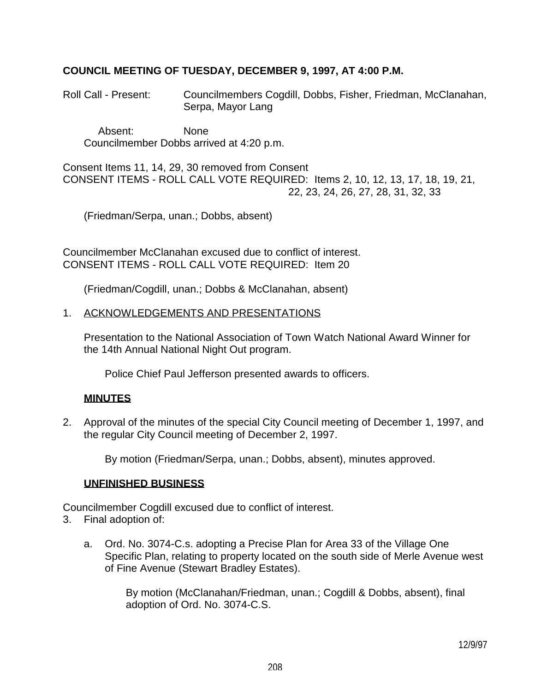# **COUNCIL MEETING OF TUESDAY, DECEMBER 9, 1997, AT 4:00 P.M.**

Roll Call - Present: Councilmembers Cogdill, Dobbs, Fisher, Friedman, McClanahan, Serpa, Mayor Lang

 Absent: None Councilmember Dobbs arrived at 4:20 p.m.

Consent Items 11, 14, 29, 30 removed from Consent CONSENT ITEMS - ROLL CALL VOTE REQUIRED: Items 2, 10, 12, 13, 17, 18, 19, 21, 22, 23, 24, 26, 27, 28, 31, 32, 33

(Friedman/Serpa, unan.; Dobbs, absent)

Councilmember McClanahan excused due to conflict of interest. CONSENT ITEMS - ROLL CALL VOTE REQUIRED: Item 20

(Friedman/Cogdill, unan.; Dobbs & McClanahan, absent)

1. ACKNOWLEDGEMENTS AND PRESENTATIONS

 Presentation to the National Association of Town Watch National Award Winner for the 14th Annual National Night Out program.

Police Chief Paul Jefferson presented awards to officers.

# **MINUTES**

2. Approval of the minutes of the special City Council meeting of December 1, 1997, and the regular City Council meeting of December 2, 1997.

By motion (Friedman/Serpa, unan.; Dobbs, absent), minutes approved.

#### **UNFINISHED BUSINESS**

Councilmember Cogdill excused due to conflict of interest.

- 3. Final adoption of:
	- a. Ord. No. 3074-C.s. adopting a Precise Plan for Area 33 of the Village One Specific Plan, relating to property located on the south side of Merle Avenue west of Fine Avenue (Stewart Bradley Estates).

 By motion (McClanahan/Friedman, unan.; Cogdill & Dobbs, absent), final adoption of Ord. No. 3074-C.S.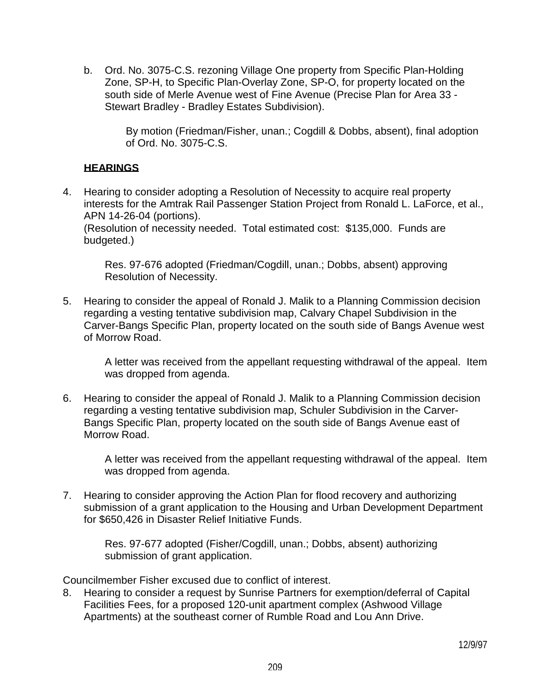b. Ord. No. 3075-C.S. rezoning Village One property from Specific Plan-Holding Zone, SP-H, to Specific Plan-Overlay Zone, SP-O, for property located on the south side of Merle Avenue west of Fine Avenue (Precise Plan for Area 33 - Stewart Bradley - Bradley Estates Subdivision).

> By motion (Friedman/Fisher, unan.; Cogdill & Dobbs, absent), final adoption of Ord. No. 3075-C.S.

# **HEARINGS**

4. Hearing to consider adopting a Resolution of Necessity to acquire real property interests for the Amtrak Rail Passenger Station Project from Ronald L. LaForce, et al., APN 14-26-04 (portions). (Resolution of necessity needed. Total estimated cost: \$135,000. Funds are budgeted.)

 Res. 97-676 adopted (Friedman/Cogdill, unan.; Dobbs, absent) approving Resolution of Necessity.

5. Hearing to consider the appeal of Ronald J. Malik to a Planning Commission decision regarding a vesting tentative subdivision map, Calvary Chapel Subdivision in the Carver-Bangs Specific Plan, property located on the south side of Bangs Avenue west of Morrow Road.

 A letter was received from the appellant requesting withdrawal of the appeal. Item was dropped from agenda.

6. Hearing to consider the appeal of Ronald J. Malik to a Planning Commission decision regarding a vesting tentative subdivision map, Schuler Subdivision in the Carver-Bangs Specific Plan, property located on the south side of Bangs Avenue east of Morrow Road.

 A letter was received from the appellant requesting withdrawal of the appeal. Item was dropped from agenda.

7. Hearing to consider approving the Action Plan for flood recovery and authorizing submission of a grant application to the Housing and Urban Development Department for \$650,426 in Disaster Relief Initiative Funds.

 Res. 97-677 adopted (Fisher/Cogdill, unan.; Dobbs, absent) authorizing submission of grant application.

Councilmember Fisher excused due to conflict of interest.

8. Hearing to consider a request by Sunrise Partners for exemption/deferral of Capital Facilities Fees, for a proposed 120-unit apartment complex (Ashwood Village Apartments) at the southeast corner of Rumble Road and Lou Ann Drive.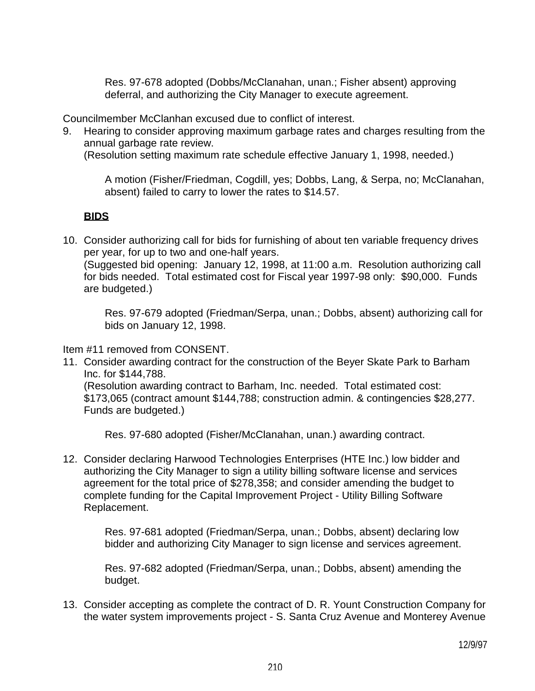Res. 97-678 adopted (Dobbs/McClanahan, unan.; Fisher absent) approving deferral, and authorizing the City Manager to execute agreement.

Councilmember McClanhan excused due to conflict of interest.

9. Hearing to consider approving maximum garbage rates and charges resulting from the annual garbage rate review.

(Resolution setting maximum rate schedule effective January 1, 1998, needed.)

 A motion (Fisher/Friedman, Cogdill, yes; Dobbs, Lang, & Serpa, no; McClanahan, absent) failed to carry to lower the rates to \$14.57.

# **BIDS**

10. Consider authorizing call for bids for furnishing of about ten variable frequency drives per year, for up to two and one-half years.

 (Suggested bid opening: January 12, 1998, at 11:00 a.m. Resolution authorizing call for bids needed. Total estimated cost for Fiscal year 1997-98 only: \$90,000. Funds are budgeted.)

 Res. 97-679 adopted (Friedman/Serpa, unan.; Dobbs, absent) authorizing call for bids on January 12, 1998.

Item #11 removed from CONSENT.

11. Consider awarding contract for the construction of the Beyer Skate Park to Barham Inc. for \$144,788.

 (Resolution awarding contract to Barham, Inc. needed. Total estimated cost: \$173,065 (contract amount \$144,788; construction admin. & contingencies \$28,277. Funds are budgeted.)

Res. 97-680 adopted (Fisher/McClanahan, unan.) awarding contract.

12. Consider declaring Harwood Technologies Enterprises (HTE Inc.) low bidder and authorizing the City Manager to sign a utility billing software license and services agreement for the total price of \$278,358; and consider amending the budget to complete funding for the Capital Improvement Project - Utility Billing Software Replacement.

> Res. 97-681 adopted (Friedman/Serpa, unan.; Dobbs, absent) declaring low bidder and authorizing City Manager to sign license and services agreement.

> Res. 97-682 adopted (Friedman/Serpa, unan.; Dobbs, absent) amending the budget.

13. Consider accepting as complete the contract of D. R. Yount Construction Company for the water system improvements project - S. Santa Cruz Avenue and Monterey Avenue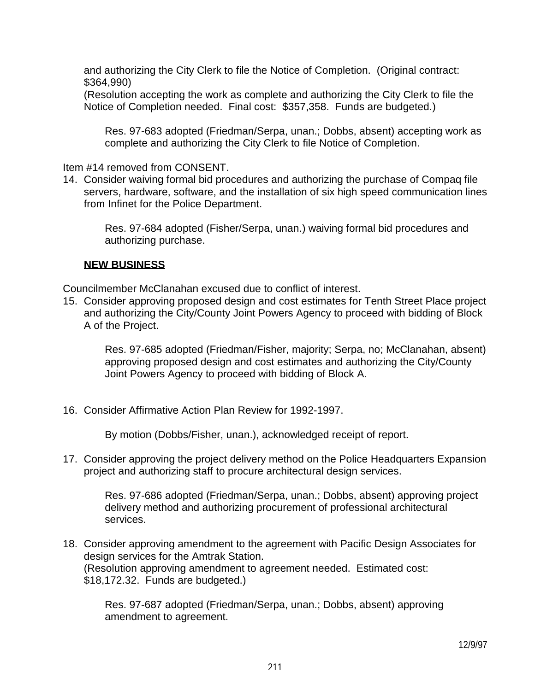and authorizing the City Clerk to file the Notice of Completion. (Original contract: \$364,990)

 (Resolution accepting the work as complete and authorizing the City Clerk to file the Notice of Completion needed. Final cost: \$357,358. Funds are budgeted.)

 Res. 97-683 adopted (Friedman/Serpa, unan.; Dobbs, absent) accepting work as complete and authorizing the City Clerk to file Notice of Completion.

Item #14 removed from CONSENT.

14. Consider waiving formal bid procedures and authorizing the purchase of Compaq file servers, hardware, software, and the installation of six high speed communication lines from Infinet for the Police Department.

 Res. 97-684 adopted (Fisher/Serpa, unan.) waiving formal bid procedures and authorizing purchase.

# **NEW BUSINESS**

Councilmember McClanahan excused due to conflict of interest.

15. Consider approving proposed design and cost estimates for Tenth Street Place project and authorizing the City/County Joint Powers Agency to proceed with bidding of Block A of the Project.

 Res. 97-685 adopted (Friedman/Fisher, majority; Serpa, no; McClanahan, absent) approving proposed design and cost estimates and authorizing the City/County Joint Powers Agency to proceed with bidding of Block A.

16. Consider Affirmative Action Plan Review for 1992-1997.

By motion (Dobbs/Fisher, unan.), acknowledged receipt of report.

17. Consider approving the project delivery method on the Police Headquarters Expansion project and authorizing staff to procure architectural design services.

 Res. 97-686 adopted (Friedman/Serpa, unan.; Dobbs, absent) approving project delivery method and authorizing procurement of professional architectural services.

18. Consider approving amendment to the agreement with Pacific Design Associates for design services for the Amtrak Station. (Resolution approving amendment to agreement needed. Estimated cost: \$18,172.32. Funds are budgeted.)

 Res. 97-687 adopted (Friedman/Serpa, unan.; Dobbs, absent) approving amendment to agreement.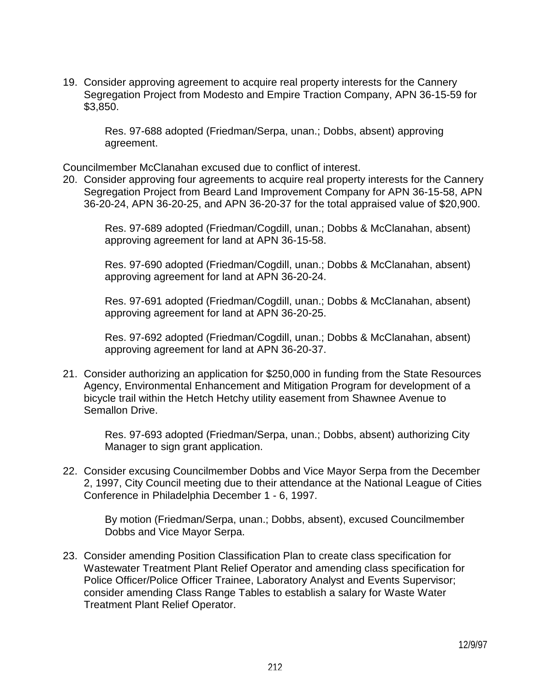19. Consider approving agreement to acquire real property interests for the Cannery Segregation Project from Modesto and Empire Traction Company, APN 36-15-59 for \$3,850.

 Res. 97-688 adopted (Friedman/Serpa, unan.; Dobbs, absent) approving agreement.

Councilmember McClanahan excused due to conflict of interest.

20. Consider approving four agreements to acquire real property interests for the Cannery Segregation Project from Beard Land Improvement Company for APN 36-15-58, APN 36-20-24, APN 36-20-25, and APN 36-20-37 for the total appraised value of \$20,900.

> Res. 97-689 adopted (Friedman/Cogdill, unan.; Dobbs & McClanahan, absent) approving agreement for land at APN 36-15-58.

> Res. 97-690 adopted (Friedman/Cogdill, unan.; Dobbs & McClanahan, absent) approving agreement for land at APN 36-20-24.

> Res. 97-691 adopted (Friedman/Cogdill, unan.; Dobbs & McClanahan, absent) approving agreement for land at APN 36-20-25.

> Res. 97-692 adopted (Friedman/Cogdill, unan.; Dobbs & McClanahan, absent) approving agreement for land at APN 36-20-37.

21. Consider authorizing an application for \$250,000 in funding from the State Resources Agency, Environmental Enhancement and Mitigation Program for development of a bicycle trail within the Hetch Hetchy utility easement from Shawnee Avenue to Semallon Drive.

 Res. 97-693 adopted (Friedman/Serpa, unan.; Dobbs, absent) authorizing City Manager to sign grant application.

22. Consider excusing Councilmember Dobbs and Vice Mayor Serpa from the December 2, 1997, City Council meeting due to their attendance at the National League of Cities Conference in Philadelphia December 1 - 6, 1997.

 By motion (Friedman/Serpa, unan.; Dobbs, absent), excused Councilmember Dobbs and Vice Mayor Serpa.

23. Consider amending Position Classification Plan to create class specification for Wastewater Treatment Plant Relief Operator and amending class specification for Police Officer/Police Officer Trainee, Laboratory Analyst and Events Supervisor; consider amending Class Range Tables to establish a salary for Waste Water Treatment Plant Relief Operator.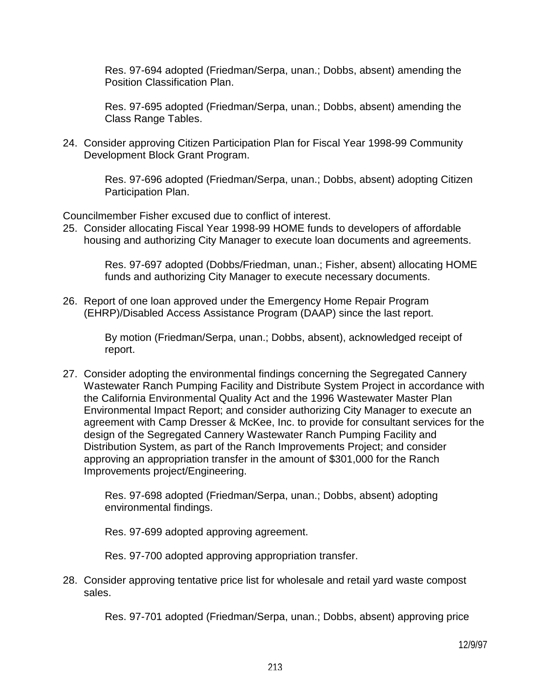Res. 97-694 adopted (Friedman/Serpa, unan.; Dobbs, absent) amending the Position Classification Plan.

 Res. 97-695 adopted (Friedman/Serpa, unan.; Dobbs, absent) amending the Class Range Tables.

24. Consider approving Citizen Participation Plan for Fiscal Year 1998-99 Community Development Block Grant Program.

> Res. 97-696 adopted (Friedman/Serpa, unan.; Dobbs, absent) adopting Citizen Participation Plan.

Councilmember Fisher excused due to conflict of interest.

25. Consider allocating Fiscal Year 1998-99 HOME funds to developers of affordable housing and authorizing City Manager to execute loan documents and agreements.

> Res. 97-697 adopted (Dobbs/Friedman, unan.; Fisher, absent) allocating HOME funds and authorizing City Manager to execute necessary documents.

26. Report of one loan approved under the Emergency Home Repair Program (EHRP)/Disabled Access Assistance Program (DAAP) since the last report.

> By motion (Friedman/Serpa, unan.; Dobbs, absent), acknowledged receipt of report.

27. Consider adopting the environmental findings concerning the Segregated Cannery Wastewater Ranch Pumping Facility and Distribute System Project in accordance with the California Environmental Quality Act and the 1996 Wastewater Master Plan Environmental Impact Report; and consider authorizing City Manager to execute an agreement with Camp Dresser & McKee, Inc. to provide for consultant services for the design of the Segregated Cannery Wastewater Ranch Pumping Facility and Distribution System, as part of the Ranch Improvements Project; and consider approving an appropriation transfer in the amount of \$301,000 for the Ranch Improvements project/Engineering.

 Res. 97-698 adopted (Friedman/Serpa, unan.; Dobbs, absent) adopting environmental findings.

Res. 97-699 adopted approving agreement.

Res. 97-700 adopted approving appropriation transfer.

28. Consider approving tentative price list for wholesale and retail yard waste compost sales.

Res. 97-701 adopted (Friedman/Serpa, unan.; Dobbs, absent) approving price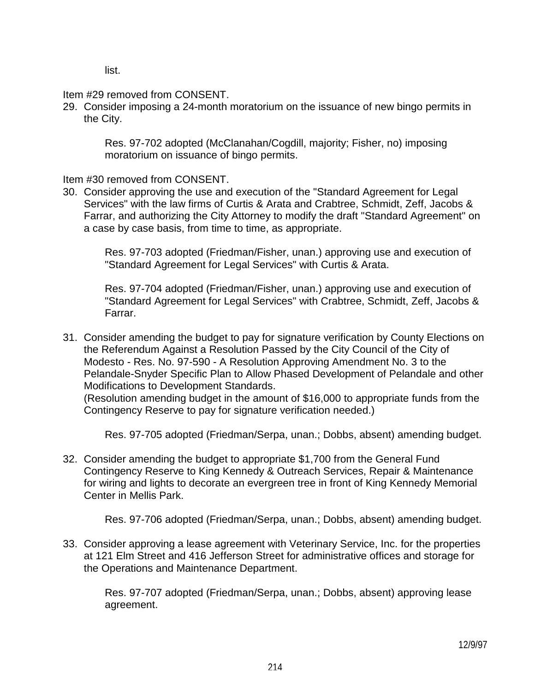list.

Item #29 removed from CONSENT.

29. Consider imposing a 24-month moratorium on the issuance of new bingo permits in the City.

 Res. 97-702 adopted (McClanahan/Cogdill, majority; Fisher, no) imposing moratorium on issuance of bingo permits.

Item #30 removed from CONSENT.

30. Consider approving the use and execution of the "Standard Agreement for Legal Services" with the law firms of Curtis & Arata and Crabtree, Schmidt, Zeff, Jacobs & Farrar, and authorizing the City Attorney to modify the draft "Standard Agreement" on a case by case basis, from time to time, as appropriate.

 Res. 97-703 adopted (Friedman/Fisher, unan.) approving use and execution of "Standard Agreement for Legal Services" with Curtis & Arata.

 Res. 97-704 adopted (Friedman/Fisher, unan.) approving use and execution of "Standard Agreement for Legal Services" with Crabtree, Schmidt, Zeff, Jacobs & Farrar.

31. Consider amending the budget to pay for signature verification by County Elections on the Referendum Against a Resolution Passed by the City Council of the City of Modesto - Res. No. 97-590 - A Resolution Approving Amendment No. 3 to the Pelandale-Snyder Specific Plan to Allow Phased Development of Pelandale and other Modifications to Development Standards.

 (Resolution amending budget in the amount of \$16,000 to appropriate funds from the Contingency Reserve to pay for signature verification needed.)

Res. 97-705 adopted (Friedman/Serpa, unan.; Dobbs, absent) amending budget.

32. Consider amending the budget to appropriate \$1,700 from the General Fund Contingency Reserve to King Kennedy & Outreach Services, Repair & Maintenance for wiring and lights to decorate an evergreen tree in front of King Kennedy Memorial Center in Mellis Park.

Res. 97-706 adopted (Friedman/Serpa, unan.; Dobbs, absent) amending budget.

33. Consider approving a lease agreement with Veterinary Service, Inc. for the properties at 121 Elm Street and 416 Jefferson Street for administrative offices and storage for the Operations and Maintenance Department.

 Res. 97-707 adopted (Friedman/Serpa, unan.; Dobbs, absent) approving lease agreement.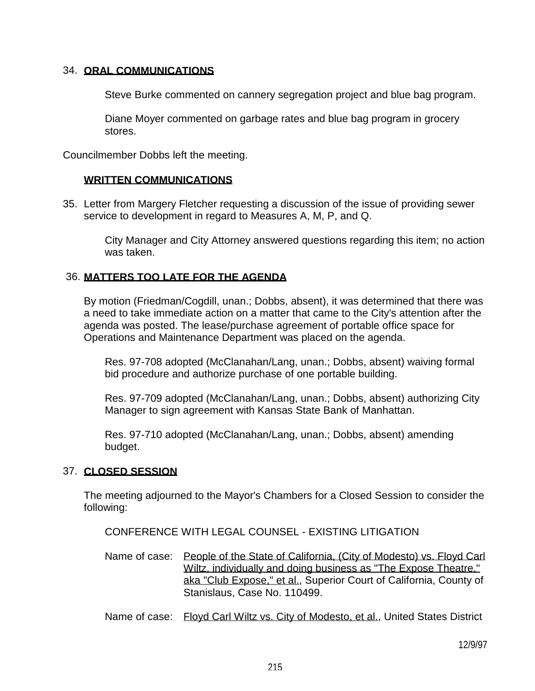## 34. **ORAL COMMUNICATIONS**

Steve Burke commented on cannery segregation project and blue bag program.

 Diane Moyer commented on garbage rates and blue bag program in grocery stores.

Councilmember Dobbs left the meeting.

# **WRITTEN COMMUNICATIONS**

35. Letter from Margery Fletcher requesting a discussion of the issue of providing sewer service to development in regard to Measures A, M, P, and Q.

 City Manager and City Attorney answered questions regarding this item; no action was taken.

# 36. **MATTERS TOO LATE FOR THE AGENDA**

 By motion (Friedman/Cogdill, unan.; Dobbs, absent), it was determined that there was a need to take immediate action on a matter that came to the City's attention after the agenda was posted. The lease/purchase agreement of portable office space for Operations and Maintenance Department was placed on the agenda.

 Res. 97-708 adopted (McClanahan/Lang, unan.; Dobbs, absent) waiving formal bid procedure and authorize purchase of one portable building.

 Res. 97-709 adopted (McClanahan/Lang, unan.; Dobbs, absent) authorizing City Manager to sign agreement with Kansas State Bank of Manhattan.

 Res. 97-710 adopted (McClanahan/Lang, unan.; Dobbs, absent) amending budget.

# 37. **CLOSED SESSION**

 The meeting adjourned to the Mayor's Chambers for a Closed Session to consider the following:

CONFERENCE WITH LEGAL COUNSEL - EXISTING LITIGATION

 Name of case: People of the State of California, (City of Modesto) vs. Floyd Carl Wiltz, individually and doing business as "The Expose Theatre." aka "Club Expose," et al., Superior Court of California, County of Stanislaus, Case No. 110499.

Name of case: Floyd Carl Wiltz vs. City of Modesto, et al., United States District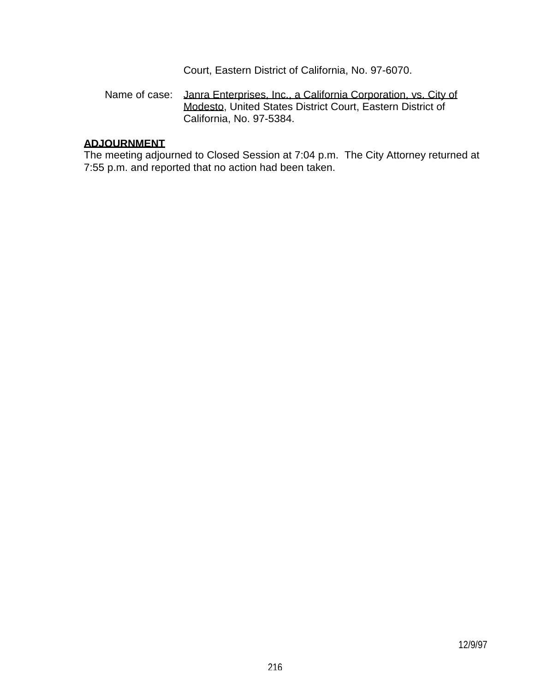Court, Eastern District of California, No. 97-6070.

## Name of case: Janra Enterprises, Inc., a California Corporation, vs. City of Modesto, United States District Court, Eastern District of California, No. 97-5384.

### **ADJOURNMENT**

 The meeting adjourned to Closed Session at 7:04 p.m. The City Attorney returned at 7:55 p.m. and reported that no action had been taken.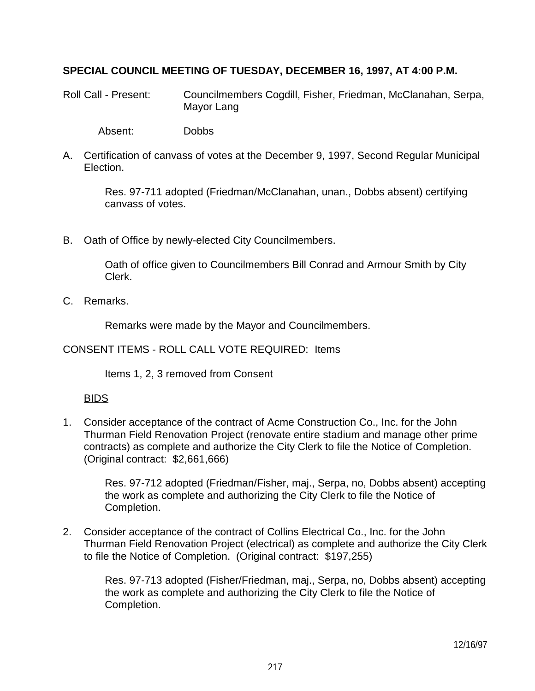## **SPECIAL COUNCIL MEETING OF TUESDAY, DECEMBER 16, 1997, AT 4:00 P.M.**

Roll Call - Present: Councilmembers Cogdill, Fisher, Friedman, McClanahan, Serpa, Mayor Lang

Absent: Dobbs

A. Certification of canvass of votes at the December 9, 1997, Second Regular Municipal Election.

 Res. 97-711 adopted (Friedman/McClanahan, unan., Dobbs absent) certifying canvass of votes.

B. Oath of Office by newly-elected City Councilmembers.

 Oath of office given to Councilmembers Bill Conrad and Armour Smith by City Clerk.

C. Remarks.

Remarks were made by the Mayor and Councilmembers.

CONSENT ITEMS - ROLL CALL VOTE REQUIRED: Items

Items 1, 2, 3 removed from Consent

## BIDS

1. Consider acceptance of the contract of Acme Construction Co., Inc. for the John Thurman Field Renovation Project (renovate entire stadium and manage other prime contracts) as complete and authorize the City Clerk to file the Notice of Completion. (Original contract: \$2,661,666)

 Res. 97-712 adopted (Friedman/Fisher, maj., Serpa, no, Dobbs absent) accepting the work as complete and authorizing the City Clerk to file the Notice of Completion.

2. Consider acceptance of the contract of Collins Electrical Co., Inc. for the John Thurman Field Renovation Project (electrical) as complete and authorize the City Clerk to file the Notice of Completion. (Original contract: \$197,255)

 Res. 97-713 adopted (Fisher/Friedman, maj., Serpa, no, Dobbs absent) accepting the work as complete and authorizing the City Clerk to file the Notice of Completion.